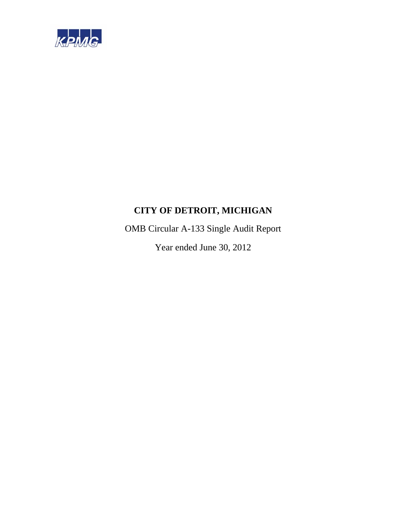

OMB Circular A-133 Single Audit Report

Year ended June 30, 2012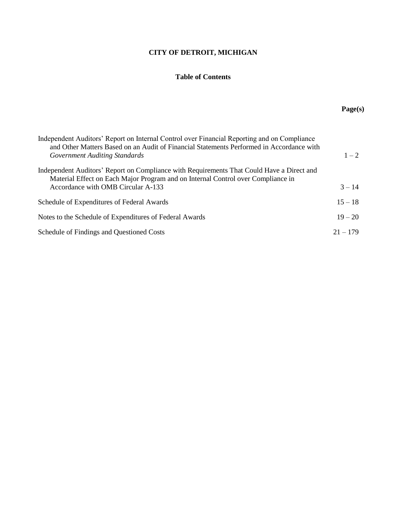# **Table of Contents**

**Page(s)** 

| Independent Auditors' Report on Internal Control over Financial Reporting and on Compliance<br>and Other Matters Based on an Audit of Financial Statements Performed in Accordance with<br>Government Auditing Standards | $1 - 2$    |
|--------------------------------------------------------------------------------------------------------------------------------------------------------------------------------------------------------------------------|------------|
| Independent Auditors' Report on Compliance with Requirements That Could Have a Direct and<br>Material Effect on Each Major Program and on Internal Control over Compliance in                                            |            |
| Accordance with OMB Circular A-133                                                                                                                                                                                       | $3 - 14$   |
| Schedule of Expenditures of Federal Awards                                                                                                                                                                               | $15 - 18$  |
| Notes to the Schedule of Expenditures of Federal Awards                                                                                                                                                                  | $19 - 20$  |
| Schedule of Findings and Questioned Costs                                                                                                                                                                                | $21 - 179$ |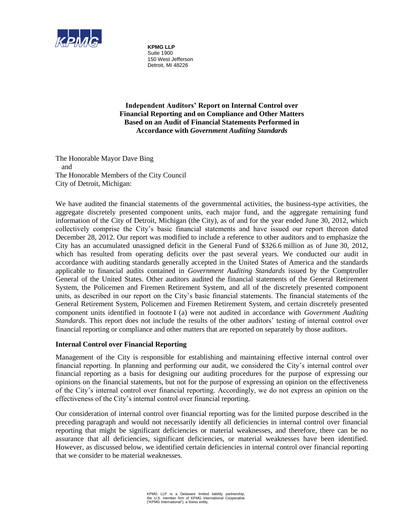

**KPMG LLP** Suite 1900 150 West Jefferson Detroit, MI 48226

**Independent Auditors' Report on Internal Control over Financial Reporting and on Compliance and Other Matters Based on an Audit of Financial Statements Performed in Accordance with** *Government Auditing Standards*

The Honorable Mayor Dave Bing and The Honorable Members of the City Council City of Detroit, Michigan:

We have audited the financial statements of the governmental activities, the business-type activities, the aggregate discretely presented component units, each major fund, and the aggregate remaining fund information of the City of Detroit, Michigan (the City), as of and for the year ended June 30, 2012, which collectively comprise the City's basic financial statements and have issued our report thereon dated December 28, 2012. Our report was modified to include a reference to other auditors and to emphasize the City has an accumulated unassigned deficit in the General Fund of \$326.6 million as of June 30, 2012, which has resulted from operating deficits over the past several years. We conducted our audit in accordance with auditing standards generally accepted in the United States of America and the standards applicable to financial audits contained in *Government Auditing Standards* issued by the Comptroller General of the United States. Other auditors audited the financial statements of the General Retirement System, the Policemen and Firemen Retirement System, and all of the discretely presented component units, as described in our report on the City's basic financial statements. The financial statements of the General Retirement System, Policemen and Firemen Retirement System, and certain discretely presented component units identified in footnote I (a) were not audited in accordance with *Government Auditing Standards*. This report does not include the results of the other auditors' testing of internal control over financial reporting or compliance and other matters that are reported on separately by those auditors.

### **Internal Control over Financial Reporting**

Management of the City is responsible for establishing and maintaining effective internal control over financial reporting. In planning and performing our audit, we considered the City's internal control over financial reporting as a basis for designing our auditing procedures for the purpose of expressing our opinions on the financial statements, but not for the purpose of expressing an opinion on the effectiveness of the City's internal control over financial reporting. Accordingly, we do not express an opinion on the effectiveness of the City's internal control over financial reporting.

Our consideration of internal control over financial reporting was for the limited purpose described in the preceding paragraph and would not necessarily identify all deficiencies in internal control over financial reporting that might be significant deficiencies or material weaknesses, and therefore, there can be no assurance that all deficiencies, significant deficiencies, or material weaknesses have been identified. However, as discussed below, we identified certain deficiencies in internal control over financial reporting that we consider to be material weaknesses.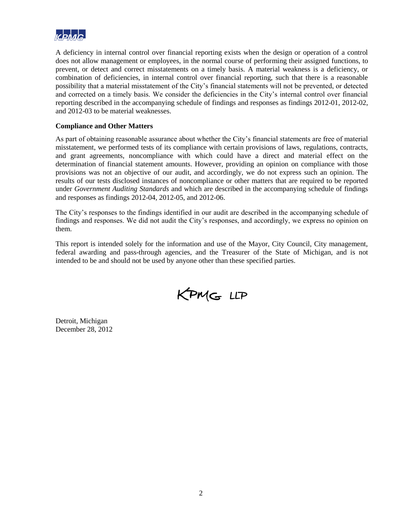

A deficiency in internal control over financial reporting exists when the design or operation of a control does not allow management or employees, in the normal course of performing their assigned functions, to prevent, or detect and correct misstatements on a timely basis. A material weakness is a deficiency, or combination of deficiencies, in internal control over financial reporting, such that there is a reasonable possibility that a material misstatement of the City's financial statements will not be prevented, or detected and corrected on a timely basis. We consider the deficiencies in the City's internal control over financial reporting described in the accompanying schedule of findings and responses as findings 2012-01, 2012-02, and 2012-03 to be material weaknesses.

### **Compliance and Other Matters**

As part of obtaining reasonable assurance about whether the City's financial statements are free of material misstatement, we performed tests of its compliance with certain provisions of laws, regulations, contracts, and grant agreements, noncompliance with which could have a direct and material effect on the determination of financial statement amounts. However, providing an opinion on compliance with those provisions was not an objective of our audit, and accordingly, we do not express such an opinion. The results of our tests disclosed instances of noncompliance or other matters that are required to be reported under *Government Auditing Standards* and which are described in the accompanying schedule of findings and responses as findings 2012-04, 2012-05, and 2012-06.

The City's responses to the findings identified in our audit are described in the accompanying schedule of findings and responses. We did not audit the City's responses, and accordingly, we express no opinion on them.

This report is intended solely for the information and use of the Mayor, City Council, City management, federal awarding and pass-through agencies, and the Treasurer of the State of Michigan, and is not intended to be and should not be used by anyone other than these specified parties.



Detroit, Michigan December 28, 2012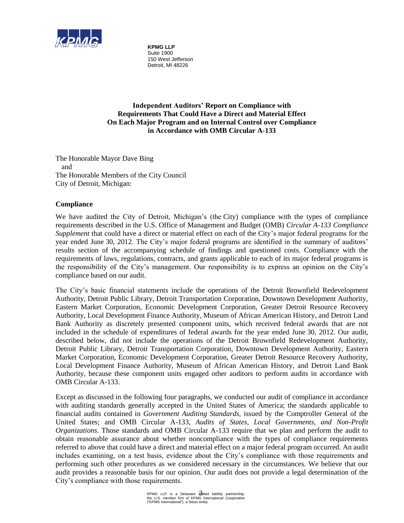

**KPMG LLP** Suite 1900 150 West Jefferson Detroit, MI 48226

**Independent Auditors' Report on Compliance with Requirements That Could Have a Direct and Material Effect On Each Major Program and on Internal Control over Compliance in Accordance with OMB Circular A-133** 

The Honorable Mayor Dave Bing and The Honorable Members of the City Council City of Detroit, Michigan:

### **Compliance**

We have audited the City of Detroit, Michigan's (the City) compliance with the types of compliance requirements described in the U.S. Office of Management and Budget (OMB) *Circular A-133 Compliance Supplement* that could have a direct or material effect on each of the City's major federal programs for the year ended June 30, 2012. The City's major federal programs are identified in the summary of auditors' results section of the accompanying schedule of findings and questioned costs. Compliance with the requirements of laws, regulations, contracts, and grants applicable to each of its major federal programs is the responsibility of the City's management. Our responsibility is to express an opinion on the City's compliance based on our audit.

The City's basic financial statements include the operations of the Detroit Brownfield Redevelopment Authority, Detroit Public Library, Detroit Transportation Corporation, Downtown Development Authority, Eastern Market Corporation, Economic Development Corporation, Greater Detroit Resource Recovery Authority, Local Development Finance Authority, Museum of African American History, and Detroit Land Bank Authority as discretely presented component units, which received federal awards that are not included in the schedule of expenditures of federal awards for the year ended June 30, 2012. Our audit, described below, did not include the operations of the Detroit Brownfield Redevelopment Authority, Detroit Public Library, Detroit Transportation Corporation, Downtown Development Authority, Eastern Market Corporation, Economic Development Corporation, Greater Detroit Resource Recovery Authority, Local Development Finance Authority, Museum of African American History, and Detroit Land Bank Authority, because these component units engaged other auditors to perform audits in accordance with OMB Circular A-133.

Except as discussed in the following four paragraphs, we conducted our audit of compliance in accordance with auditing standards generally accepted in the United States of America; the standards applicable to financial audits contained in *Government Auditing Standards*, issued by the Comptroller General of the United States; and OMB Circular A-133, *Audits of States, Local Governments, and Non-Profit Organizations*. Those standards and OMB Circular A-133 require that we plan and perform the audit to obtain reasonable assurance about whether noncompliance with the types of compliance requirements referred to above that could have a direct and material effect on a major federal program occurred. An audit includes examining, on a test basis, evidence about the City's compliance with those requirements and performing such other procedures as we considered necessary in the circumstances. We believe that our audit provides a reasonable basis for our opinion. Our audit does not provide a legal determination of the City's compliance with those requirements.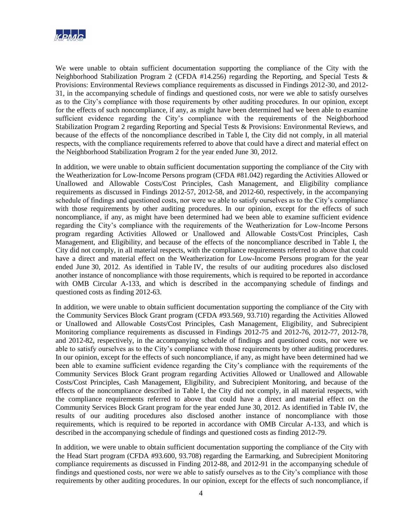

We were unable to obtain sufficient documentation supporting the compliance of the City with the Neighborhood Stabilization Program 2 (CFDA #14.256) regarding the Reporting, and Special Tests & Provisions: Environmental Reviews compliance requirements as discussed in Findings 2012-30, and 2012- 31, in the accompanying schedule of findings and questioned costs, nor were we able to satisfy ourselves as to the City's compliance with those requirements by other auditing procedures. In our opinion, except for the effects of such noncompliance, if any, as might have been determined had we been able to examine sufficient evidence regarding the City's compliance with the requirements of the Neighborhood Stabilization Program 2 regarding Reporting and Special Tests & Provisions: Environmental Reviews, and because of the effects of the noncompliance described in Table I, the City did not comply, in all material respects, with the compliance requirements referred to above that could have a direct and material effect on the Neighborhood Stabilization Program 2 for the year ended June 30, 2012.

In addition, we were unable to obtain sufficient documentation supporting the compliance of the City with the Weatherization for Low-Income Persons program (CFDA #81.042) regarding the Activities Allowed or Unallowed and Allowable Costs/Cost Principles, Cash Management, and Eligibility compliance requirements as discussed in Findings 2012-57, 2012-58, and 2012-60, respectively, in the accompanying schedule of findings and questioned costs, nor were we able to satisfy ourselves as to the City's compliance with those requirements by other auditing procedures. In our opinion, except for the effects of such noncompliance, if any, as might have been determined had we been able to examine sufficient evidence regarding the City's compliance with the requirements of the Weatherization for Low-Income Persons program regarding Activities Allowed or Unallowed and Allowable Costs/Cost Principles, Cash Management, and Eligibility, and because of the effects of the noncompliance described in Table I, the City did not comply, in all material respects, with the compliance requirements referred to above that could have a direct and material effect on the Weatherization for Low-Income Persons program for the year ended June 30, 2012. As identified in Table IV, the results of our auditing procedures also disclosed another instance of noncompliance with those requirements, which is required to be reported in accordance with OMB Circular A-133, and which is described in the accompanying schedule of findings and questioned costs as finding 2012-63.

In addition, we were unable to obtain sufficient documentation supporting the compliance of the City with the Community Services Block Grant program (CFDA #93.569, 93.710) regarding the Activities Allowed or Unallowed and Allowable Costs/Cost Principles, Cash Management, Eligibility, and Subrecipient Monitoring compliance requirements as discussed in Findings 2012-75 and 2012-76, 2012-77, 2012-78, and 2012-82, respectively, in the accompanying schedule of findings and questioned costs, nor were we able to satisfy ourselves as to the City's compliance with those requirements by other auditing procedures. In our opinion, except for the effects of such noncompliance, if any, as might have been determined had we been able to examine sufficient evidence regarding the City's compliance with the requirements of the Community Services Block Grant program regarding Activities Allowed or Unallowed and Allowable Costs/Cost Principles, Cash Management, Eligibility, and Subrecipient Monitoring, and because of the effects of the noncompliance described in Table I, the City did not comply, in all material respects, with the compliance requirements referred to above that could have a direct and material effect on the Community Services Block Grant program for the year ended June 30, 2012. As identified in Table IV, the results of our auditing procedures also disclosed another instance of noncompliance with those requirements, which is required to be reported in accordance with OMB Circular A-133, and which is described in the accompanying schedule of findings and questioned costs as finding 2012-79.

In addition, we were unable to obtain sufficient documentation supporting the compliance of the City with the Head Start program (CFDA #93.600, 93.708) regarding the Earmarking, and Subrecipient Monitoring compliance requirements as discussed in Finding 2012-88, and 2012-91 in the accompanying schedule of findings and questioned costs, nor were we able to satisfy ourselves as to the City's compliance with those requirements by other auditing procedures. In our opinion, except for the effects of such noncompliance, if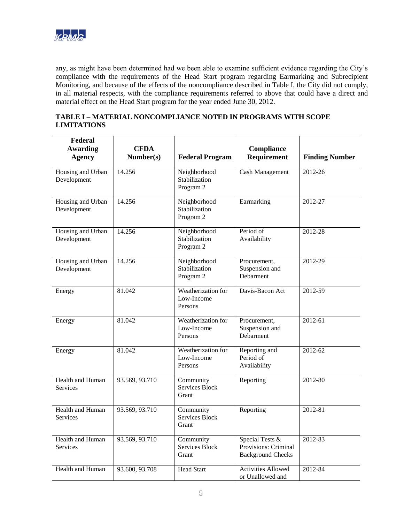

any, as might have been determined had we been able to examine sufficient evidence regarding the City's compliance with the requirements of the Head Start program regarding Earmarking and Subrecipient Monitoring, and because of the effects of the noncompliance described in Table I, the City did not comply, in all material respects, with the compliance requirements referred to above that could have a direct and material effect on the Head Start program for the year ended June 30, 2012.

### **TABLE I – MATERIAL NONCOMPLIANCE NOTED IN PROGRAMS WITH SCOPE LIMITATIONS**

| Federal<br><b>Awarding</b><br><b>Agency</b> | <b>CFDA</b><br>Number(s) | <b>Federal Program</b>                      | Compliance<br><b>Requirement</b>                                    | <b>Finding Number</b> |
|---------------------------------------------|--------------------------|---------------------------------------------|---------------------------------------------------------------------|-----------------------|
| Housing and Urban<br>Development            | 14.256                   | Neighborhood<br>Stabilization<br>Program 2  | Cash Management                                                     | 2012-26               |
| Housing and Urban<br>Development            | 14.256                   | Neighborhood<br>Stabilization<br>Program 2  | Earmarking                                                          | 2012-27               |
| Housing and Urban<br>Development            | 14.256                   | Neighborhood<br>Stabilization<br>Program 2  | Period of<br>Availability                                           | 2012-28               |
| Housing and Urban<br>Development            | 14.256                   | Neighborhood<br>Stabilization<br>Program 2  | Procurement,<br>Suspension and<br>Debarment                         | 2012-29               |
| Energy                                      | 81.042                   | Weatherization for<br>Low-Income<br>Persons | Davis-Bacon Act                                                     | 2012-59               |
| Energy                                      | 81.042                   | Weatherization for<br>Low-Income<br>Persons | Procurement,<br>Suspension and<br>Debarment                         | 2012-61               |
| Energy                                      | 81.042                   | Weatherization for<br>Low-Income<br>Persons | Reporting and<br>Period of<br>Availability                          | 2012-62               |
| <b>Health and Human</b><br>Services         | 93.569, 93.710           | Community<br><b>Services Block</b><br>Grant | Reporting                                                           | 2012-80               |
| <b>Health and Human</b><br>Services         | 93.569, 93.710           | Community<br><b>Services Block</b><br>Grant | Reporting                                                           | 2012-81               |
| Health and Human<br>Services                | 93.569, 93.710           | Community<br>Services Block<br>Grant        | Special Tests &<br>Provisions: Criminal<br><b>Background Checks</b> | 2012-83               |
| Health and Human                            | 93.600, 93.708           | <b>Head Start</b>                           | Activities Allowed<br>or Unallowed and                              | 2012-84               |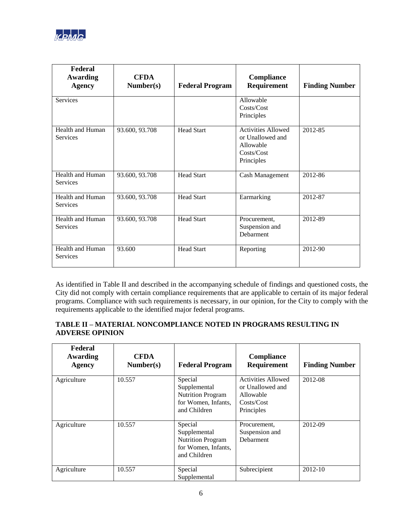

| Federal<br>Awarding<br><b>Agency</b>       | <b>CFDA</b><br>Number(s) | <b>Federal Program</b> | Compliance<br>Requirement                                                              | <b>Finding Number</b> |
|--------------------------------------------|--------------------------|------------------------|----------------------------------------------------------------------------------------|-----------------------|
| Services                                   |                          |                        | Allowable<br>Costs/Cost<br>Principles                                                  |                       |
| Health and Human<br><b>Services</b>        | 93.600, 93.708           | <b>Head Start</b>      | <b>Activities Allowed</b><br>or Unallowed and<br>Allowable<br>Costs/Cost<br>Principles | 2012-85               |
| Health and Human<br>Services               | 93.600, 93.708           | <b>Head Start</b>      | Cash Management                                                                        | 2012-86               |
| <b>Health and Human</b><br><b>Services</b> | 93.600, 93.708           | <b>Head Start</b>      | Earmarking                                                                             | 2012-87               |
| <b>Health and Human</b><br><b>Services</b> | 93.600, 93.708           | <b>Head Start</b>      | Procurement,<br>Suspension and<br>Debarment                                            | 2012-89               |
| <b>Health and Human</b><br>Services        | 93.600                   | <b>Head Start</b>      | Reporting                                                                              | 2012-90               |

As identified in Table II and described in the accompanying schedule of findings and questioned costs, the City did not comply with certain compliance requirements that are applicable to certain of its major federal programs. Compliance with such requirements is necessary, in our opinion, for the City to comply with the requirements applicable to the identified major federal programs.

# **TABLE II – MATERIAL NONCOMPLIANCE NOTED IN PROGRAMS RESULTING IN ADVERSE OPINION**

| Federal<br>Awarding<br><b>Agency</b> | <b>CFDA</b><br>Number(s) | <b>Federal Program</b>                                                                     | <b>Compliance</b><br>Requirement                                                       | <b>Finding Number</b> |
|--------------------------------------|--------------------------|--------------------------------------------------------------------------------------------|----------------------------------------------------------------------------------------|-----------------------|
| Agriculture                          | 10.557                   | Special<br>Supplemental<br><b>Nutrition Program</b><br>for Women, Infants,<br>and Children | <b>Activities Allowed</b><br>or Unallowed and<br>Allowable<br>Costs/Cost<br>Principles | 2012-08               |
| Agriculture                          | 10.557                   | Special<br>Supplemental<br><b>Nutrition Program</b><br>for Women, Infants,<br>and Children | Procurement.<br>Suspension and<br><b>Debarment</b>                                     | 2012-09               |
| Agriculture                          | 10.557                   | Special<br>Supplemental                                                                    | Subrecipient                                                                           | 2012-10               |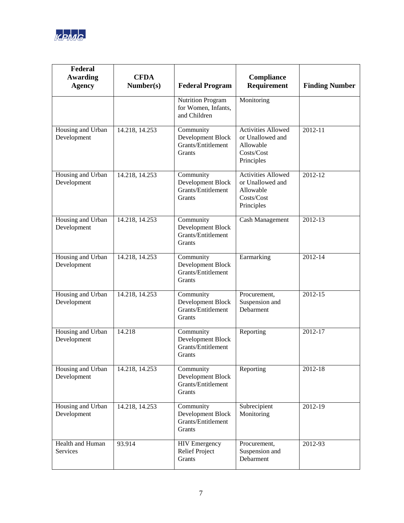

| Federal<br><b>Awarding</b><br><b>Agency</b> | <b>CFDA</b><br>Number(s) | <b>Federal Program</b>                                                | Compliance<br>Requirement                                                              | <b>Finding Number</b> |
|---------------------------------------------|--------------------------|-----------------------------------------------------------------------|----------------------------------------------------------------------------------------|-----------------------|
|                                             |                          | Nutrition Program<br>for Women, Infants,<br>and Children              | Monitoring                                                                             |                       |
| Housing and Urban<br>Development            | 14.218, 14.253           | Community<br>Development Block<br>Grants/Entitlement<br><b>Grants</b> | <b>Activities Allowed</b><br>or Unallowed and<br>Allowable<br>Costs/Cost<br>Principles | 2012-11               |
| Housing and Urban<br>Development            | 14.218, 14.253           | Community<br>Development Block<br>Grants/Entitlement<br>Grants        | <b>Activities Allowed</b><br>or Unallowed and<br>Allowable<br>Costs/Cost<br>Principles | 2012-12               |
| Housing and Urban<br>Development            | 14.218, 14.253           | Community<br>Development Block<br>Grants/Entitlement<br>Grants        | Cash Management                                                                        | 2012-13               |
| Housing and Urban<br>Development            | 14.218, 14.253           | Community<br>Development Block<br>Grants/Entitlement<br>Grants        | Earmarking                                                                             | 2012-14               |
| Housing and Urban<br>Development            | 14.218, 14.253           | Community<br>Development Block<br>Grants/Entitlement<br>Grants        | Procurement,<br>Suspension and<br>Debarment                                            | 2012-15               |
| Housing and Urban<br>Development            | 14.218                   | Community<br>Development Block<br>Grants/Entitlement<br>Grants        | Reporting                                                                              | 2012-17               |
| Housing and Urban<br>Development            | 14.218, 14.253           | Community<br>Development Block<br>Grants/Entitlement<br>Grants        | Reporting                                                                              | 2012-18               |
| Housing and Urban<br>Development            | 14.218, 14.253           | Community<br>Development Block<br>Grants/Entitlement<br>Grants        | Subrecipient<br>Monitoring                                                             | 2012-19               |
| Health and Human<br>Services                | 93.914                   | <b>HIV</b> Emergency<br><b>Relief Project</b><br>Grants               | Procurement,<br>Suspension and<br>Debarment                                            | 2012-93               |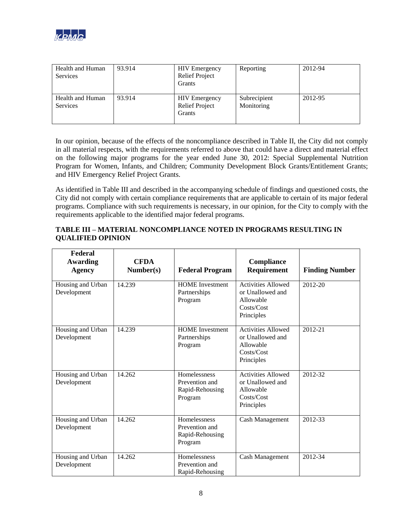

| Health and Human<br><b>Services</b>        | 93.914 | <b>HIV</b> Emergency<br>Relief Project<br>Grants | Reporting                  | 2012-94 |
|--------------------------------------------|--------|--------------------------------------------------|----------------------------|---------|
| <b>Health and Human</b><br><b>Services</b> | 93.914 | <b>HIV</b> Emergency<br>Relief Project<br>Grants | Subrecipient<br>Monitoring | 2012-95 |

In our opinion, because of the effects of the noncompliance described in Table II, the City did not comply in all material respects, with the requirements referred to above that could have a direct and material effect on the following major programs for the year ended June 30, 2012: Special Supplemental Nutrition Program for Women, Infants, and Children; Community Development Block Grants/Entitlement Grants; and HIV Emergency Relief Project Grants.

As identified in Table III and described in the accompanying schedule of findings and questioned costs, the City did not comply with certain compliance requirements that are applicable to certain of its major federal programs. Compliance with such requirements is necessary, in our opinion, for the City to comply with the requirements applicable to the identified major federal programs.

### **TABLE III – MATERIAL NONCOMPLIANCE NOTED IN PROGRAMS RESULTING IN QUALIFIED OPINION**

| Federal<br><b>Awarding</b><br><b>Agency</b> | <b>CFDA</b><br>Number(s) | <b>Federal Program</b>                                       | Compliance<br>Requirement                                                              | <b>Finding Number</b> |
|---------------------------------------------|--------------------------|--------------------------------------------------------------|----------------------------------------------------------------------------------------|-----------------------|
| Housing and Urban<br>Development            | 14.239                   | <b>HOME</b> Investment<br>Partnerships<br>Program            | <b>Activities Allowed</b><br>or Unallowed and<br>Allowable<br>Costs/Cost<br>Principles | 2012-20               |
| Housing and Urban<br>Development            | 14.239                   | <b>HOME</b> Investment<br>Partnerships<br>Program            | <b>Activities Allowed</b><br>or Unallowed and<br>Allowable<br>Costs/Cost<br>Principles | 2012-21               |
| Housing and Urban<br>Development            | 14.262                   | Homelessness<br>Prevention and<br>Rapid-Rehousing<br>Program | <b>Activities Allowed</b><br>or Unallowed and<br>Allowable<br>Costs/Cost<br>Principles | 2012-32               |
| Housing and Urban<br>Development            | 14.262                   | Homelessness<br>Prevention and<br>Rapid-Rehousing<br>Program | Cash Management                                                                        | 2012-33               |
| Housing and Urban<br>Development            | 14.262                   | Homelessness<br>Prevention and<br>Rapid-Rehousing            | Cash Management                                                                        | 2012-34               |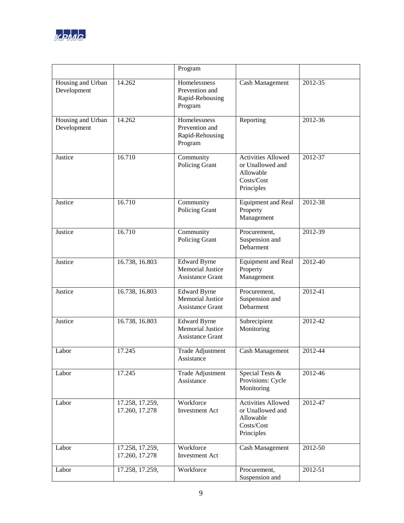

|                                  |                                   | Program                                                                   |                                                                                        |             |
|----------------------------------|-----------------------------------|---------------------------------------------------------------------------|----------------------------------------------------------------------------------------|-------------|
| Housing and Urban<br>Development | 14.262                            | Homelessness<br>Prevention and<br>Rapid-Rehousing<br>Program              | Cash Management                                                                        | 2012-35     |
| Housing and Urban<br>Development | 14.262                            | Homelessness<br>Prevention and<br>Rapid-Rehousing<br>Program              | Reporting                                                                              | 2012-36     |
| Justice                          | 16.710                            | Community<br>Policing Grant                                               | <b>Activities Allowed</b><br>or Unallowed and<br>Allowable<br>Costs/Cost<br>Principles | 2012-37     |
| Justice                          | 16.710                            | Community<br>Policing Grant                                               | <b>Equipment and Real</b><br>Property<br>Management                                    | $2012 - 38$ |
| Justice                          | 16.710                            | Community<br>Policing Grant                                               | Procurement,<br>Suspension and<br>Debarment                                            | $2012 - 39$ |
| Justice                          | 16.738, 16.803                    | <b>Edward Byrne</b><br><b>Memorial Justice</b><br><b>Assistance Grant</b> | <b>Equipment and Real</b><br>Property<br>Management                                    | 2012-40     |
| Justice                          | 16.738, 16.803                    | <b>Edward Byrne</b><br><b>Memorial Justice</b><br><b>Assistance Grant</b> | Procurement,<br>Suspension and<br>Debarment                                            | 2012-41     |
| Justice                          | 16.738, 16.803                    | <b>Edward Byrne</b><br><b>Memorial Justice</b><br><b>Assistance Grant</b> | Subrecipient<br>Monitoring                                                             | 2012-42     |
| Labor                            | 17.245                            | Trade Adjustment<br>Assistance                                            | Cash Management                                                                        | 2012-44     |
| Labor                            | 17.245                            | Trade Adjustment<br>Assistance                                            | Special Tests &<br>Provisions: Cycle<br>Monitoring                                     | 2012-46     |
| Labor                            | 17.258, 17.259,<br>17.260, 17.278 | Workforce<br><b>Investment Act</b>                                        | <b>Activities Allowed</b><br>or Unallowed and<br>Allowable<br>Costs/Cost<br>Principles | 2012-47     |
| Labor                            | 17.258, 17.259,<br>17.260, 17.278 | Workforce<br><b>Investment Act</b>                                        | Cash Management                                                                        | 2012-50     |
| Labor                            | 17.258, 17.259,                   | Workforce                                                                 | Procurement,<br>Suspension and                                                         | 2012-51     |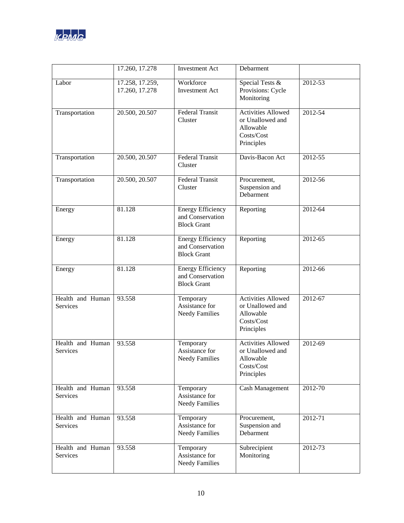

|                              | 17.260, 17.278                    | <b>Investment Act</b>                                              | Debarment                                                                              |             |
|------------------------------|-----------------------------------|--------------------------------------------------------------------|----------------------------------------------------------------------------------------|-------------|
| Labor                        | 17.258, 17.259,<br>17.260, 17.278 | Workforce<br><b>Investment Act</b>                                 | Special Tests &<br>Provisions: Cycle<br>Monitoring                                     | 2012-53     |
| Transportation               | 20.500, 20.507                    | <b>Federal Transit</b><br>Cluster                                  | <b>Activities Allowed</b><br>or Unallowed and<br>Allowable<br>Costs/Cost<br>Principles | 2012-54     |
| Transportation               | 20.500, 20.507                    | <b>Federal Transit</b><br>Cluster                                  | Davis-Bacon Act                                                                        | 2012-55     |
| Transportation               | 20.500, 20.507                    | <b>Federal Transit</b><br>Cluster                                  | Procurement,<br>Suspension and<br>Debarment                                            | $2012 - 56$ |
| Energy                       | 81.128                            | <b>Energy Efficiency</b><br>and Conservation<br><b>Block Grant</b> | Reporting                                                                              | 2012-64     |
| Energy                       | 81.128                            | <b>Energy Efficiency</b><br>and Conservation<br><b>Block Grant</b> | Reporting                                                                              | 2012-65     |
| Energy                       | 81.128                            | <b>Energy Efficiency</b><br>and Conservation<br><b>Block Grant</b> | Reporting                                                                              | 2012-66     |
| Health and Human<br>Services | 93.558                            | Temporary<br>Assistance for<br><b>Needy Families</b>               | <b>Activities Allowed</b><br>or Unallowed and<br>Allowable<br>Costs/Cost<br>Principles | 2012-67     |
| Health and Human<br>Services | 93.558                            | Temporary<br>Assistance for<br><b>Needy Families</b>               | <b>Activities</b> Allowed<br>or Unallowed and<br>Allowable<br>Costs/Cost<br>Principles | 2012-69     |
| Health and Human<br>Services | 93.558                            | Temporary<br>Assistance for<br><b>Needy Families</b>               | Cash Management                                                                        | 2012-70     |
| Health and Human<br>Services | 93.558                            | Temporary<br>Assistance for<br><b>Needy Families</b>               | Procurement,<br>Suspension and<br>Debarment                                            | 2012-71     |
| Health and Human<br>Services | 93.558                            | Temporary<br>Assistance for<br><b>Needy Families</b>               | Subrecipient<br>Monitoring                                                             | 2012-73     |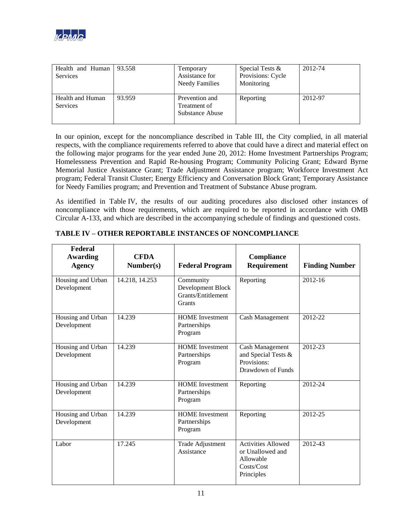

| Health and Human<br><b>Services</b> | 93.558 | Temporary<br>Assistance for<br><b>Needy Families</b> | Special Tests $&$<br>Provisions: Cycle<br>Monitoring | 2012-74 |
|-------------------------------------|--------|------------------------------------------------------|------------------------------------------------------|---------|
| Health and Human<br><b>Services</b> | 93.959 | Prevention and<br>Treatment of<br>Substance Abuse    | Reporting                                            | 2012-97 |

In our opinion, except for the noncompliance described in Table III, the City complied, in all material respects, with the compliance requirements referred to above that could have a direct and material effect on the following major programs for the year ended June 20, 2012: Home Investment Partnerships Program; Homelessness Prevention and Rapid Re-housing Program; Community Policing Grant; Edward Byrne Memorial Justice Assistance Grant; Trade Adjustment Assistance program; Workforce Investment Act program; Federal Transit Cluster; Energy Efficiency and Conversation Block Grant; Temporary Assistance for Needy Families program; and Prevention and Treatment of Substance Abuse program.

As identified in Table IV, the results of our auditing procedures also disclosed other instances of noncompliance with those requirements, which are required to be reported in accordance with OMB Circular A-133, and which are described in the accompanying schedule of findings and questioned costs.

| Federal<br>Awarding<br><b>Agency</b> | <b>CFDA</b><br>Number(s) | <b>Federal Program</b>                                         | <b>Compliance</b><br>Requirement                                                       | <b>Finding Number</b> |
|--------------------------------------|--------------------------|----------------------------------------------------------------|----------------------------------------------------------------------------------------|-----------------------|
| Housing and Urban<br>Development     | 14.218, 14.253           | Community<br>Development Block<br>Grants/Entitlement<br>Grants | Reporting                                                                              | 2012-16               |
| Housing and Urban<br>Development     | 14.239                   | <b>HOME</b> Investment<br>Partnerships<br>Program              | Cash Management                                                                        | 2012-22               |
| Housing and Urban<br>Development     | 14.239                   | <b>HOME</b> Investment<br>Partnerships<br>Program              | Cash Management<br>and Special Tests &<br>Provisions:<br>Drawdown of Funds             | 2012-23               |
| Housing and Urban<br>Development     | 14.239                   | <b>HOME</b> Investment<br>Partnerships<br>Program              | Reporting                                                                              | 2012-24               |
| Housing and Urban<br>Development     | 14.239                   | <b>HOME</b> Investment<br>Partnerships<br>Program              | Reporting                                                                              | 2012-25               |
| Labor                                | 17.245                   | Trade Adjustment<br>Assistance                                 | <b>Activities Allowed</b><br>or Unallowed and<br>Allowable<br>Costs/Cost<br>Principles | 2012-43               |

### **TABLE IV – OTHER REPORTABLE INSTANCES OF NONCOMPLIANCE**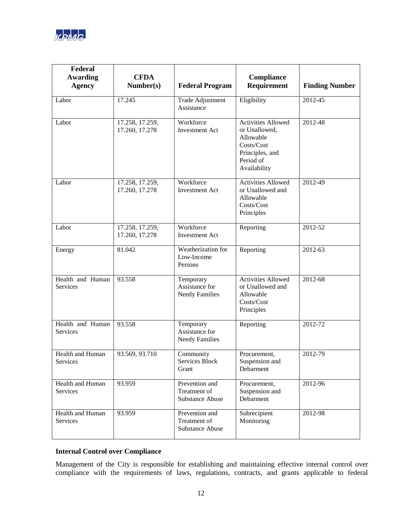

| Federal<br><b>Awarding</b><br><b>Agency</b> | <b>CFDA</b><br>Number(s)          | <b>Federal Program</b>                                   | Compliance<br><b>Requirement</b>                                                                               | <b>Finding Number</b> |
|---------------------------------------------|-----------------------------------|----------------------------------------------------------|----------------------------------------------------------------------------------------------------------------|-----------------------|
| Labor                                       | 17.245                            | <b>Trade Adjustment</b><br>Assistance                    | Eligibility                                                                                                    | 2012-45               |
| Labor                                       | 17.258, 17.259,<br>17.260, 17.278 | Workforce<br><b>Investment Act</b>                       | Activities Allowed<br>or Unallowed,<br>Allowable<br>Costs/Cost<br>Principles, and<br>Period of<br>Availability | 2012-48               |
| Labor                                       | 17.258, 17.259,<br>17.260, 17.278 | Workforce<br><b>Investment Act</b>                       | <b>Activities Allowed</b><br>or Unallowed and<br>Allowable<br>Costs/Cost<br>Principles                         | 2012-49               |
| Labor                                       | 17.258, 17.259,<br>17.260, 17.278 | Workforce<br><b>Investment Act</b>                       | Reporting                                                                                                      | 2012-52               |
| Energy                                      | 81.042                            | Weatherization for<br>Low-Income<br>Persons              | Reporting                                                                                                      | 2012-63               |
| Health and Human<br>Services                | 93.558                            | Temporary<br>Assistance for<br><b>Needy Families</b>     | <b>Activities Allowed</b><br>or Unallowed and<br>Allowable<br>Costs/Cost<br>Principles                         | 2012-68               |
| Health and Human<br>Services                | 93.558                            | Temporary<br>Assistance for<br><b>Needy Families</b>     | Reporting                                                                                                      | 2012-72               |
| Health and Human<br>Services                | 93.569, 93.710                    | Community<br>Services Block<br>Grant                     | Procurement,<br>Suspension and<br>Debarment                                                                    | 2012-79               |
| Health and Human<br>Services                | 93.959                            | Prevention and<br>Treatment of<br><b>Substance Abuse</b> | Procurement,<br>Suspension and<br>Debarment                                                                    | 2012-96               |
| Health and Human<br>Services                | 93.959                            | Prevention and<br>Treatment of<br><b>Substance Abuse</b> | Subrecipient<br>Monitoring                                                                                     | 2012-98               |

# **Internal Control over Compliance**

Management of the City is responsible for establishing and maintaining effective internal control over compliance with the requirements of laws, regulations, contracts, and grants applicable to federal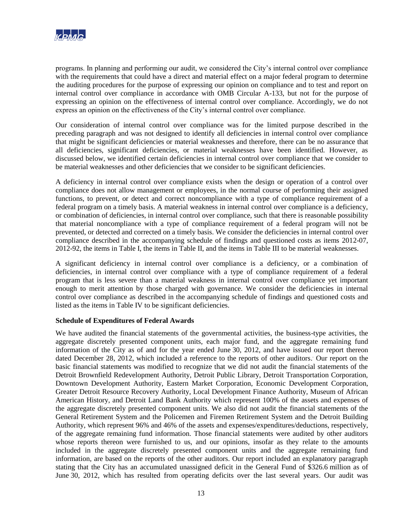

programs. In planning and performing our audit, we considered the City's internal control over compliance with the requirements that could have a direct and material effect on a major federal program to determine the auditing procedures for the purpose of expressing our opinion on compliance and to test and report on internal control over compliance in accordance with OMB Circular A-133, but not for the purpose of expressing an opinion on the effectiveness of internal control over compliance. Accordingly, we do not express an opinion on the effectiveness of the City's internal control over compliance.

Our consideration of internal control over compliance was for the limited purpose described in the preceding paragraph and was not designed to identify all deficiencies in internal control over compliance that might be significant deficiencies or material weaknesses and therefore, there can be no assurance that all deficiencies, significant deficiencies, or material weaknesses have been identified. However, as discussed below, we identified certain deficiencies in internal control over compliance that we consider to be material weaknesses and other deficiencies that we consider to be significant deficiencies.

A deficiency in internal control over compliance exists when the design or operation of a control over compliance does not allow management or employees, in the normal course of performing their assigned functions, to prevent, or detect and correct noncompliance with a type of compliance requirement of a federal program on a timely basis. A material weakness in internal control over compliance is a deficiency, or combination of deficiencies, in internal control over compliance, such that there is reasonable possibility that material noncompliance with a type of compliance requirement of a federal program will not be prevented, or detected and corrected on a timely basis. We consider the deficiencies in internal control over compliance described in the accompanying schedule of findings and questioned costs as items 2012-07, 2012-92, the items in Table I, the items in Table II, and the items in Table III to be material weaknesses.

A significant deficiency in internal control over compliance is a deficiency, or a combination of deficiencies, in internal control over compliance with a type of compliance requirement of a federal program that is less severe than a material weakness in internal control over compliance yet important enough to merit attention by those charged with governance. We consider the deficiencies in internal control over compliance as described in the accompanying schedule of findings and questioned costs and listed as the items in Table IV to be significant deficiencies.

### **Schedule of Expenditures of Federal Awards**

We have audited the financial statements of the governmental activities, the business-type activities, the aggregate discretely presented component units, each major fund, and the aggregate remaining fund information of the City as of and for the year ended June 30, 2012, and have issued our report thereon dated December 28, 2012, which included a reference to the reports of other auditors. Our report on the basic financial statements was modified to recognize that we did not audit the financial statements of the Detroit Brownfield Redevelopment Authority, Detroit Public Library, Detroit Transportation Corporation, Downtown Development Authority, Eastern Market Corporation, Economic Development Corporation, Greater Detroit Resource Recovery Authority, Local Development Finance Authority, Museum of African American History, and Detroit Land Bank Authority which represent 100% of the assets and expenses of the aggregate discretely presented component units. We also did not audit the financial statements of the General Retirement System and the Policemen and Firemen Retirement System and the Detroit Building Authority, which represent 96% and 46% of the assets and expenses/expenditures/deductions, respectively, of the aggregate remaining fund information. Those financial statements were audited by other auditors whose reports thereon were furnished to us, and our opinions, insofar as they relate to the amounts included in the aggregate discretely presented component units and the aggregate remaining fund information, are based on the reports of the other auditors. Our report included an explanatory paragraph stating that the City has an accumulated unassigned deficit in the General Fund of \$326.6 million as of June 30, 2012, which has resulted from operating deficits over the last several years. Our audit was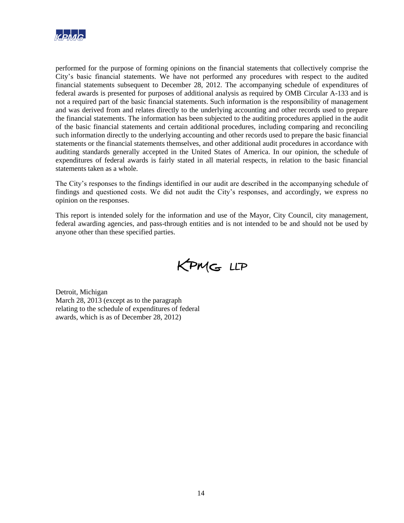

performed for the purpose of forming opinions on the financial statements that collectively comprise the City's basic financial statements. We have not performed any procedures with respect to the audited financial statements subsequent to December 28, 2012. The accompanying schedule of expenditures of federal awards is presented for purposes of additional analysis as required by OMB Circular A-133 and is not a required part of the basic financial statements. Such information is the responsibility of management and was derived from and relates directly to the underlying accounting and other records used to prepare the financial statements. The information has been subjected to the auditing procedures applied in the audit of the basic financial statements and certain additional procedures, including comparing and reconciling such information directly to the underlying accounting and other records used to prepare the basic financial statements or the financial statements themselves, and other additional audit procedures in accordance with auditing standards generally accepted in the United States of America. In our opinion, the schedule of expenditures of federal awards is fairly stated in all material respects, in relation to the basic financial statements taken as a whole.

The City's responses to the findings identified in our audit are described in the accompanying schedule of findings and questioned costs. We did not audit the City's responses, and accordingly, we express no opinion on the responses.

This report is intended solely for the information and use of the Mayor, City Council, city management, federal awarding agencies, and pass-through entities and is not intended to be and should not be used by anyone other than these specified parties.



Detroit, Michigan March 28, 2013 (except as to the paragraph relating to the schedule of expenditures of federal awards, which is as of December 28, 2012)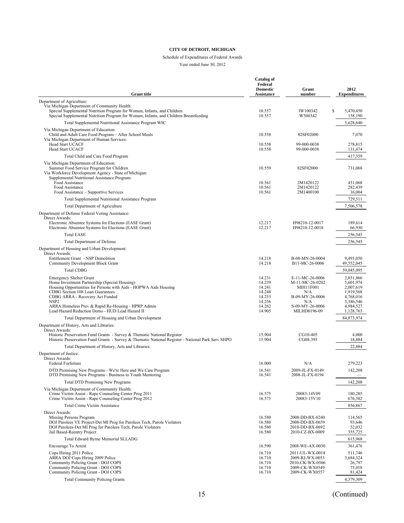#### Schedule of Expenditures of Federal Awards

Year ended June 30, 2012

|                                                                                                                                                                                                                  | <b>Catalog of</b>                               |                                    |                             |
|------------------------------------------------------------------------------------------------------------------------------------------------------------------------------------------------------------------|-------------------------------------------------|------------------------------------|-----------------------------|
| <b>Grant</b> title                                                                                                                                                                                               | Federal<br><b>Domestic</b><br><b>Assistance</b> | Grant<br>number                    | 2012<br><b>Expenditures</b> |
| Department of Agriculture:                                                                                                                                                                                       |                                                 |                                    |                             |
| Via Michigan Department of Community Health:<br>Special Supplemental Nutrition Program for Women, Infants, and Children<br>Special Supplemental Nutrition Program for Women, Infants, and Children Breastfeeding | 10.557<br>10.557                                | IW100342<br>W500342                | S<br>5,470,450<br>158,190   |
| Total Supplemental Nutritional Assistance Program WIC                                                                                                                                                            |                                                 |                                    | 5,628,640                   |
| Via Michigan Department of Education:<br>Child and Adult Care Food Program - After School Meals                                                                                                                  | 10.558                                          | 82SF02000                          | 7,070                       |
| Via Michigan Department of Human Services:<br><b>Head Start UCACF</b><br><b>Head Start UCACF</b>                                                                                                                 | 10.558<br>10.558                                | 99-000-0038<br>99-000-0038         | 278,815<br>131,474          |
| Total Child and Care Food Program                                                                                                                                                                                |                                                 |                                    | 417,359                     |
| Via Michigan Department of Education:<br>Summer Food Service Program for Children<br>Via Workforce Development Agency - State of Michigan:<br>Supplemental Nutritional Assistance Program:                       | 10.559                                          | 82SF02000                          | 731,068                     |
| Food Assistance<br>Food Assistance                                                                                                                                                                               | 10.561<br>10.561                                | 2M1420122<br>2M1420122             | 431,068<br>282,439          |
| Food Assistance – Supportive Services                                                                                                                                                                            | 10.561                                          | 2M1400100                          | 16,004                      |
| Total Supplemental Nutritional Assistance Program<br>Total Department of Agriculture                                                                                                                             |                                                 |                                    | 729,511<br>7,506,578        |
| Department of Defense Federal Voting Assistance:<br>Direct Awards:                                                                                                                                               |                                                 |                                    |                             |
| Electronic Absentee Systems for Elections (EASE Grant)<br>Electronic Absentee Systems for Elections (EASE Grant)                                                                                                 | 12.217<br>12.217                                | H98210-12-0017<br>H98210-12-0018   | 189,614<br>66,930           |
| <b>Total EASE</b>                                                                                                                                                                                                |                                                 |                                    | 256,545                     |
| <b>Total Department of Defense</b><br>Department of Housing and Urban Development:                                                                                                                               |                                                 |                                    | 256,545                     |
| Direct Awards:                                                                                                                                                                                                   |                                                 |                                    |                             |
| Entitlement Grant - NSP Demolition<br>Community Development Block Grant                                                                                                                                          | 14.218<br>14.218                                | B-08-MN-26-0004<br>B11-MC-26-0006  | 9,493,050<br>49,552,045     |
| <b>Total CDBG</b>                                                                                                                                                                                                |                                                 |                                    | 59,045,095                  |
| <b>Emergency Shelter Grant</b>                                                                                                                                                                                   | 14.231                                          | E-11-MC-26-0006                    | 2,031,866                   |
| Home Investment Partnership (Special Housing)<br>Housing Opportunities for Persons with Aids - HOPWA Aids Housing                                                                                                | 14.239<br>14.241                                | M-11-MC-26-0202<br>MIH11F001       | 5,601,974<br>2,007,619      |
| CDBG Section 108 Loan Guarantees                                                                                                                                                                                 | 14.248                                          | N/A                                | 1,919,568                   |
| CDBG ARRA - Recovery Act Funded<br>NSP <sub>2</sub>                                                                                                                                                              | 14.253<br>14.256                                | B-09-MY-26-0006<br>N/A             | 4,768,016<br>3,386,546      |
| ARRA Homeless Prev & Rapid Re-Housing - HPRP Admin<br>Lead Hazard Reduction Demo - HUD Lead Hazard II                                                                                                            | 14.262<br>14.905                                | S-09-MY-26-0006<br>MILHD0196-09    | 4,984,527<br>1,128,763      |
| Total Department of Housing and Urban Development                                                                                                                                                                |                                                 |                                    | 84,873,974                  |
| Department of History, Arts and Libraries:<br>Direct Awards:                                                                                                                                                     |                                                 |                                    |                             |
| Historic Preservation Fund Grants - Survey & Thematic National Register<br>Historic Preservation Fund Grants - Survey & Thematic National Register - National Park Serv SHPO                                     | 15.904<br>15.904                                | CG10-405<br>CG08-395               | 4,000<br>18,884             |
| Total Department of History, Arts and Libraries:                                                                                                                                                                 |                                                 |                                    | 22,884                      |
| Department of Justice:<br>Direct Awards:<br><b>Federal Forfeiture</b>                                                                                                                                            | 16.000                                          | N/A                                | 279,223                     |
| DTD Promising New Programs - We're Here and We Care Program<br>DTD Promising New Programs - Business to Youth Mentoring                                                                                          | 16.541<br>16.541                                | 2009-JL-FX-0149<br>2008-JL-FX-0194 | 142,208                     |
| <b>Total DTD Promising New Programs</b>                                                                                                                                                                          |                                                 |                                    | 142,208                     |
| Via Michigan Department of Community Health:<br>Crime Victim Assist - Rape Counseling Center Prog 2011<br>Crime Victim Assist - Rape Counseling Center Prog 2012                                                 | 16.575<br>16.575                                | 20083-14V09<br>20083-15V10         | 180,285<br>676,582          |
| <b>Total Crime Victim Assistance</b>                                                                                                                                                                             |                                                 |                                    | 856,867                     |
| Direct Awards:                                                                                                                                                                                                   |                                                 |                                    |                             |
| Missing Persons Program<br>DOJ Parolees VE Project-Det MI Prog for Parolees Tech, Parole Violators                                                                                                               | 16.580<br>16.580                                | 2008-DD-BX-0240<br>2008-DD-BX-0659 | 114,565<br>93,646           |
| DOJ Parolees-Det MI Prog for Parolees Tech, Parole Violators<br>Jail Based-Reentry Project                                                                                                                       | 16.580<br>16.580                                | 2010-DD-BX-0692<br>2010-CZ-BX-0009 | 52,032<br>355,725           |
| Total Edward Byrne Memorial SLLADG                                                                                                                                                                               |                                                 |                                    | 615,968                     |
| Encourage To Arrest                                                                                                                                                                                              | 16.590                                          | 2008-WE-AX-0030                    | 361,476                     |
| Cops Hiring 2011 Police<br>ARRA DOJ Cops Hiring 2009 Police                                                                                                                                                      | 16.710<br>16.710                                | 2011-UL-WX-0018<br>2009-RJ-WX-0053 | 511,746<br>3,684,324        |
| Community Policing Grant - DOJ COPS                                                                                                                                                                              | 16.710                                          | 2010-CK-WX-0506                    | 26,797                      |
| Community Policing Grant - DOJ COPS<br>Community Policing Grant - DOJ COPS                                                                                                                                       | 16.710<br>16.710                                | 2009-CK-WX0549<br>2009-CK-WX0557   | 75,018<br>81,424            |
| <b>Total Community Policing Grants</b>                                                                                                                                                                           |                                                 |                                    | 4,379,309                   |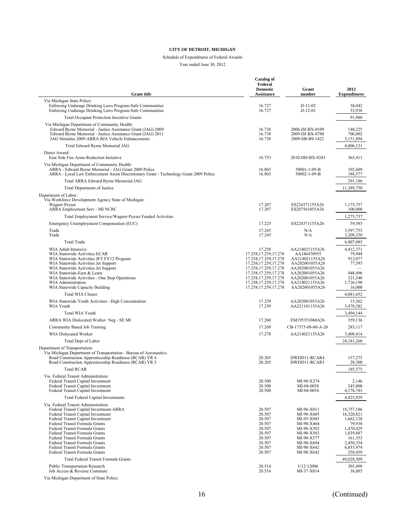#### Schedule of Expenditures of Federal Awards

Year ended June 30, 2012

|                                                                                                                                                                                                | <b>Catalog of</b>                                                                                    |                                                                      |                                           |
|------------------------------------------------------------------------------------------------------------------------------------------------------------------------------------------------|------------------------------------------------------------------------------------------------------|----------------------------------------------------------------------|-------------------------------------------|
|                                                                                                                                                                                                | Federal<br><b>Domestic</b>                                                                           | Grant                                                                | 2012                                      |
| <b>Grant</b> title                                                                                                                                                                             | <b>Assistance</b>                                                                                    | number                                                               | <b>Expenditures</b>                       |
| Via Michigan State Police:<br>Enforcing Underage Drinking Laws Program-Safe Communities<br>Enforcing Underage Drinking Laws Program-Safe Communities                                           | 16.727<br>16.727                                                                                     | $JJ-11-02$<br>$JJ-12-01$                                             | 38,042<br>53,938                          |
| <b>Total Occupant Protection Incentive Grants</b>                                                                                                                                              |                                                                                                      |                                                                      | 91,980                                    |
| Via Michigan Department of Community Health:                                                                                                                                                   |                                                                                                      |                                                                      |                                           |
| Edward Byrne Memorial - Justice Assistance Grant (JAG) 2009<br>Edward Byrne Memorial - Justice Assistance Grant (JAG) 2011<br>JAG Stimulus 2009-ARRA BJA Vehicle Enhancements                  | 16.738<br>16.738<br>16.738                                                                           | 2006-DJ-BX-0109<br>2009-DJ-BX-0788<br>2009-SB-B9-1422                | 148,225<br>706,002<br>3,151,894           |
| Total Edward Byrne Memorial JAG                                                                                                                                                                |                                                                                                      |                                                                      | 4,006,121                                 |
| Direct Award:<br>East Side Fire Arms-Reduction Initiative                                                                                                                                      | 16.753                                                                                               | 2010-DD-BX-0383                                                      | 365,411                                   |
| Via Michigan Department of Community Health:<br>ARRA - Edward Byrne Memorial - JAG Grant 2009 Police<br>ARRA - Local Law Enforcement Assist Discretionary Grant - Technology Grant 2009 Police | 16.803<br>16.803                                                                                     | 50001-1-09-B<br>50002-1-09-B                                         | 102,609<br>188,577                        |
| Total ARRA Edward Byrne Memorial JAG                                                                                                                                                           |                                                                                                      |                                                                      | 291,186                                   |
| Total Department of Justice                                                                                                                                                                    |                                                                                                      |                                                                      | 11,389,750                                |
| Department of Labor:<br>Via Workforce Development Agency State of Michigan:<br>Wagner Peyser                                                                                                   | 17.207                                                                                               | ES224371155A26                                                       | 1,175,757                                 |
| <b>ARRA Employment Serv - MI NCRC</b>                                                                                                                                                          | 17.207                                                                                               | ES207561055A26                                                       | 100,000                                   |
| Total Employment Service/Wagner-Peyser Funded Activities                                                                                                                                       |                                                                                                      |                                                                      | 1,275,757                                 |
| Emergency Unemployment Compensation (EUC)                                                                                                                                                      | 17.225                                                                                               | ES224371155A26                                                       | 59,585                                    |
| Trade<br>Trade                                                                                                                                                                                 | 17.245<br>17.245                                                                                     | N/A<br>N/A                                                           | 3,597,755<br>3,209,330                    |
| <b>Total Trade</b>                                                                                                                                                                             |                                                                                                      |                                                                      | 6,807,085                                 |
| WIA Adult-Intensive                                                                                                                                                                            | 17.258                                                                                               | AA214021155A26                                                       | 4,412,371                                 |
| WIA Statewide Activities ECAR<br>WIA Statewide Activities JET FY12 Program<br>WIA Statewide Activities Jet Support<br>WIA Statewide Activities Jet Support                                     | 17.258, 17.259, 17.278<br>17.258, 17.259, 17.278<br>17.258, 17.259, 17.278<br>17.258, 17.259, 17.278 | AA186470955<br>AA214021155A26<br>AA202001055A26<br>AA202001055A26    | 79,948<br>912,077<br>77,593               |
| WIA Statewide-Earn & Learn<br>WIA Statewide Activities - One Stop Operations<br>WIA Administration<br>WIA Statewide Capacity Building                                                          | 17.258, 17.259, 17.278<br>17.258, 17.259, 17.278<br>17.258, 17.259, 17.278<br>17.258, 17.259, 17.278 | AA202001055A26<br>AA202001055A26<br>AA214021155A26<br>AA202001055A26 | 948,496<br>321,340<br>1,726,198<br>16,000 |
| <b>Total WIA Cluster</b>                                                                                                                                                                       |                                                                                                      |                                                                      | 4,081,652                                 |
| WIA Statewide Youth Activities - High Concentration<br>WIA Youth                                                                                                                               | 17.259<br>17.259                                                                                     | AA202001055A26<br>AA221101155A26                                     | 15,562<br>3,478,582                       |
| Total WIA Youth                                                                                                                                                                                |                                                                                                      |                                                                      | 3,494,144                                 |
| ARRA WIA Dislocated Worker Neg - SE MI                                                                                                                                                         | 17.260                                                                                               | EM195351060A26                                                       | 359,136                                   |
| Community Based Job Training                                                                                                                                                                   | 17.269                                                                                               | CB-17375-08-60-A-26                                                  | 283,117                                   |
| WIA Dislocated Worker                                                                                                                                                                          | 17.278                                                                                               | AA214021155A26                                                       | 3,408,414                                 |
| Total Dept of Labor                                                                                                                                                                            |                                                                                                      |                                                                      | 24, 181, 260                              |
| Department of Transportation:<br>Via Michigan Department of Transportation - Bureau of Aeronautics:<br>Road Construction Apprenticeship Readiness (RCAR) YR 4                                  | 20.205                                                                                               | DWDD11-RCAR4                                                         | 157,275                                   |
| Road Construction Apprenticeship Readiness (RCAR) YR 3                                                                                                                                         | 20.205                                                                                               | DWDD11-RCAR3                                                         | 28,300                                    |
| <b>Total RCAR</b>                                                                                                                                                                              |                                                                                                      |                                                                      | 185,575                                   |
| Via Federal Transit Administration:<br>Federal Transit Capital Investment<br>Federal Transit Capital Investment                                                                                | 20.500<br>20.500                                                                                     | MI-90-X374<br>MI-04-0038                                             | 2,146<br>245,000                          |
| Federal Transit Capital Investment                                                                                                                                                             | 20.500                                                                                               | MI-04-0054                                                           | 4,178,783                                 |
| <b>Total Federal Capital Investments</b>                                                                                                                                                       |                                                                                                      |                                                                      | 4,425,929                                 |
| Via Federal Transit Administration:<br>Federal Transit Capital Investment-ARRA<br>Federal Transit Capital Investment                                                                           | 20.507<br>20.507                                                                                     | MI-96-X011<br>MI-90-X605                                             | 18,757,186<br>16,320,821                  |
| Federal Transit Capital Investment                                                                                                                                                             | 20.507                                                                                               | MI-95-X045                                                           | 1,662,128                                 |
| Federal Transit Formula Grants<br>Federal Transit Formula Grants                                                                                                                               | 20.507                                                                                               | MI-90-X464                                                           | 79,938<br>1,470,429                       |
| Federal Transit Formula Grants                                                                                                                                                                 | 20.507<br>20.507                                                                                     | MI-90-X502<br>MI-90-X563                                             | 1,039,887                                 |
| Federal Transit Formula Grants                                                                                                                                                                 | 20.507                                                                                               | MI-90-X577                                                           | 161,353                                   |
| Federal Transit Formula Grants<br>Federal Transit Formula Grants                                                                                                                               | 20.507<br>20.507                                                                                     | MI-90-X604<br>MI-90-X642                                             | 2,450,334<br>6,835,974                    |
| Federal Transit Formula Grants                                                                                                                                                                 | 20.507                                                                                               | MI-90-X642                                                           | 250,459                                   |
| Total Federal Transit Formula Grants                                                                                                                                                           |                                                                                                      |                                                                      | 49,028,509                                |
| Public Transportation Research<br>Job Access & Reverse Commute                                                                                                                                 | 20.514<br>20.516                                                                                     | U <sub>12</sub> -12006<br>MI-37-X014                                 | 305,490<br>38,885                         |
| Via Michigan Department of State Police:                                                                                                                                                       |                                                                                                      |                                                                      |                                           |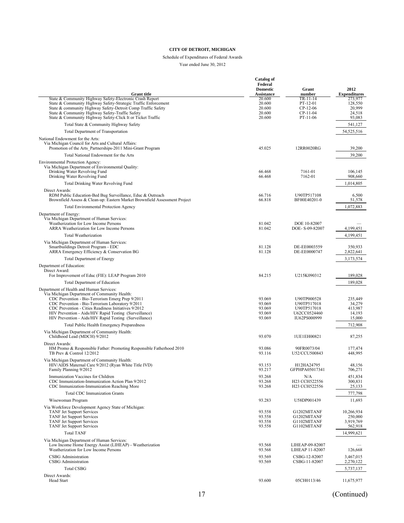#### Schedule of Expenditures of Federal Awards

Year ended June 30, 2012

|                                                                                                                                          | <b>Catalog of</b>          |                                       |                        |
|------------------------------------------------------------------------------------------------------------------------------------------|----------------------------|---------------------------------------|------------------------|
|                                                                                                                                          | Federal<br><b>Domestic</b> | Grant                                 | 2012                   |
| <b>Grant title</b>                                                                                                                       | <b>Assistance</b>          | number                                | <b>Expenditures</b>    |
| State & Community Highway Safety-Electronic Crash Report<br>State & Community Highway Safety-Strategic Traffic Enforcement               | 20.600<br>20.600           | TR-11-14<br>PT-12-01                  | 273,977<br>128,550     |
| State & community Highway Safety-Detroit Comp Traffic Safety                                                                             | 20.600                     | CP-12-06                              | 20,999                 |
| State & Community Highway Safety-Traffic Safety                                                                                          | 20.600                     | $CP-11-04$                            | 24,518                 |
| State & Community Highway Safety-Click It or Ticket Traffic                                                                              | 20.600                     | PT-11-06                              | 93,083                 |
| Total State & Community Highway Safety                                                                                                   |                            |                                       | 541,127                |
| Total Department of Transportation                                                                                                       |                            |                                       | 54,525,516             |
| National Endowment for the Arts:                                                                                                         |                            |                                       |                        |
| Via Michigan Council for Arts and Cultural Affairs:<br>Promotion of the Arts Partnerships-2011 Mini-Grant Program                        | 45.025                     | 12RR0020RG                            | 39,200                 |
| Total National Endowment for the Arts                                                                                                    |                            |                                       | 39,200                 |
|                                                                                                                                          |                            |                                       |                        |
| Environmental Protection Agency:<br>Via Michigan Department of Environmental Quality:                                                    |                            |                                       |                        |
| Drinking Water Revolving Fund                                                                                                            | 66.468                     | 7161-01                               | 106.145                |
| Drinking Water Revolving Fund                                                                                                            | 66.468                     | 7162-01                               | 908,660                |
| Total Drinking Water Revolving Fund                                                                                                      |                            |                                       | 1,014,805              |
| Direct Awards:                                                                                                                           |                            |                                       |                        |
| RDM Public Education-Bed Bug Surveillance, Educ & Outreach<br>Brownfield Assess & Clean-up: Eastern Market Brownfield Assessment Project | 66.716<br>66.818           | U90TP517108<br>BF00E40201-0           | 6,500<br>51,578        |
| <b>Total Environmental Protection Agency</b>                                                                                             |                            |                                       |                        |
|                                                                                                                                          |                            |                                       | 1,072,883              |
| Department of Energy:<br>Via Michigan Department of Human Services:                                                                      |                            |                                       |                        |
| Weatherization for Low Income Persons                                                                                                    | 81.042                     | DOE 10-82007                          |                        |
| <b>ARRA Weatherization for Low Income Persons</b>                                                                                        | 81.042                     | DOE- S-09-82007                       | 4,199,451              |
| <b>Total Weatherization</b>                                                                                                              |                            |                                       | 4,199,451              |
| Via Michigan Department of Human Services:                                                                                               |                            |                                       |                        |
| Smartbuildings Detroit Program - EDC                                                                                                     | 81.128                     | DE-EE0003559                          | 350,933                |
| ARRA Emergency Efficiency & Conservation BG                                                                                              | 81.128                     | DE-EE0000747                          | 2,822,641              |
| Total Department of Energy                                                                                                               |                            |                                       | 3,173,574              |
| Department of Education:<br>Direct Award:                                                                                                |                            |                                       |                        |
| For Improvement of Educ (FIE): LEAP Program 2010                                                                                         | 84.215                     | U215K090312                           | 189,028                |
| Total Department of Education                                                                                                            |                            |                                       | 189,028                |
| Department of Health and Human Services:                                                                                                 |                            |                                       |                        |
| Via Michigan Department of Community Health:                                                                                             |                            |                                       |                        |
| CDC Prevention - Bio-Terrorism Emerg Prep 9/2011                                                                                         | 93.069                     | U90TP000528                           | 235,449                |
| CDC Prevention - Bio-Terrorism Laboratory 9/2011<br>CDC Prevention - Cities Readiness Initiatives 9/2012                                 | 93.069<br>93.069           | U90TP517018<br>U90TP517018            | 34,279<br>413,987      |
| HIV Prevention - Aids/HIV Rapid Testing (Surveillance)                                                                                   | 93.069                     | U62CC0524460                          | 14,193                 |
| HIV Prevention - Aids/HIV Rapid Testing (Surveillance)                                                                                   | 93.069                     | IU62PS000999                          | 15,000                 |
| Total Public Health Emergency Preparedness                                                                                               |                            |                                       | 712,908                |
| Via Michigan Department of Community Health:                                                                                             |                            |                                       |                        |
| Childhood Lead (MDCH) 9/2012                                                                                                             | 93.070                     | 1UE1EH00821                           | 87,255                 |
| Direct Awards:                                                                                                                           |                            |                                       |                        |
| HM Promo & Responsible Father: Promoting Responsible Fatherhood 2010<br>TB Prev & Control 12/2012                                        | 93.086<br>93.116           | 90FR0073/04<br>U52/CCU500843          | 177,474<br>448,995     |
| Via Michigan Department of Community Health:                                                                                             |                            |                                       |                        |
| HIV/AIDS Maternal Care 9/2012 (Ryan White Title IVD)                                                                                     | 93.153                     | H12HA24795                            | 48,156                 |
| Family Planning 9/2012                                                                                                                   | 93.217                     | GFPHPA05017341                        | 706,271                |
| Immunization Vaccines for Children                                                                                                       | 93.268                     | N/A                                   | 451,834                |
| CDC Immunization-Immunization Action Plan 9/2012                                                                                         | 93.268                     | H23 CCH522556                         | 300,831                |
| CDC Immunization-Immunization Reaching More                                                                                              | 93.268                     | H <sub>23</sub> CCH <sub>522556</sub> | 25,133                 |
| <b>Total CDC Immunization Grants</b>                                                                                                     |                            |                                       | 777,798                |
| Wisewoman Program                                                                                                                        | 93.283                     | U58DP001439                           | 11,693                 |
| Via Workforce Development Agency State of Michigan:                                                                                      |                            |                                       |                        |
| <b>TANF Jet Support Services</b><br><b>TANF Jet Support Services</b>                                                                     | 93.558<br>93.558           | G1202MITANF<br>G1202MITANF            | 10,266,934<br>250,000  |
| <b>TANF Jet Support Services</b>                                                                                                         | 93.558                     | G1102MITANF                           | 3,919,769              |
| <b>TANF Jet Support Services</b>                                                                                                         | 93.558                     | G1102MITANF                           | 562,918                |
| <b>Total TANF</b>                                                                                                                        |                            |                                       | 14,999,621             |
| Via Michigan Department of Human Services:                                                                                               |                            |                                       |                        |
| Low Income Home Energy Assist (LIHEAP) - Weatherization<br>Weatherization for Low Income Persons                                         | 93.568                     | LIHEAP-09-82007                       |                        |
|                                                                                                                                          | 93.568                     | LIHEAP 11-82007                       | 126,668                |
| <b>CSBG</b> Administration<br><b>CSBG</b> Administration                                                                                 | 93.569<br>93.569           | CSBG-12-82007<br>CSBG-11-82007        | 3,467,015<br>2,270,122 |
| <b>Total CSBG</b>                                                                                                                        |                            |                                       | 5,737,137              |
| Direct Awards:                                                                                                                           |                            |                                       |                        |
| Head Start                                                                                                                               | 93.600                     | 05CH0113/46                           | 11,675,977             |
|                                                                                                                                          |                            |                                       |                        |

# 17 (Continued)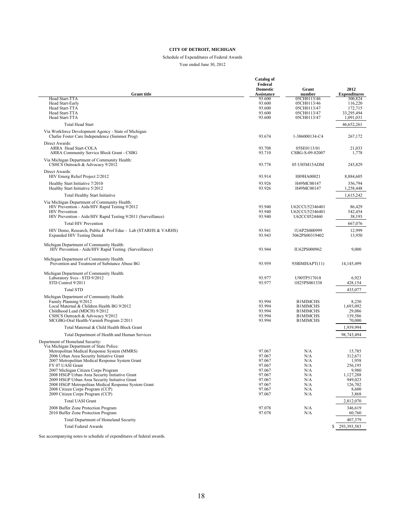# Schedule of Expenditures of Federal Awards

Year ended June 30, 2012

|                                                                                                        | Catalog of<br>Federal<br><b>Domestic</b> | Grant                          | 2012                |
|--------------------------------------------------------------------------------------------------------|------------------------------------------|--------------------------------|---------------------|
| <b>Grant title</b>                                                                                     | Assistance                               | number                         | <b>Expenditures</b> |
| Head Start-TTA<br>Head Start-Early                                                                     | 93.600<br>93.600                         | 05CH0113/46                    | 300,824<br>116,220  |
| Head Start-TTA                                                                                         | 93.600                                   | 05CH0113/46<br>05CH0113/47     | 172,715             |
| Head Start-TTA                                                                                         | 93.600                                   | 05CH0113/47                    | 33,295,494          |
| Head Start-TTA                                                                                         | 93.600                                   | 05CH0113/47                    | 1,091,031           |
| <b>Total Head Start</b>                                                                                |                                          |                                | 46,652,261          |
| Via Workforce Development Agency - State of Michigan:<br>Chafee Foster Care Independence (Summer Prog) | 93.674                                   | 1-386000134-C4                 | 267,172             |
| Direct Awards:                                                                                         |                                          |                                |                     |
| <b>ARRA</b> Head Start-COLA                                                                            | 93.708                                   | 05SE0113/01                    | 21,033              |
| ARRA Community Service Block Grant - CSBG                                                              | 93.710                                   | CSBG-S-09-82007                | 1,778               |
| Via Michigan Department of Community Health:<br>CSHCS Outreach & Advocacy 9/2012                       | 93.778                                   | 05 U05M15ADM                   | 243,829             |
| Direct Awards:                                                                                         |                                          |                                |                     |
| HIV Emerg Relief Project 2/2012                                                                        | 93.914                                   | H89HA00021                     | 8,884,605           |
| Healthy Start Initiative 7/2010                                                                        | 93.926                                   | H49MC00147                     | 356,794             |
| Healthy Start Initiative 5/2012                                                                        | 93.926                                   | H49MC00147                     | 1,258,448           |
| Total Healthy Start Initiative                                                                         |                                          |                                | 1,615,242           |
| Via Michigan Department of Community Health:                                                           |                                          |                                |                     |
| HIV Prevention - Aids/HIV Rapid Testing 9/2012                                                         | 93.940                                   | U62CCU52346401                 | 86,429              |
| <b>HIV</b> Prevention                                                                                  | 93.940<br>93.940                         | U62CCU52346401                 | 542.454             |
| HIV Prevention - Aids/HIV Rapid Testing 9/2011 (Surveillance)                                          |                                          | U62CC0524460                   | 38,193              |
| <b>Total HIV Prevention</b>                                                                            |                                          |                                | 667.076             |
| HIV Demo, Research, Public & Prof Educ - Lab (STARHS & VARHS)<br><b>Expanded HIV Testing Dental</b>    | 93.941<br>93.943                         | 1U6P2S000999<br>5062PS00319402 | 12,999<br>13,950    |
|                                                                                                        |                                          |                                |                     |
| Michigan Department of Community Health:<br>HIV Prevention - Aids/HIV Rapid Testing (Surveillance)     | 93.944                                   | IU62PS000962                   | 9,000               |
|                                                                                                        |                                          |                                |                     |
| Michigan Department of Community Health:                                                               |                                          |                                |                     |
| Prevention and Treatment of Substance Abuse BG                                                         | 93.959                                   | 93BIMISAPT(11)                 | 14, 145, 499        |
| Michigan Department of Community Health:                                                               |                                          |                                |                     |
| Laboratory Svcs - STD 9/2012                                                                           | 93.977                                   | U90TP517018                    | 6,923               |
| STD Control 9/2011                                                                                     | 93.977                                   | 1H25PS001338                   | 428,154             |
| <b>Total STD</b>                                                                                       |                                          |                                | 435,077             |
| Michigan Department of Community Health:                                                               |                                          |                                |                     |
| Family Planning 9/2012                                                                                 | 93.994                                   | <b>B1MIMCHS</b>                | 8,230               |
| Local Maternal & Children Health BG 9/2012                                                             | 93.994                                   | <b>B1MIMCHS</b>                | 1,693,092           |
| Childhood Lead (MDCH) 9/2012                                                                           | 93.994                                   | <b>B1MIMCHS</b>                | 29,086              |
| CSHCS Outreach & Advocacy 9/2012                                                                       | 93.994                                   | <b>B1MIMCHS</b>                | 139,586             |
| MCGBG-Oral Health-Varnish Program 2/2011                                                               | 93.994                                   | <b>B1MIMCHS</b>                | 70,000              |
| Total Maternal & Child Health Block Grant                                                              |                                          |                                | 1,939,994           |
| Total Department of Health and Human Services                                                          |                                          |                                | 98,743,494          |
| Department of Homeland Security:                                                                       |                                          |                                |                     |
| Via Michigan Department of State Police:                                                               |                                          |                                |                     |
| Metropolitan Medical Response System (MMRS)<br>2006 Urban Area Security Initiative Grant               | 97.067<br>97.067                         | N/A<br>N/A                     | 15,785<br>312,671   |
| 2007 Metropolitan Medical Response System Grant                                                        | 97.067                                   | N/A                            | 1,958               |
| FY 07 UASI Grant                                                                                       | 97.067                                   | N/A                            | 256,195             |
| 2007 Michigan Citizen Corps Program                                                                    | 97.067                                   | N/A                            | 9,980               |
| 2008 HSGP Urban Area Security Initiative Grant                                                         | 97.067                                   | N/A                            | 1,127,288           |
| 2009 HSGP Urban Area Security Initiative Grant                                                         | 97.067                                   | N/A                            | 949,023             |
| 2008 HSGP Metropolitan Medical Response System Grant<br>2008 Citizen Corps Program (CCP)               | 97.067<br>97.067                         | N/A                            | 126,702<br>8,600    |
| 2009 Citizen Corps Program (CCP)                                                                       | 97.067                                   | N/A<br>N/A                     | 3,868               |
| <b>Total UASI Grant</b>                                                                                |                                          |                                | 2,812,070           |
|                                                                                                        |                                          |                                |                     |
| 2008 Buffer Zone Protection Program<br>2010 Buffer Zone Protection Program                             | 97.078<br>97.078                         | N/A<br>N/A                     | 346,619<br>60,760   |
| Total Department of Homeland Security                                                                  |                                          |                                | 407,379             |
| <b>Total Federal Awards</b>                                                                            |                                          |                                | \$293,393,583       |

See accompanying notes to schedule of expenditures of federal awards.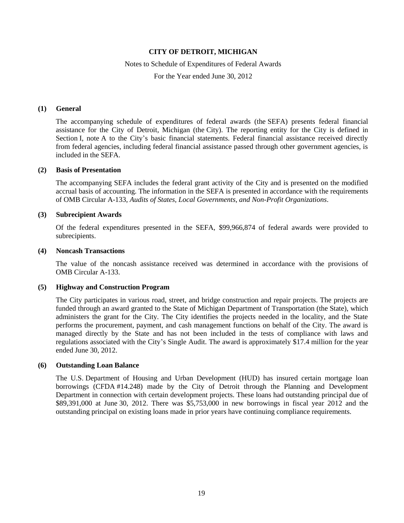#### Notes to Schedule of Expenditures of Federal Awards

For the Year ended June 30, 2012

### **(1) General**

The accompanying schedule of expenditures of federal awards (the SEFA) presents federal financial assistance for the City of Detroit, Michigan (the City). The reporting entity for the City is defined in Section I, note A to the City's basic financial statements. Federal financial assistance received directly from federal agencies, including federal financial assistance passed through other government agencies, is included in the SEFA.

#### **(2) Basis of Presentation**

The accompanying SEFA includes the federal grant activity of the City and is presented on the modified accrual basis of accounting. The information in the SEFA is presented in accordance with the requirements of OMB Circular A-133, *Audits of States, Local Governments, and Non-Profit Organizations*.

### **(3) Subrecipient Awards**

Of the federal expenditures presented in the SEFA, \$99,966,874 of federal awards were provided to subrecipients.

#### **(4) Noncash Transactions**

The value of the noncash assistance received was determined in accordance with the provisions of OMB Circular A-133.

### **(5) Highway and Construction Program**

The City participates in various road, street, and bridge construction and repair projects. The projects are funded through an award granted to the State of Michigan Department of Transportation (the State), which administers the grant for the City. The City identifies the projects needed in the locality, and the State performs the procurement, payment, and cash management functions on behalf of the City. The award is managed directly by the State and has not been included in the tests of compliance with laws and regulations associated with the City's Single Audit. The award is approximately \$17.4 million for the year ended June 30, 2012.

### **(6) Outstanding Loan Balance**

The U.S. Department of Housing and Urban Development (HUD) has insured certain mortgage loan borrowings (CFDA #14.248) made by the City of Detroit through the Planning and Development Department in connection with certain development projects. These loans had outstanding principal due of \$89,391,000 at June 30, 2012. There was \$5,753,000 in new borrowings in fiscal year 2012 and the outstanding principal on existing loans made in prior years have continuing compliance requirements.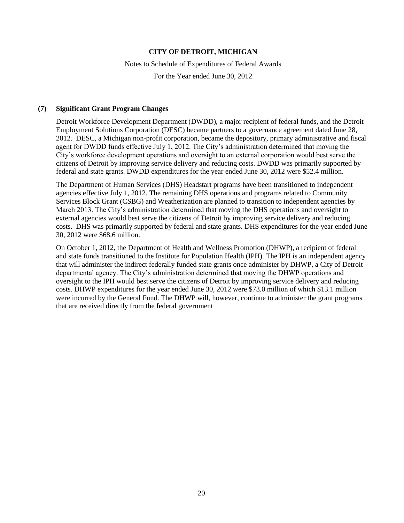Notes to Schedule of Expenditures of Federal Awards

For the Year ended June 30, 2012

### **(7) Significant Grant Program Changes**

Detroit Workforce Development Department (DWDD), a major recipient of federal funds, and the Detroit Employment Solutions Corporation (DESC) became partners to a governance agreement dated June 28, 2012. DESC, a Michigan non-profit corporation, became the depository, primary administrative and fiscal agent for DWDD funds effective July 1, 2012. The City's administration determined that moving the City's workforce development operations and oversight to an external corporation would best serve the citizens of Detroit by improving service delivery and reducing costs. DWDD was primarily supported by federal and state grants. DWDD expenditures for the year ended June 30, 2012 were \$52.4 million.

The Department of Human Services (DHS) Headstart programs have been transitioned to independent agencies effective July 1, 2012. The remaining DHS operations and programs related to Community Services Block Grant (CSBG) and Weatherization are planned to transition to independent agencies by March 2013. The City's administration determined that moving the DHS operations and oversight to external agencies would best serve the citizens of Detroit by improving service delivery and reducing costs. DHS was primarily supported by federal and state grants. DHS expenditures for the year ended June 30, 2012 were \$68.6 million.

On October 1, 2012, the Department of Health and Wellness Promotion (DHWP), a recipient of federal and state funds transitioned to the Institute for Population Health (IPH). The IPH is an independent agency that will administer the indirect federally funded state grants once administer by DHWP, a City of Detroit departmental agency. The City's administration determined that moving the DHWP operations and oversight to the IPH would best serve the citizens of Detroit by improving service delivery and reducing costs. DHWP expenditures for the year ended June 30, 2012 were \$73.0 million of which \$13.1 million were incurred by the General Fund. The DHWP will, however, continue to administer the grant programs that are received directly from the federal government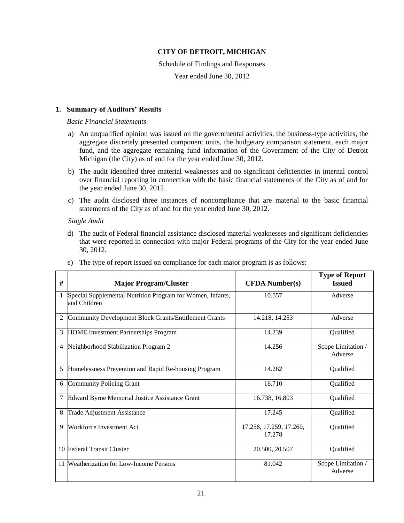Schedule of Findings and Responses

Year ended June 30, 2012

### **1. Summary of Auditors' Results**

### *Basic Financial Statements*

- a) An unqualified opinion was issued on the governmental activities, the business-type activities, the aggregate discretely presented component units, the budgetary comparison statement, each major fund, and the aggregate remaining fund information of the Government of the City of Detroit Michigan (the City) as of and for the year ended June 30, 2012.
- b) The audit identified three material weaknesses and no significant deficiencies in internal control over financial reporting in connection with the basic financial statements of the City as of and for the year ended June 30, 2012.
- c) The audit disclosed three instances of noncompliance that are material to the basic financial statements of the City as of and for the year ended June 30, 2012.

### *Single Audit*

d) The audit of Federal financial assistance disclosed material weaknesses and significant deficiencies that were reported in connection with major Federal programs of the City for the year ended June 30, 2012.

| # | <b>Major Program/Cluster</b>                                               | <b>CFDA</b> Number(s)             | <b>Type of Report</b><br><b>Issued</b> |
|---|----------------------------------------------------------------------------|-----------------------------------|----------------------------------------|
| 1 | Special Supplemental Nutrition Program for Women, Infants,<br>and Children | 10.557                            | Adverse                                |
| 2 | <b>Community Development Block Grants/Entitlement Grants</b>               | 14.218, 14.253                    | Adverse                                |
| 3 | <b>HOME</b> Investment Partnerships Program                                | 14.239                            | Qualified                              |
| 4 | Neighborhood Stabilization Program 2                                       | 14.256                            | Scope Limitation /<br>Adverse          |
| 5 | Homelessness Prevention and Rapid Re-housing Program                       | 14.262                            | Qualified                              |
| 6 | <b>Community Policing Grant</b>                                            | 16.710                            | Qualified                              |
|   | Edward Byrne Memorial Justice Assistance Grant                             | 16.738, 16.803                    | Qualified                              |
| 8 | <b>Trade Adjustment Assistance</b>                                         | 17.245                            | Qualified                              |
| 9 | Workforce Investment Act                                                   | 17.258, 17.259, 17.260,<br>17.278 | Qualified                              |
|   | 10 Federal Transit Cluster                                                 | 20.500, 20.507                    | Qualified                              |
|   | 11 Weatherization for Low-Income Persons                                   | 81.042                            | Scope Limitation /<br>Adverse          |

e) The type of report issued on compliance for each major program is as follows: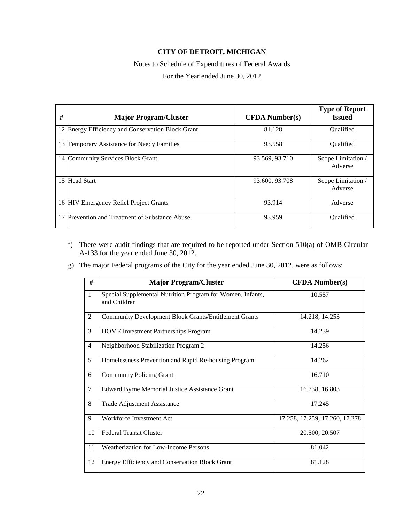### Notes to Schedule of Expenditures of Federal Awards

For the Year ended June 30, 2012

| #  | <b>Major Program/Cluster</b>                      | <b>CFDA</b> Number(s) | <b>Type of Report</b><br><b>Issued</b> |
|----|---------------------------------------------------|-----------------------|----------------------------------------|
|    | 12 Energy Efficiency and Conservation Block Grant | 81.128                | Oualified                              |
|    | 13 Temporary Assistance for Needy Families        | 93.558                | Oualified                              |
|    | 14 Community Services Block Grant                 | 93.569, 93.710        | Scope Limitation /<br>Adverse          |
|    | 15 Head Start                                     | 93.600, 93.708        | Scope Limitation /<br>Adverse          |
|    | 16 HIV Emergency Relief Project Grants            | 93.914                | Adverse                                |
| 17 | Prevention and Treatment of Substance Abuse       | 93.959                | Oualified                              |

- f) There were audit findings that are required to be reported under Section 510(a) of OMB Circular A-133 for the year ended June 30, 2012.
- g) The major Federal programs of the City for the year ended June 30, 2012, were as follows:

| #              | <b>Major Program/Cluster</b>                                               | <b>CFDA Number(s)</b>          |
|----------------|----------------------------------------------------------------------------|--------------------------------|
| $\mathbf{1}$   | Special Supplemental Nutrition Program for Women, Infants,<br>and Children | 10.557                         |
| $\overline{2}$ | <b>Community Development Block Grants/Entitlement Grants</b>               | 14.218, 14.253                 |
| 3              | <b>HOME</b> Investment Partnerships Program                                | 14.239                         |
| $\overline{4}$ | Neighborhood Stabilization Program 2                                       | 14.256                         |
| 5              | Homelessness Prevention and Rapid Re-housing Program                       | 14.262                         |
| 6              | <b>Community Policing Grant</b>                                            | 16.710                         |
| $\overline{7}$ | Edward Byrne Memorial Justice Assistance Grant                             | 16.738, 16.803                 |
| 8              | <b>Trade Adjustment Assistance</b>                                         | 17.245                         |
| 9              | Workforce Investment Act                                                   | 17.258, 17.259, 17.260, 17.278 |
| 10             | <b>Federal Transit Cluster</b>                                             | 20.500, 20.507                 |
| 11             | <b>Weatherization for Low-Income Persons</b>                               | 81.042                         |
| 12             | <b>Energy Efficiency and Conservation Block Grant</b>                      | 81.128                         |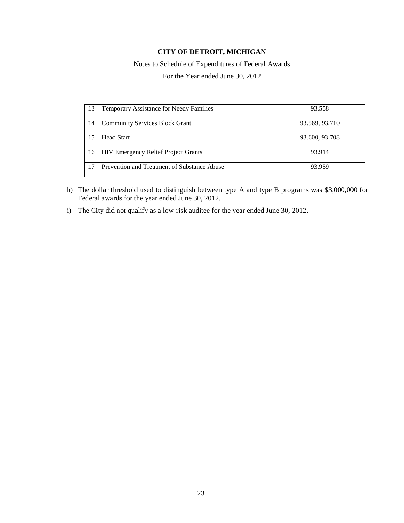# Notes to Schedule of Expenditures of Federal Awards

For the Year ended June 30, 2012

| 13 | Temporary Assistance for Needy Families     | 93.558         |
|----|---------------------------------------------|----------------|
| 14 | <b>Community Services Block Grant</b>       | 93.569, 93.710 |
| 15 | <b>Head Start</b>                           | 93.600, 93.708 |
| 16 | <b>HIV Emergency Relief Project Grants</b>  | 93.914         |
| 17 | Prevention and Treatment of Substance Abuse | 93.959         |

- h) The dollar threshold used to distinguish between type A and type B programs was \$3,000,000 for Federal awards for the year ended June 30, 2012.
- i) The City did not qualify as a low-risk auditee for the year ended June 30, 2012.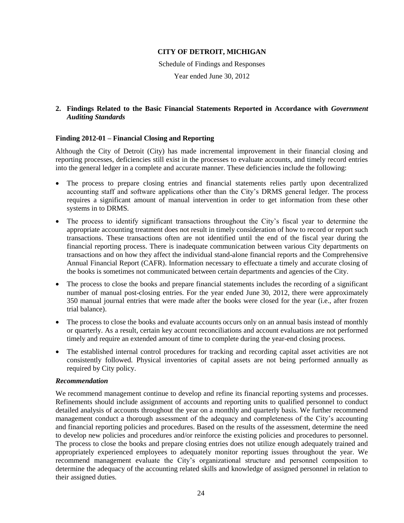Schedule of Findings and Responses

Year ended June 30, 2012

### **2. Findings Related to the Basic Financial Statements Reported in Accordance with** *Government Auditing Standards*

### **Finding 2012-01 – Financial Closing and Reporting**

Although the City of Detroit (City) has made incremental improvement in their financial closing and reporting processes, deficiencies still exist in the processes to evaluate accounts, and timely record entries into the general ledger in a complete and accurate manner. These deficiencies include the following:

- The process to prepare closing entries and financial statements relies partly upon decentralized accounting staff and software applications other than the City's DRMS general ledger. The process requires a significant amount of manual intervention in order to get information from these other systems in to DRMS.
- The process to identify significant transactions throughout the City's fiscal year to determine the appropriate accounting treatment does not result in timely consideration of how to record or report such transactions. These transactions often are not identified until the end of the fiscal year during the financial reporting process. There is inadequate communication between various City departments on transactions and on how they affect the individual stand-alone financial reports and the Comprehensive Annual Financial Report (CAFR). Information necessary to effectuate a timely and accurate closing of the books is sometimes not communicated between certain departments and agencies of the City.
- The process to close the books and prepare financial statements includes the recording of a significant number of manual post-closing entries. For the year ended June 30, 2012, there were approximately 350 manual journal entries that were made after the books were closed for the year (i.e., after frozen trial balance).
- The process to close the books and evaluate accounts occurs only on an annual basis instead of monthly or quarterly. As a result, certain key account reconciliations and account evaluations are not performed timely and require an extended amount of time to complete during the year-end closing process.
- The established internal control procedures for tracking and recording capital asset activities are not consistently followed. Physical inventories of capital assets are not being performed annually as required by City policy.

### *Recommendation*

We recommend management continue to develop and refine its financial reporting systems and processes. Refinements should include assignment of accounts and reporting units to qualified personnel to conduct detailed analysis of accounts throughout the year on a monthly and quarterly basis. We further recommend management conduct a thorough assessment of the adequacy and completeness of the City's accounting and financial reporting policies and procedures. Based on the results of the assessment, determine the need to develop new policies and procedures and/or reinforce the existing policies and procedures to personnel. The process to close the books and prepare closing entries does not utilize enough adequately trained and appropriately experienced employees to adequately monitor reporting issues throughout the year. We recommend management evaluate the City's organizational structure and personnel composition to determine the adequacy of the accounting related skills and knowledge of assigned personnel in relation to their assigned duties.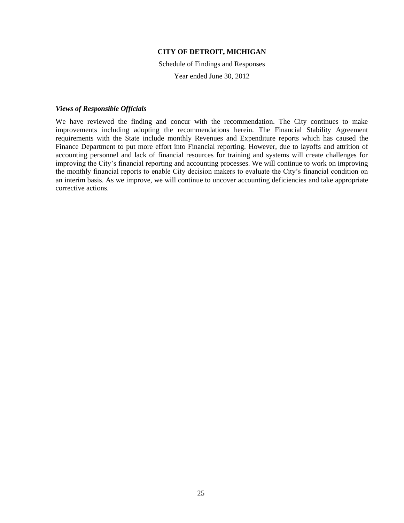Schedule of Findings and Responses

Year ended June 30, 2012

### *Views of Responsible Officials*

We have reviewed the finding and concur with the recommendation. The City continues to make improvements including adopting the recommendations herein. The Financial Stability Agreement requirements with the State include monthly Revenues and Expenditure reports which has caused the Finance Department to put more effort into Financial reporting. However, due to layoffs and attrition of accounting personnel and lack of financial resources for training and systems will create challenges for improving the City's financial reporting and accounting processes. We will continue to work on improving the monthly financial reports to enable City decision makers to evaluate the City's financial condition on an interim basis. As we improve, we will continue to uncover accounting deficiencies and take appropriate corrective actions.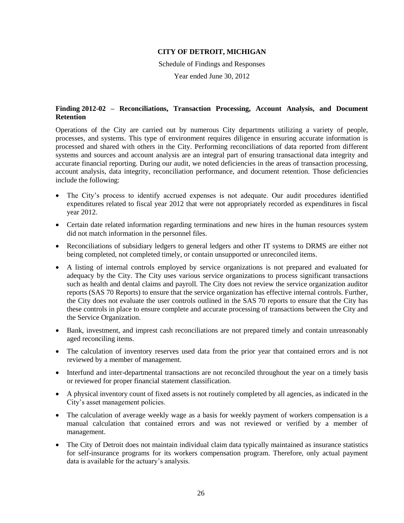Schedule of Findings and Responses

Year ended June 30, 2012

### **Finding 2012-02 – Reconciliations, Transaction Processing, Account Analysis, and Document Retention**

Operations of the City are carried out by numerous City departments utilizing a variety of people, processes, and systems. This type of environment requires diligence in ensuring accurate information is processed and shared with others in the City. Performing reconciliations of data reported from different systems and sources and account analysis are an integral part of ensuring transactional data integrity and accurate financial reporting. During our audit, we noted deficiencies in the areas of transaction processing, account analysis, data integrity, reconciliation performance, and document retention. Those deficiencies include the following:

- The City's process to identify accrued expenses is not adequate. Our audit procedures identified expenditures related to fiscal year 2012 that were not appropriately recorded as expenditures in fiscal year 2012.
- Certain date related information regarding terminations and new hires in the human resources system did not match information in the personnel files.
- Reconciliations of subsidiary ledgers to general ledgers and other IT systems to DRMS are either not being completed, not completed timely, or contain unsupported or unreconciled items.
- A listing of internal controls employed by service organizations is not prepared and evaluated for adequacy by the City. The City uses various service organizations to process significant transactions such as health and dental claims and payroll. The City does not review the service organization auditor reports (SAS 70 Reports) to ensure that the service organization has effective internal controls. Further, the City does not evaluate the user controls outlined in the SAS 70 reports to ensure that the City has these controls in place to ensure complete and accurate processing of transactions between the City and the Service Organization.
- Bank, investment, and imprest cash reconciliations are not prepared timely and contain unreasonably aged reconciling items.
- The calculation of inventory reserves used data from the prior year that contained errors and is not reviewed by a member of management.
- Interfund and inter-departmental transactions are not reconciled throughout the year on a timely basis or reviewed for proper financial statement classification.
- A physical inventory count of fixed assets is not routinely completed by all agencies, as indicated in the City's asset management policies.
- The calculation of average weekly wage as a basis for weekly payment of workers compensation is a manual calculation that contained errors and was not reviewed or verified by a member of management.
- The City of Detroit does not maintain individual claim data typically maintained as insurance statistics for self-insurance programs for its workers compensation program. Therefore, only actual payment data is available for the actuary's analysis.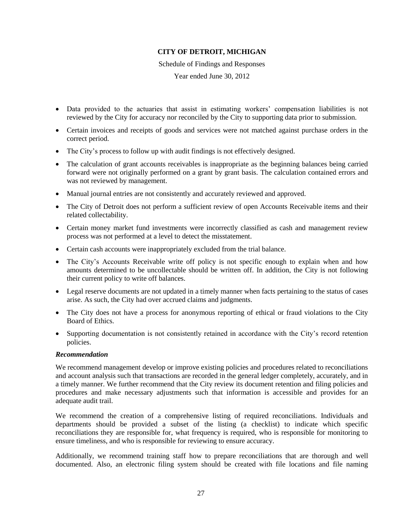Schedule of Findings and Responses

Year ended June 30, 2012

- Data provided to the actuaries that assist in estimating workers' compensation liabilities is not reviewed by the City for accuracy nor reconciled by the City to supporting data prior to submission.
- Certain invoices and receipts of goods and services were not matched against purchase orders in the correct period.
- The City's process to follow up with audit findings is not effectively designed.
- The calculation of grant accounts receivables is inappropriate as the beginning balances being carried forward were not originally performed on a grant by grant basis. The calculation contained errors and was not reviewed by management.
- Manual journal entries are not consistently and accurately reviewed and approved.
- The City of Detroit does not perform a sufficient review of open Accounts Receivable items and their related collectability.
- Certain money market fund investments were incorrectly classified as cash and management review process was not performed at a level to detect the misstatement.
- Certain cash accounts were inappropriately excluded from the trial balance.
- The City's Accounts Receivable write off policy is not specific enough to explain when and how amounts determined to be uncollectable should be written off. In addition, the City is not following their current policy to write off balances.
- Legal reserve documents are not updated in a timely manner when facts pertaining to the status of cases arise. As such, the City had over accrued claims and judgments.
- The City does not have a process for anonymous reporting of ethical or fraud violations to the City Board of Ethics.
- Supporting documentation is not consistently retained in accordance with the City's record retention policies.

### *Recommendation*

We recommend management develop or improve existing policies and procedures related to reconciliations and account analysis such that transactions are recorded in the general ledger completely, accurately, and in a timely manner. We further recommend that the City review its document retention and filing policies and procedures and make necessary adjustments such that information is accessible and provides for an adequate audit trail.

We recommend the creation of a comprehensive listing of required reconciliations. Individuals and departments should be provided a subset of the listing (a checklist) to indicate which specific reconciliations they are responsible for, what frequency is required, who is responsible for monitoring to ensure timeliness, and who is responsible for reviewing to ensure accuracy.

Additionally, we recommend training staff how to prepare reconciliations that are thorough and well documented. Also, an electronic filing system should be created with file locations and file naming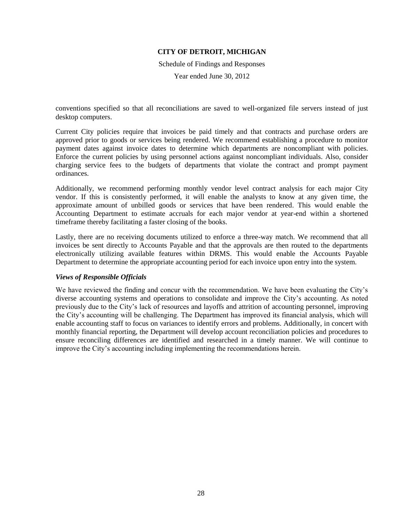Schedule of Findings and Responses

Year ended June 30, 2012

conventions specified so that all reconciliations are saved to well-organized file servers instead of just desktop computers.

Current City policies require that invoices be paid timely and that contracts and purchase orders are approved prior to goods or services being rendered. We recommend establishing a procedure to monitor payment dates against invoice dates to determine which departments are noncompliant with policies. Enforce the current policies by using personnel actions against noncompliant individuals. Also, consider charging service fees to the budgets of departments that violate the contract and prompt payment ordinances.

Additionally, we recommend performing monthly vendor level contract analysis for each major City vendor. If this is consistently performed, it will enable the analysts to know at any given time, the approximate amount of unbilled goods or services that have been rendered. This would enable the Accounting Department to estimate accruals for each major vendor at year-end within a shortened timeframe thereby facilitating a faster closing of the books.

Lastly, there are no receiving documents utilized to enforce a three-way match. We recommend that all invoices be sent directly to Accounts Payable and that the approvals are then routed to the departments electronically utilizing available features within DRMS. This would enable the Accounts Payable Department to determine the appropriate accounting period for each invoice upon entry into the system.

### *Views of Responsible Officials*

We have reviewed the finding and concur with the recommendation. We have been evaluating the City's diverse accounting systems and operations to consolidate and improve the City's accounting. As noted previously due to the City's lack of resources and layoffs and attrition of accounting personnel, improving the City's accounting will be challenging. The Department has improved its financial analysis, which will enable accounting staff to focus on variances to identify errors and problems. Additionally, in concert with monthly financial reporting, the Department will develop account reconciliation policies and procedures to ensure reconciling differences are identified and researched in a timely manner. We will continue to improve the City's accounting including implementing the recommendations herein.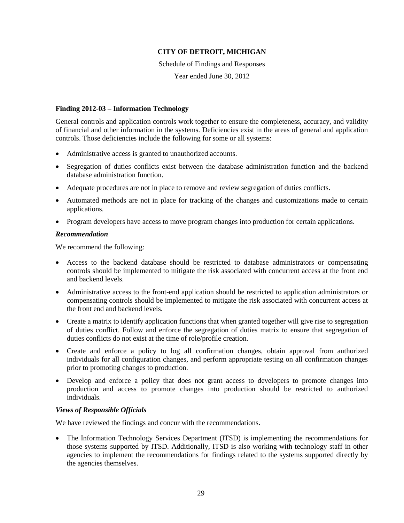Schedule of Findings and Responses

Year ended June 30, 2012

### **Finding 2012-03 – Information Technology**

General controls and application controls work together to ensure the completeness, accuracy, and validity of financial and other information in the systems. Deficiencies exist in the areas of general and application controls. Those deficiencies include the following for some or all systems:

- Administrative access is granted to unauthorized accounts.
- Segregation of duties conflicts exist between the database administration function and the backend database administration function.
- Adequate procedures are not in place to remove and review segregation of duties conflicts.
- Automated methods are not in place for tracking of the changes and customizations made to certain applications.
- Program developers have access to move program changes into production for certain applications.

### *Recommendation*

We recommend the following:

- Access to the backend database should be restricted to database administrators or compensating controls should be implemented to mitigate the risk associated with concurrent access at the front end and backend levels.
- Administrative access to the front-end application should be restricted to application administrators or compensating controls should be implemented to mitigate the risk associated with concurrent access at the front end and backend levels.
- Create a matrix to identify application functions that when granted together will give rise to segregation of duties conflict. Follow and enforce the segregation of duties matrix to ensure that segregation of duties conflicts do not exist at the time of role/profile creation.
- Create and enforce a policy to log all confirmation changes, obtain approval from authorized individuals for all configuration changes, and perform appropriate testing on all confirmation changes prior to promoting changes to production.
- Develop and enforce a policy that does not grant access to developers to promote changes into production and access to promote changes into production should be restricted to authorized individuals.

### *Views of Responsible Officials*

We have reviewed the findings and concur with the recommendations.

 The Information Technology Services Department (ITSD) is implementing the recommendations for those systems supported by ITSD. Additionally, ITSD is also working with technology staff in other agencies to implement the recommendations for findings related to the systems supported directly by the agencies themselves.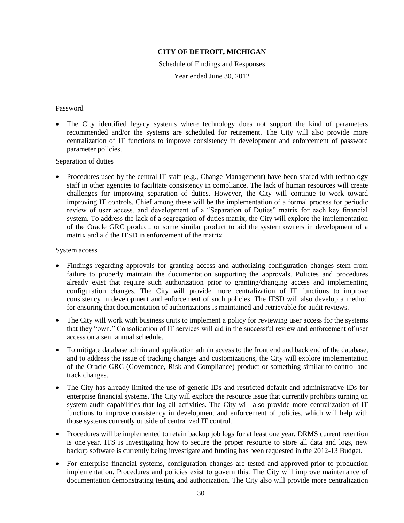Schedule of Findings and Responses

Year ended June 30, 2012

### Password

 The City identified legacy systems where technology does not support the kind of parameters recommended and/or the systems are scheduled for retirement. The City will also provide more centralization of IT functions to improve consistency in development and enforcement of password parameter policies.

Separation of duties

• Procedures used by the central IT staff (e.g., Change Management) have been shared with technology staff in other agencies to facilitate consistency in compliance. The lack of human resources will create challenges for improving separation of duties. However, the City will continue to work toward improving IT controls. Chief among these will be the implementation of a formal process for periodic review of user access, and development of a "Separation of Duties" matrix for each key financial system. To address the lack of a segregation of duties matrix, the City will explore the implementation of the Oracle GRC product, or some similar product to aid the system owners in development of a matrix and aid the ITSD in enforcement of the matrix.

### System access

- Findings regarding approvals for granting access and authorizing configuration changes stem from failure to properly maintain the documentation supporting the approvals. Policies and procedures already exist that require such authorization prior to granting/changing access and implementing configuration changes. The City will provide more centralization of IT functions to improve consistency in development and enforcement of such policies. The ITSD will also develop a method for ensuring that documentation of authorizations is maintained and retrievable for audit reviews.
- The City will work with business units to implement a policy for reviewing user access for the systems that they "own." Consolidation of IT services will aid in the successful review and enforcement of user access on a semiannual schedule.
- To mitigate database admin and application admin access to the front end and back end of the database, and to address the issue of tracking changes and customizations, the City will explore implementation of the Oracle GRC (Governance, Risk and Compliance) product or something similar to control and track changes.
- The City has already limited the use of generic IDs and restricted default and administrative IDs for enterprise financial systems. The City will explore the resource issue that currently prohibits turning on system audit capabilities that log all activities. The City will also provide more centralization of IT functions to improve consistency in development and enforcement of policies, which will help with those systems currently outside of centralized IT control.
- Procedures will be implemented to retain backup job logs for at least one year. DRMS current retention is one year. ITS is investigating how to secure the proper resource to store all data and logs, new backup software is currently being investigate and funding has been requested in the 2012-13 Budget.
- For enterprise financial systems, configuration changes are tested and approved prior to production implementation. Procedures and policies exist to govern this. The City will improve maintenance of documentation demonstrating testing and authorization. The City also will provide more centralization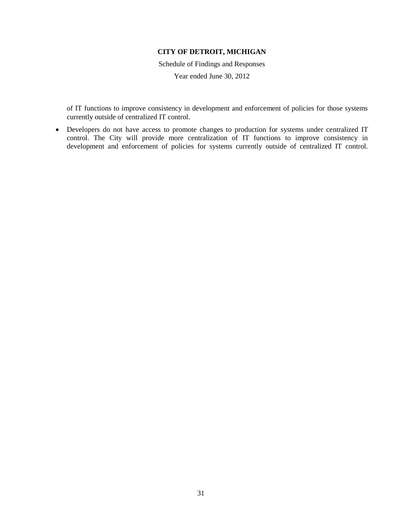Schedule of Findings and Responses

Year ended June 30, 2012

of IT functions to improve consistency in development and enforcement of policies for those systems currently outside of centralized IT control.

 Developers do not have access to promote changes to production for systems under centralized IT control. The City will provide more centralization of IT functions to improve consistency in development and enforcement of policies for systems currently outside of centralized IT control.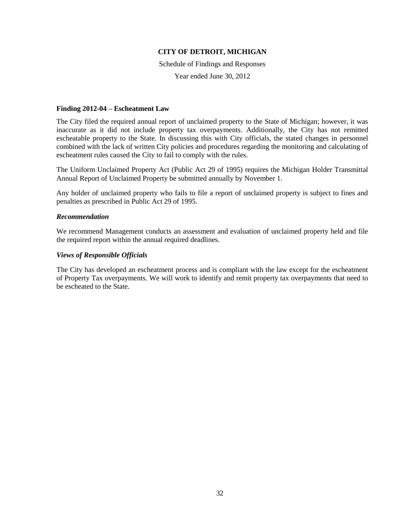Schedule of Findings and Responses

Year ended June 30, 2012

### **Finding 2012-04 – Escheatment Law**

The City filed the required annual report of unclaimed property to the State of Michigan; however, it was inaccurate as it did not include property tax overpayments. Additionally, the City has not remitted escheatable property to the State. In discussing this with City officials, the stated changes in personnel combined with the lack of written City policies and procedures regarding the monitoring and calculating of escheatment rules caused the City to fail to comply with the rules.

The Uniform Unclaimed Property Act (Public Act 29 of 1995) requires the Michigan Holder Transmittal Annual Report of Unclaimed Property be submitted annually by November 1.

Any holder of unclaimed property who fails to file a report of unclaimed property is subject to fines and penalties as prescribed in Public Act 29 of 1995.

### *Recommendation*

We recommend Management conducts an assessment and evaluation of unclaimed property held and file the required report within the annual required deadlines.

### *Views of Responsible Officials*

The City has developed an escheatment process and is compliant with the law except for the escheatment of Property Tax overpayments. We will work to identify and remit property tax overpayments that need to be escheated to the State.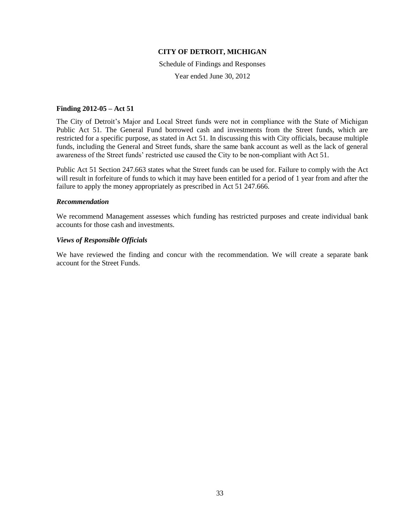Schedule of Findings and Responses

Year ended June 30, 2012

### **Finding 2012-05 – Act 51**

The City of Detroit's Major and Local Street funds were not in compliance with the State of Michigan Public Act 51. The General Fund borrowed cash and investments from the Street funds, which are restricted for a specific purpose, as stated in Act 51. In discussing this with City officials, because multiple funds, including the General and Street funds, share the same bank account as well as the lack of general awareness of the Street funds' restricted use caused the City to be non-compliant with Act 51.

Public Act 51 Section 247.663 states what the Street funds can be used for. Failure to comply with the Act will result in forfeiture of funds to which it may have been entitled for a period of 1 year from and after the failure to apply the money appropriately as prescribed in Act 51 247.666.

### *Recommendation*

We recommend Management assesses which funding has restricted purposes and create individual bank accounts for those cash and investments.

### *Views of Responsible Officials*

We have reviewed the finding and concur with the recommendation. We will create a separate bank account for the Street Funds.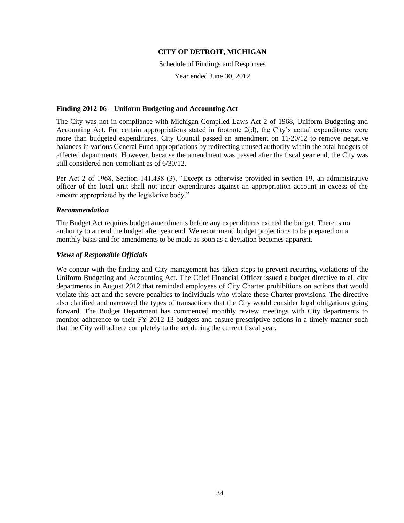Schedule of Findings and Responses

Year ended June 30, 2012

### **Finding 2012-06 – Uniform Budgeting and Accounting Act**

The City was not in compliance with Michigan Compiled Laws Act 2 of 1968, Uniform Budgeting and Accounting Act. For certain appropriations stated in footnote 2(d), the City's actual expenditures were more than budgeted expenditures. City Council passed an amendment on 11/20/12 to remove negative balances in various General Fund appropriations by redirecting unused authority within the total budgets of affected departments. However, because the amendment was passed after the fiscal year end, the City was still considered non-compliant as of 6/30/12.

Per Act 2 of 1968, Section 141.438 (3), "Except as otherwise provided in section 19, an administrative officer of the local unit shall not incur expenditures against an appropriation account in excess of the amount appropriated by the legislative body."

#### *Recommendation*

The Budget Act requires budget amendments before any expenditures exceed the budget. There is no authority to amend the budget after year end. We recommend budget projections to be prepared on a monthly basis and for amendments to be made as soon as a deviation becomes apparent.

### *Views of Responsible Officials*

We concur with the finding and City management has taken steps to prevent recurring violations of the Uniform Budgeting and Accounting Act. The Chief Financial Officer issued a budget directive to all city departments in August 2012 that reminded employees of City Charter prohibitions on actions that would violate this act and the severe penalties to individuals who violate these Charter provisions. The directive also clarified and narrowed the types of transactions that the City would consider legal obligations going forward. The Budget Department has commenced monthly review meetings with City departments to monitor adherence to their FY 2012-13 budgets and ensure prescriptive actions in a timely manner such that the City will adhere completely to the act during the current fiscal year.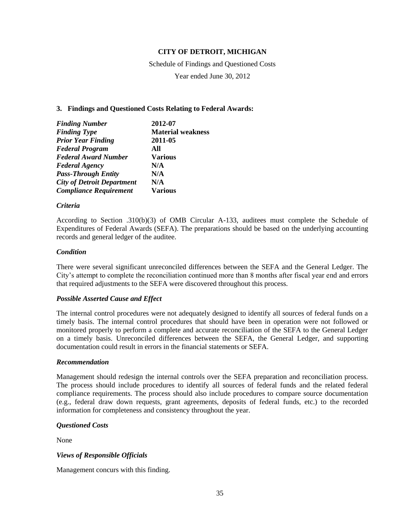Schedule of Findings and Questioned Costs Year ended June 30, 2012

## **3. Findings and Questioned Costs Relating to Federal Awards:**

| <b>Finding Number</b>             | 2012-07                  |
|-----------------------------------|--------------------------|
| <b>Finding Type</b>               | <b>Material weakness</b> |
| <b>Prior Year Finding</b>         | 2011-05                  |
| <b>Federal Program</b>            | All                      |
| <b>Federal Award Number</b>       | <b>Various</b>           |
| <b>Federal Agency</b>             | N/A                      |
| <b>Pass-Through Entity</b>        | N/A                      |
| <b>City of Detroit Department</b> | N/A                      |
| <b>Compliance Requirement</b>     | <b>Various</b>           |

### *Criteria*

According to Section .310(b)(3) of OMB Circular A-133, auditees must complete the Schedule of Expenditures of Federal Awards (SEFA). The preparations should be based on the underlying accounting records and general ledger of the auditee.

## *Condition*

There were several significant unreconciled differences between the SEFA and the General Ledger. The City's attempt to complete the reconciliation continued more than 8 months after fiscal year end and errors that required adjustments to the SEFA were discovered throughout this process.

## *Possible Asserted Cause and Effect*

The internal control procedures were not adequately designed to identify all sources of federal funds on a timely basis. The internal control procedures that should have been in operation were not followed or monitored properly to perform a complete and accurate reconciliation of the SEFA to the General Ledger on a timely basis. Unreconciled differences between the SEFA, the General Ledger, and supporting documentation could result in errors in the financial statements or SEFA.

### *Recommendation*

Management should redesign the internal controls over the SEFA preparation and reconciliation process. The process should include procedures to identify all sources of federal funds and the related federal compliance requirements. The process should also include procedures to compare source documentation (e.g., federal draw down requests, grant agreements, deposits of federal funds, etc.) to the recorded information for completeness and consistency throughout the year.

# *Questioned Costs*

None

### *Views of Responsible Officials*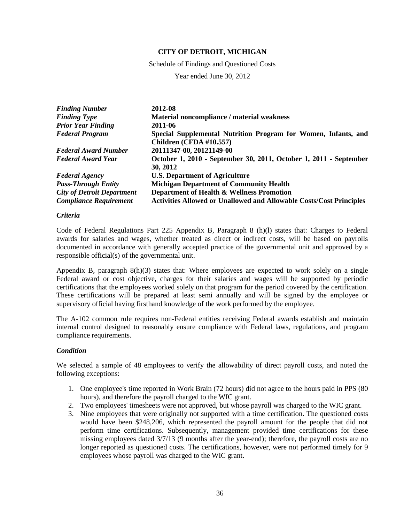Schedule of Findings and Questioned Costs

Year ended June 30, 2012

| <b>Finding Number</b>             | 2012-08                                                                    |
|-----------------------------------|----------------------------------------------------------------------------|
| <b>Finding Type</b>               | Material noncompliance / material weakness                                 |
| <b>Prior Year Finding</b>         | 2011-06                                                                    |
| <b>Federal Program</b>            | Special Supplemental Nutrition Program for Women, Infants, and             |
|                                   | Children (CFDA #10.557)                                                    |
| <b>Federal Award Number</b>       | 20111347-00, 20121149-00                                                   |
| <b>Federal Award Year</b>         | October 1, 2010 - September 30, 2011, October 1, 2011 - September          |
|                                   | 30, 2012                                                                   |
| <b>Federal Agency</b>             | <b>U.S. Department of Agriculture</b>                                      |
| <b>Pass-Through Entity</b>        | <b>Michigan Department of Community Health</b>                             |
| <b>City of Detroit Department</b> | Department of Health & Wellness Promotion                                  |
| <b>Compliance Requirement</b>     | <b>Activities Allowed or Unallowed and Allowable Costs/Cost Principles</b> |

### *Criteria*

Code of Federal Regulations Part 225 Appendix B, Paragraph 8 (h)(l) states that: Charges to Federal awards for salaries and wages, whether treated as direct or indirect costs, will be based on payrolls documented in accordance with generally accepted practice of the governmental unit and approved by a responsible official(s) of the governmental unit.

Appendix B, paragraph 8(h)(3) states that: Where employees are expected to work solely on a single Federal award or cost objective, charges for their salaries and wages will be supported by periodic certifications that the employees worked solely on that program for the period covered by the certification. These certifications will be prepared at least semi annually and will be signed by the employee or supervisory official having firsthand knowledge of the work performed by the employee.

The A-102 common rule requires non-Federal entities receiving Federal awards establish and maintain internal control designed to reasonably ensure compliance with Federal laws, regulations, and program compliance requirements.

# *Condition*

We selected a sample of 48 employees to verify the allowability of direct payroll costs, and noted the following exceptions:

- 1. One employee's time reported in Work Brain (72 hours) did not agree to the hours paid in PPS (80 hours), and therefore the payroll charged to the WIC grant.
- 2. Two employees' timesheets were not approved, but whose payroll was charged to the WIC grant.
- 3. Nine employees that were originally not supported with a time certification. The questioned costs would have been \$248,206, which represented the payroll amount for the people that did not perform time certifications. Subsequently, management provided time certifications for these missing employees dated 3/7/13 (9 months after the year-end); therefore, the payroll costs are no longer reported as questioned costs. The certifications, however, were not performed timely for 9 employees whose payroll was charged to the WIC grant.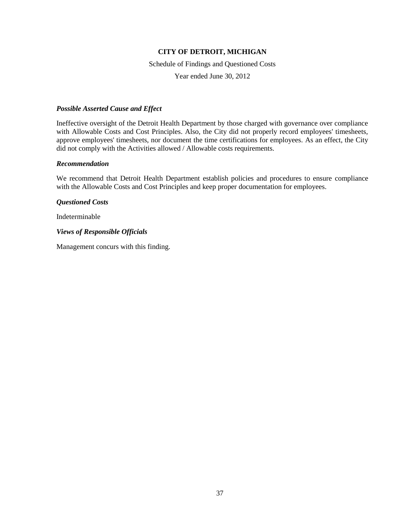Schedule of Findings and Questioned Costs Year ended June 30, 2012

## *Possible Asserted Cause and Effect*

Ineffective oversight of the Detroit Health Department by those charged with governance over compliance with Allowable Costs and Cost Principles. Also, the City did not properly record employees' timesheets, approve employees' timesheets, nor document the time certifications for employees. As an effect, the City did not comply with the Activities allowed / Allowable costs requirements.

### *Recommendation*

We recommend that Detroit Health Department establish policies and procedures to ensure compliance with the Allowable Costs and Cost Principles and keep proper documentation for employees.

## *Questioned Costs*

Indeterminable

## *Views of Responsible Officials*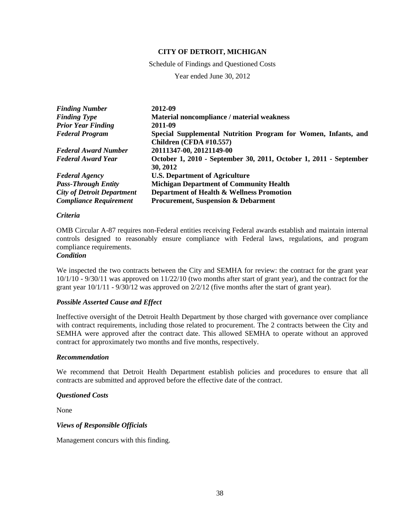Schedule of Findings and Questioned Costs

Year ended June 30, 2012

| <b>Finding Number</b>             | 2012-09                                                           |
|-----------------------------------|-------------------------------------------------------------------|
| <b>Finding Type</b>               | Material noncompliance / material weakness                        |
| <b>Prior Year Finding</b>         | 2011-09                                                           |
| <b>Federal Program</b>            | Special Supplemental Nutrition Program for Women, Infants, and    |
|                                   | Children (CFDA #10.557)                                           |
| <b>Federal Award Number</b>       | 20111347-00, 20121149-00                                          |
| <b>Federal Award Year</b>         | October 1, 2010 - September 30, 2011, October 1, 2011 - September |
|                                   | 30, 2012                                                          |
| <b>Federal Agency</b>             | <b>U.S. Department of Agriculture</b>                             |
| <b>Pass-Through Entity</b>        | <b>Michigan Department of Community Health</b>                    |
| <b>City of Detroit Department</b> | <b>Department of Health &amp; Wellness Promotion</b>              |
| <b>Compliance Requirement</b>     | <b>Procurement, Suspension &amp; Debarment</b>                    |

### *Criteria*

OMB Circular A-87 requires non-Federal entities receiving Federal awards establish and maintain internal controls designed to reasonably ensure compliance with Federal laws, regulations, and program compliance requirements.

# *Condition*

We inspected the two contracts between the City and SEMHA for review: the contract for the grant year 10/1/10 - 9/30/11 was approved on 11/22/10 (two months after start of grant year), and the contract for the grant year 10/1/11 - 9/30/12 was approved on 2/2/12 (five months after the start of grant year).

### *Possible Asserted Cause and Effect*

Ineffective oversight of the Detroit Health Department by those charged with governance over compliance with contract requirements, including those related to procurement. The 2 contracts between the City and SEMHA were approved after the contract date. This allowed SEMHA to operate without an approved contract for approximately two months and five months, respectively.

### *Recommendation*

We recommend that Detroit Health Department establish policies and procedures to ensure that all contracts are submitted and approved before the effective date of the contract.

### *Questioned Costs*

None

### *Views of Responsible Officials*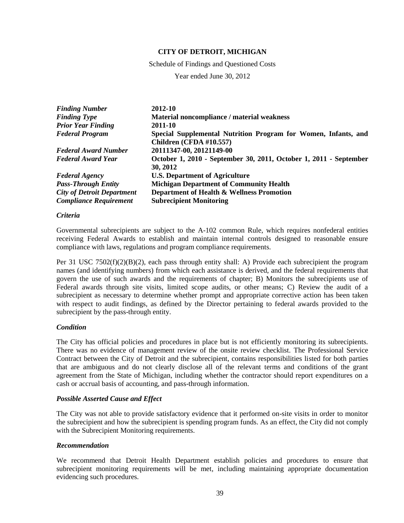Schedule of Findings and Questioned Costs

Year ended June 30, 2012

| <b>Finding Number</b>             | 2012-10                                                           |
|-----------------------------------|-------------------------------------------------------------------|
| <b>Finding Type</b>               | Material noncompliance / material weakness                        |
| <b>Prior Year Finding</b>         | 2011-10                                                           |
| <b>Federal Program</b>            | Special Supplemental Nutrition Program for Women, Infants, and    |
|                                   | Children (CFDA #10.557)                                           |
| <b>Federal Award Number</b>       | 20111347-00, 20121149-00                                          |
| <b>Federal Award Year</b>         | October 1, 2010 - September 30, 2011, October 1, 2011 - September |
|                                   | 30, 2012                                                          |
| <b>Federal Agency</b>             | <b>U.S. Department of Agriculture</b>                             |
| <b>Pass-Through Entity</b>        | <b>Michigan Department of Community Health</b>                    |
| <b>City of Detroit Department</b> | <b>Department of Health &amp; Wellness Promotion</b>              |
| <b>Compliance Requirement</b>     | <b>Subrecipient Monitoring</b>                                    |

### *Criteria*

Governmental subrecipients are subject to the A-102 common Rule, which requires nonfederal entities receiving Federal Awards to establish and maintain internal controls designed to reasonable ensure compliance with laws, regulations and program compliance requirements.

Per 31 USC 7502(f)(2)(B)(2), each pass through entity shall: A) Provide each subrecipient the program names (and identifying numbers) from which each assistance is derived, and the federal requirements that govern the use of such awards and the requirements of chapter; B) Monitors the subrecipients use of Federal awards through site visits, limited scope audits, or other means; C) Review the audit of a subrecipient as necessary to determine whether prompt and appropriate corrective action has been taken with respect to audit findings, as defined by the Director pertaining to federal awards provided to the subrecipient by the pass-through entity.

# *Condition*

The City has official policies and procedures in place but is not efficiently monitoring its subrecipients. There was no evidence of management review of the onsite review checklist. The Professional Service Contract between the City of Detroit and the subrecipient, contains responsibilities listed for both parties that are ambiguous and do not clearly disclose all of the relevant terms and conditions of the grant agreement from the State of Michigan, including whether the contractor should report expenditures on a cash or accrual basis of accounting, and pass-through information.

### *Possible Asserted Cause and Effect*

The City was not able to provide satisfactory evidence that it performed on-site visits in order to monitor the subrecipient and how the subrecipient is spending program funds. As an effect, the City did not comply with the Subrecipient Monitoring requirements.

### *Recommendation*

We recommend that Detroit Health Department establish policies and procedures to ensure that subrecipient monitoring requirements will be met, including maintaining appropriate documentation evidencing such procedures.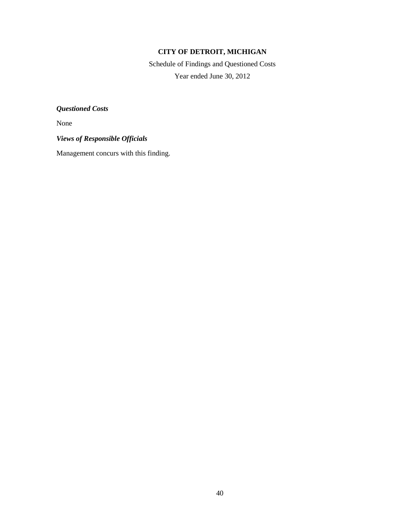Schedule of Findings and Questioned Costs Year ended June 30, 2012

*Questioned Costs* 

None

*Views of Responsible Officials*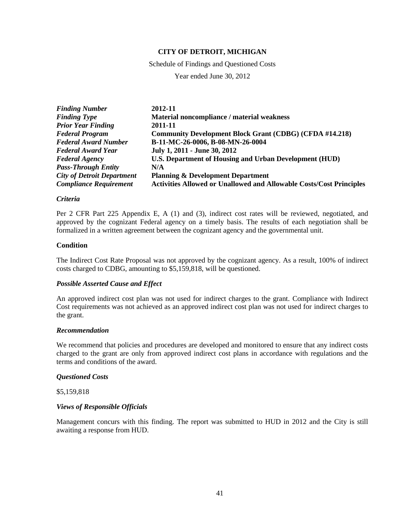Schedule of Findings and Questioned Costs

Year ended June 30, 2012

| <b>Finding Number</b>             | 2012-11                                                                    |
|-----------------------------------|----------------------------------------------------------------------------|
| <b>Finding Type</b>               | Material noncompliance / material weakness                                 |
| <b>Prior Year Finding</b>         | 2011-11                                                                    |
| <b>Federal Program</b>            | <b>Community Development Block Grant (CDBG) (CFDA #14.218)</b>             |
| <b>Federal Award Number</b>       | B-11-MC-26-0006, B-08-MN-26-0004                                           |
| <b>Federal Award Year</b>         | July 1, 2011 - June 30, 2012                                               |
| <b>Federal Agency</b>             | <b>U.S. Department of Housing and Urban Development (HUD)</b>              |
| <b>Pass-Through Entity</b>        | N/A                                                                        |
| <b>City of Detroit Department</b> | <b>Planning &amp; Development Department</b>                               |
| <b>Compliance Requirement</b>     | <b>Activities Allowed or Unallowed and Allowable Costs/Cost Principles</b> |

#### *Criteria*

Per 2 CFR Part 225 Appendix E, A (1) and (3), indirect cost rates will be reviewed, negotiated, and approved by the cognizant Federal agency on a timely basis. The results of each negotiation shall be formalized in a written agreement between the cognizant agency and the governmental unit.

### **Condition**

The Indirect Cost Rate Proposal was not approved by the cognizant agency. As a result, 100% of indirect costs charged to CDBG, amounting to \$5,159,818, will be questioned.

### *Possible Asserted Cause and Effect*

An approved indirect cost plan was not used for indirect charges to the grant. Compliance with Indirect Cost requirements was not achieved as an approved indirect cost plan was not used for indirect charges to the grant.

### *Recommendation*

We recommend that policies and procedures are developed and monitored to ensure that any indirect costs charged to the grant are only from approved indirect cost plans in accordance with regulations and the terms and conditions of the award.

### *Questioned Costs*

\$5,159,818

# *Views of Responsible Officials*

Management concurs with this finding. The report was submitted to HUD in 2012 and the City is still awaiting a response from HUD.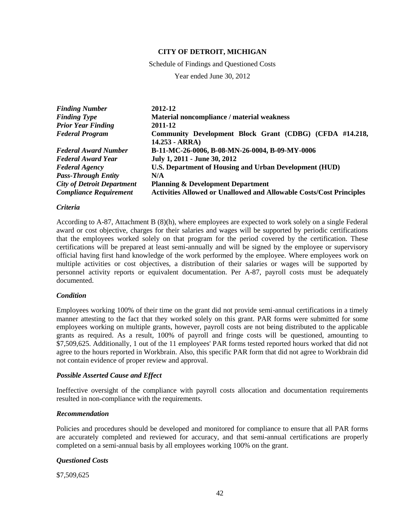Schedule of Findings and Questioned Costs

Year ended June 30, 2012

| <b>Finding Number</b>             | 2012-12                                                                    |
|-----------------------------------|----------------------------------------------------------------------------|
| <b>Finding Type</b>               | Material noncompliance / material weakness                                 |
| <b>Prior Year Finding</b>         | 2011-12                                                                    |
| <b>Federal Program</b>            | Community Development Block Grant (CDBG) (CFDA #14.218,                    |
|                                   | 14.253 - ARRA)                                                             |
| <b>Federal Award Number</b>       | B-11-MC-26-0006, B-08-MN-26-0004, B-09-MY-0006                             |
| <b>Federal Award Year</b>         | July 1, 2011 - June 30, 2012                                               |
| <b>Federal Agency</b>             | <b>U.S. Department of Housing and Urban Development (HUD)</b>              |
| <b>Pass-Through Entity</b>        | N/A                                                                        |
| <b>City of Detroit Department</b> | <b>Planning &amp; Development Department</b>                               |
| <b>Compliance Requirement</b>     | <b>Activities Allowed or Unallowed and Allowable Costs/Cost Principles</b> |

### *Criteria*

According to A-87, Attachment B (8)(h), where employees are expected to work solely on a single Federal award or cost objective, charges for their salaries and wages will be supported by periodic certifications that the employees worked solely on that program for the period covered by the certification. These certifications will be prepared at least semi-annually and will be signed by the employee or supervisory official having first hand knowledge of the work performed by the employee. Where employees work on multiple activities or cost objectives, a distribution of their salaries or wages will be supported by personnel activity reports or equivalent documentation. Per A-87, payroll costs must be adequately documented.

### *Condition*

Employees working 100% of their time on the grant did not provide semi-annual certifications in a timely manner attesting to the fact that they worked solely on this grant. PAR forms were submitted for some employees working on multiple grants, however, payroll costs are not being distributed to the applicable grants as required. As a result, 100% of payroll and fringe costs will be questioned, amounting to \$7,509,625. Additionally, 1 out of the 11 employees' PAR forms tested reported hours worked that did not agree to the hours reported in Workbrain. Also, this specific PAR form that did not agree to Workbrain did not contain evidence of proper review and approval.

### *Possible Asserted Cause and Effect*

Ineffective oversight of the compliance with payroll costs allocation and documentation requirements resulted in non-compliance with the requirements.

## *Recommendation*

Policies and procedures should be developed and monitored for compliance to ensure that all PAR forms are accurately completed and reviewed for accuracy, and that semi-annual certifications are properly completed on a semi-annual basis by all employees working 100% on the grant.

# *Questioned Costs*

\$7,509,625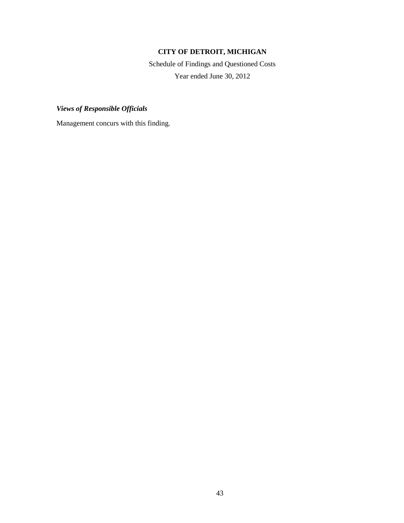Schedule of Findings and Questioned Costs Year ended June 30, 2012

*Views of Responsible Officials*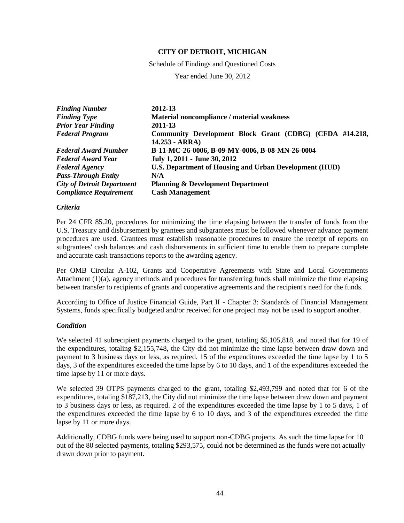Schedule of Findings and Questioned Costs

Year ended June 30, 2012

| <b>Finding Number</b>             | 2012-13                                                 |
|-----------------------------------|---------------------------------------------------------|
| <b>Finding Type</b>               | Material noncompliance / material weakness              |
| <b>Prior Year Finding</b>         | 2011-13                                                 |
| <b>Federal Program</b>            | Community Development Block Grant (CDBG) (CFDA #14.218, |
|                                   | $14.253 - ARRA$                                         |
| <b>Federal Award Number</b>       | B-11-MC-26-0006, B-09-MY-0006, B-08-MN-26-0004          |
| <b>Federal Award Year</b>         | July 1, 2011 - June 30, 2012                            |
| <b>Federal Agency</b>             | U.S. Department of Housing and Urban Development (HUD)  |
| <b>Pass-Through Entity</b>        | N/A                                                     |
| <b>City of Detroit Department</b> | <b>Planning &amp; Development Department</b>            |
| <b>Compliance Requirement</b>     | <b>Cash Management</b>                                  |

### *Criteria*

Per 24 CFR 85.20, procedures for minimizing the time elapsing between the transfer of funds from the U.S. Treasury and disbursement by grantees and subgrantees must be followed whenever advance payment procedures are used. Grantees must establish reasonable procedures to ensure the receipt of reports on subgrantees' cash balances and cash disbursements in sufficient time to enable them to prepare complete and accurate cash transactions reports to the awarding agency.

Per OMB Circular A-102, Grants and Cooperative Agreements with State and Local Governments Attachment (1)(a), agency methods and procedures for transferring funds shall minimize the time elapsing between transfer to recipients of grants and cooperative agreements and the recipient's need for the funds.

According to Office of Justice Financial Guide, Part II - Chapter 3: Standards of Financial Management Systems, funds specifically budgeted and/or received for one project may not be used to support another.

### *Condition*

We selected 41 subrecipient payments charged to the grant, totaling \$5,105,818, and noted that for 19 of the expenditures, totaling \$2,155,748, the City did not minimize the time lapse between draw down and payment to 3 business days or less, as required. 15 of the expenditures exceeded the time lapse by 1 to 5 days, 3 of the expenditures exceeded the time lapse by 6 to 10 days, and 1 of the expenditures exceeded the time lapse by 11 or more days.

We selected 39 OTPS payments charged to the grant, totaling \$2,493,799 and noted that for 6 of the expenditures, totaling \$187,213, the City did not minimize the time lapse between draw down and payment to 3 business days or less, as required. 2 of the expenditures exceeded the time lapse by 1 to 5 days, 1 of the expenditures exceeded the time lapse by 6 to 10 days, and 3 of the expenditures exceeded the time lapse by 11 or more days.

Additionally, CDBG funds were being used to support non-CDBG projects. As such the time lapse for 10 out of the 80 selected payments, totaling \$293,575, could not be determined as the funds were not actually drawn down prior to payment.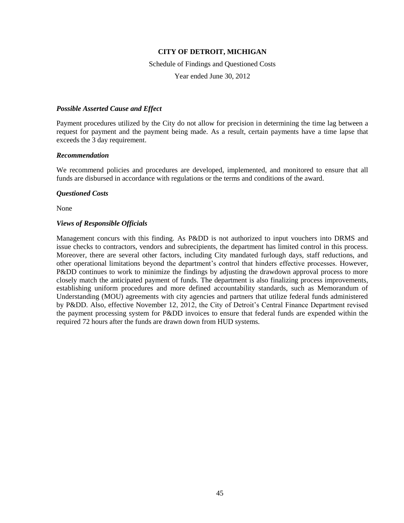Schedule of Findings and Questioned Costs

Year ended June 30, 2012

### *Possible Asserted Cause and Effect*

Payment procedures utilized by the City do not allow for precision in determining the time lag between a request for payment and the payment being made. As a result, certain payments have a time lapse that exceeds the 3 day requirement.

### *Recommendation*

We recommend policies and procedures are developed, implemented, and monitored to ensure that all funds are disbursed in accordance with regulations or the terms and conditions of the award.

## *Questioned Costs*

None

# *Views of Responsible Officials*

Management concurs with this finding. As P&DD is not authorized to input vouchers into DRMS and issue checks to contractors, vendors and subrecipients, the department has limited control in this process. Moreover, there are several other factors, including City mandated furlough days, staff reductions, and other operational limitations beyond the department's control that hinders effective processes. However, P&DD continues to work to minimize the findings by adjusting the drawdown approval process to more closely match the anticipated payment of funds. The department is also finalizing process improvements, establishing uniform procedures and more defined accountability standards, such as Memorandum of Understanding (MOU) agreements with city agencies and partners that utilize federal funds administered by P&DD. Also, effective November 12, 2012, the City of Detroit's Central Finance Department revised the payment processing system for P&DD invoices to ensure that federal funds are expended within the required 72 hours after the funds are drawn down from HUD systems.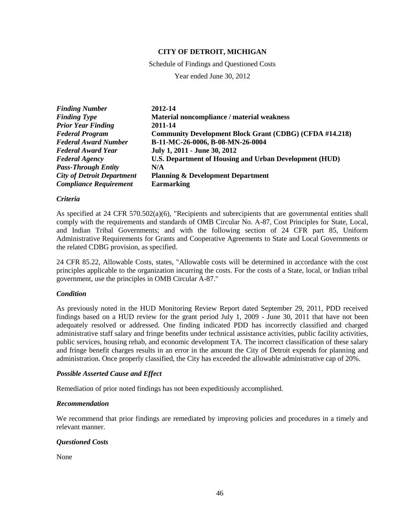Schedule of Findings and Questioned Costs

Year ended June 30, 2012

| <b>Finding Number</b>             | 2012-14                                                        |
|-----------------------------------|----------------------------------------------------------------|
| <b>Finding Type</b>               | Material noncompliance / material weakness                     |
| <b>Prior Year Finding</b>         | 2011-14                                                        |
| <b>Federal Program</b>            | <b>Community Development Block Grant (CDBG) (CFDA #14.218)</b> |
| <b>Federal Award Number</b>       | B-11-MC-26-0006, B-08-MN-26-0004                               |
| <b>Federal Award Year</b>         | July 1, 2011 - June 30, 2012                                   |
| <b>Federal Agency</b>             | <b>U.S. Department of Housing and Urban Development (HUD)</b>  |
| <b>Pass-Through Entity</b>        | N/A                                                            |
| <b>City of Detroit Department</b> | <b>Planning &amp; Development Department</b>                   |
| <b>Compliance Requirement</b>     | <b>Earmarking</b>                                              |

#### *Criteria*

As specified at 24 CFR 570.502(a)(6), "Recipients and subrecipients that are governmental entities shall comply with the requirements and standards of OMB Circular No. A-87, Cost Principles for State, Local, and Indian Tribal Governments; and with the following section of 24 CFR part 85, Uniform Administrative Requirements for Grants and Cooperative Agreements to State and Local Governments or the related CDBG provision, as specified.

24 CFR 85.22, Allowable Costs, states, "Allowable costs will be determined in accordance with the cost principles applicable to the organization incurring the costs. For the costs of a State, local, or Indian tribal government, use the principles in OMB Circular A-87."

## *Condition*

As previously noted in the HUD Monitoring Review Report dated September 29, 2011, PDD received findings based on a HUD review for the grant period July 1, 2009 - June 30, 2011 that have not been adequately resolved or addressed. One finding indicated PDD has incorrectly classified and charged administrative staff salary and fringe benefits under technical assistance activities, public facility activities, public services, housing rehab, and economic development TA. The incorrect classification of these salary and fringe benefit charges results in an error in the amount the City of Detroit expends for planning and administration. Once properly classified, the City has exceeded the allowable administrative cap of 20%.

### *Possible Asserted Cause and Effect*

Remediation of prior noted findings has not been expeditiously accomplished.

### *Recommendation*

We recommend that prior findings are remediated by improving policies and procedures in a timely and relevant manner.

## *Questioned Costs*

None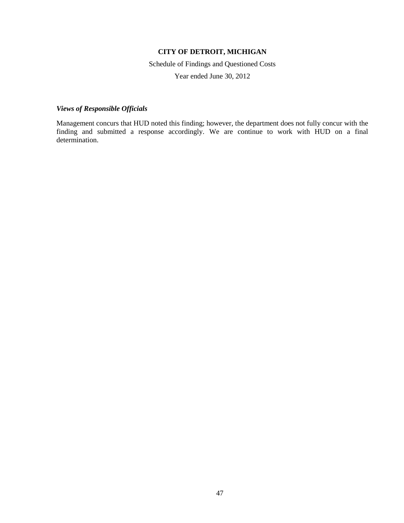Schedule of Findings and Questioned Costs Year ended June 30, 2012

*Views of Responsible Officials* 

Management concurs that HUD noted this finding; however, the department does not fully concur with the finding and submitted a response accordingly. We are continue to work with HUD on a final determination.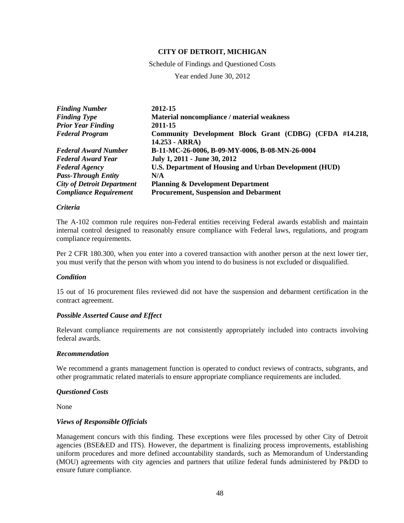Schedule of Findings and Questioned Costs

Year ended June 30, 2012

| <b>Finding Number</b>             | 2012-15                                                 |
|-----------------------------------|---------------------------------------------------------|
| <b>Finding Type</b>               | Material noncompliance / material weakness              |
| <b>Prior Year Finding</b>         | 2011-15                                                 |
| <b>Federal Program</b>            | Community Development Block Grant (CDBG) (CFDA #14.218, |
|                                   | $14.253 - ARRA$                                         |
| <b>Federal Award Number</b>       | B-11-MC-26-0006, B-09-MY-0006, B-08-MN-26-0004          |
| <b>Federal Award Year</b>         | July 1, 2011 - June 30, 2012                            |
| <b>Federal Agency</b>             | U.S. Department of Housing and Urban Development (HUD)  |
| <b>Pass-Through Entity</b>        | N/A                                                     |
| <b>City of Detroit Department</b> | <b>Planning &amp; Development Department</b>            |
| <b>Compliance Requirement</b>     | <b>Procurement, Suspension and Debarment</b>            |

#### *Criteria*

The A-102 common rule requires non-Federal entities receiving Federal awards establish and maintain internal control designed to reasonably ensure compliance with Federal laws, regulations, and program compliance requirements.

Per 2 CFR 180.300, when you enter into a covered transaction with another person at the next lower tier, you must verify that the person with whom you intend to do business is not excluded or disqualified.

### *Condition*

15 out of 16 procurement files reviewed did not have the suspension and debarment certification in the contract agreement.

### *Possible Asserted Cause and Effect*

Relevant compliance requirements are not consistently appropriately included into contracts involving federal awards.

#### *Recommendation*

We recommend a grants management function is operated to conduct reviews of contracts, subgrants, and other programmatic related materials to ensure appropriate compliance requirements are included.

#### *Questioned Costs*

None

#### *Views of Responsible Officials*

Management concurs with this finding. These exceptions were files processed by other City of Detroit agencies (BSE&ED and ITS). However, the department is finalizing process improvements, establishing uniform procedures and more defined accountability standards, such as Memorandum of Understanding (MOU) agreements with city agencies and partners that utilize federal funds administered by P&DD to ensure future compliance.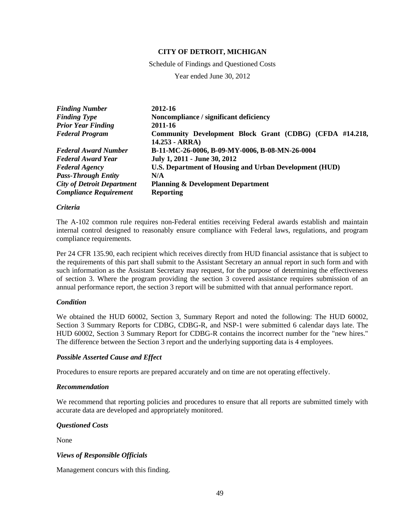Schedule of Findings and Questioned Costs

Year ended June 30, 2012

| <b>Finding Number</b>             | 2012-16                                                 |
|-----------------------------------|---------------------------------------------------------|
| <b>Finding Type</b>               | Noncompliance / significant deficiency                  |
| <b>Prior Year Finding</b>         | 2011-16                                                 |
| <b>Federal Program</b>            | Community Development Block Grant (CDBG) (CFDA #14.218, |
|                                   | $14.253 - ARRA$                                         |
| <b>Federal Award Number</b>       | B-11-MC-26-0006, B-09-MY-0006, B-08-MN-26-0004          |
| <b>Federal Award Year</b>         | July 1, 2011 - June 30, 2012                            |
| <b>Federal Agency</b>             | U.S. Department of Housing and Urban Development (HUD)  |
| <b>Pass-Through Entity</b>        | N/A                                                     |
| <b>City of Detroit Department</b> | <b>Planning &amp; Development Department</b>            |
| <b>Compliance Requirement</b>     | <b>Reporting</b>                                        |

### *Criteria*

The A-102 common rule requires non-Federal entities receiving Federal awards establish and maintain internal control designed to reasonably ensure compliance with Federal laws, regulations, and program compliance requirements.

Per 24 CFR 135.90, each recipient which receives directly from HUD financial assistance that is subject to the requirements of this part shall submit to the Assistant Secretary an annual report in such form and with such information as the Assistant Secretary may request, for the purpose of determining the effectiveness of section 3. Where the program providing the section 3 covered assistance requires submission of an annual performance report, the section 3 report will be submitted with that annual performance report.

### *Condition*

We obtained the HUD 60002, Section 3, Summary Report and noted the following: The HUD 60002, Section 3 Summary Reports for CDBG, CDBG-R, and NSP-1 were submitted 6 calendar days late. The HUD 60002, Section 3 Summary Report for CDBG-R contains the incorrect number for the "new hires." The difference between the Section 3 report and the underlying supporting data is 4 employees.

### *Possible Asserted Cause and Effect*

Procedures to ensure reports are prepared accurately and on time are not operating effectively.

### *Recommendation*

We recommend that reporting policies and procedures to ensure that all reports are submitted timely with accurate data are developed and appropriately monitored.

### *Questioned Costs*

None

### *Views of Responsible Officials*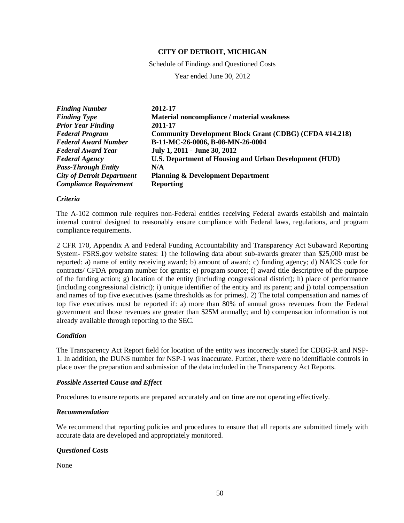Schedule of Findings and Questioned Costs

Year ended June 30, 2012

| <b>Finding Number</b>             | 2012-17                                                        |
|-----------------------------------|----------------------------------------------------------------|
| <b>Finding Type</b>               | Material noncompliance / material weakness                     |
| <b>Prior Year Finding</b>         | 2011-17                                                        |
| <b>Federal Program</b>            | <b>Community Development Block Grant (CDBG) (CFDA #14.218)</b> |
| <b>Federal Award Number</b>       | B-11-MC-26-0006, B-08-MN-26-0004                               |
| <b>Federal Award Year</b>         | July 1, 2011 - June 30, 2012                                   |
| <b>Federal Agency</b>             | <b>U.S. Department of Housing and Urban Development (HUD)</b>  |
| <b>Pass-Through Entity</b>        | N/A                                                            |
| <b>City of Detroit Department</b> | <b>Planning &amp; Development Department</b>                   |
| <b>Compliance Requirement</b>     | <b>Reporting</b>                                               |

#### *Criteria*

The A-102 common rule requires non-Federal entities receiving Federal awards establish and maintain internal control designed to reasonably ensure compliance with Federal laws, regulations, and program compliance requirements.

2 CFR 170, Appendix A and Federal Funding Accountability and Transparency Act Subaward Reporting System- FSRS.gov website states: 1) the following data about sub-awards greater than \$25,000 must be reported: a) name of entity receiving award; b) amount of award; c) funding agency; d) NAICS code for contracts/ CFDA program number for grants; e) program source; f) award title descriptive of the purpose of the funding action; g) location of the entity (including congressional district); h) place of performance (including congressional district); i) unique identifier of the entity and its parent; and j) total compensation and names of top five executives (same thresholds as for primes). 2) The total compensation and names of top five executives must be reported if: a) more than 80% of annual gross revenues from the Federal government and those revenues are greater than \$25M annually; and b) compensation information is not already available through reporting to the SEC.

### *Condition*

The Transparency Act Report field for location of the entity was incorrectly stated for CDBG-R and NSP-1. In addition, the DUNS number for NSP-1 was inaccurate. Further, there were no identifiable controls in place over the preparation and submission of the data included in the Transparency Act Reports.

## *Possible Asserted Cause and Effect*

Procedures to ensure reports are prepared accurately and on time are not operating effectively.

### *Recommendation*

We recommend that reporting policies and procedures to ensure that all reports are submitted timely with accurate data are developed and appropriately monitored.

## *Questioned Costs*

None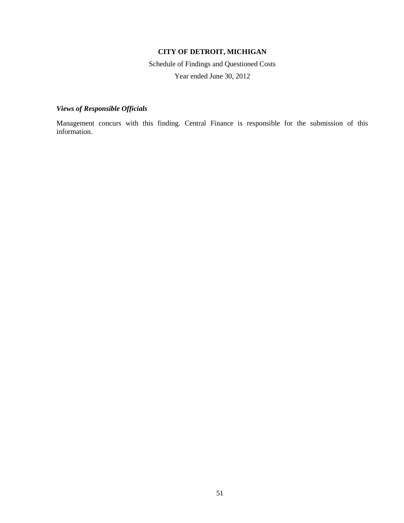Schedule of Findings and Questioned Costs Year ended June 30, 2012

*Views of Responsible Officials* 

Management concurs with this finding. Central Finance is responsible for the submission of this information.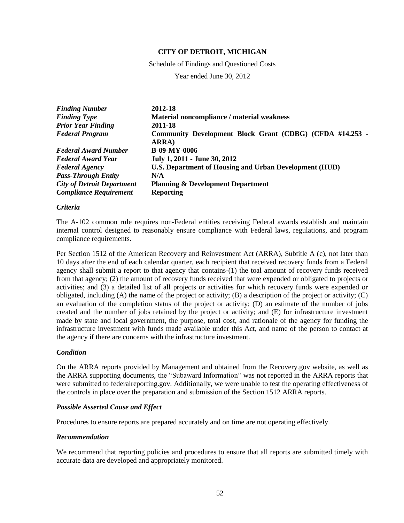Schedule of Findings and Questioned Costs

Year ended June 30, 2012

| <b>Finding Number</b>             | 2012-18                                                  |
|-----------------------------------|----------------------------------------------------------|
| <b>Finding Type</b>               | Material noncompliance / material weakness               |
| <b>Prior Year Finding</b>         | 2011-18                                                  |
| <b>Federal Program</b>            | Community Development Block Grant (CDBG) (CFDA #14.253 - |
|                                   | ARRA)                                                    |
| <b>Federal Award Number</b>       | <b>B-09-MY-0006</b>                                      |
| <b>Federal Award Year</b>         | July 1, 2011 - June 30, 2012                             |
| <b>Federal Agency</b>             | U.S. Department of Housing and Urban Development (HUD)   |
| <b>Pass-Through Entity</b>        | N/A                                                      |
| <b>City of Detroit Department</b> | <b>Planning &amp; Development Department</b>             |
| <b>Compliance Requirement</b>     | <b>Reporting</b>                                         |

### *Criteria*

The A-102 common rule requires non-Federal entities receiving Federal awards establish and maintain internal control designed to reasonably ensure compliance with Federal laws, regulations, and program compliance requirements.

Per Section 1512 of the American Recovery and Reinvestment Act (ARRA), Subtitle A (c), not later than 10 days after the end of each calendar quarter, each recipient that received recovery funds from a Federal agency shall submit a report to that agency that contains-(1) the toal amount of recovery funds received from that agency; (2) the amount of recovery funds received that were expended or obligated to projects or activities; and (3) a detailed list of all projects or activities for which recovery funds were expended or obligated, including (A) the name of the project or activity; (B) a description of the project or activity; (C) an evaluation of the completion status of the project or activity; (D) an estimate of the number of jobs created and the number of jobs retained by the project or activity; and (E) for infrastructure investment made by state and local government, the purpose, total cost, and rationale of the agency for funding the infrastructure investment with funds made available under this Act, and name of the person to contact at the agency if there are concerns with the infrastructure investment.

### *Condition*

On the ARRA reports provided by Management and obtained from the Recovery.gov website, as well as the ARRA supporting documents, the "Subaward Information" was not reported in the ARRA reports that were submitted to federalreporting.gov. Additionally, we were unable to test the operating effectiveness of the controls in place over the preparation and submission of the Section 1512 ARRA reports.

# *Possible Asserted Cause and Effect*

Procedures to ensure reports are prepared accurately and on time are not operating effectively.

### *Recommendation*

We recommend that reporting policies and procedures to ensure that all reports are submitted timely with accurate data are developed and appropriately monitored.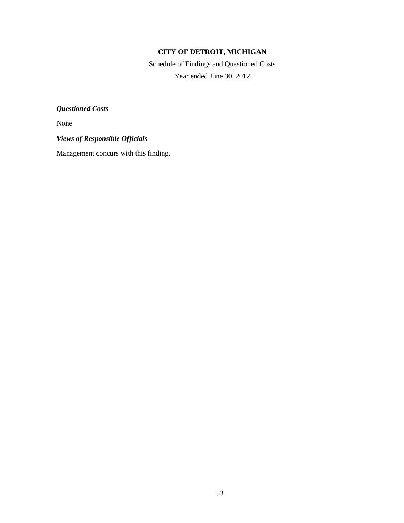Schedule of Findings and Questioned Costs Year ended June 30, 2012

*Questioned Costs* 

None

*Views of Responsible Officials*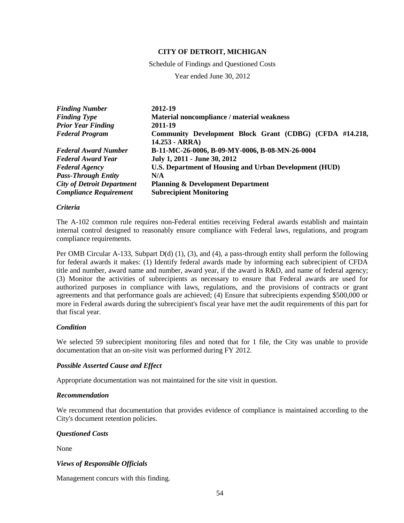Schedule of Findings and Questioned Costs

Year ended June 30, 2012

| <b>Finding Number</b>             | 2012-19                                                 |
|-----------------------------------|---------------------------------------------------------|
| <b>Finding Type</b>               | Material noncompliance / material weakness              |
| <b>Prior Year Finding</b>         | 2011-19                                                 |
| <b>Federal Program</b>            | Community Development Block Grant (CDBG) (CFDA #14.218, |
|                                   | $14.253 - ARRA$                                         |
| <b>Federal Award Number</b>       | B-11-MC-26-0006, B-09-MY-0006, B-08-MN-26-0004          |
| <b>Federal Award Year</b>         | July 1, 2011 - June 30, 2012                            |
| <b>Federal Agency</b>             | U.S. Department of Housing and Urban Development (HUD)  |
| <b>Pass-Through Entity</b>        | N/A                                                     |
| <b>City of Detroit Department</b> | <b>Planning &amp; Development Department</b>            |
| <b>Compliance Requirement</b>     | <b>Subrecipient Monitoring</b>                          |

### *Criteria*

The A-102 common rule requires non-Federal entities receiving Federal awards establish and maintain internal control designed to reasonably ensure compliance with Federal laws, regulations, and program compliance requirements.

Per OMB Circular A-133, Subpart D(d) (1), (3), and (4), a pass-through entity shall perform the following for federal awards it makes: (1) Identify federal awards made by informing each subrecipient of CFDA title and number, award name and number, award year, if the award is R&D, and name of federal agency; (3) Monitor the activities of subrecipients as necessary to ensure that Federal awards are used for authorized purposes in compliance with laws, regulations, and the provisions of contracts or grant agreements and that performance goals are achieved; (4) Ensure that subrecipients expending \$500,000 or more in Federal awards during the subrecipient's fiscal year have met the audit requirements of this part for that fiscal year.

### *Condition*

We selected 59 subrecipient monitoring files and noted that for 1 file, the City was unable to provide documentation that an on-site visit was performed during FY 2012.

### *Possible Asserted Cause and Effect*

Appropriate documentation was not maintained for the site visit in question.

### *Recommendation*

We recommend that documentation that provides evidence of compliance is maintained according to the City's document retention policies.

### *Questioned Costs*

None

# *Views of Responsible Officials*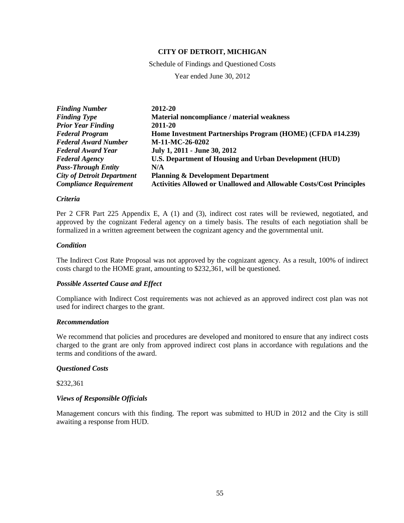Schedule of Findings and Questioned Costs

Year ended June 30, 2012

| <b>Finding Number</b>             | 2012-20                                                                    |
|-----------------------------------|----------------------------------------------------------------------------|
| <b>Finding Type</b>               | Material noncompliance / material weakness                                 |
| <b>Prior Year Finding</b>         | 2011-20                                                                    |
| <b>Federal Program</b>            | Home Investment Partnerships Program (HOME) (CFDA #14.239)                 |
| <b>Federal Award Number</b>       | M-11-MC-26-0202                                                            |
| <b>Federal Award Year</b>         | July 1, 2011 - June 30, 2012                                               |
| <b>Federal Agency</b>             | <b>U.S. Department of Housing and Urban Development (HUD)</b>              |
| <b>Pass-Through Entity</b>        | N/A                                                                        |
| <b>City of Detroit Department</b> | <b>Planning &amp; Development Department</b>                               |
| <b>Compliance Requirement</b>     | <b>Activities Allowed or Unallowed and Allowable Costs/Cost Principles</b> |

#### *Criteria*

Per 2 CFR Part 225 Appendix E, A (1) and (3), indirect cost rates will be reviewed, negotiated, and approved by the cognizant Federal agency on a timely basis. The results of each negotiation shall be formalized in a written agreement between the cognizant agency and the governmental unit.

### *Condition*

The Indirect Cost Rate Proposal was not approved by the cognizant agency. As a result, 100% of indirect costs chargd to the HOME grant, amounting to \$232,361, will be questioned.

## *Possible Asserted Cause and Effect*

Compliance with Indirect Cost requirements was not achieved as an approved indirect cost plan was not used for indirect charges to the grant.

### *Recommendation*

We recommend that policies and procedures are developed and monitored to ensure that any indirect costs charged to the grant are only from approved indirect cost plans in accordance with regulations and the terms and conditions of the award.

### *Questioned Costs*

\$232,361

### *Views of Responsible Officials*

Management concurs with this finding. The report was submitted to HUD in 2012 and the City is still awaiting a response from HUD.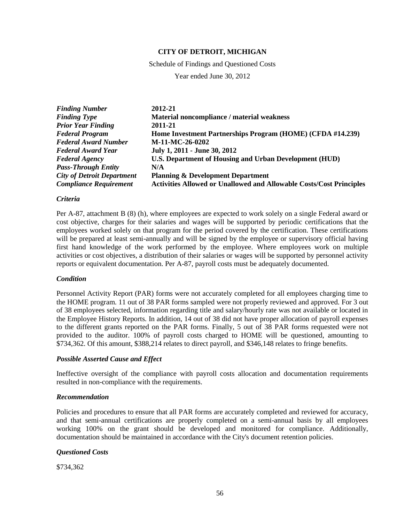Schedule of Findings and Questioned Costs

Year ended June 30, 2012

| <b>Finding Number</b>             | 2012-21                                                                    |
|-----------------------------------|----------------------------------------------------------------------------|
| <b>Finding Type</b>               | Material noncompliance / material weakness                                 |
| <b>Prior Year Finding</b>         | 2011-21                                                                    |
| <b>Federal Program</b>            | Home Investment Partnerships Program (HOME) (CFDA #14.239)                 |
| <b>Federal Award Number</b>       | M-11-MC-26-0202                                                            |
| <b>Federal Award Year</b>         | July 1, 2011 - June 30, 2012                                               |
| <b>Federal Agency</b>             | <b>U.S. Department of Housing and Urban Development (HUD)</b>              |
| <b>Pass-Through Entity</b>        | N/A                                                                        |
| <b>City of Detroit Department</b> | <b>Planning &amp; Development Department</b>                               |
| <b>Compliance Requirement</b>     | <b>Activities Allowed or Unallowed and Allowable Costs/Cost Principles</b> |

#### *Criteria*

Per A-87, attachment B (8) (h), where employees are expected to work solely on a single Federal award or cost objective, charges for their salaries and wages will be supported by periodic certifications that the employees worked solely on that program for the period covered by the certification. These certifications will be prepared at least semi-annually and will be signed by the employee or supervisory official having first hand knowledge of the work performed by the employee. Where employees work on multiple activities or cost objectives, a distribution of their salaries or wages will be supported by personnel activity reports or equivalent documentation. Per A-87, payroll costs must be adequately documented.

### *Condition*

Personnel Activity Report (PAR) forms were not accurately completed for all employees charging time to the HOME program. 11 out of 38 PAR forms sampled were not properly reviewed and approved. For 3 out of 38 employees selected, information regarding title and salary/hourly rate was not available or located in the Employee History Reports. In addition, 14 out of 38 did not have proper allocation of payroll expenses to the different grants reported on the PAR forms. Finally, 5 out of 38 PAR forms requested were not provided to the auditor. 100% of payroll costs charged to HOME will be questioned, amounting to \$734,362. Of this amount, \$388,214 relates to direct payroll, and \$346,148 relates to fringe benefits.

### *Possible Asserted Cause and Effect*

Ineffective oversight of the compliance with payroll costs allocation and documentation requirements resulted in non-compliance with the requirements.

### *Recommendation*

Policies and procedures to ensure that all PAR forms are accurately completed and reviewed for accuracy, and that semi-annual certifications are properly completed on a semi-annual basis by all employees working 100% on the grant should be developed and monitored for compliance. Additionally, documentation should be maintained in accordance with the City's document retention policies.

### *Questioned Costs*

\$734,362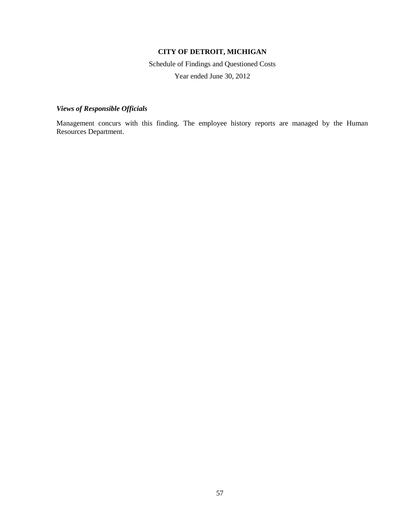Schedule of Findings and Questioned Costs Year ended June 30, 2012

# *Views of Responsible Officials*

Management concurs with this finding. The employee history reports are managed by the Human Resources Department.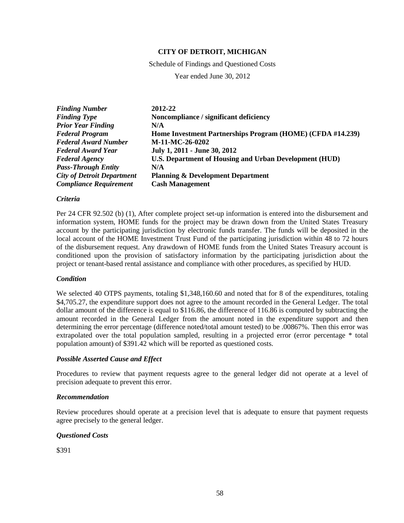Schedule of Findings and Questioned Costs

Year ended June 30, 2012

| <b>Finding Number</b>             | 2012-22                                                       |
|-----------------------------------|---------------------------------------------------------------|
| <b>Finding Type</b>               | Noncompliance / significant deficiency                        |
| <b>Prior Year Finding</b>         | N/A                                                           |
| <b>Federal Program</b>            | Home Investment Partnerships Program (HOME) (CFDA #14.239)    |
| <b>Federal Award Number</b>       | M-11-MC-26-0202                                               |
| <b>Federal Award Year</b>         | July 1, 2011 - June 30, 2012                                  |
| <b>Federal Agency</b>             | <b>U.S. Department of Housing and Urban Development (HUD)</b> |
| <b>Pass-Through Entity</b>        | N/A                                                           |
| <b>City of Detroit Department</b> | <b>Planning &amp; Development Department</b>                  |
| <b>Compliance Requirement</b>     | <b>Cash Management</b>                                        |

#### *Criteria*

Per 24 CFR 92.502 (b) (1), After complete project set-up information is entered into the disbursement and information system, HOME funds for the project may be drawn down from the United States Treasury account by the participating jurisdiction by electronic funds transfer. The funds will be deposited in the local account of the HOME Investment Trust Fund of the participating jurisdiction within 48 to 72 hours of the disbursement request. Any drawdown of HOME funds from the United States Treasury account is conditioned upon the provision of satisfactory information by the participating jurisdiction about the project or tenant-based rental assistance and compliance with other procedures, as specified by HUD.

### *Condition*

We selected 40 OTPS payments, totaling \$1,348,160.60 and noted that for 8 of the expenditures, totaling \$4,705.27, the expenditure support does not agree to the amount recorded in the General Ledger. The total dollar amount of the difference is equal to \$116.86, the difference of 116.86 is computed by subtracting the amount recorded in the General Ledger from the amount noted in the expenditure support and then determining the error percentage (difference noted/total amount tested) to be .00867%. Then this error was extrapolated over the total population sampled, resulting in a projected error (error percentage \* total population amount) of \$391.42 which will be reported as questioned costs.

### *Possible Asserted Cause and Effect*

Procedures to review that payment requests agree to the general ledger did not operate at a level of precision adequate to prevent this error.

### *Recommendation*

Review procedures should operate at a precision level that is adequate to ensure that payment requests agree precisely to the general ledger.

### *Questioned Costs*

\$391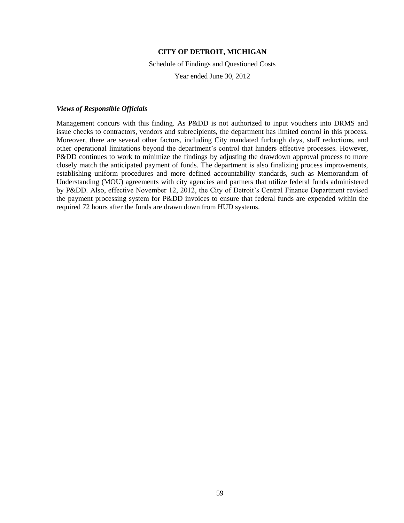Schedule of Findings and Questioned Costs Year ended June 30, 2012

## *Views of Responsible Officials*

Management concurs with this finding. As P&DD is not authorized to input vouchers into DRMS and issue checks to contractors, vendors and subrecipients, the department has limited control in this process. Moreover, there are several other factors, including City mandated furlough days, staff reductions, and other operational limitations beyond the department's control that hinders effective processes. However, P&DD continues to work to minimize the findings by adjusting the drawdown approval process to more closely match the anticipated payment of funds. The department is also finalizing process improvements, establishing uniform procedures and more defined accountability standards, such as Memorandum of Understanding (MOU) agreements with city agencies and partners that utilize federal funds administered by P&DD. Also, effective November 12, 2012, the City of Detroit's Central Finance Department revised the payment processing system for P&DD invoices to ensure that federal funds are expended within the required 72 hours after the funds are drawn down from HUD systems.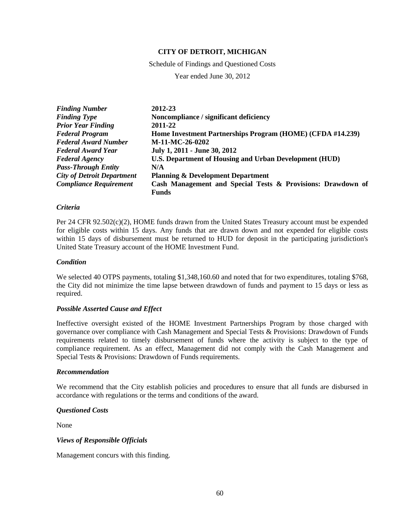Schedule of Findings and Questioned Costs

Year ended June 30, 2012

| <b>Finding Number</b>             | 2012-23                                                       |
|-----------------------------------|---------------------------------------------------------------|
| <b>Finding Type</b>               | Noncompliance / significant deficiency                        |
| <b>Prior Year Finding</b>         | 2011-22                                                       |
| <b>Federal Program</b>            | Home Investment Partnerships Program (HOME) (CFDA #14.239)    |
| <b>Federal Award Number</b>       | M-11-MC-26-0202                                               |
| <b>Federal Award Year</b>         | July 1, 2011 - June 30, 2012                                  |
| <b>Federal Agency</b>             | <b>U.S. Department of Housing and Urban Development (HUD)</b> |
| <b>Pass-Through Entity</b>        | N/A                                                           |
| <b>City of Detroit Department</b> | <b>Planning &amp; Development Department</b>                  |
| <b>Compliance Requirement</b>     | Cash Management and Special Tests & Provisions: Drawdown of   |
|                                   | Funds                                                         |

### *Criteria*

Per 24 CFR 92.502(c)(2), HOME funds drawn from the United States Treasury account must be expended for eligible costs within 15 days. Any funds that are drawn down and not expended for eligible costs within 15 days of disbursement must be returned to HUD for deposit in the participating jurisdiction's United State Treasury account of the HOME Investment Fund.

#### *Condition*

We selected 40 OTPS payments, totaling \$1,348,160.60 and noted that for two expenditures, totaling \$768, the City did not minimize the time lapse between drawdown of funds and payment to 15 days or less as required.

### *Possible Asserted Cause and Effect*

Ineffective oversight existed of the HOME Investment Partnerships Program by those charged with governance over compliance with Cash Management and Special Tests & Provisions: Drawdown of Funds requirements related to timely disbursement of funds where the activity is subject to the type of compliance requirement. As an effect, Management did not comply with the Cash Management and Special Tests & Provisions: Drawdown of Funds requirements.

### *Recommendation*

We recommend that the City establish policies and procedures to ensure that all funds are disbursed in accordance with regulations or the terms and conditions of the award.

### *Questioned Costs*

None

### *Views of Responsible Officials*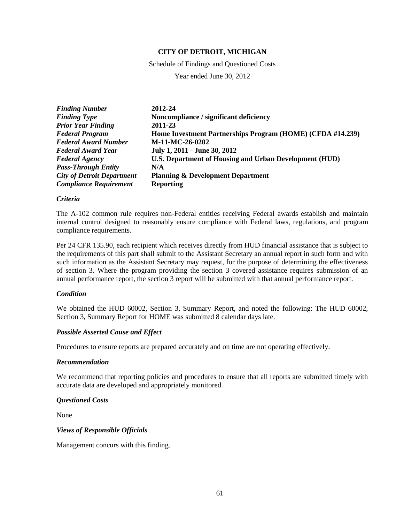Schedule of Findings and Questioned Costs

Year ended June 30, 2012

| <b>Finding Number</b>             | 2012-24                                                    |
|-----------------------------------|------------------------------------------------------------|
| <b>Finding Type</b>               | Noncompliance / significant deficiency                     |
| <b>Prior Year Finding</b>         | 2011-23                                                    |
| <b>Federal Program</b>            | Home Investment Partnerships Program (HOME) (CFDA #14.239) |
| <b>Federal Award Number</b>       | M-11-MC-26-0202                                            |
| <b>Federal Award Year</b>         | July 1, 2011 - June 30, 2012                               |
| <b>Federal Agency</b>             | U.S. Department of Housing and Urban Development (HUD)     |
| <b>Pass-Through Entity</b>        | N/A                                                        |
| <b>City of Detroit Department</b> | <b>Planning &amp; Development Department</b>               |
| <b>Compliance Requirement</b>     | <b>Reporting</b>                                           |

#### *Criteria*

The A-102 common rule requires non-Federal entities receiving Federal awards establish and maintain internal control designed to reasonably ensure compliance with Federal laws, regulations, and program compliance requirements.

Per 24 CFR 135.90, each recipient which receives directly from HUD financial assistance that is subject to the requirements of this part shall submit to the Assistant Secretary an annual report in such form and with such information as the Assistant Secretary may request, for the purpose of determining the effectiveness of section 3. Where the program providing the section 3 covered assistance requires submission of an annual performance report, the section 3 report will be submitted with that annual performance report.

### *Condition*

We obtained the HUD 60002, Section 3, Summary Report, and noted the following: The HUD 60002, Section 3, Summary Report for HOME was submitted 8 calendar days late.

### *Possible Asserted Cause and Effect*

Procedures to ensure reports are prepared accurately and on time are not operating effectively.

#### *Recommendation*

We recommend that reporting policies and procedures to ensure that all reports are submitted timely with accurate data are developed and appropriately monitored.

### *Questioned Costs*

None

### *Views of Responsible Officials*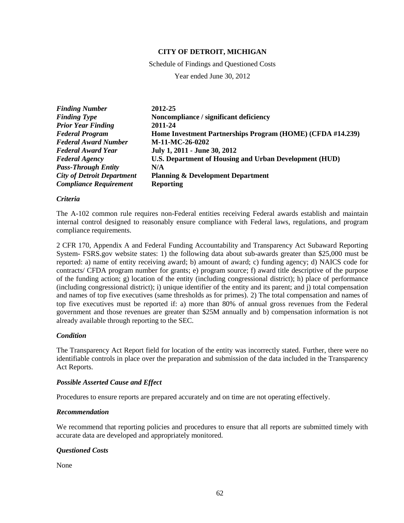Schedule of Findings and Questioned Costs

Year ended June 30, 2012

| <b>Finding Number</b>             | 2012-25                                                       |
|-----------------------------------|---------------------------------------------------------------|
| <b>Finding Type</b>               | Noncompliance / significant deficiency                        |
| <b>Prior Year Finding</b>         | 2011-24                                                       |
| <b>Federal Program</b>            | Home Investment Partnerships Program (HOME) (CFDA #14.239)    |
| <b>Federal Award Number</b>       | M-11-MC-26-0202                                               |
| <b>Federal Award Year</b>         | July 1, 2011 - June 30, 2012                                  |
| <b>Federal Agency</b>             | <b>U.S. Department of Housing and Urban Development (HUD)</b> |
| <b>Pass-Through Entity</b>        | N/A                                                           |
| <b>City of Detroit Department</b> | <b>Planning &amp; Development Department</b>                  |
| <b>Compliance Requirement</b>     | <b>Reporting</b>                                              |

#### *Criteria*

The A-102 common rule requires non-Federal entities receiving Federal awards establish and maintain internal control designed to reasonably ensure compliance with Federal laws, regulations, and program compliance requirements.

2 CFR 170, Appendix A and Federal Funding Accountability and Transparency Act Subaward Reporting System- FSRS.gov website states: 1) the following data about sub-awards greater than \$25,000 must be reported: a) name of entity receiving award; b) amount of award; c) funding agency; d) NAICS code for contracts/ CFDA program number for grants; e) program source; f) award title descriptive of the purpose of the funding action; g) location of the entity (including congressional district); h) place of performance (including congressional district); i) unique identifier of the entity and its parent; and j) total compensation and names of top five executives (same thresholds as for primes). 2) The total compensation and names of top five executives must be reported if: a) more than 80% of annual gross revenues from the Federal government and those revenues are greater than \$25M annually and b) compensation information is not already available through reporting to the SEC.

### *Condition*

The Transparency Act Report field for location of the entity was incorrectly stated. Further, there were no identifiable controls in place over the preparation and submission of the data included in the Transparency Act Reports.

## *Possible Asserted Cause and Effect*

Procedures to ensure reports are prepared accurately and on time are not operating effectively.

### *Recommendation*

We recommend that reporting policies and procedures to ensure that all reports are submitted timely with accurate data are developed and appropriately monitored.

## *Questioned Costs*

None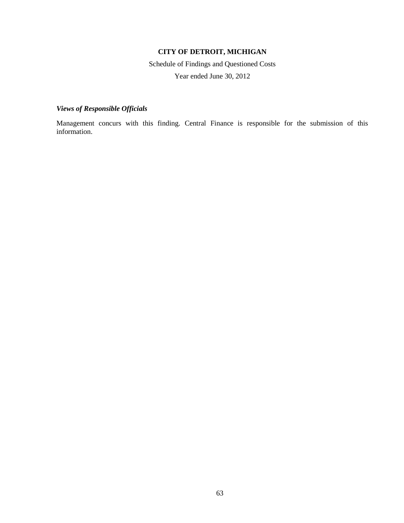Schedule of Findings and Questioned Costs Year ended June 30, 2012

*Views of Responsible Officials* 

Management concurs with this finding. Central Finance is responsible for the submission of this information.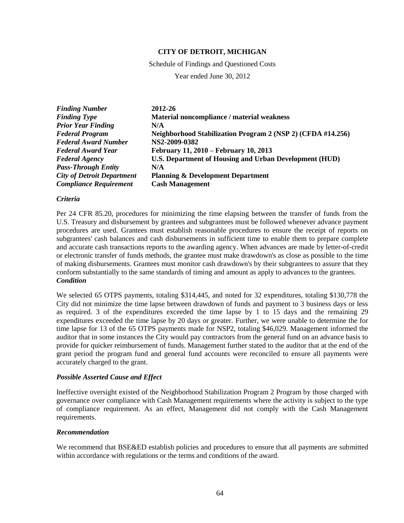Schedule of Findings and Questioned Costs

Year ended June 30, 2012

| <b>Finding Number</b>             | 2012-26                                                       |
|-----------------------------------|---------------------------------------------------------------|
| <b>Finding Type</b>               | Material noncompliance / material weakness                    |
| <b>Prior Year Finding</b>         | N/A                                                           |
| <b>Federal Program</b>            | Neighborhood Stabilization Program 2 (NSP 2) (CFDA #14.256)   |
| <b>Federal Award Number</b>       | NS2-2009-0382                                                 |
| <b>Federal Award Year</b>         | February 11, 2010 – February 10, 2013                         |
| <b>Federal Agency</b>             | <b>U.S. Department of Housing and Urban Development (HUD)</b> |
| <b>Pass-Through Entity</b>        | N/A                                                           |
| <b>City of Detroit Department</b> | <b>Planning &amp; Development Department</b>                  |
| <b>Compliance Requirement</b>     | <b>Cash Management</b>                                        |

#### *Criteria*

Per 24 CFR 85.20, procedures for minimizing the time elapsing between the transfer of funds from the U.S. Treasury and disbursement by grantees and subgrantees must be followed whenever advance payment procedures are used. Grantees must establish reasonable procedures to ensure the receipt of reports on subgrantees' cash balances and cash disbursements in sufficient time to enable them to prepare complete and accurate cash transactions reports to the awarding agency. When advances are made by letter-of-credit or electronic transfer of funds methods, the grantee must make drawdown's as close as possible to the time of making disbursements. Grantees must monitor cash drawdown's by their subgrantees to assure that they conform substantially to the same standards of timing and amount as apply to advances to the grantees. *Condition* 

We selected 65 OTPS payments, totaling \$314,445, and noted for 32 expenditures, totaling \$130,778 the City did not minimize the time lapse between drawdown of funds and payment to 3 business days or less as required. 3 of the expenditures exceeded the time lapse by 1 to 15 days and the remaining 29 expenditures exceeded the time lapse by 20 days or greater. Further, we were unable to determine the for time lapse for 13 of the 65 OTPS payments made for NSP2, totaling \$46,029. Management informed the auditor that in some instances the City would pay contractors from the general fund on an advance basis to provide for quicker reimbursement of funds. Management further stated to the auditor that at the end of the grant period the program fund and general fund accounts were reconciled to ensure all payments were accurately charged to the grant.

### *Possible Asserted Cause and Effect*

Ineffective oversight existed of the Neighborhood Stabilization Program 2 Program by those charged with governance over compliance with Cash Management requirements where the activity is subject to the type of compliance requirement. As an effect, Management did not comply with the Cash Management requirements.

### *Recommendation*

We recommend that BSE&ED establish policies and procedures to ensure that all payments are submitted within accordance with regulations or the terms and conditions of the award.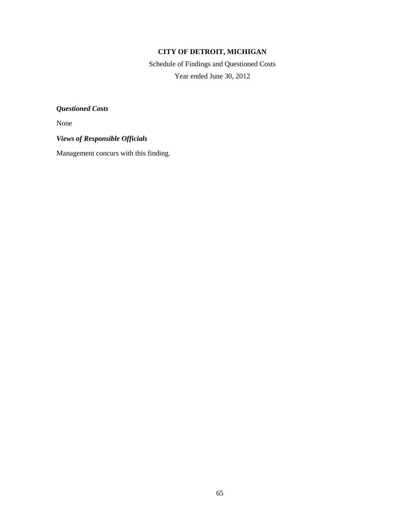Schedule of Findings and Questioned Costs Year ended June 30, 2012

*Questioned Costs* 

None

*Views of Responsible Officials*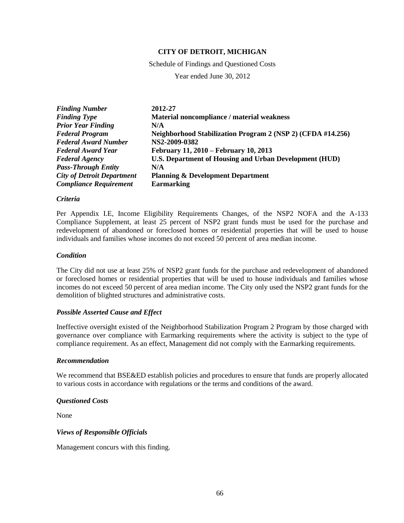Schedule of Findings and Questioned Costs

Year ended June 30, 2012

| <b>Finding Number</b>             | 2012-27                                                     |
|-----------------------------------|-------------------------------------------------------------|
| <b>Finding Type</b>               | Material noncompliance / material weakness                  |
| <b>Prior Year Finding</b>         | N/A                                                         |
| <b>Federal Program</b>            | Neighborhood Stabilization Program 2 (NSP 2) (CFDA #14.256) |
| <b>Federal Award Number</b>       | NS2-2009-0382                                               |
| <b>Federal Award Year</b>         | February 11, 2010 – February 10, 2013                       |
| <b>Federal Agency</b>             | U.S. Department of Housing and Urban Development (HUD)      |
| <b>Pass-Through Entity</b>        | N/A                                                         |
| <b>City of Detroit Department</b> | <b>Planning &amp; Development Department</b>                |
| <b>Compliance Requirement</b>     | <b>Earmarking</b>                                           |

#### *Criteria*

Per Appendix I.E, Income Eligibility Requirements Changes, of the NSP2 NOFA and the A-133 Compliance Supplement, at least 25 percent of NSP2 grant funds must be used for the purchase and redevelopment of abandoned or foreclosed homes or residential properties that will be used to house individuals and families whose incomes do not exceed 50 percent of area median income.

## *Condition*

The City did not use at least 25% of NSP2 grant funds for the purchase and redevelopment of abandoned or foreclosed homes or residential properties that will be used to house individuals and families whose incomes do not exceed 50 percent of area median income. The City only used the NSP2 grant funds for the demolition of blighted structures and administrative costs.

### *Possible Asserted Cause and Effect*

Ineffective oversight existed of the Neighborhood Stabilization Program 2 Program by those charged with governance over compliance with Earmarking requirements where the activity is subject to the type of compliance requirement. As an effect, Management did not comply with the Earmarking requirements.

### *Recommendation*

We recommend that BSE&ED establish policies and procedures to ensure that funds are properly allocated to various costs in accordance with regulations or the terms and conditions of the award.

### *Questioned Costs*

None

*Views of Responsible Officials*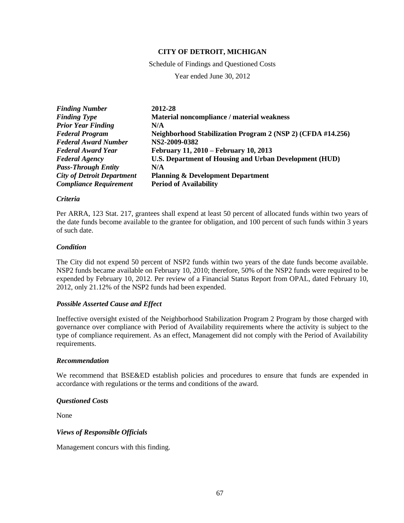Schedule of Findings and Questioned Costs

Year ended June 30, 2012

| <b>Finding Number</b>             | 2012-28                                                       |
|-----------------------------------|---------------------------------------------------------------|
| <b>Finding Type</b>               | Material noncompliance / material weakness                    |
| <b>Prior Year Finding</b>         | N/A                                                           |
| <b>Federal Program</b>            | Neighborhood Stabilization Program 2 (NSP 2) (CFDA #14.256)   |
| <b>Federal Award Number</b>       | NS2-2009-0382                                                 |
| <b>Federal Award Year</b>         | February 11, 2010 – February 10, 2013                         |
| <b>Federal Agency</b>             | <b>U.S. Department of Housing and Urban Development (HUD)</b> |
| <b>Pass-Through Entity</b>        | N/A                                                           |
| <b>City of Detroit Department</b> | <b>Planning &amp; Development Department</b>                  |
| <b>Compliance Requirement</b>     | <b>Period of Availability</b>                                 |

#### *Criteria*

Per ARRA, 123 Stat. 217, grantees shall expend at least 50 percent of allocated funds within two years of the date funds become available to the grantee for obligation, and 100 percent of such funds within 3 years of such date.

### *Condition*

The City did not expend 50 percent of NSP2 funds within two years of the date funds become available. NSP2 funds became available on February 10, 2010; therefore, 50% of the NSP2 funds were required to be expended by February 10, 2012. Per review of a Financial Status Report from OPAL, dated February 10, 2012, only 21.12% of the NSP2 funds had been expended.

### *Possible Asserted Cause and Effect*

Ineffective oversight existed of the Neighborhood Stabilization Program 2 Program by those charged with governance over compliance with Period of Availability requirements where the activity is subject to the type of compliance requirement. As an effect, Management did not comply with the Period of Availability requirements.

### *Recommendation*

We recommend that BSE&ED establish policies and procedures to ensure that funds are expended in accordance with regulations or the terms and conditions of the award.

### *Questioned Costs*

None

### *Views of Responsible Officials*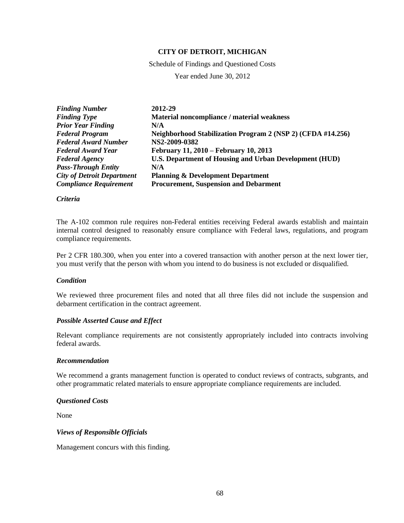Schedule of Findings and Questioned Costs

Year ended June 30, 2012

| <b>Finding Number</b>             | 2012-29                                                       |
|-----------------------------------|---------------------------------------------------------------|
| <b>Finding Type</b>               | Material noncompliance / material weakness                    |
| <b>Prior Year Finding</b>         | N/A                                                           |
| <b>Federal Program</b>            | Neighborhood Stabilization Program 2 (NSP 2) (CFDA #14.256)   |
| <b>Federal Award Number</b>       | NS2-2009-0382                                                 |
| <b>Federal Award Year</b>         | February 11, 2010 – February 10, 2013                         |
| <b>Federal Agency</b>             | <b>U.S. Department of Housing and Urban Development (HUD)</b> |
| <b>Pass-Through Entity</b>        | N/A                                                           |
| <b>City of Detroit Department</b> | <b>Planning &amp; Development Department</b>                  |
| <b>Compliance Requirement</b>     | <b>Procurement, Suspension and Debarment</b>                  |

#### *Criteria*

The A-102 common rule requires non-Federal entities receiving Federal awards establish and maintain internal control designed to reasonably ensure compliance with Federal laws, regulations, and program compliance requirements.

Per 2 CFR 180.300, when you enter into a covered transaction with another person at the next lower tier, you must verify that the person with whom you intend to do business is not excluded or disqualified.

### *Condition*

We reviewed three procurement files and noted that all three files did not include the suspension and debarment certification in the contract agreement.

### *Possible Asserted Cause and Effect*

Relevant compliance requirements are not consistently appropriately included into contracts involving federal awards.

### *Recommendation*

We recommend a grants management function is operated to conduct reviews of contracts, subgrants, and other programmatic related materials to ensure appropriate compliance requirements are included.

### *Questioned Costs*

None

### *Views of Responsible Officials*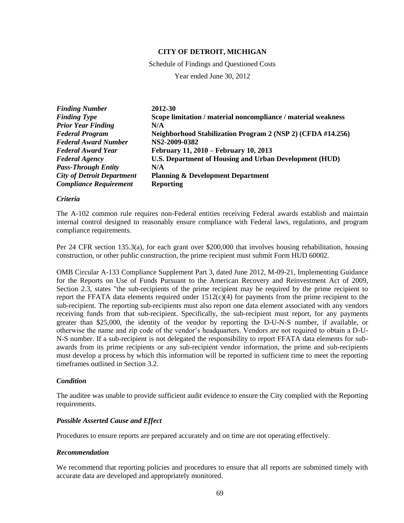Schedule of Findings and Questioned Costs

Year ended June 30, 2012

| <b>Finding Number</b>             | 2012-30                                                       |
|-----------------------------------|---------------------------------------------------------------|
| <b>Finding Type</b>               | Scope limitation / material noncompliance / material weakness |
| <b>Prior Year Finding</b>         | N/A                                                           |
| <b>Federal Program</b>            | Neighborhood Stabilization Program 2 (NSP 2) (CFDA #14.256)   |
| <b>Federal Award Number</b>       | NS2-2009-0382                                                 |
| <b>Federal Award Year</b>         | February 11, 2010 – February 10, 2013                         |
| <b>Federal Agency</b>             | <b>U.S. Department of Housing and Urban Development (HUD)</b> |
| <b>Pass-Through Entity</b>        | N/A                                                           |
| <b>City of Detroit Department</b> | <b>Planning &amp; Development Department</b>                  |
| <b>Compliance Requirement</b>     | <b>Reporting</b>                                              |

#### *Criteria*

The A-102 common rule requires non-Federal entities receiving Federal awards establish and maintain internal control designed to reasonably ensure compliance with Federal laws, regulations, and program compliance requirements.

Per 24 CFR section 135.3(a), for each grant over \$200,000 that involves housing rehabilitation, housing construction, or other public construction, the prime recipient must submit Form HUD 60002.

OMB Circular A-133 Compliance Supplement Part 3, dated June 2012, M-09-21, Implementing Guidance for the Reports on Use of Funds Pursuant to the American Recovery and Reinvestment Act of 2009, Section 2.3, states "the sub-recipients of the prime recipient may be required by the prime recipient to report the FFATA data elements required under  $1512(c)(4)$  for payments from the prime recipient to the sub-recipient. The reporting sub-recipients must also report one data element associated with any vendors receiving funds from that sub-recipient. Specifically, the sub-recipient must report, for any payments greater than \$25,000, the identity of the vendor by reporting the D-U-N-S number, if available, or otherwise the name and zip code of the vendor's headquarters. Vendors are not required to obtain a D-U-N-S number. If a sub-recipient is not delegated the responsibility to report FFATA data elements for subawards from its prime recipients or any sub-recipient vendor information, the prime and sub-recipients must develop a process by which this information will be reported in sufficient time to meet the reporting timeframes outlined in Section 3.2.

## *Condition*

The auditee was unable to provide sufficient audit evidence to ensure the City complied with the Reporting requirements.

## *Possible Asserted Cause and Effect*

Procedures to ensure reports are prepared accurately and on time are not operating effectively.

### *Recommendation*

We recommend that reporting policies and procedures to ensure that all reports are submitted timely with accurate data are developed and appropriately monitored.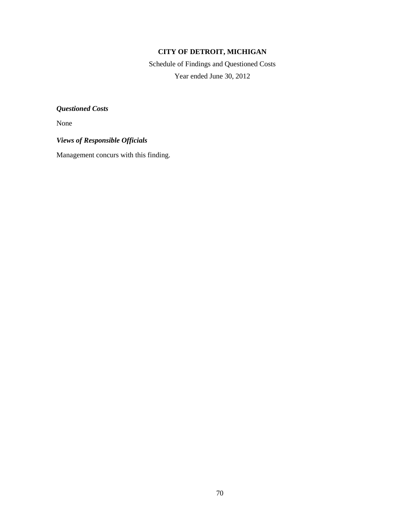Schedule of Findings and Questioned Costs Year ended June 30, 2012

*Questioned Costs* 

None

*Views of Responsible Officials*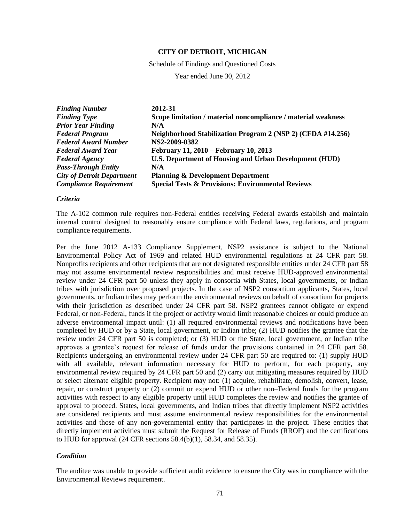Schedule of Findings and Questioned Costs

Year ended June 30, 2012

| <b>Finding Number</b>             | 2012-31                                                       |
|-----------------------------------|---------------------------------------------------------------|
| <b>Finding Type</b>               | Scope limitation / material noncompliance / material weakness |
| <b>Prior Year Finding</b>         | N/A                                                           |
| <b>Federal Program</b>            | Neighborhood Stabilization Program 2 (NSP 2) (CFDA #14.256)   |
| <b>Federal Award Number</b>       | NS2-2009-0382                                                 |
| <b>Federal Award Year</b>         | February 11, 2010 – February 10, 2013                         |
| <b>Federal Agency</b>             | U.S. Department of Housing and Urban Development (HUD)        |
| <b>Pass-Through Entity</b>        | N/A                                                           |
| <b>City of Detroit Department</b> | <b>Planning &amp; Development Department</b>                  |
| <b>Compliance Requirement</b>     | <b>Special Tests &amp; Provisions: Environmental Reviews</b>  |

#### *Criteria*

The A-102 common rule requires non-Federal entities receiving Federal awards establish and maintain internal control designed to reasonably ensure compliance with Federal laws, regulations, and program compliance requirements.

Per the June 2012 A-133 Compliance Supplement, NSP2 assistance is subject to the National Environmental Policy Act of 1969 and related HUD environmental regulations at 24 CFR part 58. Nonprofits recipients and other recipients that are not designated responsible entities under 24 CFR part 58 may not assume environmental review responsibilities and must receive HUD-approved environmental review under 24 CFR part 50 unless they apply in consortia with States, local governments, or Indian tribes with jurisdiction over proposed projects. In the case of NSP2 consortium applicants, States, local governments, or Indian tribes may perform the environmental reviews on behalf of consortium for projects with their jurisdiction as described under 24 CFR part 58. NSP2 grantees cannot obligate or expend Federal, or non-Federal, funds if the project or activity would limit reasonable choices or could produce an adverse environmental impact until: (1) all required environmental reviews and notifications have been completed by HUD or by a State, local government, or Indian tribe; (2) HUD notifies the grantee that the review under 24 CFR part 50 is completed; or (3) HUD or the State, local government, or Indian tribe approves a grantee's request for release of funds under the provisions contained in 24 CFR part 58. Recipients undergoing an environmental review under 24 CFR part 50 are required to: (1) supply HUD with all available, relevant information necessary for HUD to perform, for each property, any environmental review required by 24 CFR part 50 and (2) carry out mitigating measures required by HUD or select alternate eligible property. Recipient may not: (1) acquire, rehabilitate, demolish, convert, lease, repair, or construct property or (2) commit or expend HUD or other non–Federal funds for the program activities with respect to any eligible property until HUD completes the review and notifies the grantee of approval to proceed. States, local governments, and Indian tribes that directly implement NSP2 activities are considered recipients and must assume environmental review responsibilities for the environmental activities and those of any non-governmental entity that participates in the project. These entities that directly implement activities must submit the Request for Release of Funds (RROF) and the certifications to HUD for approval (24 CFR sections 58.4(b)(1), 58.34, and 58.35).

#### *Condition*

The auditee was unable to provide sufficient audit evidence to ensure the City was in compliance with the Environmental Reviews requirement.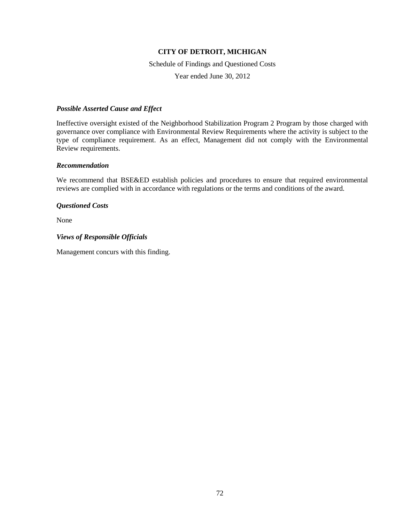Schedule of Findings and Questioned Costs Year ended June 30, 2012

# *Possible Asserted Cause and Effect*

Ineffective oversight existed of the Neighborhood Stabilization Program 2 Program by those charged with governance over compliance with Environmental Review Requirements where the activity is subject to the type of compliance requirement. As an effect, Management did not comply with the Environmental Review requirements.

# *Recommendation*

We recommend that BSE&ED establish policies and procedures to ensure that required environmental reviews are complied with in accordance with regulations or the terms and conditions of the award.

# *Questioned Costs*

None

# *Views of Responsible Officials*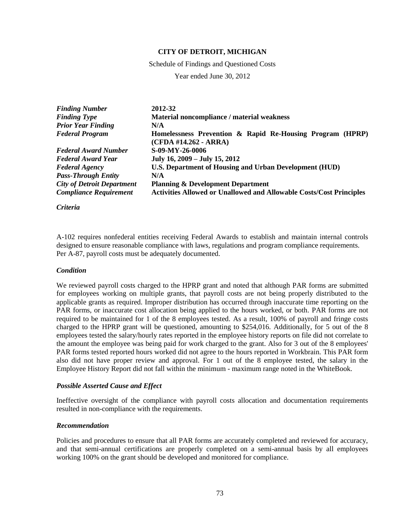Schedule of Findings and Questioned Costs

Year ended June 30, 2012

| <b>Finding Number</b>             | 2012-32                                                                            |
|-----------------------------------|------------------------------------------------------------------------------------|
| <b>Finding Type</b>               | Material noncompliance / material weakness                                         |
| <b>Prior Year Finding</b>         | N/A                                                                                |
| <b>Federal Program</b>            | Homelessness Prevention & Rapid Re-Housing Program (HPRP)<br>(CFDA #14.262 - ARRA) |
| <b>Federal Award Number</b>       | S-09-MY-26-0006                                                                    |
| <b>Federal Award Year</b>         | July 16, 2009 – July 15, 2012                                                      |
| <b>Federal Agency</b>             | U.S. Department of Housing and Urban Development (HUD)                             |
| <b>Pass-Through Entity</b>        | N/A                                                                                |
| <b>City of Detroit Department</b> | <b>Planning &amp; Development Department</b>                                       |
| <b>Compliance Requirement</b>     | <b>Activities Allowed or Unallowed and Allowable Costs/Cost Principles</b>         |

*Criteria* 

A-102 requires nonfederal entities receiving Federal Awards to establish and maintain internal controls designed to ensure reasonable compliance with laws, regulations and program compliance requirements. Per A-87, payroll costs must be adequately documented.

## *Condition*

We reviewed payroll costs charged to the HPRP grant and noted that although PAR forms are submitted for employees working on multiple grants, that payroll costs are not being properly distributed to the applicable grants as required. Improper distribution has occurred through inaccurate time reporting on the PAR forms, or inaccurate cost allocation being applied to the hours worked, or both. PAR forms are not required to be maintained for 1 of the 8 employees tested. As a result, 100% of payroll and fringe costs charged to the HPRP grant will be questioned, amounting to \$254,016. Additionally, for 5 out of the 8 employees tested the salary/hourly rates reported in the employee history reports on file did not correlate to the amount the employee was being paid for work charged to the grant. Also for 3 out of the 8 employees' PAR forms tested reported hours worked did not agree to the hours reported in Workbrain. This PAR form also did not have proper review and approval. For 1 out of the 8 employee tested, the salary in the Employee History Report did not fall within the minimum - maximum range noted in the WhiteBook.

# *Possible Asserted Cause and Effect*

Ineffective oversight of the compliance with payroll costs allocation and documentation requirements resulted in non-compliance with the requirements.

# *Recommendation*

Policies and procedures to ensure that all PAR forms are accurately completed and reviewed for accuracy, and that semi-annual certifications are properly completed on a semi-annual basis by all employees working 100% on the grant should be developed and monitored for compliance.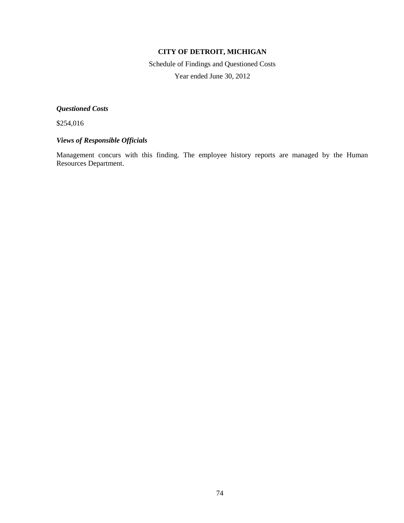Schedule of Findings and Questioned Costs Year ended June 30, 2012

# *Questioned Costs*

\$254,016

# *Views of Responsible Officials*

Management concurs with this finding. The employee history reports are managed by the Human Resources Department.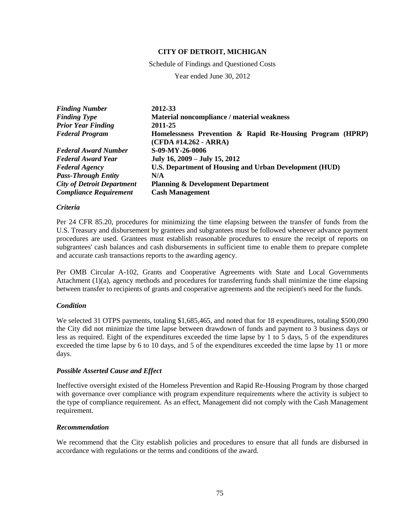Schedule of Findings and Questioned Costs

Year ended June 30, 2012

| <b>Finding Number</b>             | 2012-33                                                                            |
|-----------------------------------|------------------------------------------------------------------------------------|
| <b>Finding Type</b>               | Material noncompliance / material weakness                                         |
| <b>Prior Year Finding</b>         | 2011-25                                                                            |
| <b>Federal Program</b>            | Homelessness Prevention & Rapid Re-Housing Program (HPRP)<br>(CFDA #14.262 - ARRA) |
| <b>Federal Award Number</b>       | S-09-MY-26-0006                                                                    |
| <b>Federal Award Year</b>         | July 16, 2009 – July 15, 2012                                                      |
| <b>Federal Agency</b>             | <b>U.S. Department of Housing and Urban Development (HUD)</b>                      |
| <b>Pass-Through Entity</b>        | N/A                                                                                |
| <b>City of Detroit Department</b> | <b>Planning &amp; Development Department</b>                                       |
| <b>Compliance Requirement</b>     | <b>Cash Management</b>                                                             |

## *Criteria*

Per 24 CFR 85.20, procedures for minimizing the time elapsing between the transfer of funds from the U.S. Treasury and disbursement by grantees and subgrantees must be followed whenever advance payment procedures are used. Grantees must establish reasonable procedures to ensure the receipt of reports on subgrantees' cash balances and cash disbursements in sufficient time to enable them to prepare complete and accurate cash transactions reports to the awarding agency.

Per OMB Circular A-102, Grants and Cooperative Agreements with State and Local Governments Attachment (1)(a), agency methods and procedures for transferring funds shall minimize the time elapsing between transfer to recipients of grants and cooperative agreements and the recipient's need for the funds.

## *Condition*

We selected 31 OTPS payments, totaling \$1,685,465, and noted that for 18 expenditures, totaling \$500,090 the City did not minimize the time lapse between drawdown of funds and payment to 3 business days or less as required. Eight of the expenditures exceeded the time lapse by 1 to 5 days, 5 of the expenditures exceeded the time lapse by 6 to 10 days, and 5 of the expenditures exceeded the time lapse by 11 or more days.

# *Possible Asserted Cause and Effect*

Ineffective oversight existed of the Homeless Prevention and Rapid Re-Housing Program by those charged with governance over compliance with program expenditure requirements where the activity is subject to the type of compliance requirement. As an effect, Management did not comply with the Cash Management requirement.

## *Recommendation*

We recommend that the City establish policies and procedures to ensure that all funds are disbursed in accordance with regulations or the terms and conditions of the award.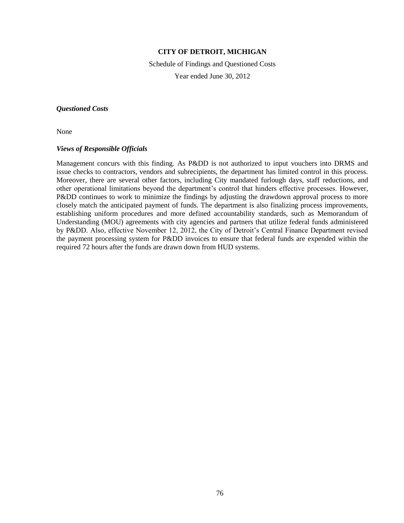Schedule of Findings and Questioned Costs Year ended June 30, 2012

# *Questioned Costs*

None

# *Views of Responsible Officials*

Management concurs with this finding. As P&DD is not authorized to input vouchers into DRMS and issue checks to contractors, vendors and subrecipients, the department has limited control in this process. Moreover, there are several other factors, including City mandated furlough days, staff reductions, and other operational limitations beyond the department's control that hinders effective processes. However, P&DD continues to work to minimize the findings by adjusting the drawdown approval process to more closely match the anticipated payment of funds. The department is also finalizing process improvements, establishing uniform procedures and more defined accountability standards, such as Memorandum of Understanding (MOU) agreements with city agencies and partners that utilize federal funds administered by P&DD. Also, effective November 12, 2012, the City of Detroit's Central Finance Department revised the payment processing system for P&DD invoices to ensure that federal funds are expended within the required 72 hours after the funds are drawn down from HUD systems.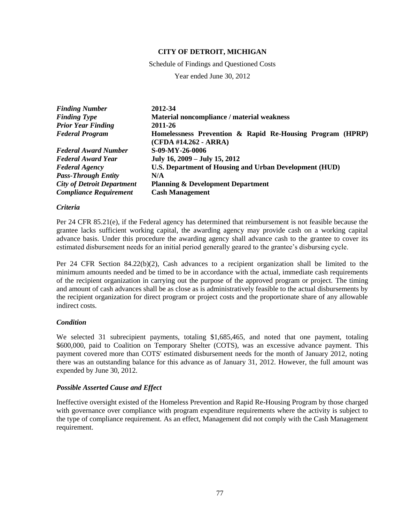Schedule of Findings and Questioned Costs

Year ended June 30, 2012

| <b>Finding Number</b>             | 2012-34                                                                            |
|-----------------------------------|------------------------------------------------------------------------------------|
| <b>Finding Type</b>               | Material noncompliance / material weakness                                         |
| <b>Prior Year Finding</b>         | 2011-26                                                                            |
| <b>Federal Program</b>            | Homelessness Prevention & Rapid Re-Housing Program (HPRP)<br>(CFDA #14.262 - ARRA) |
| <b>Federal Award Number</b>       | S-09-MY-26-0006                                                                    |
| <b>Federal Award Year</b>         | July 16, 2009 – July 15, 2012                                                      |
| <b>Federal Agency</b>             | U.S. Department of Housing and Urban Development (HUD)                             |
| <b>Pass-Through Entity</b>        | N/A                                                                                |
| <b>City of Detroit Department</b> | <b>Planning &amp; Development Department</b>                                       |
| <b>Compliance Requirement</b>     | <b>Cash Management</b>                                                             |

## *Criteria*

Per 24 CFR 85.21(e), if the Federal agency has determined that reimbursement is not feasible because the grantee lacks sufficient working capital, the awarding agency may provide cash on a working capital advance basis. Under this procedure the awarding agency shall advance cash to the grantee to cover its estimated disbursement needs for an initial period generally geared to the grantee's disbursing cycle.

Per 24 CFR Section 84.22(b)(2), Cash advances to a recipient organization shall be limited to the minimum amounts needed and be timed to be in accordance with the actual, immediate cash requirements of the recipient organization in carrying out the purpose of the approved program or project. The timing and amount of cash advances shall be as close as is administratively feasible to the actual disbursements by the recipient organization for direct program or project costs and the proportionate share of any allowable indirect costs.

## *Condition*

We selected 31 subrecipient payments, totaling \$1,685,465, and noted that one payment, totaling \$600,000, paid to Coalition on Temporary Shelter (COTS), was an excessive advance payment. This payment covered more than COTS' estimated disbursement needs for the month of January 2012, noting there was an outstanding balance for this advance as of January 31, 2012. However, the full amount was expended by June 30, 2012.

# *Possible Asserted Cause and Effect*

Ineffective oversight existed of the Homeless Prevention and Rapid Re-Housing Program by those charged with governance over compliance with program expenditure requirements where the activity is subject to the type of compliance requirement. As an effect, Management did not comply with the Cash Management requirement.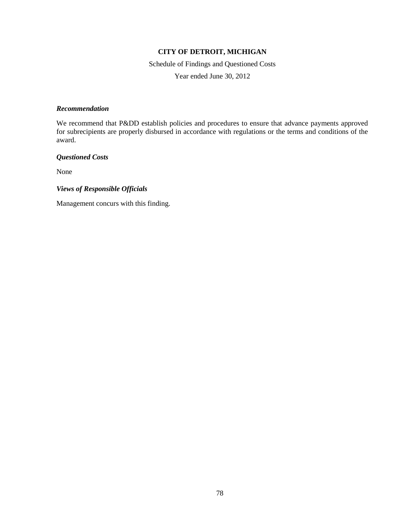Schedule of Findings and Questioned Costs Year ended June 30, 2012

# *Recommendation*

We recommend that P&DD establish policies and procedures to ensure that advance payments approved for subrecipients are properly disbursed in accordance with regulations or the terms and conditions of the award.

# *Questioned Costs*

None

*Views of Responsible Officials*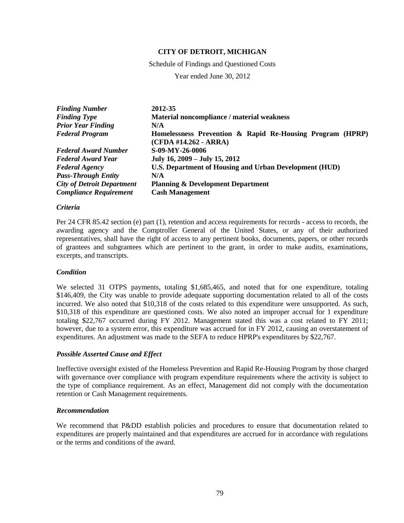Schedule of Findings and Questioned Costs

Year ended June 30, 2012

| <b>Finding Number</b>             | 2012-35                                                                            |
|-----------------------------------|------------------------------------------------------------------------------------|
| <b>Finding Type</b>               | Material noncompliance / material weakness                                         |
| <b>Prior Year Finding</b>         | N/A                                                                                |
| <b>Federal Program</b>            | Homelessness Prevention & Rapid Re-Housing Program (HPRP)<br>(CFDA #14.262 - ARRA) |
| <b>Federal Award Number</b>       | S-09-MY-26-0006                                                                    |
| <b>Federal Award Year</b>         | July 16, 2009 – July 15, 2012                                                      |
| <b>Federal Agency</b>             | <b>U.S. Department of Housing and Urban Development (HUD)</b>                      |
| <b>Pass-Through Entity</b>        | N/A                                                                                |
| <b>City of Detroit Department</b> | <b>Planning &amp; Development Department</b>                                       |
| <b>Compliance Requirement</b>     | <b>Cash Management</b>                                                             |

## *Criteria*

Per 24 CFR 85.42 section (e) part (1), retention and access requirements for records - access to records, the awarding agency and the Comptroller General of the United States, or any of their authorized representatives, shall have the right of access to any pertinent books, documents, papers, or other records of grantees and subgrantees which are pertinent to the grant, in order to make audits, examinations, excerpts, and transcripts.

## *Condition*

We selected 31 OTPS payments, totaling \$1,685,465, and noted that for one expenditure, totaling \$146,409, the City was unable to provide adequate supporting documentation related to all of the costs incurred. We also noted that \$10,318 of the costs related to this expenditure were unsupported. As such, \$10,318 of this expenditure are questioned costs. We also noted an improper accrual for 1 expenditure totaling \$22,767 occurred during FY 2012. Management stated this was a cost related to FY 2011; however, due to a system error, this expenditure was accrued for in FY 2012, causing an overstatement of expenditures. An adjustment was made to the SEFA to reduce HPRP's expenditures by \$22,767.

## *Possible Asserted Cause and Effect*

Ineffective oversight existed of the Homeless Prevention and Rapid Re-Housing Program by those charged with governance over compliance with program expenditure requirements where the activity is subject to the type of compliance requirement. As an effect, Management did not comply with the documentation retention or Cash Management requirements.

## *Recommendation*

We recommend that P&DD establish policies and procedures to ensure that documentation related to expenditures are properly maintained and that expenditures are accrued for in accordance with regulations or the terms and conditions of the award.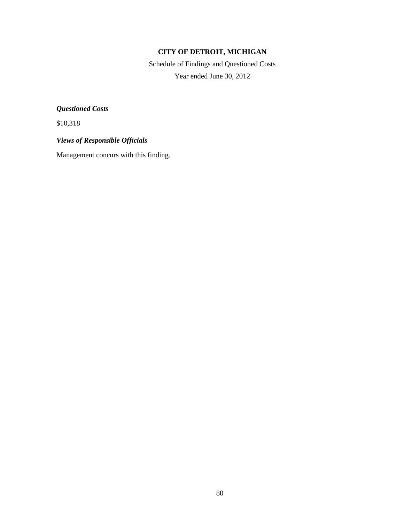Schedule of Findings and Questioned Costs Year ended June 30, 2012

*Questioned Costs* 

\$10,318

*Views of Responsible Officials*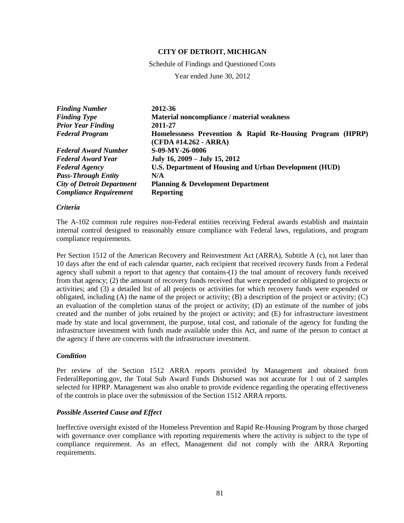Schedule of Findings and Questioned Costs

Year ended June 30, 2012

| <b>Finding Number</b>             | 2012-36                                                                            |
|-----------------------------------|------------------------------------------------------------------------------------|
| <b>Finding Type</b>               | Material noncompliance / material weakness                                         |
| <b>Prior Year Finding</b>         | 2011-27                                                                            |
| <b>Federal Program</b>            | Homelessness Prevention & Rapid Re-Housing Program (HPRP)<br>(CFDA #14.262 - ARRA) |
| <b>Federal Award Number</b>       | S-09-MY-26-0006                                                                    |
| <b>Federal Award Year</b>         | July 16, 2009 – July 15, 2012                                                      |
| <b>Federal Agency</b>             | <b>U.S. Department of Housing and Urban Development (HUD)</b>                      |
| <b>Pass-Through Entity</b>        | N/A                                                                                |
| <b>City of Detroit Department</b> | <b>Planning &amp; Development Department</b>                                       |
| <b>Compliance Requirement</b>     | <b>Reporting</b>                                                                   |

#### *Criteria*

The A-102 common rule requires non-Federal entities receiving Federal awards establish and maintain internal control designed to reasonably ensure compliance with Federal laws, regulations, and program compliance requirements.

Per Section 1512 of the American Recovery and Reinvestment Act (ARRA), Subtitle A (c), not later than 10 days after the end of each calendar quarter, each recipient that received recovery funds from a Federal agency shall submit a report to that agency that contains-(1) the toal amount of recovery funds received from that agency; (2) the amount of recovery funds received that were expended or obligated to projects or activities; and (3) a detailed list of all projects or activities for which recovery funds were expended or obligated, including (A) the name of the project or activity; (B) a description of the project or activity; (C) an evaluation of the completion status of the project or activity; (D) an estimate of the number of jobs created and the number of jobs retained by the project or activity; and (E) for infrastructure investment made by state and local government, the purpose, total cost, and rationale of the agency for funding the infrastructure investment with funds made available under this Act, and name of the person to contact at the agency if there are concerns with the infrastructure investment.

## *Condition*

Per review of the Section 1512 ARRA reports provided by Management and obtained from FederalReporting.gov, the Total Sub Award Funds Disbursed was not accurate for 1 out of 2 samples selected for HPRP. Management was also unable to provide evidence regarding the operating effectiveness of the controls in place over the submission of the Section 1512 ARRA reports.

# *Possible Asserted Cause and Effect*

Ineffective oversight existed of the Homeless Prevention and Rapid Re-Housing Program by those charged with governance over compliance with reporting requirements where the activity is subject to the type of compliance requirement. As an effect, Management did not comply with the ARRA Reporting requirements.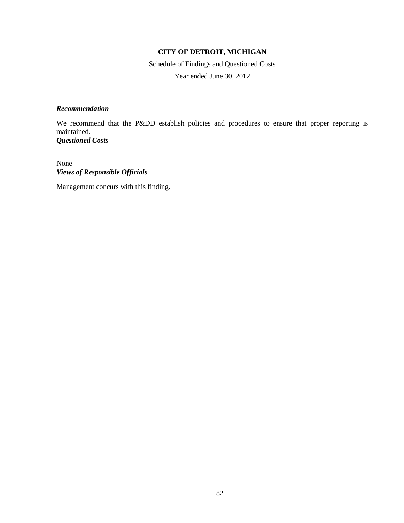Schedule of Findings and Questioned Costs Year ended June 30, 2012

# *Recommendation*

We recommend that the P&DD establish policies and procedures to ensure that proper reporting is maintained. *Questioned Costs* 

None *Views of Responsible Officials*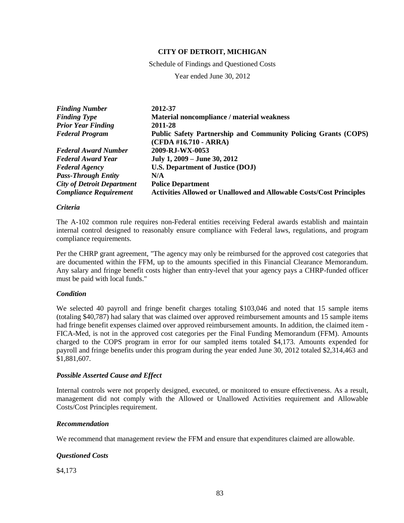Schedule of Findings and Questioned Costs

Year ended June 30, 2012

| <b>Finding Number</b>             | 2012-37                                                                    |
|-----------------------------------|----------------------------------------------------------------------------|
| <b>Finding Type</b>               | Material noncompliance / material weakness                                 |
| <b>Prior Year Finding</b>         | 2011-28                                                                    |
| <b>Federal Program</b>            | <b>Public Safety Partnership and Community Policing Grants (COPS)</b>      |
|                                   | (CFDA #16.710 - ARRA)                                                      |
| <b>Federal Award Number</b>       | 2009-RJ-WX-0053                                                            |
| <b>Federal Award Year</b>         | July 1, 2009 – June 30, 2012                                               |
| <b>Federal Agency</b>             | <b>U.S. Department of Justice (DOJ)</b>                                    |
| <b>Pass-Through Entity</b>        | N/A                                                                        |
| <b>City of Detroit Department</b> | <b>Police Department</b>                                                   |
| <b>Compliance Requirement</b>     | <b>Activities Allowed or Unallowed and Allowable Costs/Cost Principles</b> |

#### *Criteria*

The A-102 common rule requires non-Federal entities receiving Federal awards establish and maintain internal control designed to reasonably ensure compliance with Federal laws, regulations, and program compliance requirements.

Per the CHRP grant agreement, "The agency may only be reimbursed for the approved cost categories that are documented within the FFM, up to the amounts specified in this Financial Clearance Memorandum. Any salary and fringe benefit costs higher than entry-level that your agency pays a CHRP-funded officer must be paid with local funds."

# *Condition*

We selected 40 payroll and fringe benefit charges totaling \$103,046 and noted that 15 sample items (totaling \$40,787) had salary that was claimed over approved reimbursement amounts and 15 sample items had fringe benefit expenses claimed over approved reimbursement amounts. In addition, the claimed item - FICA-Med, is not in the approved cost categories per the Final Funding Memorandum (FFM). Amounts charged to the COPS program in error for our sampled items totaled \$4,173. Amounts expended for payroll and fringe benefits under this program during the year ended June 30, 2012 totaled \$2,314,463 and \$1,881,607.

## *Possible Asserted Cause and Effect*

Internal controls were not properly designed, executed, or monitored to ensure effectiveness. As a result, management did not comply with the Allowed or Unallowed Activities requirement and Allowable Costs/Cost Principles requirement.

## *Recommendation*

We recommend that management review the FFM and ensure that expenditures claimed are allowable.

# *Questioned Costs*

\$4,173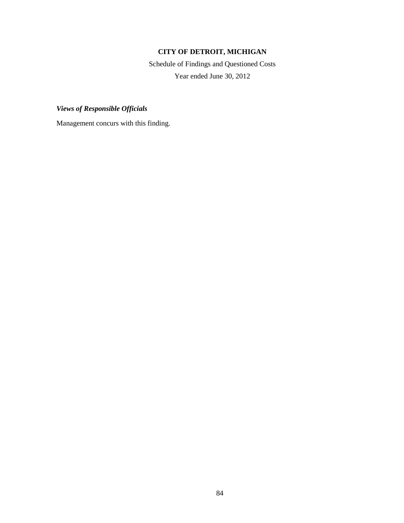Schedule of Findings and Questioned Costs Year ended June 30, 2012

*Views of Responsible Officials*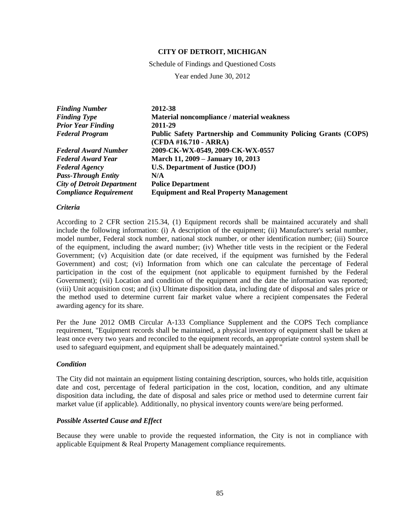Schedule of Findings and Questioned Costs

Year ended June 30, 2012

| <b>Finding Number</b>             | 2012-38                                                                                        |
|-----------------------------------|------------------------------------------------------------------------------------------------|
| <b>Finding Type</b>               | Material noncompliance / material weakness                                                     |
| <b>Prior Year Finding</b>         | 2011-29                                                                                        |
| <b>Federal Program</b>            | <b>Public Safety Partnership and Community Policing Grants (COPS)</b><br>(CFDA #16.710 - ARRA) |
| <b>Federal Award Number</b>       | 2009-CK-WX-0549, 2009-CK-WX-0557                                                               |
| <b>Federal Award Year</b>         | March 11, 2009 – January 10, 2013                                                              |
| <b>Federal Agency</b>             | <b>U.S. Department of Justice (DOJ)</b>                                                        |
| <b>Pass-Through Entity</b>        | N/A                                                                                            |
| <b>City of Detroit Department</b> | <b>Police Department</b>                                                                       |
| <b>Compliance Requirement</b>     | <b>Equipment and Real Property Management</b>                                                  |

## *Criteria*

According to 2 CFR section 215.34, (1) Equipment records shall be maintained accurately and shall include the following information: (i) A description of the equipment; (ii) Manufacturer's serial number, model number, Federal stock number, national stock number, or other identification number; (iii) Source of the equipment, including the award number; (iv) Whether title vests in the recipient or the Federal Government; (v) Acquisition date (or date received, if the equipment was furnished by the Federal Government) and cost; (vi) Information from which one can calculate the percentage of Federal participation in the cost of the equipment (not applicable to equipment furnished by the Federal Government); (vii) Location and condition of the equipment and the date the information was reported; (viii) Unit acquisition cost; and (ix) Ultimate disposition data, including date of disposal and sales price or the method used to determine current fair market value where a recipient compensates the Federal awarding agency for its share.

Per the June 2012 OMB Circular A-133 Compliance Supplement and the COPS Tech compliance requirement, "Equipment records shall be maintained, a physical inventory of equipment shall be taken at least once every two years and reconciled to the equipment records, an appropriate control system shall be used to safeguard equipment, and equipment shall be adequately maintained."

## *Condition*

The City did not maintain an equipment listing containing description, sources, who holds title, acquisition date and cost, percentage of federal participation in the cost, location, condition, and any ultimate disposition data including, the date of disposal and sales price or method used to determine current fair market value (if applicable). Additionally, no physical inventory counts were/are being performed.

# *Possible Asserted Cause and Effect*

Because they were unable to provide the requested information, the City is not in compliance with applicable Equipment & Real Property Management compliance requirements.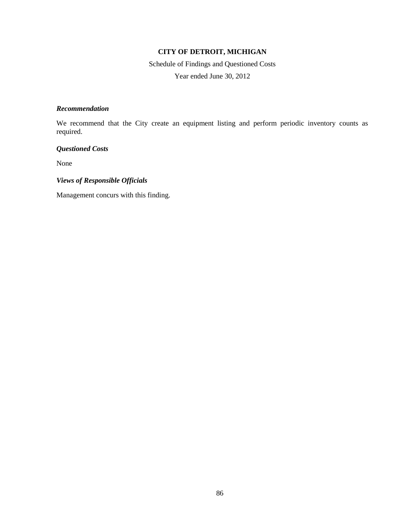Schedule of Findings and Questioned Costs Year ended June 30, 2012

# *Recommendation*

We recommend that the City create an equipment listing and perform periodic inventory counts as required.

# *Questioned Costs*

None

# *Views of Responsible Officials*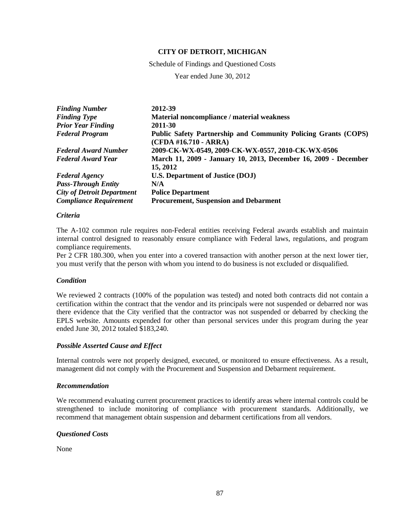Schedule of Findings and Questioned Costs

Year ended June 30, 2012

| <b>Finding Number</b>             | 2012-39                                                               |
|-----------------------------------|-----------------------------------------------------------------------|
| <b>Finding Type</b>               | Material noncompliance / material weakness                            |
| <b>Prior Year Finding</b>         | 2011-30                                                               |
| <b>Federal Program</b>            | <b>Public Safety Partnership and Community Policing Grants (COPS)</b> |
|                                   | (CFDA #16.710 - ARRA)                                                 |
| <b>Federal Award Number</b>       | 2009-CK-WX-0549, 2009-CK-WX-0557, 2010-CK-WX-0506                     |
| <b>Federal Award Year</b>         | March 11, 2009 - January 10, 2013, December 16, 2009 - December       |
|                                   | 15, 2012                                                              |
| <b>Federal Agency</b>             | <b>U.S. Department of Justice (DOJ)</b>                               |
| <b>Pass-Through Entity</b>        | N/A                                                                   |
| <b>City of Detroit Department</b> | <b>Police Department</b>                                              |
| <b>Compliance Requirement</b>     | <b>Procurement, Suspension and Debarment</b>                          |

# *Criteria*

The A-102 common rule requires non-Federal entities receiving Federal awards establish and maintain internal control designed to reasonably ensure compliance with Federal laws, regulations, and program compliance requirements.

Per 2 CFR 180.300, when you enter into a covered transaction with another person at the next lower tier, you must verify that the person with whom you intend to do business is not excluded or disqualified.

## *Condition*

We reviewed 2 contracts (100% of the population was tested) and noted both contracts did not contain a certification within the contract that the vendor and its principals were not suspended or debarred nor was there evidence that the City verified that the contractor was not suspended or debarred by checking the EPLS website. Amounts expended for other than personal services under this program during the year ended June 30, 2012 totaled \$183,240.

# *Possible Asserted Cause and Effect*

Internal controls were not properly designed, executed, or monitored to ensure effectiveness. As a result, management did not comply with the Procurement and Suspension and Debarment requirement.

# *Recommendation*

We recommend evaluating current procurement practices to identify areas where internal controls could be strengthened to include monitoring of compliance with procurement standards. Additionally, we recommend that management obtain suspension and debarment certifications from all vendors.

## *Questioned Costs*

None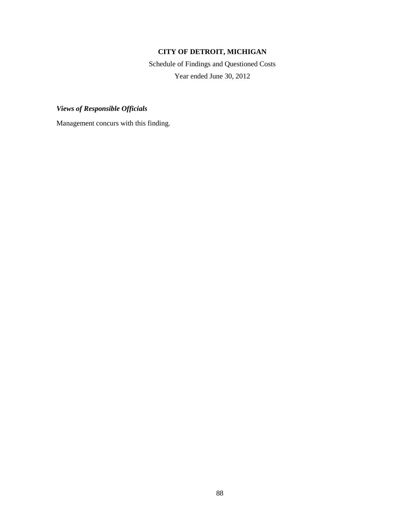Schedule of Findings and Questioned Costs Year ended June 30, 2012

*Views of Responsible Officials*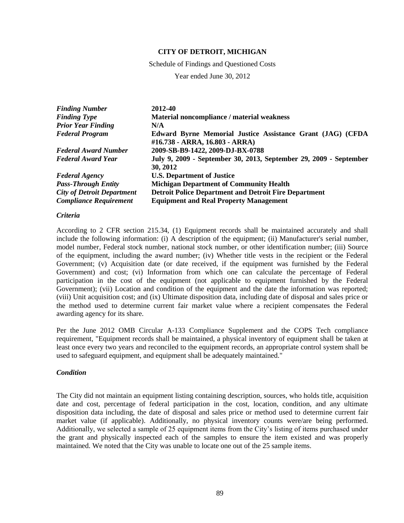Schedule of Findings and Questioned Costs

Year ended June 30, 2012

| <b>Finding Number</b>             | 2012-40                                                           |
|-----------------------------------|-------------------------------------------------------------------|
| <b>Finding Type</b>               | Material noncompliance / material weakness                        |
| <b>Prior Year Finding</b>         | N/A                                                               |
| <b>Federal Program</b>            | Edward Byrne Memorial Justice Assistance Grant (JAG) (CFDA        |
|                                   | #16.738 - ARRA, 16.803 - ARRA)                                    |
| <b>Federal Award Number</b>       | 2009-SB-B9-1422, 2009-DJ-BX-0788                                  |
| <b>Federal Award Year</b>         | July 9, 2009 - September 30, 2013, September 29, 2009 - September |
|                                   | 30, 2012                                                          |
| <b>Federal Agency</b>             | <b>U.S. Department of Justice</b>                                 |
| <b>Pass-Through Entity</b>        | <b>Michigan Department of Community Health</b>                    |
| <b>City of Detroit Department</b> | <b>Detroit Police Department and Detroit Fire Department</b>      |
| <b>Compliance Requirement</b>     | <b>Equipment and Real Property Management</b>                     |

# *Criteria*

According to 2 CFR section 215.34, (1) Equipment records shall be maintained accurately and shall include the following information: (i) A description of the equipment; (ii) Manufacturer's serial number, model number, Federal stock number, national stock number, or other identification number; (iii) Source of the equipment, including the award number; (iv) Whether title vests in the recipient or the Federal Government; (v) Acquisition date (or date received, if the equipment was furnished by the Federal Government) and cost; (vi) Information from which one can calculate the percentage of Federal participation in the cost of the equipment (not applicable to equipment furnished by the Federal Government); (vii) Location and condition of the equipment and the date the information was reported; (viii) Unit acquisition cost; and (ix) Ultimate disposition data, including date of disposal and sales price or the method used to determine current fair market value where a recipient compensates the Federal awarding agency for its share.

Per the June 2012 OMB Circular A-133 Compliance Supplement and the COPS Tech compliance requirement, "Equipment records shall be maintained, a physical inventory of equipment shall be taken at least once every two years and reconciled to the equipment records, an appropriate control system shall be used to safeguard equipment, and equipment shall be adequately maintained."

## *Condition*

The City did not maintain an equipment listing containing description, sources, who holds title, acquisition date and cost, percentage of federal participation in the cost, location, condition, and any ultimate disposition data including, the date of disposal and sales price or method used to determine current fair market value (if applicable). Additionally, no physical inventory counts were/are being performed. Additionally, we selected a sample of 25 equipment items from the City's listing of items purchased under the grant and physically inspected each of the samples to ensure the item existed and was properly maintained. We noted that the City was unable to locate one out of the 25 sample items.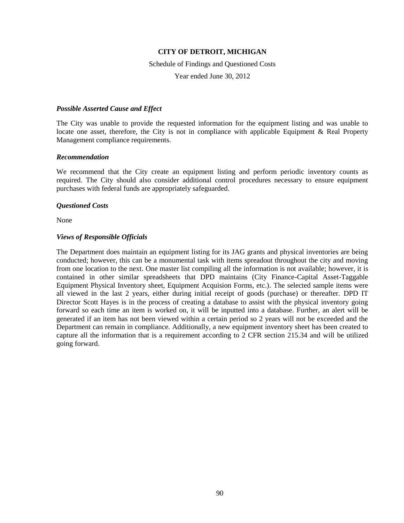Schedule of Findings and Questioned Costs

Year ended June 30, 2012

# *Possible Asserted Cause and Effect*

The City was unable to provide the requested information for the equipment listing and was unable to locate one asset, therefore, the City is not in compliance with applicable Equipment & Real Property Management compliance requirements.

# *Recommendation*

We recommend that the City create an equipment listing and perform periodic inventory counts as required. The City should also consider additional control procedures necessary to ensure equipment purchases with federal funds are appropriately safeguarded.

# *Questioned Costs*

None

# *Views of Responsible Officials*

The Department does maintain an equipment listing for its JAG grants and physical inventories are being conducted; however, this can be a monumental task with items spreadout throughout the city and moving from one location to the next. One master list compiling all the information is not available; however, it is contained in other similar spreadsheets that DPD maintains (City Finance-Capital Asset-Taggable Equipment Physical Inventory sheet, Equipment Acquision Forms, etc.). The selected sample items were all viewed in the last 2 years, either during initial receipt of goods (purchase) or thereafter. DPD IT Director Scott Hayes is in the process of creating a database to assist with the physical inventory going forward so each time an item is worked on, it will be inputted into a database. Further, an alert will be generated if an item has not been viewed within a certain period so 2 years will not be exceeded and the Department can remain in compliance. Additionally, a new equipment inventory sheet has been created to capture all the information that is a requirement according to 2 CFR section 215.34 and will be utilized going forward.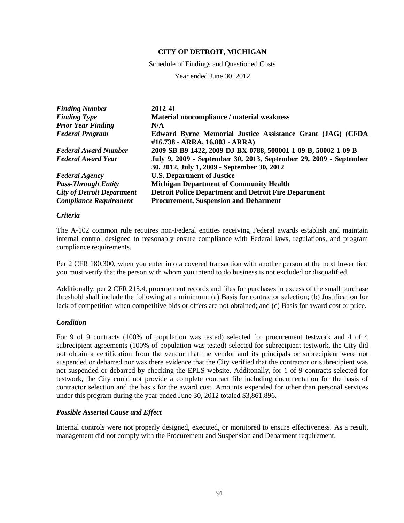Schedule of Findings and Questioned Costs

Year ended June 30, 2012

| <b>Finding Number</b>             | 2012-41                                                           |
|-----------------------------------|-------------------------------------------------------------------|
| <b>Finding Type</b>               | Material noncompliance / material weakness                        |
| <b>Prior Year Finding</b>         | N/A                                                               |
| <b>Federal Program</b>            | Edward Byrne Memorial Justice Assistance Grant (JAG) (CFDA        |
|                                   | $#16.738 - ARRA, 16.803 - ARRA)$                                  |
| <b>Federal Award Number</b>       | 2009-SB-B9-1422, 2009-DJ-BX-0788, 500001-1-09-B, 50002-1-09-B     |
| <b>Federal Award Year</b>         | July 9, 2009 - September 30, 2013, September 29, 2009 - September |
|                                   | 30, 2012, July 1, 2009 - September 30, 2012                       |
| <b>Federal Agency</b>             | <b>U.S. Department of Justice</b>                                 |
| <b>Pass-Through Entity</b>        | <b>Michigan Department of Community Health</b>                    |
| <b>City of Detroit Department</b> | <b>Detroit Police Department and Detroit Fire Department</b>      |
| <b>Compliance Requirement</b>     | <b>Procurement, Suspension and Debarment</b>                      |

# *Criteria*

The A-102 common rule requires non-Federal entities receiving Federal awards establish and maintain internal control designed to reasonably ensure compliance with Federal laws, regulations, and program compliance requirements.

Per 2 CFR 180.300, when you enter into a covered transaction with another person at the next lower tier, you must verify that the person with whom you intend to do business is not excluded or disqualified.

Additionally, per 2 CFR 215.4, procurement records and files for purchases in excess of the small purchase threshold shall include the following at a minimum: (a) Basis for contractor selection; (b) Justification for lack of competition when competitive bids or offers are not obtained; and (c) Basis for award cost or price.

## *Condition*

For 9 of 9 contracts (100% of population was tested) selected for procurement testwork and 4 of 4 subrecipient agreements (100% of population was tested) selected for subrecipient testwork, the City did not obtain a certification from the vendor that the vendor and its principals or subrecipient were not suspended or debarred nor was there evidence that the City verified that the contractor or subrecipient was not suspended or debarred by checking the EPLS website. Additonally, for 1 of 9 contracts selected for testwork, the City could not provide a complete contract file including documentation for the basis of contractor selection and the basis for the award cost. Amounts expended for other than personal services under this program during the year ended June 30, 2012 totaled \$3,861,896.

# *Possible Asserted Cause and Effect*

Internal controls were not properly designed, executed, or monitored to ensure effectiveness. As a result, management did not comply with the Procurement and Suspension and Debarment requirement.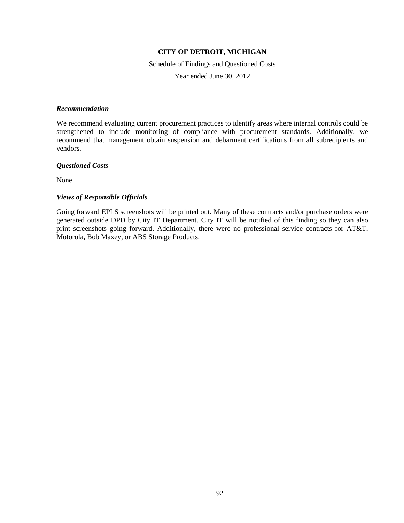Schedule of Findings and Questioned Costs Year ended June 30, 2012

# *Recommendation*

We recommend evaluating current procurement practices to identify areas where internal controls could be strengthened to include monitoring of compliance with procurement standards. Additionally, we recommend that management obtain suspension and debarment certifications from all subrecipients and vendors.

# *Questioned Costs*

None

## *Views of Responsible Officials*

Going forward EPLS screenshots will be printed out. Many of these contracts and/or purchase orders were generated outside DPD by City IT Department. City IT will be notified of this finding so they can also print screenshots going forward. Additionally, there were no professional service contracts for AT&T, Motorola, Bob Maxey, or ABS Storage Products.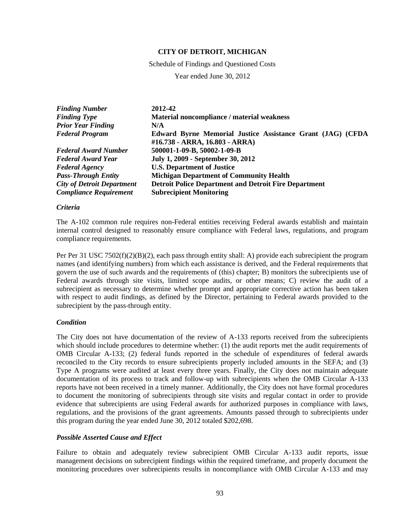Schedule of Findings and Questioned Costs

Year ended June 30, 2012

| <b>Finding Number</b>             | 2012-42                                                                                        |
|-----------------------------------|------------------------------------------------------------------------------------------------|
| <b>Finding Type</b>               | Material noncompliance / material weakness                                                     |
| <b>Prior Year Finding</b>         | N/A                                                                                            |
| <b>Federal Program</b>            | Edward Byrne Memorial Justice Assistance Grant (JAG) (CFDA<br>$#16.738 - ARRA, 16.803 - ARRA)$ |
| <b>Federal Award Number</b>       | 500001-1-09-B, 50002-1-09-B                                                                    |
| <b>Federal Award Year</b>         | July 1, 2009 - September 30, 2012                                                              |
| <b>Federal Agency</b>             | <b>U.S. Department of Justice</b>                                                              |
| <b>Pass-Through Entity</b>        | <b>Michigan Department of Community Health</b>                                                 |
| <b>City of Detroit Department</b> | <b>Detroit Police Department and Detroit Fire Department</b>                                   |
| <b>Compliance Requirement</b>     | <b>Subrecipient Monitoring</b>                                                                 |

#### *Criteria*

The A-102 common rule requires non-Federal entities receiving Federal awards establish and maintain internal control designed to reasonably ensure compliance with Federal laws, regulations, and program compliance requirements.

Per Per 31 USC 7502(f)(2)(B)(2), each pass through entity shall: A) provide each subrecipient the program names (and identifying numbers) from which each assistance is derived, and the Federal requirements that govern the use of such awards and the requirements of (this) chapter; B) monitors the subrecipients use of Federal awards through site visits, limited scope audits, or other means; C) review the audit of a subrecipient as necessary to determine whether prompt and appropriate corrective action has been taken with respect to audit findings, as defined by the Director, pertaining to Federal awards provided to the subrecipient by the pass-through entity.

## *Condition*

The City does not have documentation of the review of A-133 reports received from the subrecipients which should include procedures to determine whether: (1) the audit reports met the audit requirements of OMB Circular A-133; (2) federal funds reported in the schedule of expenditures of federal awards reconciled to the City records to ensure subrecipients properly included amounts in the SEFA; and (3) Type A programs were audited at least every three years. Finally, the City does not maintain adequate documentation of its process to track and follow-up with subrecipients when the OMB Circular A-133 reports have not been received in a timely manner. Additionally, the City does not have formal procedures to document the monitoring of subrecipients through site visits and regular contact in order to provide evidence that subrecipients are using Federal awards for authorized purposes in compliance with laws, regulations, and the provisions of the grant agreements. Amounts passed through to subrecipients under this program during the year ended June 30, 2012 totaled \$202,698.

# *Possible Asserted Cause and Effect*

Failure to obtain and adequately review subrecipient OMB Circular A-133 audit reports, issue management decisions on subrecipient findings within the required timeframe, and properly document the monitoring procedures over subrecipients results in noncompliance with OMB Circular A-133 and may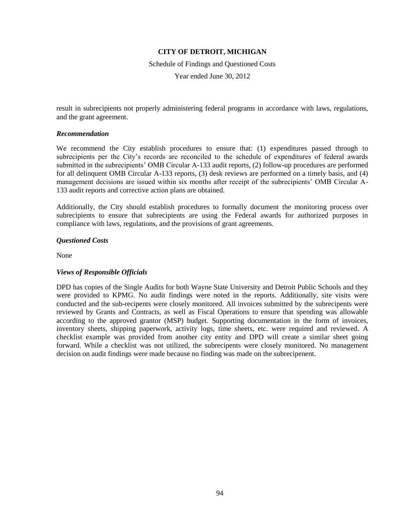Schedule of Findings and Questioned Costs

Year ended June 30, 2012

result in subrecipients not properly administering federal programs in accordance with laws, regulations, and the grant agreement.

## *Recommendation*

We recommend the City establish procedures to ensure that: (1) expenditures passed through to subrecipients per the City's records are reconciled to the schedule of expenditures of federal awards submitted in the subrecipients' OMB Circular A-133 audit reports, (2) follow-up procedures are performed for all delinquent OMB Circular A-133 reports, (3) desk reviews are performed on a timely basis, and (4) management decisions are issued within six months after receipt of the subrecipients' OMB Circular A-133 audit reports and corrective action plans are obtained.

Additionally, the City should establish procedures to formally document the monitoring process over subrecipients to ensure that subrecipients are using the Federal awards for authorized purposes in compliance with laws, regulations, and the provisions of grant agreements.

## *Questioned Costs*

None

## *Views of Responsible Officials*

DPD has copies of the Single Audits for both Wayne State University and Detroit Public Schools and they were provided to KPMG. No audit findings were noted in the reports. Additionally, site visits were conducted and the sub-recipents were closely monitored. All invoices submitted by the subrecipents were reviewed by Grants and Contracts, as well as Fiscal Operations to ensure that spending was allowable according to the approved grantor (MSP) budget. Supporting documentation in the form of invoices, inventory sheets, shipping paperwork, activity logs, time sheets, etc. were required and reviewed. A checklist example was provided from another city entity and DPD will create a similar sheet going forward. While a checklist was not utilized, the subrecipents were closely monitored. No management decision on audit findings were made because no finding was made on the subrecipenent.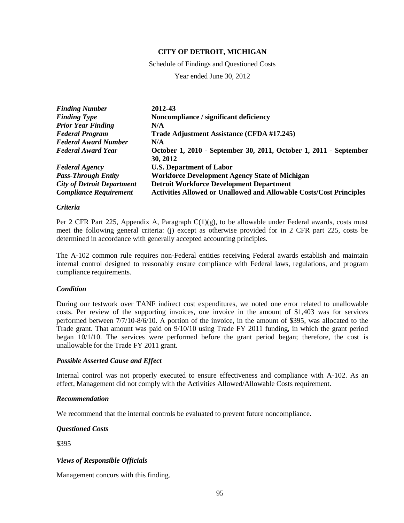Schedule of Findings and Questioned Costs

Year ended June 30, 2012

| <b>Finding Number</b>             | 2012-43                                                                       |
|-----------------------------------|-------------------------------------------------------------------------------|
| <b>Finding Type</b>               | Noncompliance / significant deficiency                                        |
| <b>Prior Year Finding</b>         | N/A                                                                           |
| <b>Federal Program</b>            | Trade Adjustment Assistance (CFDA #17.245)                                    |
| <b>Federal Award Number</b>       | N/A                                                                           |
| <b>Federal Award Year</b>         | October 1, 2010 - September 30, 2011, October 1, 2011 - September<br>30, 2012 |
| <b>Federal Agency</b>             | <b>U.S. Department of Labor</b>                                               |
| <b>Pass-Through Entity</b>        | <b>Workforce Development Agency State of Michigan</b>                         |
| <b>City of Detroit Department</b> | <b>Detroit Workforce Development Department</b>                               |
| <b>Compliance Requirement</b>     | <b>Activities Allowed or Unallowed and Allowable Costs/Cost Principles</b>    |

#### *Criteria*

Per 2 CFR Part 225, Appendix A, Paragraph C(1)(g), to be allowable under Federal awards, costs must meet the following general criteria: (j) except as otherwise provided for in 2 CFR part 225, costs be determined in accordance with generally accepted accounting principles.

The A-102 common rule requires non-Federal entities receiving Federal awards establish and maintain internal control designed to reasonably ensure compliance with Federal laws, regulations, and program compliance requirements.

## *Condition*

During our testwork over TANF indirect cost expenditures, we noted one error related to unallowable costs. Per review of the supporting invoices, one invoice in the amount of \$1,403 was for services performed between 7/7/10-8/6/10. A portion of the invoice, in the amount of \$395, was allocated to the Trade grant. That amount was paid on 9/10/10 using Trade FY 2011 funding, in which the grant period began 10/1/10. The services were performed before the grant period began; therefore, the cost is unallowable for the Trade FY 2011 grant.

## *Possible Asserted Cause and Effect*

Internal control was not properly executed to ensure effectiveness and compliance with A-102. As an effect, Management did not comply with the Activities Allowed/Allowable Costs requirement.

## *Recommendation*

We recommend that the internal controls be evaluated to prevent future noncompliance.

*Questioned Costs* 

\$395

# *Views of Responsible Officials*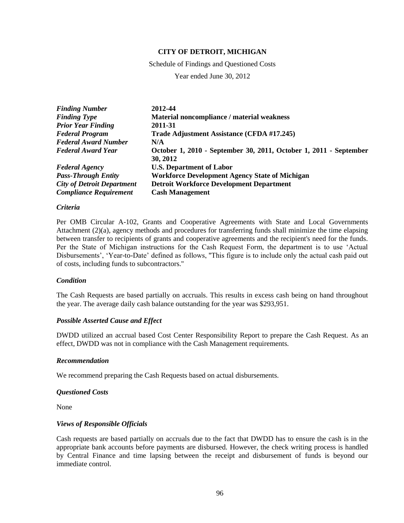Schedule of Findings and Questioned Costs

Year ended June 30, 2012

| <b>Finding Number</b>             | 2012-44                                                                       |
|-----------------------------------|-------------------------------------------------------------------------------|
| <b>Finding Type</b>               | Material noncompliance / material weakness                                    |
| <b>Prior Year Finding</b>         | 2011-31                                                                       |
| <b>Federal Program</b>            | Trade Adjustment Assistance (CFDA #17.245)                                    |
| <b>Federal Award Number</b>       | N/A                                                                           |
| <b>Federal Award Year</b>         | October 1, 2010 - September 30, 2011, October 1, 2011 - September<br>30, 2012 |
| <b>Federal Agency</b>             | <b>U.S. Department of Labor</b>                                               |
| <b>Pass-Through Entity</b>        | <b>Workforce Development Agency State of Michigan</b>                         |
| <b>City of Detroit Department</b> | <b>Detroit Workforce Development Department</b>                               |
| <b>Compliance Requirement</b>     | <b>Cash Management</b>                                                        |

## *Criteria*

Per OMB Circular A-102, Grants and Cooperative Agreements with State and Local Governments Attachment (2)(a), agency methods and procedures for transferring funds shall minimize the time elapsing between transfer to recipients of grants and cooperative agreements and the recipient's need for the funds. Per the State of Michigan instructions for the Cash Request Form, the department is to use 'Actual Disbursements', 'Year-to-Date' defined as follows, ''This figure is to include only the actual cash paid out of costs, including funds to subcontractors.''

## *Condition*

The Cash Requests are based partially on accruals. This results in excess cash being on hand throughout the year. The average daily cash balance outstanding for the year was \$293,951.

## *Possible Asserted Cause and Effect*

DWDD utilized an accrual based Cost Center Responsibility Report to prepare the Cash Request. As an effect, DWDD was not in compliance with the Cash Management requirements.

## *Recommendation*

We recommend preparing the Cash Requests based on actual disbursements.

## *Questioned Costs*

None

## *Views of Responsible Officials*

Cash requests are based partially on accruals due to the fact that DWDD has to ensure the cash is in the appropriate bank accounts before payments are disbursed. However, the check writing process is handled by Central Finance and time lapsing between the receipt and disbursement of funds is beyond our immediate control.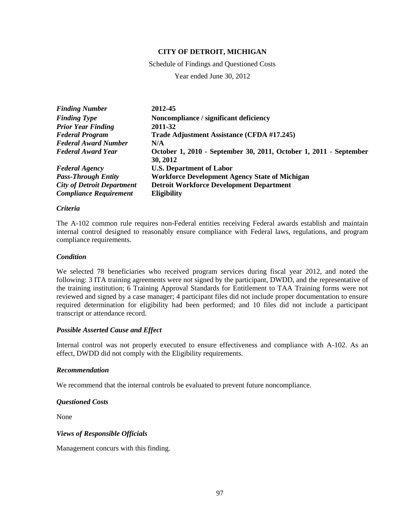Schedule of Findings and Questioned Costs

Year ended June 30, 2012

| <b>Finding Number</b>             | 2012-45                                                           |
|-----------------------------------|-------------------------------------------------------------------|
| <b>Finding Type</b>               | Noncompliance / significant deficiency                            |
| <b>Prior Year Finding</b>         | 2011-32                                                           |
| <b>Federal Program</b>            | Trade Adjustment Assistance (CFDA #17.245)                        |
| <b>Federal Award Number</b>       | N/A                                                               |
| <b>Federal Award Year</b>         | October 1, 2010 - September 30, 2011, October 1, 2011 - September |
|                                   | 30, 2012                                                          |
| <b>Federal Agency</b>             | <b>U.S. Department of Labor</b>                                   |
| <b>Pass-Through Entity</b>        | <b>Workforce Development Agency State of Michigan</b>             |
| <b>City of Detroit Department</b> | <b>Detroit Workforce Development Department</b>                   |
| <b>Compliance Requirement</b>     | <b>Eligibility</b>                                                |

## *Criteria*

The A-102 common rule requires non-Federal entities receiving Federal awards establish and maintain internal control designed to reasonably ensure compliance with Federal laws, regulations, and program compliance requirements.

## *Condition*

We selected 78 beneficiaries who received program services during fiscal year 2012, and noted the following: 3 ITA training agreements were not signed by the participant, DWDD, and the representative of the training institution; 6 Training Approval Standards for Entitlement to TAA Training forms were not reviewed and signed by a case manager; 4 participant files did not include proper documentation to ensure required determination for eligibility had been performed; and 10 files did not include a participant transcript or attendance record.

# *Possible Asserted Cause and Effect*

Internal control was not properly executed to ensure effectiveness and compliance with A-102. As an effect, DWDD did not comply with the Eligibility requirements.

## *Recommendation*

We recommend that the internal controls be evaluated to prevent future noncompliance.

# *Questioned Costs*

None

## *Views of Responsible Officials*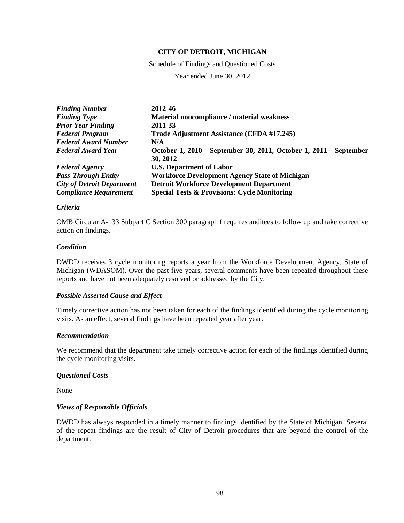Schedule of Findings and Questioned Costs

Year ended June 30, 2012

| <b>Finding Number</b>             | 2012-46                                                                       |
|-----------------------------------|-------------------------------------------------------------------------------|
| <b>Finding Type</b>               | Material noncompliance / material weakness                                    |
| <b>Prior Year Finding</b>         | 2011-33                                                                       |
| <b>Federal Program</b>            | Trade Adjustment Assistance (CFDA #17.245)                                    |
| <b>Federal Award Number</b>       | N/A                                                                           |
| <b>Federal Award Year</b>         | October 1, 2010 - September 30, 2011, October 1, 2011 - September<br>30, 2012 |
| <b>Federal Agency</b>             | <b>U.S. Department of Labor</b>                                               |
| <b>Pass-Through Entity</b>        | <b>Workforce Development Agency State of Michigan</b>                         |
| <b>City of Detroit Department</b> | <b>Detroit Workforce Development Department</b>                               |
| <b>Compliance Requirement</b>     | <b>Special Tests &amp; Provisions: Cycle Monitoring</b>                       |

#### *Criteria*

OMB Circular A-133 Subpart C Section 300 paragraph f requires auditees to follow up and take corrective action on findings.

## *Condition*

DWDD receives 3 cycle monitoring reports a year from the Workforce Development Agency, State of Michigan (WDASOM). Over the past five years, several comments have been repeated throughout these reports and have not been adequately resolved or addressed by the City.

## *Possible Asserted Cause and Effect*

Timely corrective action has not been taken for each of the findings identified during the cycle monitoring visits. As an effect, several findings have been repeated year after year.

### *Recommendation*

We recommend that the department take timely corrective action for each of the findings identified during the cycle monitoring visits.

#### *Questioned Costs*

None

# *Views of Responsible Officials*

DWDD has always responded in a timely manner to findings identified by the State of Michigan. Several of the repeat findings are the result of City of Detroit procedures that are beyond the control of the department.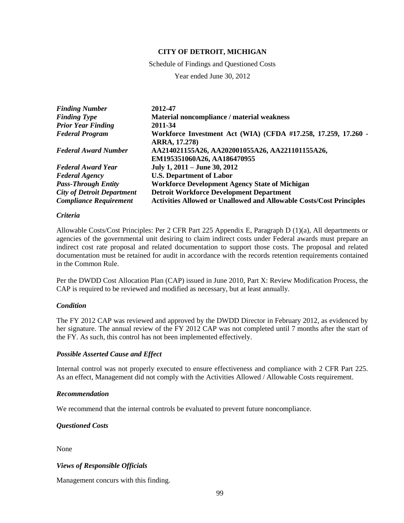Schedule of Findings and Questioned Costs

Year ended June 30, 2012

| <b>Finding Number</b>             | 2012-47                                                                    |
|-----------------------------------|----------------------------------------------------------------------------|
| <b>Finding Type</b>               | Material noncompliance / material weakness                                 |
| <b>Prior Year Finding</b>         | 2011-34                                                                    |
| <b>Federal Program</b>            | Workforce Investment Act (WIA) (CFDA #17.258, 17.259, 17.260 -             |
|                                   | ARRA, 17.278)                                                              |
| <b>Federal Award Number</b>       | AA214021155A26, AA202001055A26, AA221101155A26,                            |
|                                   | EM195351060A26, AA186470955                                                |
| <b>Federal Award Year</b>         | July 1, 2011 – June 30, 2012                                               |
| <b>Federal Agency</b>             | <b>U.S. Department of Labor</b>                                            |
| <b>Pass-Through Entity</b>        | <b>Workforce Development Agency State of Michigan</b>                      |
| <b>City of Detroit Department</b> | <b>Detroit Workforce Development Department</b>                            |
| <b>Compliance Requirement</b>     | <b>Activities Allowed or Unallowed and Allowable Costs/Cost Principles</b> |

# *Criteria*

Allowable Costs/Cost Principles: Per 2 CFR Part 225 Appendix E, Paragraph D (1)(a), All departments or agencies of the governmental unit desiring to claim indirect costs under Federal awards must prepare an indirect cost rate proposal and related documentation to support those costs. The proposal and related documentation must be retained for audit in accordance with the records retention requirements contained in the Common Rule.

Per the DWDD Cost Allocation Plan (CAP) issued in June 2010, Part X: Review Modification Process, the CAP is required to be reviewed and modified as necessary, but at least annually.

# *Condition*

The FY 2012 CAP was reviewed and approved by the DWDD Director in February 2012, as evidenced by her signature. The annual review of the FY 2012 CAP was not completed until 7 months after the start of the FY. As such, this control has not been implemented effectively.

# *Possible Asserted Cause and Effect*

Internal control was not properly executed to ensure effectiveness and compliance with 2 CFR Part 225. As an effect, Management did not comply with the Activities Allowed / Allowable Costs requirement.

## *Recommendation*

We recommend that the internal controls be evaluated to prevent future noncompliance.

# *Questioned Costs*

None

# *Views of Responsible Officials*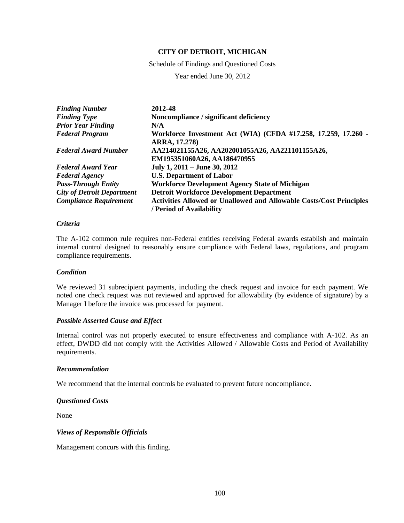Schedule of Findings and Questioned Costs

Year ended June 30, 2012

| <b>Finding Number</b>             | 2012-48                                                                    |
|-----------------------------------|----------------------------------------------------------------------------|
| <b>Finding Type</b>               | Noncompliance / significant deficiency                                     |
| <b>Prior Year Finding</b>         | N/A                                                                        |
| <b>Federal Program</b>            | Workforce Investment Act (WIA) (CFDA #17.258, 17.259, 17.260 -             |
|                                   | ARRA, 17.278)                                                              |
| <b>Federal Award Number</b>       | AA214021155A26, AA202001055A26, AA221101155A26,                            |
|                                   | EM195351060A26, AA186470955                                                |
| <b>Federal Award Year</b>         | July 1, 2011 – June 30, 2012                                               |
| <b>Federal Agency</b>             | <b>U.S. Department of Labor</b>                                            |
| <b>Pass-Through Entity</b>        | <b>Workforce Development Agency State of Michigan</b>                      |
| <b>City of Detroit Department</b> | <b>Detroit Workforce Development Department</b>                            |
| <b>Compliance Requirement</b>     | <b>Activities Allowed or Unallowed and Allowable Costs/Cost Principles</b> |
|                                   | / Period of Availability                                                   |

## *Criteria*

The A-102 common rule requires non-Federal entities receiving Federal awards establish and maintain internal control designed to reasonably ensure compliance with Federal laws, regulations, and program compliance requirements.

# *Condition*

We reviewed 31 subrecipient payments, including the check request and invoice for each payment. We noted one check request was not reviewed and approved for allowability (by evidence of signature) by a Manager I before the invoice was processed for payment.

# *Possible Asserted Cause and Effect*

Internal control was not properly executed to ensure effectiveness and compliance with A-102. As an effect, DWDD did not comply with the Activities Allowed / Allowable Costs and Period of Availability requirements.

# *Recommendation*

We recommend that the internal controls be evaluated to prevent future noncompliance.

# *Questioned Costs*

None

*Views of Responsible Officials*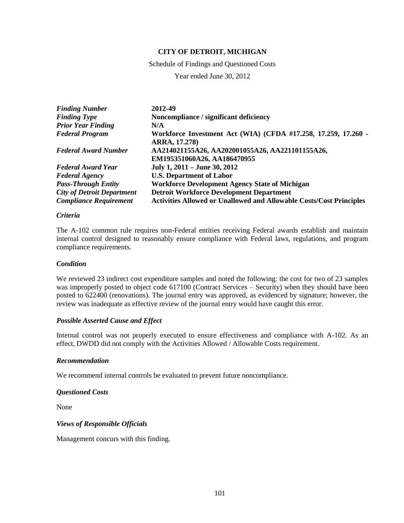Schedule of Findings and Questioned Costs

Year ended June 30, 2012

| <b>Finding Number</b>             | 2012-49                                                                    |
|-----------------------------------|----------------------------------------------------------------------------|
| <b>Finding Type</b>               | Noncompliance / significant deficiency                                     |
| <b>Prior Year Finding</b>         | N/A                                                                        |
| <b>Federal Program</b>            | Workforce Investment Act (WIA) (CFDA #17.258, 17.259, 17.260 -             |
|                                   | ARRA, 17.278)                                                              |
| <b>Federal Award Number</b>       | AA214021155A26, AA202001055A26, AA221101155A26,                            |
|                                   | EM195351060A26, AA186470955                                                |
| <b>Federal Award Year</b>         | July 1, 2011 – June 30, 2012                                               |
| <b>Federal Agency</b>             | <b>U.S. Department of Labor</b>                                            |
| <b>Pass-Through Entity</b>        | <b>Workforce Development Agency State of Michigan</b>                      |
| <b>City of Detroit Department</b> | <b>Detroit Workforce Development Department</b>                            |
| <b>Compliance Requirement</b>     | <b>Activities Allowed or Unallowed and Allowable Costs/Cost Principles</b> |

# *Criteria*

The A-102 common rule requires non-Federal entities receiving Federal awards establish and maintain internal control designed to reasonably ensure compliance with Federal laws, regulations, and program compliance requirements.

### *Condition*

We reviewed 23 indirect cost expenditure samples and noted the following: the cost for two of 23 samples was improperly posted to object code 617100 (Contract Services – Security) when they should have been posted to 622400 (renovations). The journal entry was approved, as evidenced by signature; however, the review was inadequate as effective review of the journal entry would have caught this error.

## *Possible Asserted Cause and Effect*

Internal control was not properly executed to ensure effectiveness and compliance with A-102. As an effect, DWDD did not comply with the Activities Allowed / Allowable Costs requirement.

## *Recommendation*

We recommend internal controls be evaluated to prevent future noncompliance.

## *Questioned Costs*

None

## *Views of Responsible Officials*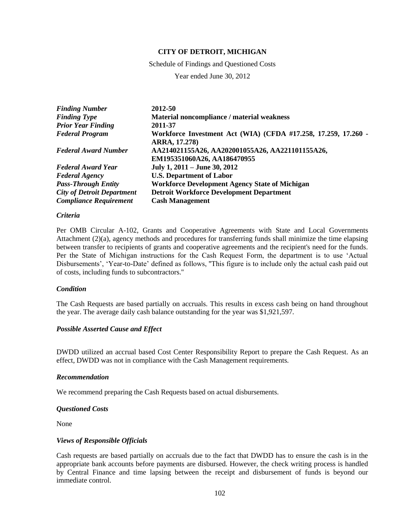Schedule of Findings and Questioned Costs

Year ended June 30, 2012

| <b>Finding Number</b>             | 2012-50                                                        |
|-----------------------------------|----------------------------------------------------------------|
| <b>Finding Type</b>               | Material noncompliance / material weakness                     |
| <b>Prior Year Finding</b>         | 2011-37                                                        |
| <b>Federal Program</b>            | Workforce Investment Act (WIA) (CFDA #17.258, 17.259, 17.260 - |
|                                   | ARRA, 17.278)                                                  |
| <b>Federal Award Number</b>       | AA214021155A26, AA202001055A26, AA221101155A26,                |
|                                   | EM195351060A26, AA186470955                                    |
| <b>Federal Award Year</b>         | July 1, 2011 – June 30, 2012                                   |
| <b>Federal Agency</b>             | <b>U.S. Department of Labor</b>                                |
| <b>Pass-Through Entity</b>        | <b>Workforce Development Agency State of Michigan</b>          |
| <b>City of Detroit Department</b> | <b>Detroit Workforce Development Department</b>                |
| <b>Compliance Requirement</b>     | <b>Cash Management</b>                                         |

## *Criteria*

Per OMB Circular A-102, Grants and Cooperative Agreements with State and Local Governments Attachment (2)(a), agency methods and procedures for transferring funds shall minimize the time elapsing between transfer to recipients of grants and cooperative agreements and the recipient's need for the funds. Per the State of Michigan instructions for the Cash Request Form, the department is to use 'Actual Disbursements', 'Year-to-Date' defined as follows, ''This figure is to include only the actual cash paid out of costs, including funds to subcontractors.''

## *Condition*

The Cash Requests are based partially on accruals. This results in excess cash being on hand throughout the year. The average daily cash balance outstanding for the year was \$1,921,597.

# *Possible Asserted Cause and Effect*

DWDD utilized an accrual based Cost Center Responsibility Report to prepare the Cash Request. As an effect, DWDD was not in compliance with the Cash Management requirements.

## *Recommendation*

We recommend preparing the Cash Requests based on actual disbursements.

# *Questioned Costs*

None

# *Views of Responsible Officials*

Cash requests are based partially on accruals due to the fact that DWDD has to ensure the cash is in the appropriate bank accounts before payments are disbursed. However, the check writing process is handled by Central Finance and time lapsing between the receipt and disbursement of funds is beyond our immediate control.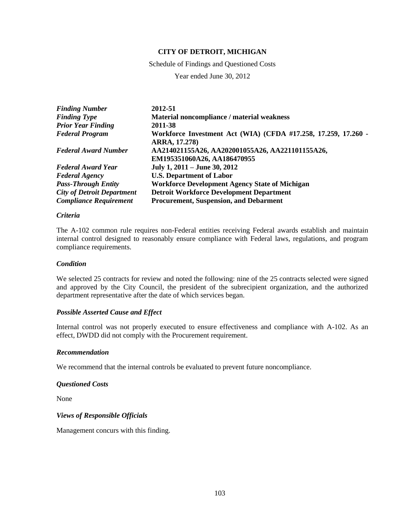Schedule of Findings and Questioned Costs

Year ended June 30, 2012

| <b>Finding Number</b>             | 2012-51                                                        |
|-----------------------------------|----------------------------------------------------------------|
| <b>Finding Type</b>               | Material noncompliance / material weakness                     |
| <b>Prior Year Finding</b>         | 2011-38                                                        |
| <b>Federal Program</b>            | Workforce Investment Act (WIA) (CFDA #17.258, 17.259, 17.260 - |
|                                   | ARRA, 17.278)                                                  |
| <b>Federal Award Number</b>       | AA214021155A26, AA202001055A26, AA221101155A26,                |
|                                   | EM195351060A26, AA186470955                                    |
| <b>Federal Award Year</b>         | July 1, 2011 – June 30, 2012                                   |
| <b>Federal Agency</b>             | <b>U.S. Department of Labor</b>                                |
| <b>Pass-Through Entity</b>        | <b>Workforce Development Agency State of Michigan</b>          |
| <b>City of Detroit Department</b> | <b>Detroit Workforce Development Department</b>                |
| <b>Compliance Requirement</b>     | <b>Procurement, Suspension, and Debarment</b>                  |

# *Criteria*

The A-102 common rule requires non-Federal entities receiving Federal awards establish and maintain internal control designed to reasonably ensure compliance with Federal laws, regulations, and program compliance requirements.

### *Condition*

We selected 25 contracts for review and noted the following: nine of the 25 contracts selected were signed and approved by the City Council, the president of the subrecipient organization, and the authorized department representative after the date of which services began.

# *Possible Asserted Cause and Effect*

Internal control was not properly executed to ensure effectiveness and compliance with A-102. As an effect, DWDD did not comply with the Procurement requirement.

# *Recommendation*

We recommend that the internal controls be evaluated to prevent future noncompliance.

## *Questioned Costs*

None

# *Views of Responsible Officials*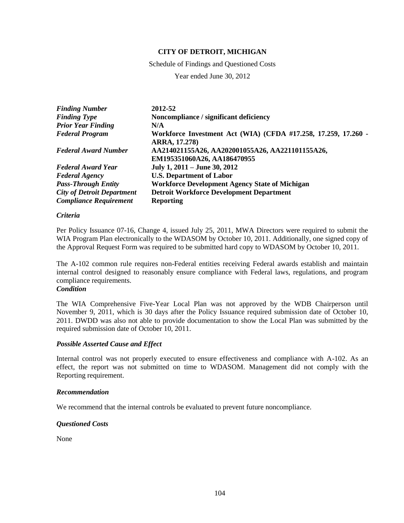Schedule of Findings and Questioned Costs

Year ended June 30, 2012

| <b>Finding Number</b>             | 2012-52                                                        |
|-----------------------------------|----------------------------------------------------------------|
| <b>Finding Type</b>               | Noncompliance / significant deficiency                         |
| <b>Prior Year Finding</b>         | N/A                                                            |
| <b>Federal Program</b>            | Workforce Investment Act (WIA) (CFDA #17.258, 17.259, 17.260 - |
|                                   | ARRA, 17.278)                                                  |
| <b>Federal Award Number</b>       | AA214021155A26, AA202001055A26, AA221101155A26,                |
|                                   | EM195351060A26, AA186470955                                    |
| <b>Federal Award Year</b>         | July 1, 2011 – June 30, 2012                                   |
| <b>Federal Agency</b>             | <b>U.S. Department of Labor</b>                                |
| <b>Pass-Through Entity</b>        | <b>Workforce Development Agency State of Michigan</b>          |
| <b>City of Detroit Department</b> | <b>Detroit Workforce Development Department</b>                |
| <b>Compliance Requirement</b>     | <b>Reporting</b>                                               |

# *Criteria*

Per Policy Issuance 07-16, Change 4, issued July 25, 2011, MWA Directors were required to submit the WIA Program Plan electronically to the WDASOM by October 10, 2011. Additionally, one signed copy of the Approval Request Form was required to be submitted hard copy to WDASOM by October 10, 2011.

The A-102 common rule requires non-Federal entities receiving Federal awards establish and maintain internal control designed to reasonably ensure compliance with Federal laws, regulations, and program compliance requirements.

# *Condition*

The WIA Comprehensive Five-Year Local Plan was not approved by the WDB Chairperson until November 9, 2011, which is 30 days after the Policy Issuance required submission date of October 10, 2011. DWDD was also not able to provide documentation to show the Local Plan was submitted by the required submission date of October 10, 2011.

# *Possible Asserted Cause and Effect*

Internal control was not properly executed to ensure effectiveness and compliance with A-102. As an effect, the report was not submitted on time to WDASOM. Management did not comply with the Reporting requirement.

## *Recommendation*

We recommend that the internal controls be evaluated to prevent future noncompliance.

# *Questioned Costs*

None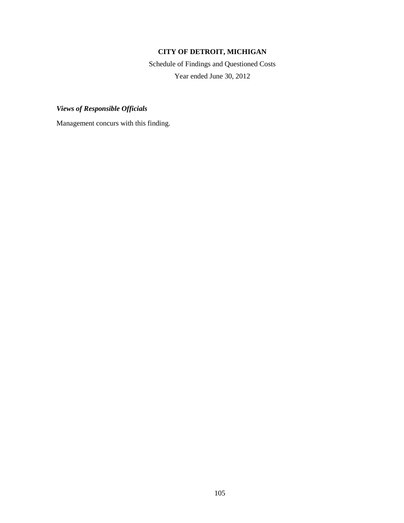Schedule of Findings and Questioned Costs Year ended June 30, 2012

*Views of Responsible Officials*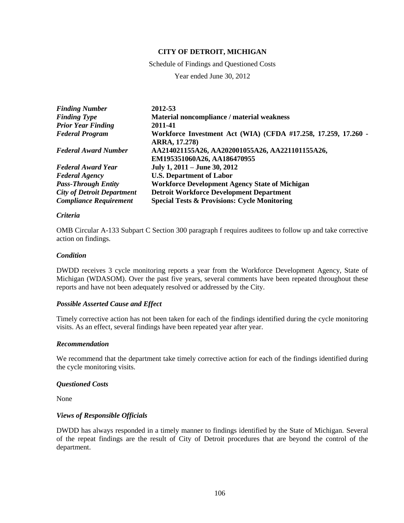Schedule of Findings and Questioned Costs

Year ended June 30, 2012

| <b>Finding Number</b>             | 2012-53                                                        |
|-----------------------------------|----------------------------------------------------------------|
| <b>Finding Type</b>               | Material noncompliance / material weakness                     |
| <b>Prior Year Finding</b>         | 2011-41                                                        |
| <b>Federal Program</b>            | Workforce Investment Act (WIA) (CFDA #17.258, 17.259, 17.260 - |
|                                   | ARRA, 17.278)                                                  |
| <b>Federal Award Number</b>       | AA214021155A26, AA202001055A26, AA221101155A26,                |
|                                   | EM195351060A26, AA186470955                                    |
| <b>Federal Award Year</b>         | July 1, 2011 – June 30, 2012                                   |
| <b>Federal Agency</b>             | <b>U.S. Department of Labor</b>                                |
| <b>Pass-Through Entity</b>        | <b>Workforce Development Agency State of Michigan</b>          |
| <b>City of Detroit Department</b> | <b>Detroit Workforce Development Department</b>                |
| <b>Compliance Requirement</b>     | <b>Special Tests &amp; Provisions: Cycle Monitoring</b>        |

# *Criteria*

OMB Circular A-133 Subpart C Section 300 paragraph f requires auditees to follow up and take corrective action on findings.

# *Condition*

DWDD receives 3 cycle monitoring reports a year from the Workforce Development Agency, State of Michigan (WDASOM). Over the past five years, several comments have been repeated throughout these reports and have not been adequately resolved or addressed by the City.

# *Possible Asserted Cause and Effect*

Timely corrective action has not been taken for each of the findings identified during the cycle monitoring visits. As an effect, several findings have been repeated year after year.

# *Recommendation*

We recommend that the department take timely corrective action for each of the findings identified during the cycle monitoring visits.

## *Questioned Costs*

None

## *Views of Responsible Officials*

DWDD has always responded in a timely manner to findings identified by the State of Michigan. Several of the repeat findings are the result of City of Detroit procedures that are beyond the control of the department.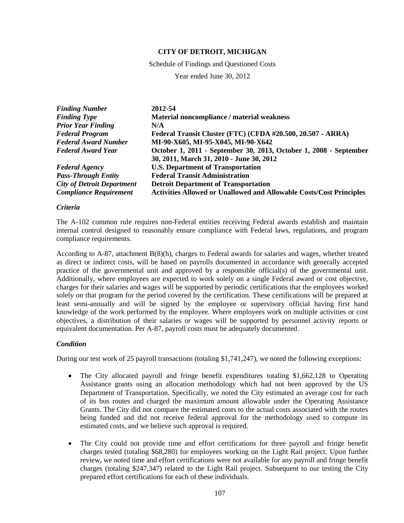Schedule of Findings and Questioned Costs

Year ended June 30, 2012

| <b>Finding Number</b>             | 2012-54                                                                                                       |
|-----------------------------------|---------------------------------------------------------------------------------------------------------------|
| <b>Finding Type</b>               | Material noncompliance / material weakness                                                                    |
| <b>Prior Year Finding</b>         | N/A                                                                                                           |
| <b>Federal Program</b>            | Federal Transit Cluster (FTC) (CFDA #20.500, 20.507 - ARRA)                                                   |
| <b>Federal Award Number</b>       | MI-90-X605, MI-95-X045, MI-90-X642                                                                            |
| <b>Federal Award Year</b>         | October 1, 2011 - September 30, 2013, October 1, 2008 - September<br>30, 2011, March 31, 2010 - June 30, 2012 |
| <b>Federal Agency</b>             | <b>U.S. Department of Transportation</b>                                                                      |
| <b>Pass-Through Entity</b>        | <b>Federal Transit Administration</b>                                                                         |
| <b>City of Detroit Department</b> | <b>Detroit Department of Transportation</b>                                                                   |
| <b>Compliance Requirement</b>     | <b>Activities Allowed or Unallowed and Allowable Costs/Cost Principles</b>                                    |

#### *Criteria*

The A-102 common rule requires non-Federal entities receiving Federal awards establish and maintain internal control designed to reasonably ensure compliance with Federal laws, regulations, and program compliance requirements.

According to A-87, attachment B(8)(h), charges to Federal awards for salaries and wages, whether treated as direct or indirect costs, will be based on payrolls documented in accordance with generally accepted practice of the governmental unit and approved by a responsible official(s) of the governmental unit. Additionally, where employees are expected to work solely on a single Federal award or cost objective, charges for their salaries and wages will be supported by periodic certifications that the employees worked solely on that program for the period covered by the certification. These certifications will be prepared at least semi-annually and will be signed by the employee or supervisory official having first hand knowledge of the work performed by the employee. Where employees work on multiple activities or cost objectives, a distribution of their salaries or wages will be supported by personnel activity reports or equivalent documentation. Per A-87, payroll costs must be adequately documented.

# *Condition*

During our test work of 25 payroll transactions (totaling \$1,741,247), we noted the following exceptions:

- The City allocated payroll and fringe benefit expenditures totaling \$1,662,128 to Operating Assistance grants using an allocation methodology which had not been approved by the US Department of Transportation. Specifically, we noted the City estimated an average cost for each of its bus routes and charged the maximum amount allowable under the Operating Assistance Grants. The City did not compare the estimated costs to the actual costs associated with the routes being funded and did not receive federal approval for the methodology used to compute its estimated costs, and we believe such approval is required.
- The City could not provide time and effort certifications for three payroll and fringe benefit charges tested (totaling \$68,280) for employees working on the Light Rail project. Upon further review, we noted time and effort certifications were not available for any payroll and fringe benefit charges (totaling \$247,347) related to the Light Rail project. Subsequent to our testing the City prepared effort certifications for each of these individuals.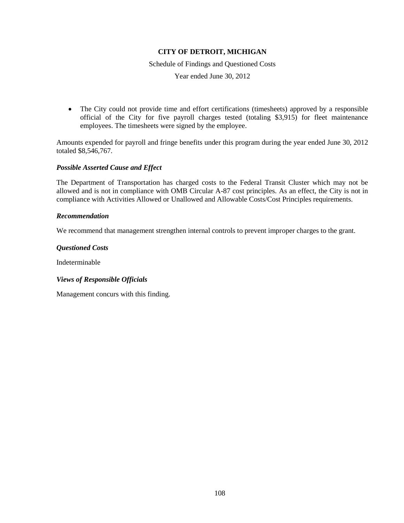Schedule of Findings and Questioned Costs

Year ended June 30, 2012

• The City could not provide time and effort certifications (timesheets) approved by a responsible official of the City for five payroll charges tested (totaling \$3,915) for fleet maintenance employees. The timesheets were signed by the employee.

Amounts expended for payroll and fringe benefits under this program during the year ended June 30, 2012 totaled \$8,546,767.

# *Possible Asserted Cause and Effect*

The Department of Transportation has charged costs to the Federal Transit Cluster which may not be allowed and is not in compliance with OMB Circular A-87 cost principles. As an effect, the City is not in compliance with Activities Allowed or Unallowed and Allowable Costs/Cost Principles requirements.

# *Recommendation*

We recommend that management strengthen internal controls to prevent improper charges to the grant.

# *Questioned Costs*

Indeterminable

# *Views of Responsible Officials*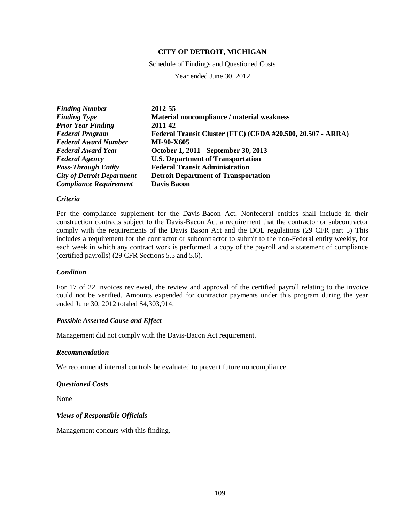Schedule of Findings and Questioned Costs

Year ended June 30, 2012

| <b>Finding Number</b>             | 2012-55                                                     |
|-----------------------------------|-------------------------------------------------------------|
| <b>Finding Type</b>               | Material noncompliance / material weakness                  |
| <b>Prior Year Finding</b>         | 2011-42                                                     |
| <b>Federal Program</b>            | Federal Transit Cluster (FTC) (CFDA #20.500, 20.507 - ARRA) |
| <b>Federal Award Number</b>       | MI-90-X605                                                  |
| <b>Federal Award Year</b>         | October 1, 2011 - September 30, 2013                        |
| <b>Federal Agency</b>             | <b>U.S. Department of Transportation</b>                    |
| <b>Pass-Through Entity</b>        | <b>Federal Transit Administration</b>                       |
| <b>City of Detroit Department</b> | <b>Detroit Department of Transportation</b>                 |
| <b>Compliance Requirement</b>     | <b>Davis Bacon</b>                                          |

#### *Criteria*

Per the compliance supplement for the Davis-Bacon Act, Nonfederal entities shall include in their construction contracts subject to the Davis-Bacon Act a requirement that the contractor or subcontractor comply with the requirements of the Davis Bason Act and the DOL regulations (29 CFR part 5) This includes a requirement for the contractor or subcontractor to submit to the non-Federal entity weekly, for each week in which any contract work is performed, a copy of the payroll and a statement of compliance (certified payrolls) (29 CFR Sections 5.5 and 5.6).

#### *Condition*

For 17 of 22 invoices reviewed, the review and approval of the certified payroll relating to the invoice could not be verified. Amounts expended for contractor payments under this program during the year ended June 30, 2012 totaled \$4,303,914.

#### *Possible Asserted Cause and Effect*

Management did not comply with the Davis-Bacon Act requirement.

## *Recommendation*

We recommend internal controls be evaluated to prevent future noncompliance.

#### *Questioned Costs*

None

# *Views of Responsible Officials*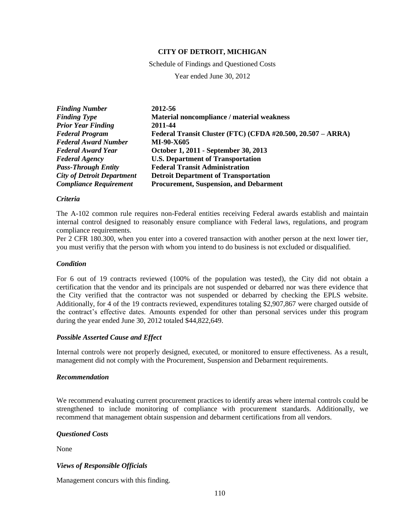Schedule of Findings and Questioned Costs

Year ended June 30, 2012

| <b>Finding Number</b>             | 2012-56                                                     |
|-----------------------------------|-------------------------------------------------------------|
| <b>Finding Type</b>               | Material noncompliance / material weakness                  |
| <b>Prior Year Finding</b>         | 2011-44                                                     |
| <b>Federal Program</b>            | Federal Transit Cluster (FTC) (CFDA #20.500, 20.507 – ARRA) |
| <b>Federal Award Number</b>       | MI-90-X605                                                  |
| <b>Federal Award Year</b>         | October 1, 2011 - September 30, 2013                        |
| <b>Federal Agency</b>             | <b>U.S. Department of Transportation</b>                    |
| <b>Pass-Through Entity</b>        | <b>Federal Transit Administration</b>                       |
| <b>City of Detroit Department</b> | <b>Detroit Department of Transportation</b>                 |
| <b>Compliance Requirement</b>     | <b>Procurement, Suspension, and Debarment</b>               |

#### *Criteria*

The A-102 common rule requires non-Federal entities receiving Federal awards establish and maintain internal control designed to reasonably ensure compliance with Federal laws, regulations, and program compliance requirements.

Per 2 CFR 180.300, when you enter into a covered transaction with another person at the next lower tier, you must verifiy that the person with whom you intend to do business is not excluded or disqualified.

#### *Condition*

For 6 out of 19 contracts reviewed (100% of the population was tested), the City did not obtain a certification that the vendor and its principals are not suspended or debarred nor was there evidence that the City verified that the contractor was not suspended or debarred by checking the EPLS website. Additionally, for 4 of the 19 contracts reviewed, expenditures totaling \$2,907,867 were charged outside of the contract's effective dates. Amounts expended for other than personal services under this program during the year ended June 30, 2012 totaled \$44,822,649.

# *Possible Asserted Cause and Effect*

Internal controls were not properly designed, executed, or monitored to ensure effectiveness. As a result, management did not comply with the Procurement, Suspension and Debarment requirements.

# *Recommendation*

We recommend evaluating current procurement practices to identify areas where internal controls could be strengthened to include monitoring of compliance with procurement standards. Additionally, we recommend that management obtain suspension and debarment certifications from all vendors.

#### *Questioned Costs*

None

#### *Views of Responsible Officials*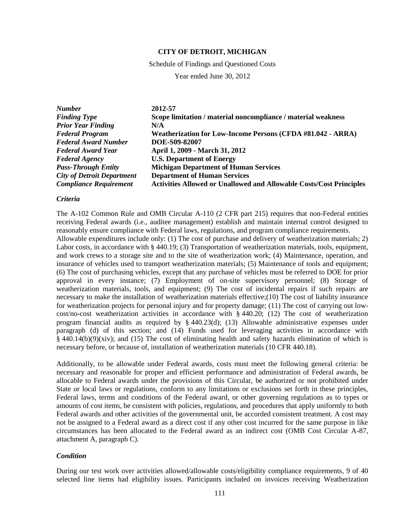Schedule of Findings and Questioned Costs

Year ended June 30, 2012

| <b>Number</b>                     | 2012-57                                                             |
|-----------------------------------|---------------------------------------------------------------------|
| <b>Finding Type</b>               | Scope limitation / material noncompliance / material weakness       |
| <b>Prior Year Finding</b>         | N/A                                                                 |
| <b>Federal Program</b>            | <b>Weatherization for Low-Income Persons (CFDA #81.042 - ARRA)</b>  |
| <b>Federal Award Number</b>       | DOE-S09-82007                                                       |
| <b>Federal Award Year</b>         | April 1, 2009 - March 31, 2012                                      |
| <b>Federal Agency</b>             | <b>U.S. Department of Energy</b>                                    |
| <b>Pass-Through Entity</b>        | <b>Michigan Department of Human Services</b>                        |
| <b>City of Detroit Department</b> | <b>Department of Human Services</b>                                 |
| <b>Compliance Requirement</b>     | Activities Allowed or Unallowed and Allowable Costs/Cost Principles |

#### *Criteria*

The A-102 Common Rule and OMB Circular A-110 (2 CFR part 215) requires that non-Federal entities receiving Federal awards (i.e., auditee management) establish and maintain internal control designed to reasonably ensure compliance with Federal laws, regulations, and program compliance requirements. Allowable expenditures include only: (1) The cost of purchase and delivery of weatherization materials; 2) Labor costs, in accordance with § 440.19; (3) Transportation of weatherization materials, tools, equipment, and work crews to a storage site and to the site of weatherization work; (4) Maintenance, operation, and insurance of vehicles used to transport weatherization materials; (5) Maintenance of tools and equipment; (6) The cost of purchasing vehicles, except that any purchase of vehicles must be referred to DOE for prior approval in every instance; (7) Employment of on-site supervisory personnel; (8) Storage of weatherization materials, tools, and equipment; (9) The cost of incidental repairs if such repairs are necessary to make the installation of weatherization materials effective;(10) The cost of liability insurance for weatherization projects for personal injury and for property damage; (11) The cost of carrying out lowcost/no-cost weatherization activities in accordance with § 440.20; (12) The cost of weatherization program financial audits as required by  $§$  440.23(d); (13) Allowable administrative expenses under

 $\frac{2}{3}$  440.14(b)(9)(xiv); and (15) The cost of eliminating health and safety hazards elimination of which is necessary before, or because of, installation of weatherization materials (10 CFR 440.18). Additionally, to be allowable under Federal awards, costs must meet the following general criteria: be necessary and reasonable for proper and efficient performance and administration of Federal awards, be allocable to Federal awards under the provisions of this Circular, be authorized or not prohibited under State or local laws or regulations, conform to any limitations or exclusions set forth in these principles, Federal laws, terms and conditions of the Federal award, or other governing regulations as to types or amounts of cost items, be consistent with policies, regulations, and procedures that apply uniformly to both Federal awards and other activities of the governmental unit, be accorded consistent treatment. A cost may not be assigned to a Federal award as a direct cost if any other cost incurred for the same purpose in like circumstances has been allocated to the Federal award as an indirect cost (OMB Cost Circular A-87,

paragraph (d) of this section; and (14) Funds used for leveraging activities in accordance with

#### *Condition*

attachment A, paragraph C).

During our test work over activities allowed/allowable costs/eligibility compliance requirements, 9 of 40 selected line items had eligibility issues. Participants included on invoices receiving Weatherization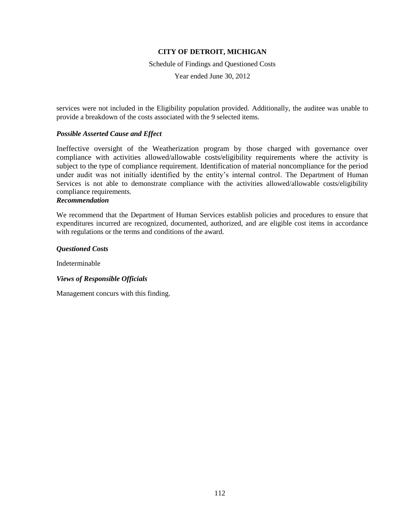Schedule of Findings and Questioned Costs

Year ended June 30, 2012

services were not included in the Eligibility population provided. Additionally, the auditee was unable to provide a breakdown of the costs associated with the 9 selected items.

### *Possible Asserted Cause and Effect*

Ineffective oversight of the Weatherization program by those charged with governance over compliance with activities allowed/allowable costs/eligibility requirements where the activity is subject to the type of compliance requirement. Identification of material noncompliance for the period under audit was not initially identified by the entity's internal control. The Department of Human Services is not able to demonstrate compliance with the activities allowed/allowable costs/eligibility compliance requirements.

# *Recommendation*

We recommend that the Department of Human Services establish policies and procedures to ensure that expenditures incurred are recognized, documented, authorized, and are eligible cost items in accordance with regulations or the terms and conditions of the award.

*Questioned Costs* 

Indeterminable

*Views of Responsible Officials*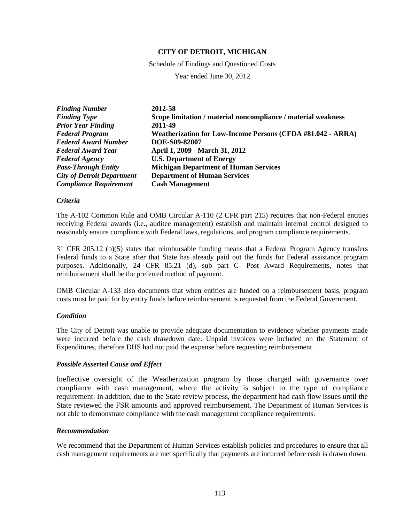Schedule of Findings and Questioned Costs

Year ended June 30, 2012

| <b>Finding Number</b>             | 2012-58                                                            |
|-----------------------------------|--------------------------------------------------------------------|
| <b>Finding Type</b>               | Scope limitation / material noncompliance / material weakness      |
| <b>Prior Year Finding</b>         | 2011-49                                                            |
| <b>Federal Program</b>            | <b>Weatherization for Low-Income Persons (CFDA #81.042 - ARRA)</b> |
| <b>Federal Award Number</b>       | DOE-S09-82007                                                      |
| <b>Federal Award Year</b>         | April 1, 2009 - March 31, 2012                                     |
| <b>Federal Agency</b>             | <b>U.S. Department of Energy</b>                                   |
| <b>Pass-Through Entity</b>        | <b>Michigan Department of Human Services</b>                       |
| <b>City of Detroit Department</b> | <b>Department of Human Services</b>                                |
| <b>Compliance Requirement</b>     | <b>Cash Management</b>                                             |

#### *Criteria*

The A-102 Common Rule and OMB Circular A-110 (2 CFR part 215) requires that non-Federal entities receiving Federal awards (i.e., auditee management) establish and maintain internal control designed to reasonably ensure compliance with Federal laws, regulations, and program compliance requirements.

31 CFR 205.12 (b)(5) states that reimbursable funding means that a Federal Program Agency transfers Federal funds to a State after that State has already paid out the funds for Federal assistance program purposes. Additionally, 24 CFR 85.21 (d), sub part C- Post Award Requirements, notes that reimbursement shall be the preferred method of payment.

OMB Circular A-133 also documents that when entities are funded on a reimbursement basis, program costs must be paid for by entity funds before reimbursement is requested from the Federal Government.

# *Condition*

The City of Detroit was unable to provide adequate documentation to evidence whether payments made were incurred before the cash drawdown date. Unpaid invoices were included on the Statement of Expenditures, therefore DHS had not paid the expense before requesting reimbursement.

#### *Possible Asserted Cause and Effect*

Ineffective oversight of the Weatherization program by those charged with governance over compliance with cash management, where the activity is subject to the type of compliance requirement. In addition, due to the State review process, the department had cash flow issues until the State reviewed the FSR amounts and approved reimbursement. The Department of Human Services is not able to demonstrate compliance with the cash management compliance requirements.

#### *Recommendation*

We recommend that the Department of Human Services establish policies and procedures to ensure that all cash management requirements are met specifically that payments are incurred before cash is drawn down.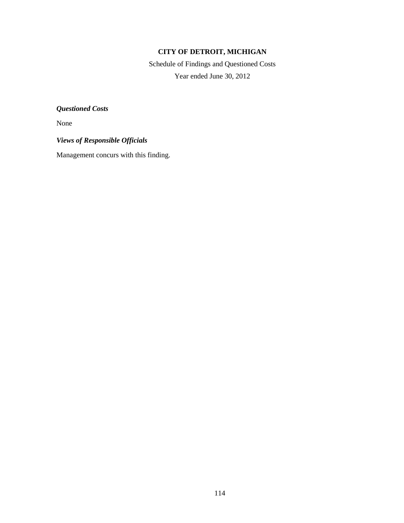Schedule of Findings and Questioned Costs Year ended June 30, 2012

*Questioned Costs* 

None

*Views of Responsible Officials*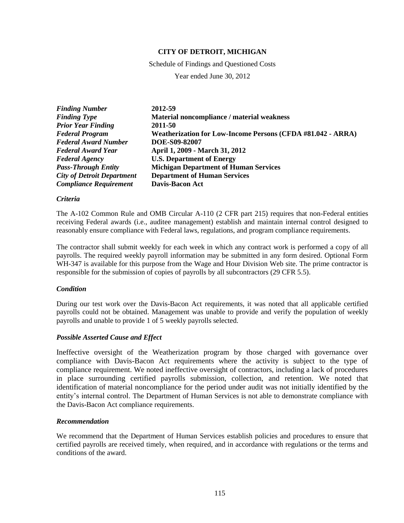Schedule of Findings and Questioned Costs

Year ended June 30, 2012

| <b>Finding Number</b>             | 2012-59                                                            |
|-----------------------------------|--------------------------------------------------------------------|
| <b>Finding Type</b>               | Material noncompliance / material weakness                         |
| <b>Prior Year Finding</b>         | 2011-50                                                            |
| <b>Federal Program</b>            | <b>Weatherization for Low-Income Persons (CFDA #81.042 - ARRA)</b> |
| <b>Federal Award Number</b>       | DOE-S09-82007                                                      |
| <b>Federal Award Year</b>         | April 1, 2009 - March 31, 2012                                     |
| <b>Federal Agency</b>             | <b>U.S. Department of Energy</b>                                   |
| <b>Pass-Through Entity</b>        | <b>Michigan Department of Human Services</b>                       |
| <b>City of Detroit Department</b> | <b>Department of Human Services</b>                                |
| <b>Compliance Requirement</b>     | <b>Davis-Bacon Act</b>                                             |

#### *Criteria*

The A-102 Common Rule and OMB Circular A-110 (2 CFR part 215) requires that non-Federal entities receiving Federal awards (i.e., auditee management) establish and maintain internal control designed to reasonably ensure compliance with Federal laws, regulations, and program compliance requirements.

The contractor shall submit weekly for each week in which any contract work is performed a copy of all payrolls. The required weekly payroll information may be submitted in any form desired. Optional Form WH-347 is available for this purpose from the Wage and Hour Division Web site. The prime contractor is responsible for the submission of copies of payrolls by all subcontractors (29 CFR 5.5).

#### *Condition*

During our test work over the Davis-Bacon Act requirements, it was noted that all applicable certified payrolls could not be obtained. Management was unable to provide and verify the population of weekly payrolls and unable to provide 1 of 5 weekly payrolls selected.

# *Possible Asserted Cause and Effect*

Ineffective oversight of the Weatherization program by those charged with governance over compliance with Davis-Bacon Act requirements where the activity is subject to the type of compliance requirement. We noted ineffective oversight of contractors, including a lack of procedures in place surrounding certified payrolls submission, collection, and retention. We noted that identification of material noncompliance for the period under audit was not initially identified by the entity's internal control. The Department of Human Services is not able to demonstrate compliance with the Davis-Bacon Act compliance requirements.

### *Recommendation*

We recommend that the Department of Human Services establish policies and procedures to ensure that certified payrolls are received timely, when required, and in accordance with regulations or the terms and conditions of the award.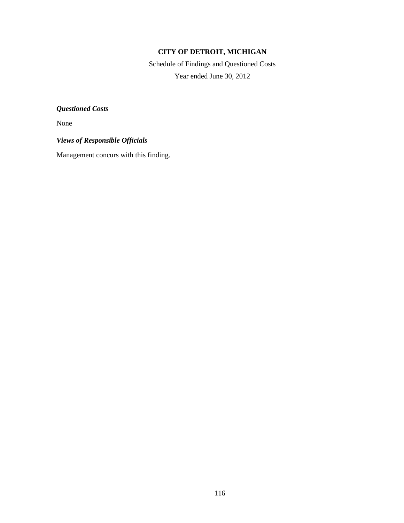Schedule of Findings and Questioned Costs Year ended June 30, 2012

*Questioned Costs* 

None

*Views of Responsible Officials*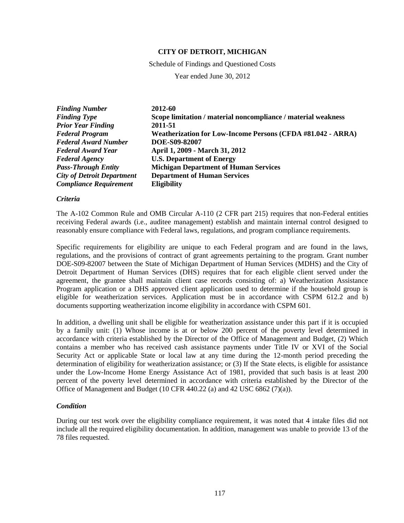Schedule of Findings and Questioned Costs

Year ended June 30, 2012

| <b>Finding Number</b>             | 2012-60                                                            |
|-----------------------------------|--------------------------------------------------------------------|
| <b>Finding Type</b>               | Scope limitation / material noncompliance / material weakness      |
| <b>Prior Year Finding</b>         | 2011-51                                                            |
| <b>Federal Program</b>            | <b>Weatherization for Low-Income Persons (CFDA #81.042 - ARRA)</b> |
| <b>Federal Award Number</b>       | DOE-S09-82007                                                      |
| <b>Federal Award Year</b>         | April 1, 2009 - March 31, 2012                                     |
| <b>Federal Agency</b>             | <b>U.S. Department of Energy</b>                                   |
| <b>Pass-Through Entity</b>        | <b>Michigan Department of Human Services</b>                       |
| <b>City of Detroit Department</b> | <b>Department of Human Services</b>                                |
| <b>Compliance Requirement</b>     | <b>Eligibility</b>                                                 |

#### *Criteria*

The A-102 Common Rule and OMB Circular A-110 (2 CFR part 215) requires that non-Federal entities receiving Federal awards (i.e., auditee management) establish and maintain internal control designed to reasonably ensure compliance with Federal laws, regulations, and program compliance requirements.

Specific requirements for eligibility are unique to each Federal program and are found in the laws, regulations, and the provisions of contract of grant agreements pertaining to the program. Grant number DOE-S09-82007 between the State of Michigan Department of Human Services (MDHS) and the City of Detroit Department of Human Services (DHS) requires that for each eligible client served under the agreement, the grantee shall maintain client case records consisting of: a) Weatherization Assistance Program application or a DHS approved client application used to determine if the household group is eligible for weatherization services. Application must be in accordance with CSPM 612.2 and b) documents supporting weatherization income eligibility in accordance with CSPM 601.

In addition, a dwelling unit shall be eligible for weatherization assistance under this part if it is occupied by a family unit: (1) Whose income is at or below 200 percent of the poverty level determined in accordance with criteria established by the Director of the Office of Management and Budget, (2) Which contains a member who has received cash assistance payments under Title IV or XVI of the Social Security Act or applicable State or local law at any time during the 12-month period preceding the determination of eligibility for weatherization assistance; or (3) If the State elects, is eligible for assistance under the Low-Income Home Energy Assistance Act of 1981, provided that such basis is at least 200 percent of the poverty level determined in accordance with criteria established by the Director of the Office of Management and Budget (10 CFR 440.22 (a) and 42 USC 6862 (7)(a)).

#### *Condition*

During our test work over the eligibility compliance requirement, it was noted that 4 intake files did not include all the required eligibility documentation. In addition, management was unable to provide 13 of the 78 files requested.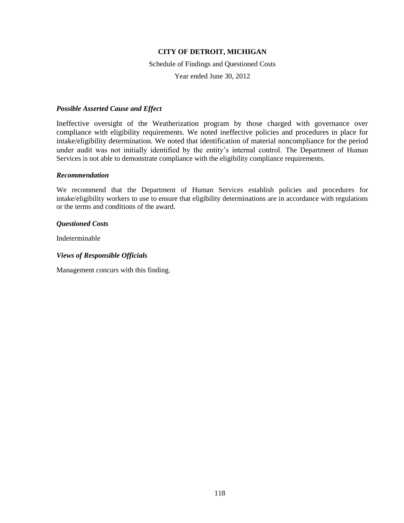Schedule of Findings and Questioned Costs Year ended June 30, 2012

## *Possible Asserted Cause and Effect*

Ineffective oversight of the Weatherization program by those charged with governance over compliance with eligibility requirements. We noted ineffective policies and procedures in place for intake/eligibility determination. We noted that identification of material noncompliance for the period under audit was not initially identified by the entity's internal control. The Department of Human Services is not able to demonstrate compliance with the eligibility compliance requirements.

#### *Recommendation*

We recommend that the Department of Human Services establish policies and procedures for intake/eligibility workers to use to ensure that eligibility determinations are in accordance with regulations or the terms and conditions of the award.

#### *Questioned Costs*

Indeterminable

### *Views of Responsible Officials*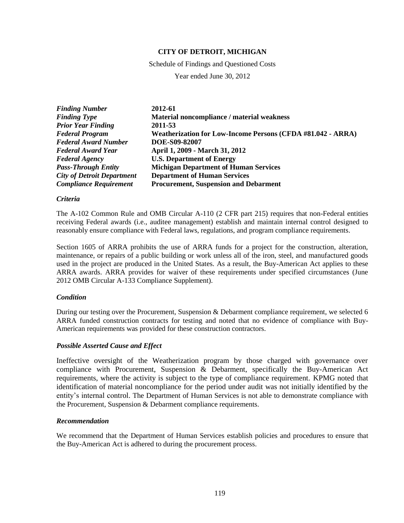Schedule of Findings and Questioned Costs

Year ended June 30, 2012

| <b>Finding Number</b>             | 2012-61                                                            |
|-----------------------------------|--------------------------------------------------------------------|
| <b>Finding Type</b>               | Material noncompliance / material weakness                         |
| <b>Prior Year Finding</b>         | 2011-53                                                            |
| <b>Federal Program</b>            | <b>Weatherization for Low-Income Persons (CFDA #81.042 - ARRA)</b> |
| <b>Federal Award Number</b>       | DOE-S09-82007                                                      |
| <b>Federal Award Year</b>         | April 1, 2009 - March 31, 2012                                     |
| <b>Federal Agency</b>             | <b>U.S. Department of Energy</b>                                   |
| <b>Pass-Through Entity</b>        | <b>Michigan Department of Human Services</b>                       |
| <b>City of Detroit Department</b> | <b>Department of Human Services</b>                                |
| <b>Compliance Requirement</b>     | <b>Procurement, Suspension and Debarment</b>                       |

#### *Criteria*

The A-102 Common Rule and OMB Circular A-110 (2 CFR part 215) requires that non-Federal entities receiving Federal awards (i.e., auditee management) establish and maintain internal control designed to reasonably ensure compliance with Federal laws, regulations, and program compliance requirements.

Section 1605 of ARRA prohibits the use of ARRA funds for a project for the construction, alteration, maintenance, or repairs of a public building or work unless all of the iron, steel, and manufactured goods used in the project are produced in the United States. As a result, the Buy-American Act applies to these ARRA awards. ARRA provides for waiver of these requirements under specified circumstances (June 2012 OMB Circular A-133 Compliance Supplement).

#### *Condition*

During our testing over the Procurement, Suspension & Debarment compliance requirement, we selected 6 ARRA funded construction contracts for testing and noted that no evidence of compliance with Buy-American requirements was provided for these construction contractors.

# *Possible Asserted Cause and Effect*

Ineffective oversight of the Weatherization program by those charged with governance over compliance with Procurement, Suspension & Debarment, specifically the Buy-American Act requirements, where the activity is subject to the type of compliance requirement. KPMG noted that identification of material noncompliance for the period under audit was not initially identified by the entity's internal control. The Department of Human Services is not able to demonstrate compliance with the Procurement, Suspension & Debarment compliance requirements.

# *Recommendation*

We recommend that the Department of Human Services establish policies and procedures to ensure that the Buy-American Act is adhered to during the procurement process.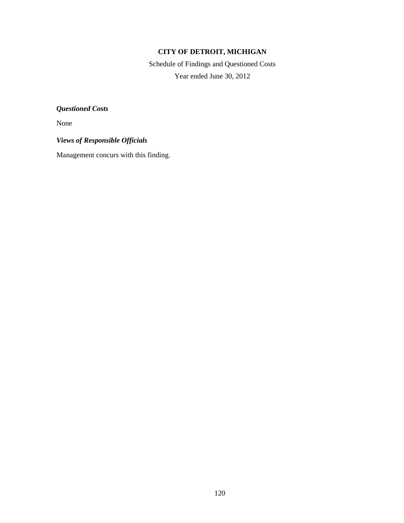Schedule of Findings and Questioned Costs Year ended June 30, 2012

*Questioned Costs* 

None

*Views of Responsible Officials*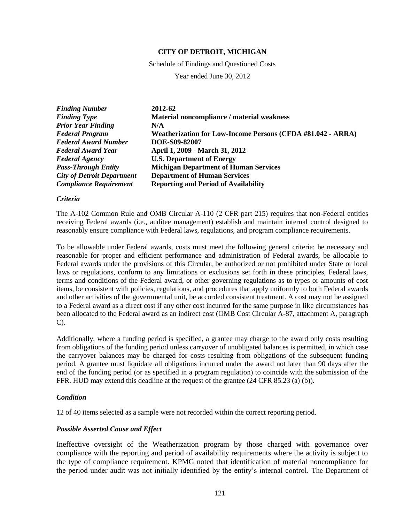Schedule of Findings and Questioned Costs

Year ended June 30, 2012

| <b>Finding Number</b>             | 2012-62                                                            |
|-----------------------------------|--------------------------------------------------------------------|
| <b>Finding Type</b>               | Material noncompliance / material weakness                         |
| <b>Prior Year Finding</b>         | N/A                                                                |
| <b>Federal Program</b>            | <b>Weatherization for Low-Income Persons (CFDA #81.042 - ARRA)</b> |
| <b>Federal Award Number</b>       | DOE-S09-82007                                                      |
| <b>Federal Award Year</b>         | April 1, 2009 - March 31, 2012                                     |
| <b>Federal Agency</b>             | <b>U.S. Department of Energy</b>                                   |
| <b>Pass-Through Entity</b>        | <b>Michigan Department of Human Services</b>                       |
| <b>City of Detroit Department</b> | <b>Department of Human Services</b>                                |
| <b>Compliance Requirement</b>     | <b>Reporting and Period of Availability</b>                        |

#### *Criteria*

The A-102 Common Rule and OMB Circular A-110 (2 CFR part 215) requires that non-Federal entities receiving Federal awards (i.e., auditee management) establish and maintain internal control designed to reasonably ensure compliance with Federal laws, regulations, and program compliance requirements.

To be allowable under Federal awards, costs must meet the following general criteria: be necessary and reasonable for proper and efficient performance and administration of Federal awards, be allocable to Federal awards under the provisions of this Circular, be authorized or not prohibited under State or local laws or regulations, conform to any limitations or exclusions set forth in these principles, Federal laws, terms and conditions of the Federal award, or other governing regulations as to types or amounts of cost items, be consistent with policies, regulations, and procedures that apply uniformly to both Federal awards and other activities of the governmental unit, be accorded consistent treatment. A cost may not be assigned to a Federal award as a direct cost if any other cost incurred for the same purpose in like circumstances has been allocated to the Federal award as an indirect cost (OMB Cost Circular A-87, attachment A, paragraph C).

Additionally, where a funding period is specified, a grantee may charge to the award only costs resulting from obligations of the funding period unless carryover of unobligated balances is permitted, in which case the carryover balances may be charged for costs resulting from obligations of the subsequent funding period. A grantee must liquidate all obligations incurred under the award not later than 90 days after the end of the funding period (or as specified in a program regulation) to coincide with the submission of the FFR. HUD may extend this deadline at the request of the grantee (24 CFR 85.23 (a) (b)).

# *Condition*

12 of 40 items selected as a sample were not recorded within the correct reporting period.

# *Possible Asserted Cause and Effect*

Ineffective oversight of the Weatherization program by those charged with governance over compliance with the reporting and period of availability requirements where the activity is subject to the type of compliance requirement. KPMG noted that identification of material noncompliance for the period under audit was not initially identified by the entity's internal control. The Department of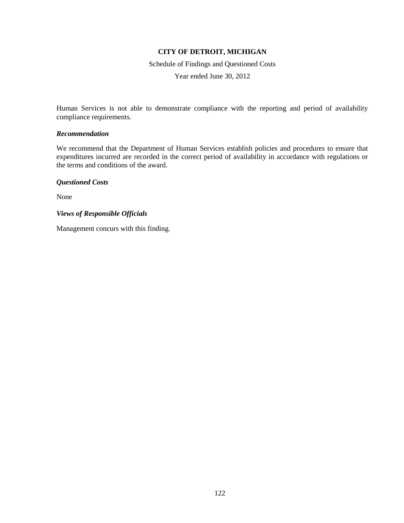Schedule of Findings and Questioned Costs

Year ended June 30, 2012

Human Services is not able to demonstrate compliance with the reporting and period of availability compliance requirements.

## *Recommendation*

We recommend that the Department of Human Services establish policies and procedures to ensure that expenditures incurred are recorded in the correct period of availability in accordance with regulations or the terms and conditions of the award.

# *Questioned Costs*

None

*Views of Responsible Officials*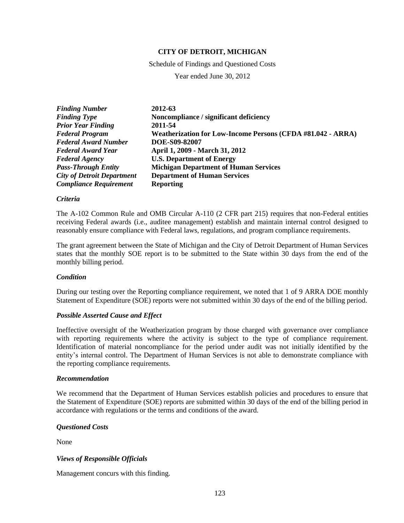Schedule of Findings and Questioned Costs

Year ended June 30, 2012

| <b>Finding Number</b>             | 2012-63                                                            |
|-----------------------------------|--------------------------------------------------------------------|
| <b>Finding Type</b>               | Noncompliance / significant deficiency                             |
| <b>Prior Year Finding</b>         | 2011-54                                                            |
| <b>Federal Program</b>            | <b>Weatherization for Low-Income Persons (CFDA #81.042 - ARRA)</b> |
| <b>Federal Award Number</b>       | DOE-S09-82007                                                      |
| <b>Federal Award Year</b>         | April 1, 2009 - March 31, 2012                                     |
| <b>Federal Agency</b>             | <b>U.S. Department of Energy</b>                                   |
| <b>Pass-Through Entity</b>        | <b>Michigan Department of Human Services</b>                       |
| <b>City of Detroit Department</b> | <b>Department of Human Services</b>                                |
| <b>Compliance Requirement</b>     | <b>Reporting</b>                                                   |

#### *Criteria*

The A-102 Common Rule and OMB Circular A-110 (2 CFR part 215) requires that non-Federal entities receiving Federal awards (i.e., auditee management) establish and maintain internal control designed to reasonably ensure compliance with Federal laws, regulations, and program compliance requirements.

The grant agreement between the State of Michigan and the City of Detroit Department of Human Services states that the monthly SOE report is to be submitted to the State within 30 days from the end of the monthly billing period.

#### *Condition*

During our testing over the Reporting compliance requirement, we noted that 1 of 9 ARRA DOE monthly Statement of Expenditure (SOE) reports were not submitted within 30 days of the end of the billing period.

# *Possible Asserted Cause and Effect*

Ineffective oversight of the Weatherization program by those charged with governance over compliance with reporting requirements where the activity is subject to the type of compliance requirement. Identification of material noncompliance for the period under audit was not initially identified by the entity's internal control. The Department of Human Services is not able to demonstrate compliance with the reporting compliance requirements.

#### *Recommendation*

We recommend that the Department of Human Services establish policies and procedures to ensure that the Statement of Expenditure (SOE) reports are submitted within 30 days of the end of the billing period in accordance with regulations or the terms and conditions of the award.

#### *Questioned Costs*

None

#### *Views of Responsible Officials*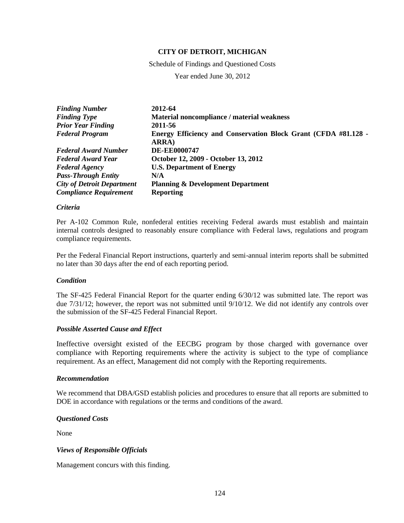Schedule of Findings and Questioned Costs

Year ended June 30, 2012

| <b>Finding Number</b>             | 2012-64                                                                        |
|-----------------------------------|--------------------------------------------------------------------------------|
| <b>Finding Type</b>               | Material noncompliance / material weakness                                     |
| <b>Prior Year Finding</b>         | 2011-56                                                                        |
| <b>Federal Program</b>            | <b>Energy Efficiency and Conservation Block Grant (CFDA #81.128 -</b><br>ARRA) |
| <b>Federal Award Number</b>       | <b>DE-EE0000747</b>                                                            |
| <b>Federal Award Year</b>         | October 12, 2009 - October 13, 2012                                            |
| <b>Federal Agency</b>             | <b>U.S. Department of Energy</b>                                               |
| <b>Pass-Through Entity</b>        | N/A                                                                            |
| <b>City of Detroit Department</b> | <b>Planning &amp; Development Department</b>                                   |
| <b>Compliance Requirement</b>     | <b>Reporting</b>                                                               |

## *Criteria*

Per A-102 Common Rule, nonfederal entities receiving Federal awards must establish and maintain internal controls designed to reasonably ensure compliance with Federal laws, regulations and program compliance requirements.

Per the Federal Financial Report instructions, quarterly and semi-annual interim reports shall be submitted no later than 30 days after the end of each reporting period.

#### *Condition*

The SF-425 Federal Financial Report for the quarter ending 6/30/12 was submitted late. The report was due 7/31/12; however, the report was not submitted until 9/10/12. We did not identify any controls over the submission of the SF-425 Federal Financial Report.

#### *Possible Asserted Cause and Effect*

Ineffective oversight existed of the EECBG program by those charged with governance over compliance with Reporting requirements where the activity is subject to the type of compliance requirement. As an effect, Management did not comply with the Reporting requirements.

#### *Recommendation*

We recommend that DBA/GSD establish policies and procedures to ensure that all reports are submitted to DOE in accordance with regulations or the terms and conditions of the award.

#### *Questioned Costs*

None

## *Views of Responsible Officials*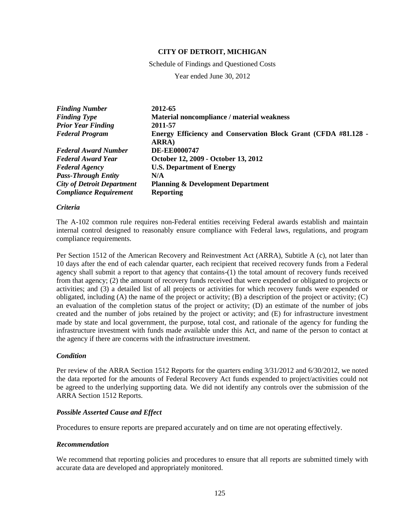Schedule of Findings and Questioned Costs

Year ended June 30, 2012

| <b>Finding Number</b>             | 2012-65                                                                        |
|-----------------------------------|--------------------------------------------------------------------------------|
| <b>Finding Type</b>               | Material noncompliance / material weakness                                     |
| <b>Prior Year Finding</b>         | 2011-57                                                                        |
| <b>Federal Program</b>            | <b>Energy Efficiency and Conservation Block Grant (CFDA #81.128 -</b><br>ARRA) |
| <b>Federal Award Number</b>       | <b>DE-EE0000747</b>                                                            |
| <b>Federal Award Year</b>         | October 12, 2009 - October 13, 2012                                            |
| <b>Federal Agency</b>             | <b>U.S. Department of Energy</b>                                               |
| <b>Pass-Through Entity</b>        | N/A                                                                            |
| <b>City of Detroit Department</b> | <b>Planning &amp; Development Department</b>                                   |
| <b>Compliance Requirement</b>     | <b>Reporting</b>                                                               |

## *Criteria*

The A-102 common rule requires non-Federal entities receiving Federal awards establish and maintain internal control designed to reasonably ensure compliance with Federal laws, regulations, and program compliance requirements.

Per Section 1512 of the American Recovery and Reinvestment Act (ARRA), Subtitle A (c), not later than 10 days after the end of each calendar quarter, each recipient that received recovery funds from a Federal agency shall submit a report to that agency that contains-(1) the total amount of recovery funds received from that agency; (2) the amount of recovery funds received that were expended or obligated to projects or activities; and (3) a detailed list of all projects or activities for which recovery funds were expended or obligated, including (A) the name of the project or activity; (B) a description of the project or activity; (C) an evaluation of the completion status of the project or activity; (D) an estimate of the number of jobs created and the number of jobs retained by the project or activity; and (E) for infrastructure investment made by state and local government, the purpose, total cost, and rationale of the agency for funding the infrastructure investment with funds made available under this Act, and name of the person to contact at the agency if there are concerns with the infrastructure investment.

### *Condition*

Per review of the ARRA Section 1512 Reports for the quarters ending 3/31/2012 and 6/30/2012, we noted the data reported for the amounts of Federal Recovery Act funds expended to project/activities could not be agreed to the underlying supporting data. We did not identify any controls over the submission of the ARRA Section 1512 Reports.

# *Possible Asserted Cause and Effect*

Procedures to ensure reports are prepared accurately and on time are not operating effectively.

#### *Recommendation*

We recommend that reporting policies and procedures to ensure that all reports are submitted timely with accurate data are developed and appropriately monitored.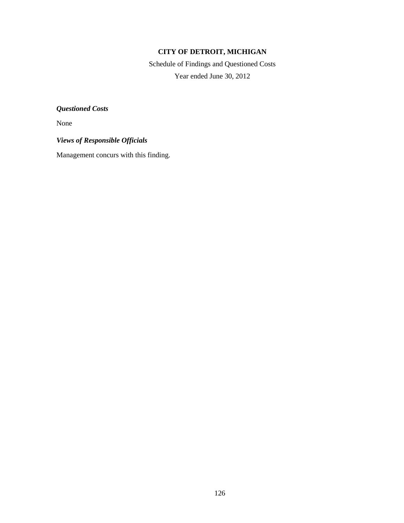Schedule of Findings and Questioned Costs Year ended June 30, 2012

*Questioned Costs* 

None

*Views of Responsible Officials*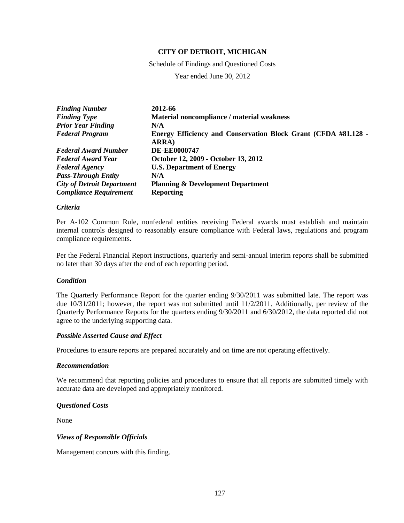Schedule of Findings and Questioned Costs

Year ended June 30, 2012

| <b>Finding Number</b>             | 2012-66                                                                        |
|-----------------------------------|--------------------------------------------------------------------------------|
| <b>Finding Type</b>               | Material noncompliance / material weakness                                     |
| <b>Prior Year Finding</b>         | N/A                                                                            |
| <b>Federal Program</b>            | <b>Energy Efficiency and Conservation Block Grant (CFDA #81.128 -</b><br>ARRA) |
| <b>Federal Award Number</b>       | <b>DE-EE0000747</b>                                                            |
| Federal Award Year                | October 12, 2009 - October 13, 2012                                            |
| <b>Federal Agency</b>             | <b>U.S. Department of Energy</b>                                               |
| <b>Pass-Through Entity</b>        | N/A                                                                            |
| <b>City of Detroit Department</b> | <b>Planning &amp; Development Department</b>                                   |
| <b>Compliance Requirement</b>     | <b>Reporting</b>                                                               |

#### *Criteria*

Per A-102 Common Rule, nonfederal entities receiving Federal awards must establish and maintain internal controls designed to reasonably ensure compliance with Federal laws, regulations and program compliance requirements.

Per the Federal Financial Report instructions, quarterly and semi-annual interim reports shall be submitted no later than 30 days after the end of each reporting period.

# *Condition*

The Quarterly Performance Report for the quarter ending 9/30/2011 was submitted late. The report was due 10/31/2011; however, the report was not submitted until 11/2/2011. Additionally, per review of the Quarterly Performance Reports for the quarters ending 9/30/2011 and 6/30/2012, the data reported did not agree to the underlying supporting data.

# *Possible Asserted Cause and Effect*

Procedures to ensure reports are prepared accurately and on time are not operating effectively.

#### *Recommendation*

We recommend that reporting policies and procedures to ensure that all reports are submitted timely with accurate data are developed and appropriately monitored.

#### *Questioned Costs*

None

#### *Views of Responsible Officials*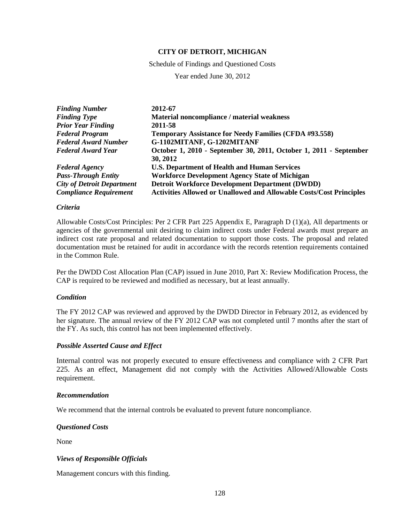Schedule of Findings and Questioned Costs

Year ended June 30, 2012

| <b>Finding Number</b>             | 2012-67                                                                       |
|-----------------------------------|-------------------------------------------------------------------------------|
| <b>Finding Type</b>               | Material noncompliance / material weakness                                    |
| <b>Prior Year Finding</b>         | 2011-58                                                                       |
| <b>Federal Program</b>            | <b>Temporary Assistance for Needy Families (CFDA #93.558)</b>                 |
| <b>Federal Award Number</b>       | G-1102MITANF, G-1202MITANF                                                    |
| <b>Federal Award Year</b>         | October 1, 2010 - September 30, 2011, October 1, 2011 - September<br>30, 2012 |
| <b>Federal Agency</b>             | <b>U.S. Department of Health and Human Services</b>                           |
| <b>Pass-Through Entity</b>        | <b>Workforce Development Agency State of Michigan</b>                         |
| <b>City of Detroit Department</b> | <b>Detroit Workforce Development Department (DWDD)</b>                        |
| <b>Compliance Requirement</b>     | <b>Activities Allowed or Unallowed and Allowable Costs/Cost Principles</b>    |

#### *Criteria*

Allowable Costs/Cost Principles: Per 2 CFR Part 225 Appendix E, Paragraph D (1)(a), All departments or agencies of the governmental unit desiring to claim indirect costs under Federal awards must prepare an indirect cost rate proposal and related documentation to support those costs. The proposal and related documentation must be retained for audit in accordance with the records retention requirements contained in the Common Rule.

Per the DWDD Cost Allocation Plan (CAP) issued in June 2010, Part X: Review Modification Process, the CAP is required to be reviewed and modified as necessary, but at least annually.

#### *Condition*

The FY 2012 CAP was reviewed and approved by the DWDD Director in February 2012, as evidenced by her signature. The annual review of the FY 2012 CAP was not completed until 7 months after the start of the FY. As such, this control has not been implemented effectively.

# *Possible Asserted Cause and Effect*

Internal control was not properly executed to ensure effectiveness and compliance with 2 CFR Part 225. As an effect, Management did not comply with the Activities Allowed/Allowable Costs requirement.

#### *Recommendation*

We recommend that the internal controls be evaluated to prevent future noncompliance.

#### *Questioned Costs*

None

#### *Views of Responsible Officials*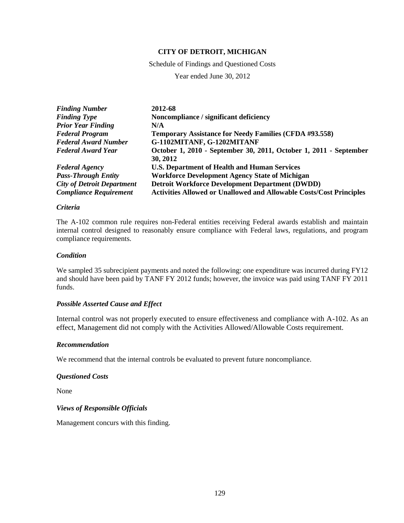Schedule of Findings and Questioned Costs

Year ended June 30, 2012

| <b>Finding Number</b>             | 2012-68                                                                       |
|-----------------------------------|-------------------------------------------------------------------------------|
| <b>Finding Type</b>               | Noncompliance / significant deficiency                                        |
| <b>Prior Year Finding</b>         | N/A                                                                           |
| <b>Federal Program</b>            | <b>Temporary Assistance for Needy Families (CFDA #93.558)</b>                 |
| <b>Federal Award Number</b>       | G-1102MITANF, G-1202MITANF                                                    |
| <b>Federal Award Year</b>         | October 1, 2010 - September 30, 2011, October 1, 2011 - September<br>30, 2012 |
| <b>Federal Agency</b>             | <b>U.S. Department of Health and Human Services</b>                           |
| <b>Pass-Through Entity</b>        | <b>Workforce Development Agency State of Michigan</b>                         |
| <b>City of Detroit Department</b> | <b>Detroit Workforce Development Department (DWDD)</b>                        |
| <b>Compliance Requirement</b>     | <b>Activities Allowed or Unallowed and Allowable Costs/Cost Principles</b>    |

#### *Criteria*

The A-102 common rule requires non-Federal entities receiving Federal awards establish and maintain internal control designed to reasonably ensure compliance with Federal laws, regulations, and program compliance requirements.

# *Condition*

We sampled 35 subrecipient payments and noted the following: one expenditure was incurred during FY12 and should have been paid by TANF FY 2012 funds; however, the invoice was paid using TANF FY 2011 funds.

#### *Possible Asserted Cause and Effect*

Internal control was not properly executed to ensure effectiveness and compliance with A-102. As an effect, Management did not comply with the Activities Allowed/Allowable Costs requirement.

#### *Recommendation*

We recommend that the internal controls be evaluated to prevent future noncompliance.

#### *Questioned Costs*

None

#### *Views of Responsible Officials*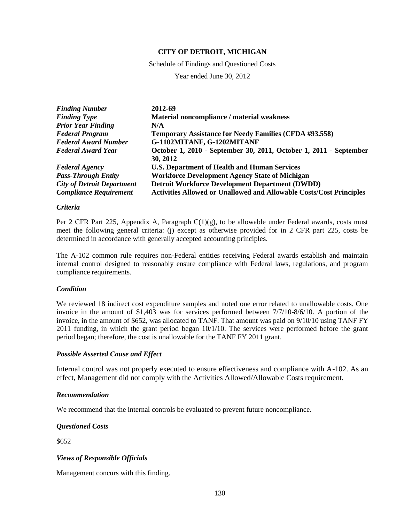Schedule of Findings and Questioned Costs

Year ended June 30, 2012

| <b>Finding Number</b>             | 2012-69                                                                       |
|-----------------------------------|-------------------------------------------------------------------------------|
| <b>Finding Type</b>               | Material noncompliance / material weakness                                    |
| <b>Prior Year Finding</b>         | N/A                                                                           |
| <b>Federal Program</b>            | <b>Temporary Assistance for Needy Families (CFDA #93.558)</b>                 |
| <b>Federal Award Number</b>       | G-1102MITANF, G-1202MITANF                                                    |
| <b>Federal Award Year</b>         | October 1, 2010 - September 30, 2011, October 1, 2011 - September<br>30, 2012 |
| <b>Federal Agency</b>             | <b>U.S. Department of Health and Human Services</b>                           |
| <b>Pass-Through Entity</b>        | <b>Workforce Development Agency State of Michigan</b>                         |
| <b>City of Detroit Department</b> | <b>Detroit Workforce Development Department (DWDD)</b>                        |
| <b>Compliance Requirement</b>     | <b>Activities Allowed or Unallowed and Allowable Costs/Cost Principles</b>    |

#### *Criteria*

Per 2 CFR Part 225, Appendix A, Paragraph C(1)(g), to be allowable under Federal awards, costs must meet the following general criteria: (j) except as otherwise provided for in 2 CFR part 225, costs be determined in accordance with generally accepted accounting principles.

The A-102 common rule requires non-Federal entities receiving Federal awards establish and maintain internal control designed to reasonably ensure compliance with Federal laws, regulations, and program compliance requirements.

#### *Condition*

We reviewed 18 indirect cost expenditure samples and noted one error related to unallowable costs. One invoice in the amount of \$1,403 was for services performed between 7/7/10-8/6/10. A portion of the invoice, in the amount of \$652, was allocated to TANF. That amount was paid on 9/10/10 using TANF FY 2011 funding, in which the grant period began 10/1/10. The services were performed before the grant period began; therefore, the cost is unallowable for the TANF FY 2011 grant.

# *Possible Asserted Cause and Effect*

Internal control was not properly executed to ensure effectiveness and compliance with A-102. As an effect, Management did not comply with the Activities Allowed/Allowable Costs requirement.

#### *Recommendation*

We recommend that the internal controls be evaluated to prevent future noncompliance.

*Questioned Costs* 

\$652

# *Views of Responsible Officials*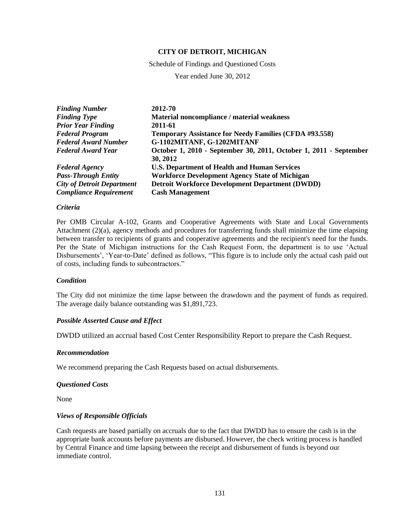Schedule of Findings and Questioned Costs

Year ended June 30, 2012

| <b>Finding Number</b>             | 2012-70                                                                       |
|-----------------------------------|-------------------------------------------------------------------------------|
| <b>Finding Type</b>               | Material noncompliance / material weakness                                    |
| <b>Prior Year Finding</b>         | 2011-61                                                                       |
| <b>Federal Program</b>            | <b>Temporary Assistance for Needy Families (CFDA #93.558)</b>                 |
| <b>Federal Award Number</b>       | G-1102MITANF, G-1202MITANF                                                    |
| <b>Federal Award Year</b>         | October 1, 2010 - September 30, 2011, October 1, 2011 - September<br>30, 2012 |
| <b>Federal Agency</b>             | <b>U.S. Department of Health and Human Services</b>                           |
| <b>Pass-Through Entity</b>        | <b>Workforce Development Agency State of Michigan</b>                         |
| <b>City of Detroit Department</b> | <b>Detroit Workforce Development Department (DWDD)</b>                        |
| <b>Compliance Requirement</b>     | <b>Cash Management</b>                                                        |

#### *Criteria*

Per OMB Circular A-102, Grants and Cooperative Agreements with State and Local Governments Attachment (2)(a), agency methods and procedures for transferring funds shall minimize the time elapsing between transfer to recipients of grants and cooperative agreements and the recipient's need for the funds. Per the State of Michigan instructions for the Cash Request Form, the department is to use 'Actual Disbursements', 'Year-to-Date' defined as follows, "This figure is to include only the actual cash paid out of costs, including funds to subcontractors."

#### *Condition*

The City did not minimize the time lapse between the drawdown and the payment of funds as required. The average daily balance outstanding was \$1,891,723.

#### *Possible Asserted Cause and Effect*

DWDD utilized an accrual based Cost Center Responsibility Report to prepare the Cash Request.

#### *Recommendation*

We recommend preparing the Cash Requests based on actual disbursements.

#### *Questioned Costs*

None

#### *Views of Responsible Officials*

Cash requests are based partially on accruals due to the fact that DWDD has to ensure the cash is in the appropriate bank accounts before payments are disbursed. However, the check writing process is handled by Central Finance and time lapsing between the receipt and disbursement of funds is beyond our immediate control.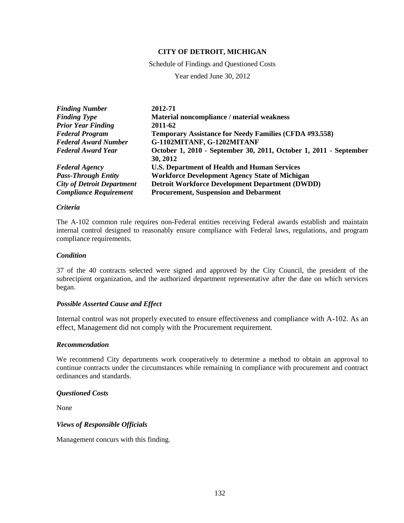Schedule of Findings and Questioned Costs

Year ended June 30, 2012

| <b>Finding Number</b>             | 2012-71                                                                       |
|-----------------------------------|-------------------------------------------------------------------------------|
| <b>Finding Type</b>               | Material noncompliance / material weakness                                    |
| <b>Prior Year Finding</b>         | 2011-62                                                                       |
| <b>Federal Program</b>            | <b>Temporary Assistance for Needy Families (CFDA #93.558)</b>                 |
| <b>Federal Award Number</b>       | G-1102MITANF, G-1202MITANF                                                    |
| <b>Federal Award Year</b>         | October 1, 2010 - September 30, 2011, October 1, 2011 - September<br>30, 2012 |
| <b>Federal Agency</b>             | <b>U.S. Department of Health and Human Services</b>                           |
| <b>Pass-Through Entity</b>        | <b>Workforce Development Agency State of Michigan</b>                         |
| <b>City of Detroit Department</b> | <b>Detroit Workforce Development Department (DWDD)</b>                        |
| <b>Compliance Requirement</b>     | <b>Procurement, Suspension and Debarment</b>                                  |

#### *Criteria*

The A-102 common rule requires non-Federal entities receiving Federal awards establish and maintain internal control designed to reasonably ensure compliance with Federal laws, regulations, and program compliance requirements.

# *Condition*

37 of the 40 contracts selected were signed and approved by the City Council, the president of the subrecipient organization, and the authorized department representative after the date on which services began.

#### *Possible Asserted Cause and Effect*

Internal control was not properly executed to ensure effectiveness and compliance with A-102. As an effect, Management did not comply with the Procurement requirement.

# *Recommendation*

We recommend City departments work cooperatively to determine a method to obtain an approval to continue contracts under the circumstances while remaining in compliance with procurement and contract ordinances and standards.

#### *Questioned Costs*

None

# *Views of Responsible Officials*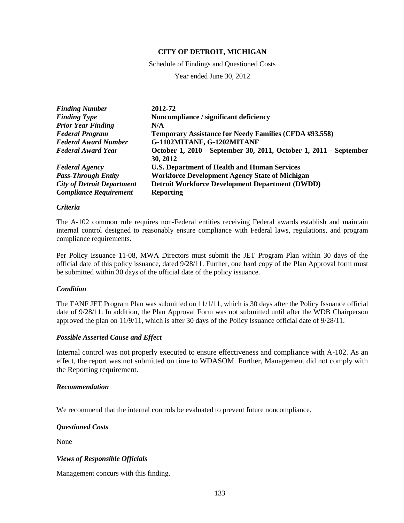Schedule of Findings and Questioned Costs

Year ended June 30, 2012

| <b>Finding Number</b>             | 2012-72                                                                       |
|-----------------------------------|-------------------------------------------------------------------------------|
| <b>Finding Type</b>               | Noncompliance / significant deficiency                                        |
| <b>Prior Year Finding</b>         | N/A                                                                           |
| <b>Federal Program</b>            | <b>Temporary Assistance for Needy Families (CFDA #93.558)</b>                 |
| <b>Federal Award Number</b>       | G-1102MITANF, G-1202MITANF                                                    |
| <b>Federal Award Year</b>         | October 1, 2010 - September 30, 2011, October 1, 2011 - September<br>30, 2012 |
| <b>Federal Agency</b>             | <b>U.S. Department of Health and Human Services</b>                           |
| <b>Pass-Through Entity</b>        | <b>Workforce Development Agency State of Michigan</b>                         |
| <b>City of Detroit Department</b> | <b>Detroit Workforce Development Department (DWDD)</b>                        |
| <b>Compliance Requirement</b>     | <b>Reporting</b>                                                              |

#### *Criteria*

The A-102 common rule requires non-Federal entities receiving Federal awards establish and maintain internal control designed to reasonably ensure compliance with Federal laws, regulations, and program compliance requirements.

Per Policy Issuance 11-08, MWA Directors must submit the JET Program Plan within 30 days of the official date of this policy issuance, dated 9/28/11. Further, one hard copy of the Plan Approval form must be submitted within 30 days of the official date of the policy issuance.

#### *Condition*

The TANF JET Program Plan was submitted on 11/1/11, which is 30 days after the Policy Issuance official date of 9/28/11. In addition, the Plan Approval Form was not submitted until after the WDB Chairperson approved the plan on 11/9/11, which is after 30 days of the Policy Issuance official date of 9/28/11.

# *Possible Asserted Cause and Effect*

Internal control was not properly executed to ensure effectiveness and compliance with A-102. As an effect, the report was not submitted on time to WDASOM. Further, Management did not comply with the Reporting requirement.

#### *Recommendation*

We recommend that the internal controls be evaluated to prevent future noncompliance.

*Questioned Costs* 

None

#### *Views of Responsible Officials*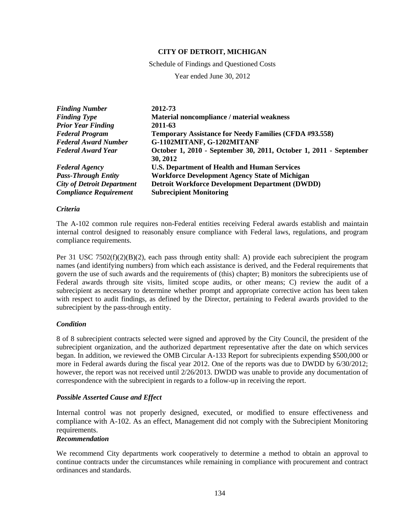Schedule of Findings and Questioned Costs

Year ended June 30, 2012

| <b>Finding Number</b>             | 2012-73                                                           |
|-----------------------------------|-------------------------------------------------------------------|
| <b>Finding Type</b>               | Material noncompliance / material weakness                        |
| <b>Prior Year Finding</b>         | 2011-63                                                           |
| <b>Federal Program</b>            | <b>Temporary Assistance for Needy Families (CFDA #93.558)</b>     |
| <b>Federal Award Number</b>       | G-1102MITANF, G-1202MITANF                                        |
| <b>Federal Award Year</b>         | October 1, 2010 - September 30, 2011, October 1, 2011 - September |
|                                   | 30, 2012                                                          |
| <b>Federal Agency</b>             | <b>U.S. Department of Health and Human Services</b>               |
| <b>Pass-Through Entity</b>        | <b>Workforce Development Agency State of Michigan</b>             |
| <b>City of Detroit Department</b> | <b>Detroit Workforce Development Department (DWDD)</b>            |
| <b>Compliance Requirement</b>     | <b>Subrecipient Monitoring</b>                                    |

#### *Criteria*

The A-102 common rule requires non-Federal entities receiving Federal awards establish and maintain internal control designed to reasonably ensure compliance with Federal laws, regulations, and program compliance requirements.

Per 31 USC 7502(f)(2)(B)(2), each pass through entity shall: A) provide each subrecipient the program names (and identifying numbers) from which each assistance is derived, and the Federal requirements that govern the use of such awards and the requirements of (this) chapter; B) monitors the subrecipients use of Federal awards through site visits, limited scope audits, or other means; C) review the audit of a subrecipient as necessary to determine whether prompt and appropriate corrective action has been taken with respect to audit findings, as defined by the Director, pertaining to Federal awards provided to the subrecipient by the pass-through entity.

#### *Condition*

8 of 8 subrecipient contracts selected were signed and approved by the City Council, the president of the subrecipient organization, and the authorized department representative after the date on which services began. In addition, we reviewed the OMB Circular A-133 Report for subrecipients expending \$500,000 or more in Federal awards during the fiscal year 2012. One of the reports was due to DWDD by 6/30/2012; however, the report was not received until 2/26/2013. DWDD was unable to provide any documentation of correspondence with the subrecipient in regards to a follow-up in receiving the report.

#### *Possible Asserted Cause and Effect*

Internal control was not properly designed, executed, or modified to ensure effectiveness and compliance with A-102. As an effect, Management did not comply with the Subrecipient Monitoring requirements.

#### *Recommendation*

We recommend City departments work cooperatively to determine a method to obtain an approval to continue contracts under the circumstances while remaining in compliance with procurement and contract ordinances and standards.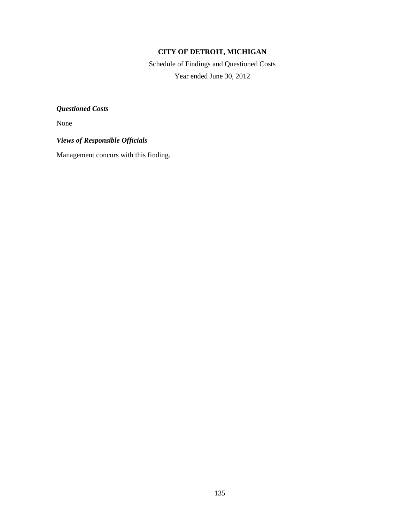Schedule of Findings and Questioned Costs Year ended June 30, 2012

*Questioned Costs* 

None

*Views of Responsible Officials*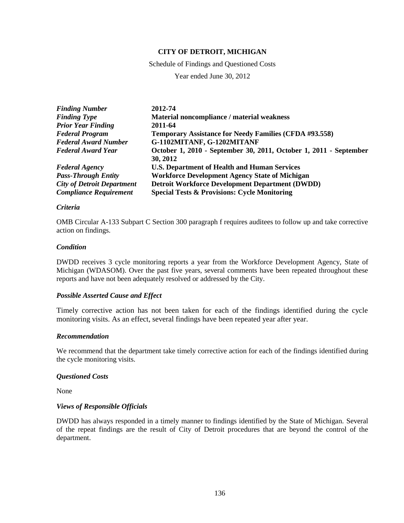Schedule of Findings and Questioned Costs

Year ended June 30, 2012

| <b>Finding Number</b>             | 2012-74                                                                       |
|-----------------------------------|-------------------------------------------------------------------------------|
| <b>Finding Type</b>               | Material noncompliance / material weakness                                    |
| <b>Prior Year Finding</b>         | 2011-64                                                                       |
| <b>Federal Program</b>            | <b>Temporary Assistance for Needy Families (CFDA #93.558)</b>                 |
| <b>Federal Award Number</b>       | G-1102MITANF, G-1202MITANF                                                    |
| <b>Federal Award Year</b>         | October 1, 2010 - September 30, 2011, October 1, 2011 - September<br>30, 2012 |
| <b>Federal Agency</b>             | U.S. Department of Health and Human Services                                  |
| <b>Pass-Through Entity</b>        | <b>Workforce Development Agency State of Michigan</b>                         |
| <b>City of Detroit Department</b> | <b>Detroit Workforce Development Department (DWDD)</b>                        |
| <b>Compliance Requirement</b>     | <b>Special Tests &amp; Provisions: Cycle Monitoring</b>                       |

#### *Criteria*

OMB Circular A-133 Subpart C Section 300 paragraph f requires auditees to follow up and take corrective action on findings.

#### *Condition*

DWDD receives 3 cycle monitoring reports a year from the Workforce Development Agency, State of Michigan (WDASOM). Over the past five years, several comments have been repeated throughout these reports and have not been adequately resolved or addressed by the City.

#### *Possible Asserted Cause and Effect*

Timely corrective action has not been taken for each of the findings identified during the cycle monitoring visits. As an effect, several findings have been repeated year after year.

#### *Recommendation*

We recommend that the department take timely corrective action for each of the findings identified during the cycle monitoring visits.

#### *Questioned Costs*

None

#### *Views of Responsible Officials*

DWDD has always responded in a timely manner to findings identified by the State of Michigan. Several of the repeat findings are the result of City of Detroit procedures that are beyond the control of the department.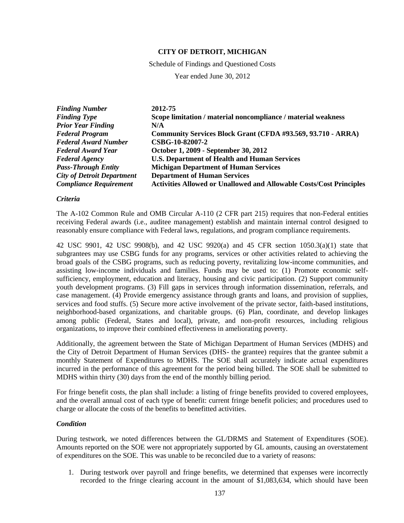Schedule of Findings and Questioned Costs

Year ended June 30, 2012

| <b>Finding Number</b>             | 2012-75                                                                    |
|-----------------------------------|----------------------------------------------------------------------------|
| <b>Finding Type</b>               | Scope limitation / material noncompliance / material weakness              |
| <b>Prior Year Finding</b>         | N/A                                                                        |
| <b>Federal Program</b>            | Community Services Block Grant (CFDA #93.569, 93.710 - ARRA)               |
| <b>Federal Award Number</b>       | CSBG-10-82007-2                                                            |
| <b>Federal Award Year</b>         | October 1, 2009 - September 30, 2012                                       |
| <b>Federal Agency</b>             | <b>U.S. Department of Health and Human Services</b>                        |
| <b>Pass-Through Entity</b>        | <b>Michigan Department of Human Services</b>                               |
| <b>City of Detroit Department</b> | <b>Department of Human Services</b>                                        |
| <b>Compliance Requirement</b>     | <b>Activities Allowed or Unallowed and Allowable Costs/Cost Principles</b> |

#### *Criteria*

The A-102 Common Rule and OMB Circular A-110 (2 CFR part 215) requires that non-Federal entities receiving Federal awards (i.e., auditee management) establish and maintain internal control designed to reasonably ensure compliance with Federal laws, regulations, and program compliance requirements.

42 USC 9901, 42 USC 9908(b), and 42 USC 9920(a) and 45 CFR section 1050.3(a)(1) state that subgrantees may use CSBG funds for any programs, services or other activities related to achieving the broad goals of the CSBG programs, such as reducing poverty, revitalizing low-income communities, and assisting low-income individuals and families. Funds may be used to: (1) Promote economic selfsufficiency, employment, education and literacy, housing and civic participation. (2) Support community youth development programs. (3) Fill gaps in services through information dissemination, referrals, and case management. (4) Provide emergency assistance through grants and loans, and provision of supplies, services and food stuffs. (5) Secure more active involvement of the private sector, faith-based institutions, neighborhood-based organizations, and charitable groups. (6) Plan, coordinate, and develop linkages among public (Federal, States and local), private, and non-profit resources, including religious organizations, to improve their combined effectiveness in ameliorating poverty.

Additionally, the agreement between the State of Michigan Department of Human Services (MDHS) and the City of Detroit Department of Human Services (DHS- the grantee) requires that the grantee submit a monthly Statement of Expenditures to MDHS. The SOE shall accurately indicate actual expenditures incurred in the performance of this agreement for the period being billed. The SOE shall be submitted to MDHS within thirty (30) days from the end of the monthly billing period.

For fringe benefit costs, the plan shall include: a listing of fringe benefits provided to covered employees, and the overall annual cost of each type of benefit: current fringe benefit policies; and procedures used to charge or allocate the costs of the benefits to benefitted activities.

#### *Condition*

During testwork, we noted differences between the GL/DRMS and Statement of Expenditures (SOE). Amounts reported on the SOE were not appropriately supported by GL amounts, causing an overstatement of expenditures on the SOE. This was unable to be reconciled due to a variety of reasons:

1. During testwork over payroll and fringe benefits, we determined that expenses were incorrectly recorded to the fringe clearing account in the amount of \$1,083,634, which should have been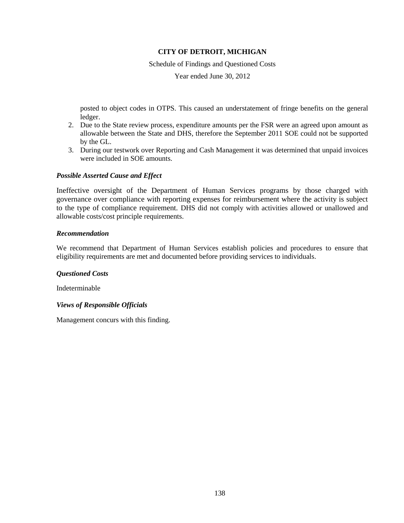Schedule of Findings and Questioned Costs

Year ended June 30, 2012

posted to object codes in OTPS. This caused an understatement of fringe benefits on the general ledger.

- 2. Due to the State review process, expenditure amounts per the FSR were an agreed upon amount as allowable between the State and DHS, therefore the September 2011 SOE could not be supported by the GL.
- 3. During our testwork over Reporting and Cash Management it was determined that unpaid invoices were included in SOE amounts.

# *Possible Asserted Cause and Effect*

Ineffective oversight of the Department of Human Services programs by those charged with governance over compliance with reporting expenses for reimbursement where the activity is subject to the type of compliance requirement. DHS did not comply with activities allowed or unallowed and allowable costs/cost principle requirements.

# *Recommendation*

We recommend that Department of Human Services establish policies and procedures to ensure that eligibility requirements are met and documented before providing services to individuals.

# *Questioned Costs*

Indeterminable

# *Views of Responsible Officials*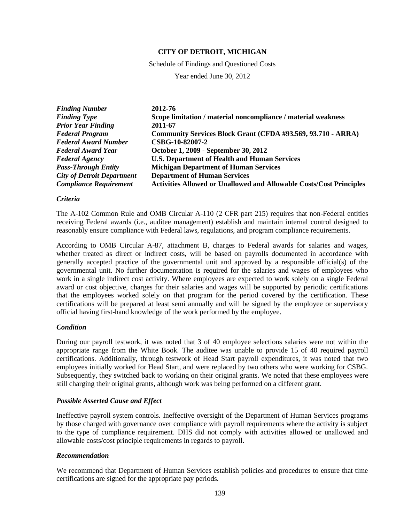Schedule of Findings and Questioned Costs

Year ended June 30, 2012

| <b>Finding Number</b>             | 2012-76                                                                    |
|-----------------------------------|----------------------------------------------------------------------------|
| <b>Finding Type</b>               | Scope limitation / material noncompliance / material weakness              |
| <b>Prior Year Finding</b>         | 2011-67                                                                    |
| <b>Federal Program</b>            | Community Services Block Grant (CFDA #93.569, 93.710 - ARRA)               |
| <b>Federal Award Number</b>       | CSBG-10-82007-2                                                            |
| <b>Federal Award Year</b>         | October 1, 2009 - September 30, 2012                                       |
| <b>Federal Agency</b>             | <b>U.S. Department of Health and Human Services</b>                        |
| <b>Pass-Through Entity</b>        | <b>Michigan Department of Human Services</b>                               |
| <b>City of Detroit Department</b> | <b>Department of Human Services</b>                                        |
| <b>Compliance Requirement</b>     | <b>Activities Allowed or Unallowed and Allowable Costs/Cost Principles</b> |

#### *Criteria*

The A-102 Common Rule and OMB Circular A-110 (2 CFR part 215) requires that non-Federal entities receiving Federal awards (i.e., auditee management) establish and maintain internal control designed to reasonably ensure compliance with Federal laws, regulations, and program compliance requirements.

According to OMB Circular A-87, attachment B, charges to Federal awards for salaries and wages, whether treated as direct or indirect costs, will be based on payrolls documented in accordance with generally accepted practice of the governmental unit and approved by a responsible official(s) of the governmental unit. No further documentation is required for the salaries and wages of employees who work in a single indirect cost activity. Where employees are expected to work solely on a single Federal award or cost objective, charges for their salaries and wages will be supported by periodic certifications that the employees worked solely on that program for the period covered by the certification. These certifications will be prepared at least semi annually and will be signed by the employee or supervisory official having first-hand knowledge of the work performed by the employee.

#### *Condition*

During our payroll testwork, it was noted that 3 of 40 employee selections salaries were not within the appropriate range from the White Book. The auditee was unable to provide 15 of 40 required payroll certifications. Additionally, through testwork of Head Start payroll expenditures, it was noted that two employees initially worked for Head Start, and were replaced by two others who were working for CSBG. Subsequently, they switched back to working on their original grants. We noted that these employees were still charging their original grants, although work was being performed on a different grant.

#### *Possible Asserted Cause and Effect*

Ineffective payroll system controls. Ineffective oversight of the Department of Human Services programs by those charged with governance over compliance with payroll requirements where the activity is subject to the type of compliance requirement. DHS did not comply with activities allowed or unallowed and allowable costs/cost principle requirements in regards to payroll.

## *Recommendation*

We recommend that Department of Human Services establish policies and procedures to ensure that time certifications are signed for the appropriate pay periods.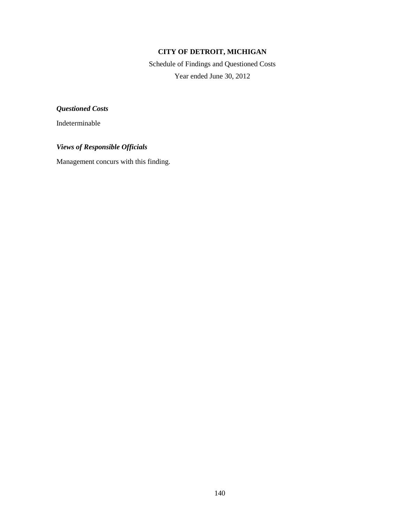Schedule of Findings and Questioned Costs Year ended June 30, 2012

*Questioned Costs* 

Indeterminable

# *Views of Responsible Officials*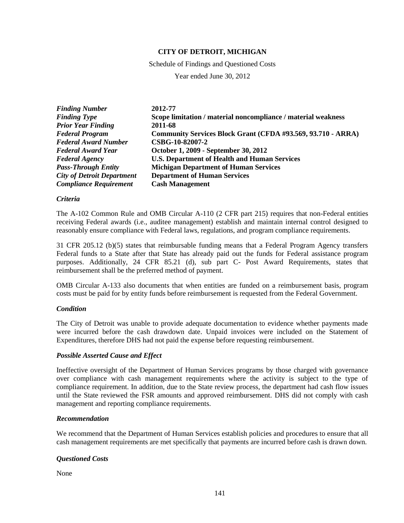Schedule of Findings and Questioned Costs

Year ended June 30, 2012

| <b>Finding Number</b>             | 2012-77                                                       |
|-----------------------------------|---------------------------------------------------------------|
| <b>Finding Type</b>               | Scope limitation / material noncompliance / material weakness |
| <b>Prior Year Finding</b>         | 2011-68                                                       |
| <b>Federal Program</b>            | Community Services Block Grant (CFDA #93.569, 93.710 - ARRA)  |
| <b>Federal Award Number</b>       | CSBG-10-82007-2                                               |
| <b>Federal Award Year</b>         | October 1, 2009 - September 30, 2012                          |
| <b>Federal Agency</b>             | <b>U.S. Department of Health and Human Services</b>           |
| <b>Pass-Through Entity</b>        | <b>Michigan Department of Human Services</b>                  |
| <b>City of Detroit Department</b> | <b>Department of Human Services</b>                           |
| <b>Compliance Requirement</b>     | <b>Cash Management</b>                                        |

#### *Criteria*

The A-102 Common Rule and OMB Circular A-110 (2 CFR part 215) requires that non-Federal entities receiving Federal awards (i.e., auditee management) establish and maintain internal control designed to reasonably ensure compliance with Federal laws, regulations, and program compliance requirements.

31 CFR 205.12 (b)(5) states that reimbursable funding means that a Federal Program Agency transfers Federal funds to a State after that State has already paid out the funds for Federal assistance program purposes. Additionally, 24 CFR 85.21 (d), sub part C- Post Award Requirements, states that reimbursement shall be the preferred method of payment.

OMB Circular A-133 also documents that when entities are funded on a reimbursement basis, program costs must be paid for by entity funds before reimbursement is requested from the Federal Government.

#### *Condition*

The City of Detroit was unable to provide adequate documentation to evidence whether payments made were incurred before the cash drawdown date. Unpaid invoices were included on the Statement of Expenditures, therefore DHS had not paid the expense before requesting reimbursement.

#### *Possible Asserted Cause and Effect*

Ineffective oversight of the Department of Human Services programs by those charged with governance over compliance with cash management requirements where the activity is subject to the type of compliance requirement. In addition, due to the State review process, the department had cash flow issues until the State reviewed the FSR amounts and approved reimbursement. DHS did not comply with cash management and reporting compliance requirements.

#### *Recommendation*

We recommend that the Department of Human Services establish policies and procedures to ensure that all cash management requirements are met specifically that payments are incurred before cash is drawn down.

#### *Questioned Costs*

None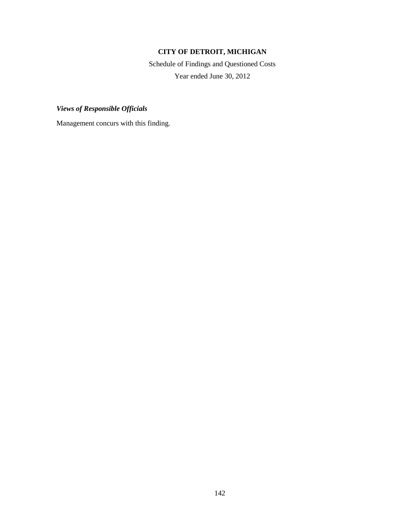Schedule of Findings and Questioned Costs Year ended June 30, 2012

*Views of Responsible Officials*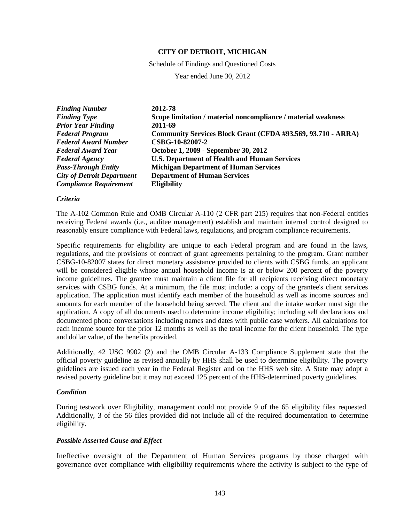Schedule of Findings and Questioned Costs

Year ended June 30, 2012

| <b>Finding Number</b>             | 2012-78                                                       |
|-----------------------------------|---------------------------------------------------------------|
| <b>Finding Type</b>               | Scope limitation / material noncompliance / material weakness |
| <b>Prior Year Finding</b>         | 2011-69                                                       |
| <b>Federal Program</b>            | Community Services Block Grant (CFDA #93.569, 93.710 - ARRA)  |
| <b>Federal Award Number</b>       | CSBG-10-82007-2                                               |
| <b>Federal Award Year</b>         | October 1, 2009 - September 30, 2012                          |
| <b>Federal Agency</b>             | <b>U.S. Department of Health and Human Services</b>           |
| <b>Pass-Through Entity</b>        | <b>Michigan Department of Human Services</b>                  |
| <b>City of Detroit Department</b> | <b>Department of Human Services</b>                           |
| <b>Compliance Requirement</b>     | <b>Eligibility</b>                                            |

#### *Criteria*

The A-102 Common Rule and OMB Circular A-110 (2 CFR part 215) requires that non-Federal entities receiving Federal awards (i.e., auditee management) establish and maintain internal control designed to reasonably ensure compliance with Federal laws, regulations, and program compliance requirements.

Specific requirements for eligibility are unique to each Federal program and are found in the laws, regulations, and the provisions of contract of grant agreements pertaining to the program. Grant number CSBG-10-82007 states for direct monetary assistance provided to clients with CSBG funds, an applicant will be considered eligible whose annual household income is at or below 200 percent of the poverty income guidelines. The grantee must maintain a client file for all recipients receiving direct monetary services with CSBG funds. At a minimum, the file must include: a copy of the grantee's client services application. The application must identify each member of the household as well as income sources and amounts for each member of the household being served. The client and the intake worker must sign the application. A copy of all documents used to determine income eligibility; including self declarations and documented phone conversations including names and dates with public case workers. All calculations for each income source for the prior 12 months as well as the total income for the client household. The type and dollar value, of the benefits provided.

Additionally, 42 USC 9902 (2) and the OMB Circular A-133 Compliance Supplement state that the official poverty guideline as revised annually by HHS shall be used to determine eligibility. The poverty guidelines are issued each year in the Federal Register and on the HHS web site. A State may adopt a revised poverty guideline but it may not exceed 125 percent of the HHS-determined poverty guidelines.

#### *Condition*

During testwork over Eligibility, management could not provide 9 of the 65 eligibility files requested. Additionally, 3 of the 56 files provided did not include all of the required documentation to determine eligibility.

#### *Possible Asserted Cause and Effect*

Ineffective oversight of the Department of Human Services programs by those charged with governance over compliance with eligibility requirements where the activity is subject to the type of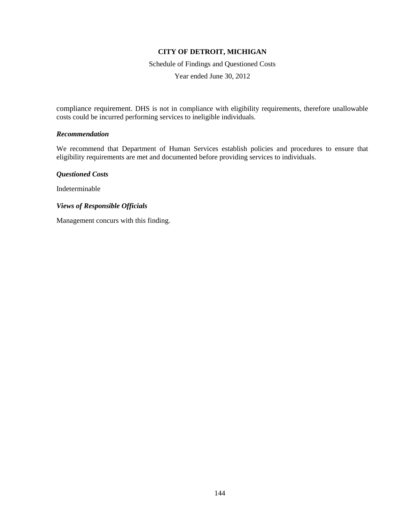Schedule of Findings and Questioned Costs

Year ended June 30, 2012

compliance requirement. DHS is not in compliance with eligibility requirements, therefore unallowable costs could be incurred performing services to ineligible individuals.

### *Recommendation*

We recommend that Department of Human Services establish policies and procedures to ensure that eligibility requirements are met and documented before providing services to individuals.

### *Questioned Costs*

Indeterminable

*Views of Responsible Officials*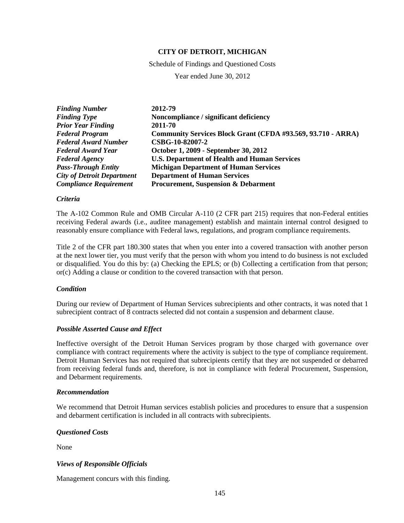Schedule of Findings and Questioned Costs

Year ended June 30, 2012

| <b>Finding Number</b>             | 2012-79                                                      |
|-----------------------------------|--------------------------------------------------------------|
| <b>Finding Type</b>               | Noncompliance / significant deficiency                       |
| <b>Prior Year Finding</b>         | 2011-70                                                      |
| <b>Federal Program</b>            | Community Services Block Grant (CFDA #93.569, 93.710 - ARRA) |
| <b>Federal Award Number</b>       | CSBG-10-82007-2                                              |
| <b>Federal Award Year</b>         | October 1, 2009 - September 30, 2012                         |
| <b>Federal Agency</b>             | <b>U.S. Department of Health and Human Services</b>          |
| <b>Pass-Through Entity</b>        | <b>Michigan Department of Human Services</b>                 |
| <b>City of Detroit Department</b> | <b>Department of Human Services</b>                          |
| <b>Compliance Requirement</b>     | <b>Procurement, Suspension &amp; Debarment</b>               |

#### *Criteria*

The A-102 Common Rule and OMB Circular A-110 (2 CFR part 215) requires that non-Federal entities receiving Federal awards (i.e., auditee management) establish and maintain internal control designed to reasonably ensure compliance with Federal laws, regulations, and program compliance requirements.

Title 2 of the CFR part 180.300 states that when you enter into a covered transaction with another person at the next lower tier, you must verify that the person with whom you intend to do business is not excluded or disqualified. You do this by: (a) Checking the EPLS; or (b) Collecting a certification from that person; or(c) Adding a clause or condition to the covered transaction with that person.

#### *Condition*

During our review of Department of Human Services subrecipients and other contracts, it was noted that 1 subrecipient contract of 8 contracts selected did not contain a suspension and debarment clause.

#### *Possible Asserted Cause and Effect*

Ineffective oversight of the Detroit Human Services program by those charged with governance over compliance with contract requirements where the activity is subject to the type of compliance requirement. Detroit Human Services has not required that subrecipients certify that they are not suspended or debarred from receiving federal funds and, therefore, is not in compliance with federal Procurement, Suspension, and Debarment requirements.

#### *Recommendation*

We recommend that Detroit Human services establish policies and procedures to ensure that a suspension and debarment certification is included in all contracts with subrecipients.

#### *Questioned Costs*

None

# *Views of Responsible Officials*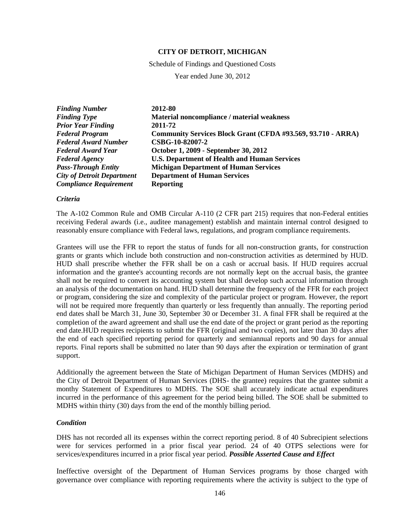Schedule of Findings and Questioned Costs

Year ended June 30, 2012

| <b>Finding Number</b>             | 2012-80                                                      |
|-----------------------------------|--------------------------------------------------------------|
| <b>Finding Type</b>               | Material noncompliance / material weakness                   |
| <b>Prior Year Finding</b>         | 2011-72                                                      |
| <b>Federal Program</b>            | Community Services Block Grant (CFDA #93.569, 93.710 - ARRA) |
| <b>Federal Award Number</b>       | CSBG-10-82007-2                                              |
| <b>Federal Award Year</b>         | October 1, 2009 - September 30, 2012                         |
| <b>Federal Agency</b>             | <b>U.S. Department of Health and Human Services</b>          |
| <b>Pass-Through Entity</b>        | <b>Michigan Department of Human Services</b>                 |
| <b>City of Detroit Department</b> | <b>Department of Human Services</b>                          |
| <b>Compliance Requirement</b>     | <b>Reporting</b>                                             |

#### *Criteria*

The A-102 Common Rule and OMB Circular A-110 (2 CFR part 215) requires that non-Federal entities receiving Federal awards (i.e., auditee management) establish and maintain internal control designed to reasonably ensure compliance with Federal laws, regulations, and program compliance requirements.

Grantees will use the FFR to report the status of funds for all non-construction grants, for construction grants or grants which include both construction and non-construction activities as determined by HUD. HUD shall prescribe whether the FFR shall be on a cash or accrual basis. If HUD requires accrual information and the grantee's accounting records are not normally kept on the accrual basis, the grantee shall not be required to convert its accounting system but shall develop such accrual information through an analysis of the documentation on hand. HUD shall determine the frequency of the FFR for each project or program, considering the size and complexity of the particular project or program. However, the report will not be required more frequently than quarterly or less frequently than annually. The reporting period end dates shall be March 31, June 30, September 30 or December 31. A final FFR shall be required at the completion of the award agreement and shall use the end date of the project or grant period as the reporting end date.HUD requires recipients to submit the FFR (original and two copies), not later than 30 days after the end of each specified reporting period for quarterly and semiannual reports and 90 days for annual reports. Final reports shall be submitted no later than 90 days after the expiration or termination of grant support.

Additionally the agreement between the State of Michigan Department of Human Services (MDHS) and the City of Detroit Department of Human Services (DHS- the grantee) requires that the grantee submit a monthy Statement of Expenditures to MDHS. The SOE shall accurately indicate actual expenditures incurred in the performance of this agreement for the period being billed. The SOE shall be submitted to MDHS within thirty (30) days from the end of the monthly billing period.

# *Condition*

DHS has not recorded all its expenses within the correct reporting period. 8 of 40 Subrecipient selections were for services performed in a prior fiscal year period. 24 of 40 OTPS selections were for services/expenditures incurred in a prior fiscal year period. *Possible Asserted Cause and Effect*

Ineffective oversight of the Department of Human Services programs by those charged with governance over compliance with reporting requirements where the activity is subject to the type of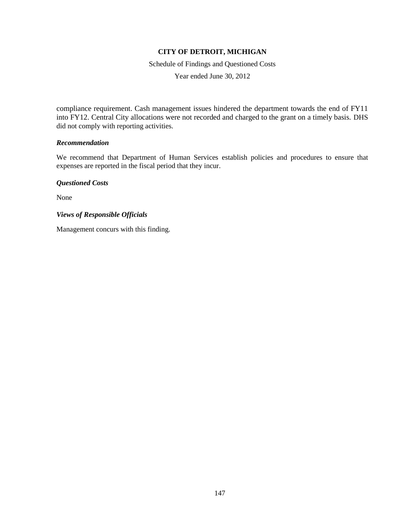Schedule of Findings and Questioned Costs

Year ended June 30, 2012

compliance requirement. Cash management issues hindered the department towards the end of FY11 into FY12. Central City allocations were not recorded and charged to the grant on a timely basis. DHS did not comply with reporting activities.

# *Recommendation*

We recommend that Department of Human Services establish policies and procedures to ensure that expenses are reported in the fiscal period that they incur.

# *Questioned Costs*

None

*Views of Responsible Officials*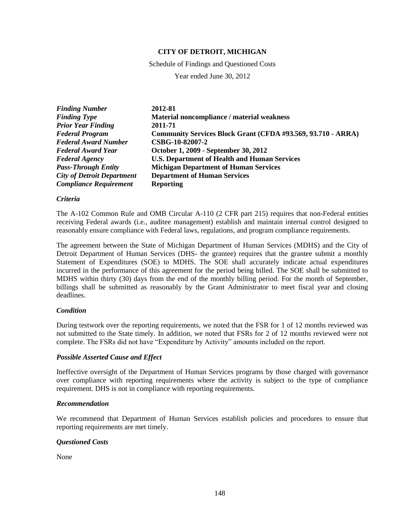Schedule of Findings and Questioned Costs

Year ended June 30, 2012

| <b>Finding Number</b>             | 2012-81                                                      |
|-----------------------------------|--------------------------------------------------------------|
| <b>Finding Type</b>               | Material noncompliance / material weakness                   |
| <b>Prior Year Finding</b>         | 2011-71                                                      |
| <b>Federal Program</b>            | Community Services Block Grant (CFDA #93.569, 93.710 - ARRA) |
| <b>Federal Award Number</b>       | CSBG-10-82007-2                                              |
| <b>Federal Award Year</b>         | October 1, 2009 - September 30, 2012                         |
| <b>Federal Agency</b>             | <b>U.S. Department of Health and Human Services</b>          |
| <b>Pass-Through Entity</b>        | <b>Michigan Department of Human Services</b>                 |
| <b>City of Detroit Department</b> | <b>Department of Human Services</b>                          |
| <b>Compliance Requirement</b>     | <b>Reporting</b>                                             |

#### *Criteria*

The A-102 Common Rule and OMB Circular A-110 (2 CFR part 215) requires that non-Federal entities receiving Federal awards (i.e., auditee management) establish and maintain internal control designed to reasonably ensure compliance with Federal laws, regulations, and program compliance requirements.

The agreement between the State of Michigan Department of Human Services (MDHS) and the City of Detroit Department of Human Services (DHS- the grantee) requires that the grantee submit a monthly Statement of Expenditures (SOE) to MDHS. The SOE shall accurately indicate actual expenditures incurred in the performance of this agreement for the period being billed. The SOE shall be submitted to MDHS within thirty (30) days from the end of the monthly billing period. For the month of September, billings shall be submitted as reasonably by the Grant Administrator to meet fiscal year and closing deadlines.

#### *Condition*

During testwork over the reporting requirements, we noted that the FSR for 1 of 12 months reviewed was not submitted to the State timely. In addition, we noted that FSRs for 2 of 12 months reviewed were not complete. The FSRs did not have "Expenditure by Activity" amounts included on the report.

#### *Possible Asserted Cause and Effect*

Ineffective oversight of the Department of Human Services programs by those charged with governance over compliance with reporting requirements where the activity is subject to the type of compliance requirement. DHS is not in compliance with reporting requirements.

# *Recommendation*

We recommend that Department of Human Services establish policies and procedures to ensure that reporting requirements are met timely.

# *Questioned Costs*

None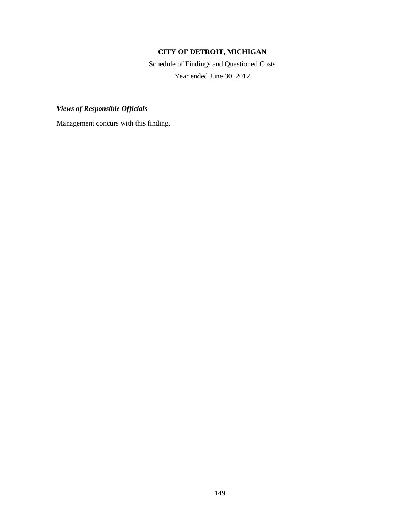Schedule of Findings and Questioned Costs Year ended June 30, 2012

*Views of Responsible Officials*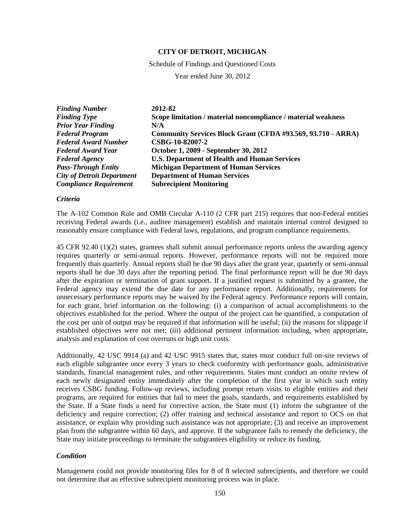Schedule of Findings and Questioned Costs

Year ended June 30, 2012

| <b>Finding Number</b>             | 2012-82                                                       |
|-----------------------------------|---------------------------------------------------------------|
| <b>Finding Type</b>               | Scope limitation / material noncompliance / material weakness |
| <b>Prior Year Finding</b>         | N/A                                                           |
| <b>Federal Program</b>            | Community Services Block Grant (CFDA #93.569, 93.710 - ARRA)  |
| <b>Federal Award Number</b>       | CSBG-10-82007-2                                               |
| <b>Federal Award Year</b>         | October 1, 2009 - September 30, 2012                          |
| <b>Federal Agency</b>             | <b>U.S. Department of Health and Human Services</b>           |
| <b>Pass-Through Entity</b>        | <b>Michigan Department of Human Services</b>                  |
| <b>City of Detroit Department</b> | <b>Department of Human Services</b>                           |
| <b>Compliance Requirement</b>     | <b>Subrecipient Monitoring</b>                                |

#### *Criteria*

The A-102 Common Rule and OMB Circular A-110 (2 CFR part 215) requires that non-Federal entities receiving Federal awards (i.e., auditee management) establish and maintain internal control designed to reasonably ensure compliance with Federal laws, regulations, and program compliance requirements.

45 CFR 92.40 (1)(2) states, grantees shall submit annual performance reports unless the awarding agency requires quarterly or semi-annual reports. However, performance reports will not be required more frequently than quarterly. Annual reports shall be due 90 days after the grant year, quarterly or semi-annual reports shall be due 30 days after the reporting period. The final performance report will be due 90 days after the expiration or termination of grant support. If a justified request is submitted by a grantee, the Federal agency may extend the due date for any performance report. Additionally, requirements for unnecessary performance reports may be waived by the Federal agency. Performance reports will contain, for each grant, brief information on the following: (i) a comparison of actual accomplishments to the objectives established for the period. Where the output of the project can be quantified, a computation of the cost per unit of output may be required if that information will be useful; (ii) the reasons for slippage if established objectives were not met; (iii) additional pertinent information including, when appropriate, analysis and explanation of cost overruns or high unit costs.

Additionally, 42 USC 9914 (a) and 42 USC 9915 states that, states must conduct full on-site reviews of each eligible subgrantee once every 3 years to check conformity with performance goals, administrative standards, financial management rules, and other requirements. States must conduct an onsite review of each newly designated entity immediately after the completion of the first year in which such entity receives CSBG funding. Follow-up reviews, including prompt return visits to eligible entities and their programs, are required for entities that fail to meet the goals, standards, and requirements established by the State. If a State finds a need for corrective action, the State must (1) inform the subgrantee of the deficiency and require correction; (2) offer training and technical assistance and report to OCS on that assistance, or explain why providing such assistance was not appropriate; (3) and receive an improvement plan from the subgrantee within 60 days, and approve. If the subgrantee fails to remedy the deficiency, the State may initiate proceedings to terminate the subgrantees eligibility or reduce its funding.

#### *Condition*

Management could not provide monitoring files for 8 of 8 selected subrecipients, and therefore we could not determine that an effective subrecipient monitoring process was in place.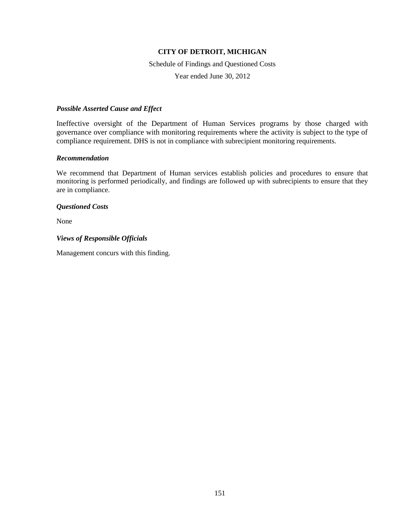Schedule of Findings and Questioned Costs Year ended June 30, 2012

# *Possible Asserted Cause and Effect*

Ineffective oversight of the Department of Human Services programs by those charged with governance over compliance with monitoring requirements where the activity is subject to the type of compliance requirement. DHS is not in compliance with subrecipient monitoring requirements.

# *Recommendation*

We recommend that Department of Human services establish policies and procedures to ensure that monitoring is performed periodically, and findings are followed up with subrecipients to ensure that they are in compliance.

# *Questioned Costs*

None

*Views of Responsible Officials*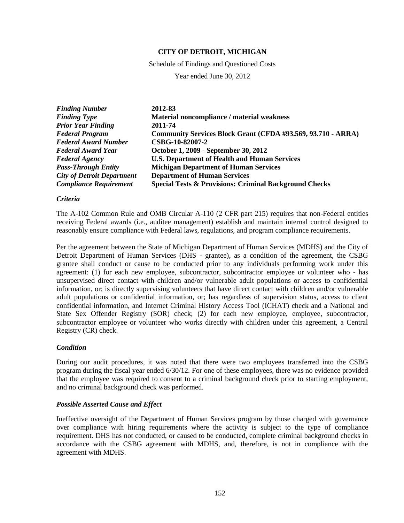Schedule of Findings and Questioned Costs

Year ended June 30, 2012

| <b>Finding Number</b>             | 2012-83                                                           |
|-----------------------------------|-------------------------------------------------------------------|
| <b>Finding Type</b>               | Material noncompliance / material weakness                        |
| <b>Prior Year Finding</b>         | 2011-74                                                           |
| <b>Federal Program</b>            | Community Services Block Grant (CFDA #93.569, 93.710 - ARRA)      |
| <b>Federal Award Number</b>       | CSBG-10-82007-2                                                   |
| <b>Federal Award Year</b>         | October 1, 2009 - September 30, 2012                              |
| <b>Federal Agency</b>             | <b>U.S. Department of Health and Human Services</b>               |
| <b>Pass-Through Entity</b>        | <b>Michigan Department of Human Services</b>                      |
| <b>City of Detroit Department</b> | <b>Department of Human Services</b>                               |
| <b>Compliance Requirement</b>     | <b>Special Tests &amp; Provisions: Criminal Background Checks</b> |

#### *Criteria*

The A-102 Common Rule and OMB Circular A-110 (2 CFR part 215) requires that non-Federal entities receiving Federal awards (i.e., auditee management) establish and maintain internal control designed to reasonably ensure compliance with Federal laws, regulations, and program compliance requirements.

Per the agreement between the State of Michigan Department of Human Services (MDHS) and the City of Detroit Department of Human Services (DHS - grantee), as a condition of the agreement, the CSBG grantee shall conduct or cause to be conducted prior to any individuals performing work under this agreement: (1) for each new employee, subcontractor, subcontractor employee or volunteer who - has unsupervised direct contact with children and/or vulnerable adult populations or access to confidential information, or; is directly supervising volunteers that have direct contact with children and/or vulnerable adult populations or confidential information, or; has regardless of supervision status, access to client confidential information, and Internet Criminal History Access Tool (ICHAT) check and a National and State Sex Offender Registry (SOR) check; (2) for each new employee, employee, subcontractor, subcontractor employee or volunteer who works directly with children under this agreement, a Central Registry (CR) check.

#### *Condition*

During our audit procedures, it was noted that there were two employees transferred into the CSBG program during the fiscal year ended 6/30/12. For one of these employees, there was no evidence provided that the employee was required to consent to a criminal background check prior to starting employment, and no criminal background check was performed.

#### *Possible Asserted Cause and Effect*

Ineffective oversight of the Department of Human Services program by those charged with governance over compliance with hiring requirements where the activity is subject to the type of compliance requirement. DHS has not conducted, or caused to be conducted, complete criminal background checks in accordance with the CSBG agreement with MDHS, and, therefore, is not in compliance with the agreement with MDHS.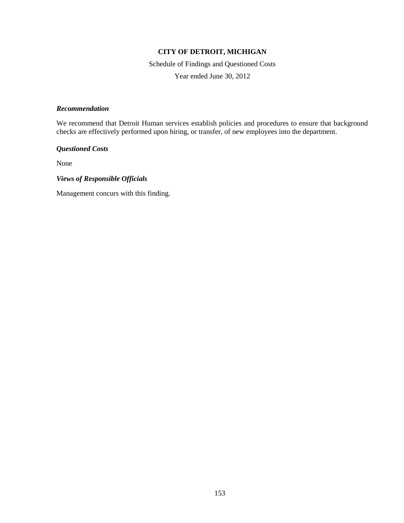Schedule of Findings and Questioned Costs Year ended June 30, 2012

# *Recommendation*

We recommend that Detroit Human services establish policies and procedures to ensure that background checks are effectively performed upon hiring, or transfer, of new employees into the department.

# *Questioned Costs*

None

# *Views of Responsible Officials*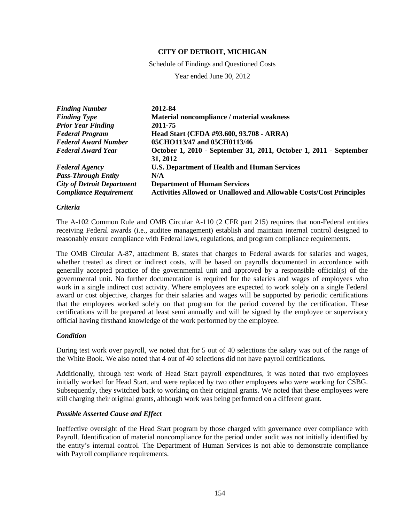Schedule of Findings and Questioned Costs

Year ended June 30, 2012

| <b>Finding Number</b>             | 2012-84                                                                       |
|-----------------------------------|-------------------------------------------------------------------------------|
| <b>Finding Type</b>               | Material noncompliance / material weakness                                    |
| <b>Prior Year Finding</b>         | 2011-75                                                                       |
| <b>Federal Program</b>            | Head Start (CFDA #93.600, 93.708 - ARRA)                                      |
| <b>Federal Award Number</b>       | 05CHO113/47 and 05CH0113/46                                                   |
| <b>Federal Award Year</b>         | October 1, 2010 - September 31, 2011, October 1, 2011 - September<br>31, 2012 |
| <b>Federal Agency</b>             | <b>U.S. Department of Health and Human Services</b>                           |
| <b>Pass-Through Entity</b>        | N/A                                                                           |
| <b>City of Detroit Department</b> | <b>Department of Human Services</b>                                           |
| <b>Compliance Requirement</b>     | <b>Activities Allowed or Unallowed and Allowable Costs/Cost Principles</b>    |

#### *Criteria*

The A-102 Common Rule and OMB Circular A-110 (2 CFR part 215) requires that non-Federal entities receiving Federal awards (i.e., auditee management) establish and maintain internal control designed to reasonably ensure compliance with Federal laws, regulations, and program compliance requirements.

The OMB Circular A-87, attachment B, states that charges to Federal awards for salaries and wages, whether treated as direct or indirect costs, will be based on payrolls documented in accordance with generally accepted practice of the governmental unit and approved by a responsible official(s) of the governmental unit. No further documentation is required for the salaries and wages of employees who work in a single indirect cost activity. Where employees are expected to work solely on a single Federal award or cost objective, charges for their salaries and wages will be supported by periodic certifications that the employees worked solely on that program for the period covered by the certification. These certifications will be prepared at least semi annually and will be signed by the employee or supervisory official having firsthand knowledge of the work performed by the employee.

## *Condition*

During test work over payroll, we noted that for 5 out of 40 selections the salary was out of the range of the White Book. We also noted that 4 out of 40 selections did not have payroll certifications.

Additionally, through test work of Head Start payroll expenditures, it was noted that two employees initially worked for Head Start, and were replaced by two other employees who were working for CSBG. Subsequently, they switched back to working on their original grants. We noted that these employees were still charging their original grants, although work was being performed on a different grant.

# *Possible Asserted Cause and Effect*

Ineffective oversight of the Head Start program by those charged with governance over compliance with Payroll. Identification of material noncompliance for the period under audit was not initially identified by the entity's internal control. The Department of Human Services is not able to demonstrate compliance with Payroll compliance requirements.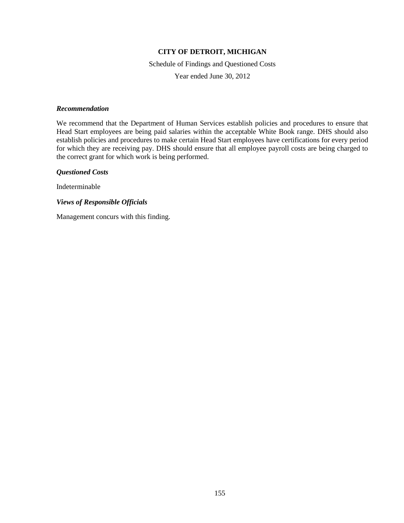Schedule of Findings and Questioned Costs Year ended June 30, 2012

### *Recommendation*

We recommend that the Department of Human Services establish policies and procedures to ensure that Head Start employees are being paid salaries within the acceptable White Book range. DHS should also establish policies and procedures to make certain Head Start employees have certifications for every period for which they are receiving pay. DHS should ensure that all employee payroll costs are being charged to the correct grant for which work is being performed.

#### *Questioned Costs*

Indeterminable

*Views of Responsible Officials*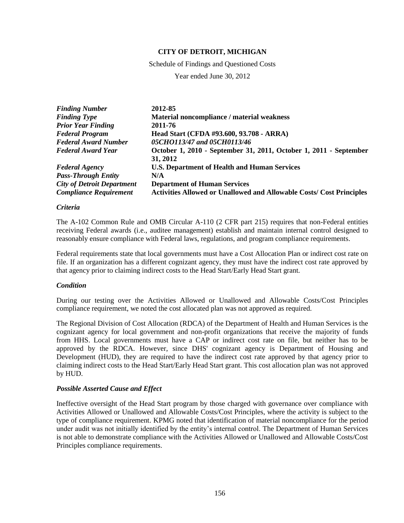Schedule of Findings and Questioned Costs

Year ended June 30, 2012

| <b>Finding Number</b>             | 2012-85                                                                       |
|-----------------------------------|-------------------------------------------------------------------------------|
| <b>Finding Type</b>               | Material noncompliance / material weakness                                    |
| <b>Prior Year Finding</b>         | 2011-76                                                                       |
| <b>Federal Program</b>            | Head Start (CFDA #93.600, 93.708 - ARRA)                                      |
| <b>Federal Award Number</b>       | 05CHO113/47 and 05CH0113/46                                                   |
| <b>Federal Award Year</b>         | October 1, 2010 - September 31, 2011, October 1, 2011 - September<br>31, 2012 |
| <b>Federal Agency</b>             | <b>U.S. Department of Health and Human Services</b>                           |
| <b>Pass-Through Entity</b>        | N/A                                                                           |
| <b>City of Detroit Department</b> | <b>Department of Human Services</b>                                           |
| <b>Compliance Requirement</b>     | <b>Activities Allowed or Unallowed and Allowable Costs/ Cost Principles</b>   |

#### *Criteria*

The A-102 Common Rule and OMB Circular A-110 (2 CFR part 215) requires that non-Federal entities receiving Federal awards (i.e., auditee management) establish and maintain internal control designed to reasonably ensure compliance with Federal laws, regulations, and program compliance requirements.

Federal requirements state that local governments must have a Cost Allocation Plan or indirect cost rate on file. If an organization has a different cognizant agency, they must have the indirect cost rate approved by that agency prior to claiming indirect costs to the Head Start/Early Head Start grant.

#### *Condition*

During our testing over the Activities Allowed or Unallowed and Allowable Costs/Cost Principles compliance requirement, we noted the cost allocated plan was not approved as required.

The Regional Division of Cost Allocation (RDCA) of the Department of Health and Human Services is the cognizant agency for local government and non-profit organizations that receive the majority of funds from HHS. Local governments must have a CAP or indirect cost rate on file, but neither has to be approved by the RDCA. However, since DHS' cognizant agency is Department of Housing and Development (HUD), they are required to have the indirect cost rate approved by that agency prior to claiming indirect costs to the Head Start/Early Head Start grant. This cost allocation plan was not approved by HUD.

#### *Possible Asserted Cause and Effect*

Ineffective oversight of the Head Start program by those charged with governance over compliance with Activities Allowed or Unallowed and Allowable Costs/Cost Principles, where the activity is subject to the type of compliance requirement. KPMG noted that identification of material noncompliance for the period under audit was not initially identified by the entity's internal control. The Department of Human Services is not able to demonstrate compliance with the Activities Allowed or Unallowed and Allowable Costs/Cost Principles compliance requirements.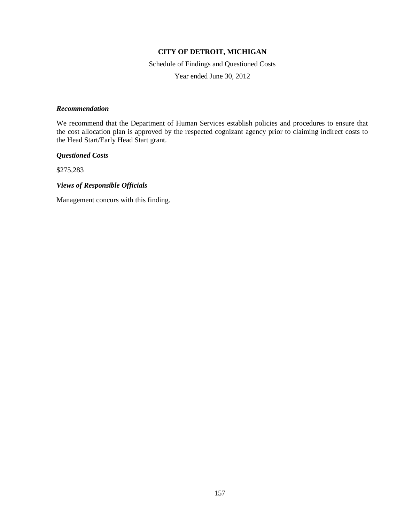Schedule of Findings and Questioned Costs Year ended June 30, 2012

### *Recommendation*

We recommend that the Department of Human Services establish policies and procedures to ensure that the cost allocation plan is approved by the respected cognizant agency prior to claiming indirect costs to the Head Start/Early Head Start grant.

# *Questioned Costs*

\$275,283

*Views of Responsible Officials*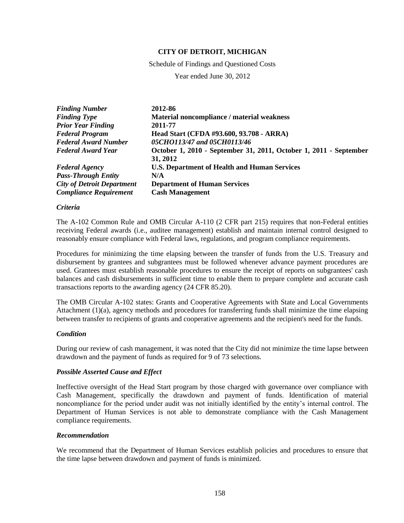Schedule of Findings and Questioned Costs

Year ended June 30, 2012

| <b>Finding Number</b>             | 2012-86                                                                       |
|-----------------------------------|-------------------------------------------------------------------------------|
| <b>Finding Type</b>               | Material noncompliance / material weakness                                    |
| <b>Prior Year Finding</b>         | 2011-77                                                                       |
| <b>Federal Program</b>            | Head Start (CFDA #93.600, 93.708 - ARRA)                                      |
| <b>Federal Award Number</b>       | 05CHO113/47 and 05CH0113/46                                                   |
| <b>Federal Award Year</b>         | October 1, 2010 - September 31, 2011, October 1, 2011 - September<br>31, 2012 |
| <b>Federal Agency</b>             | U.S. Department of Health and Human Services                                  |
| <b>Pass-Through Entity</b>        | N/A                                                                           |
| <b>City of Detroit Department</b> | <b>Department of Human Services</b>                                           |
| <b>Compliance Requirement</b>     | <b>Cash Management</b>                                                        |

#### *Criteria*

The A-102 Common Rule and OMB Circular A-110 (2 CFR part 215) requires that non-Federal entities receiving Federal awards (i.e., auditee management) establish and maintain internal control designed to reasonably ensure compliance with Federal laws, regulations, and program compliance requirements.

Procedures for minimizing the time elapsing between the transfer of funds from the U.S. Treasury and disbursement by grantees and subgrantees must be followed whenever advance payment procedures are used. Grantees must establish reasonable procedures to ensure the receipt of reports on subgrantees' cash balances and cash disbursements in sufficient time to enable them to prepare complete and accurate cash transactions reports to the awarding agency (24 CFR 85.20).

The OMB Circular A-102 states: Grants and Cooperative Agreements with State and Local Governments Attachment (1)(a), agency methods and procedures for transferring funds shall minimize the time elapsing between transfer to recipients of grants and cooperative agreements and the recipient's need for the funds.

### *Condition*

During our review of cash management, it was noted that the City did not minimize the time lapse between drawdown and the payment of funds as required for 9 of 73 selections.

# *Possible Asserted Cause and Effect*

Ineffective oversight of the Head Start program by those charged with governance over compliance with Cash Management, specifically the drawdown and payment of funds. Identification of material noncompliance for the period under audit was not initially identified by the entity's internal control. The Department of Human Services is not able to demonstrate compliance with the Cash Management compliance requirements.

# *Recommendation*

We recommend that the Department of Human Services establish policies and procedures to ensure that the time lapse between drawdown and payment of funds is minimized.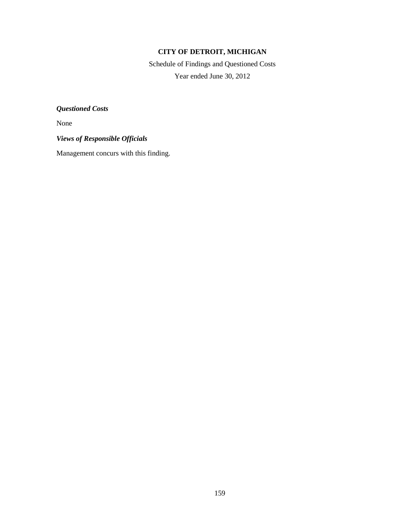Schedule of Findings and Questioned Costs Year ended June 30, 2012

*Questioned Costs* 

None

*Views of Responsible Officials*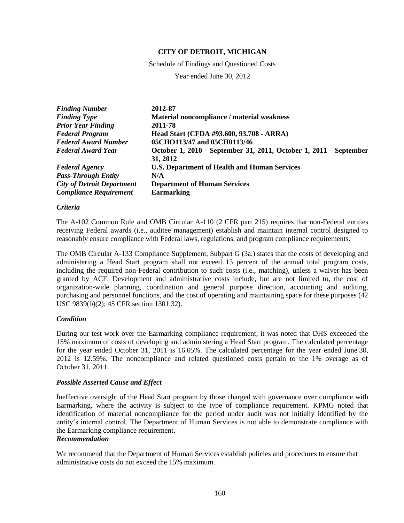Schedule of Findings and Questioned Costs

Year ended June 30, 2012

| <b>Finding Number</b>             | 2012-87                                                                       |
|-----------------------------------|-------------------------------------------------------------------------------|
| <b>Finding Type</b>               | Material noncompliance / material weakness                                    |
| <b>Prior Year Finding</b>         | 2011-78                                                                       |
| <b>Federal Program</b>            | Head Start (CFDA #93.600, 93.708 - ARRA)                                      |
| <b>Federal Award Number</b>       | 05CHO113/47 and 05CH0113/46                                                   |
| <b>Federal Award Year</b>         | October 1, 2010 - September 31, 2011, October 1, 2011 - September<br>31, 2012 |
| <b>Federal Agency</b>             | <b>U.S. Department of Health and Human Services</b>                           |
| <b>Pass-Through Entity</b>        | N/A                                                                           |
| <b>City of Detroit Department</b> | <b>Department of Human Services</b>                                           |
| <b>Compliance Requirement</b>     | <b>Earmarking</b>                                                             |

#### *Criteria*

The A-102 Common Rule and OMB Circular A-110 (2 CFR part 215) requires that non-Federal entities receiving Federal awards (i.e., auditee management) establish and maintain internal control designed to reasonably ensure compliance with Federal laws, regulations, and program compliance requirements.

The OMB Circular A-133 Compliance Supplement, Subpart G (3a.) states that the costs of developing and administering a Head Start program shall not exceed 15 percent of the annual total program costs, including the required non-Federal contribution to such costs (i.e., matching), unless a waiver has been granted by ACF. Development and administrative costs include, but are not limited to, the cost of organization-wide planning, coordination and general purpose direction, accounting and auditing, purchasing and personnel functions, and the cost of operating and maintaining space for these purposes (42 USC 9839(b)(2); 45 CFR section 1301.32).

#### *Condition*

During our test work over the Earmarking compliance requirement, it was noted that DHS exceeded the 15% maximum of costs of developing and administering a Head Start program. The calculated percentage for the year ended October 31, 2011 is 16.05%. The calculated percentage for the year ended June 30, 2012 is 12.59%. The noncompliance and related questioned costs pertain to the 1% overage as of October 31, 2011.

# *Possible Asserted Cause and Effect*

Ineffective oversight of the Head Start program by those charged with governance over compliance with Earmarking, where the activity is subject to the type of compliance requirement. KPMG noted that identification of material noncompliance for the period under audit was not initially identified by the entity's internal control. The Department of Human Services is not able to demonstrate compliance with the Earmarking compliance requirement.

# *Recommendation*

We recommend that the Department of Human Services establish policies and procedures to ensure that administrative costs do not exceed the 15% maximum.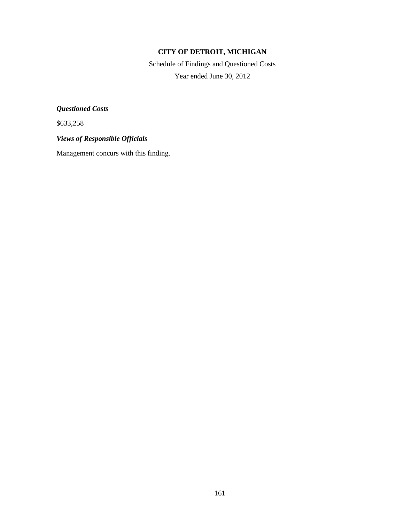Schedule of Findings and Questioned Costs Year ended June 30, 2012

*Questioned Costs* 

\$633,258

*Views of Responsible Officials*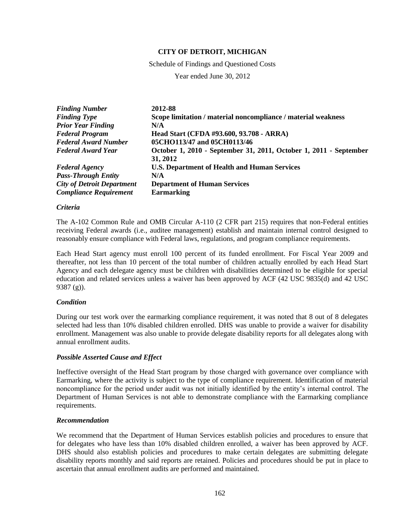Schedule of Findings and Questioned Costs

Year ended June 30, 2012

| <b>Finding Number</b>             | 2012-88                                                                       |
|-----------------------------------|-------------------------------------------------------------------------------|
| <b>Finding Type</b>               | Scope limitation / material noncompliance / material weakness                 |
| <b>Prior Year Finding</b>         | N/A                                                                           |
| <b>Federal Program</b>            | Head Start (CFDA #93.600, 93.708 - ARRA)                                      |
| <b>Federal Award Number</b>       | 05CHO113/47 and 05CH0113/46                                                   |
| <b>Federal Award Year</b>         | October 1, 2010 - September 31, 2011, October 1, 2011 - September<br>31, 2012 |
| <b>Federal Agency</b>             | <b>U.S. Department of Health and Human Services</b>                           |
| <b>Pass-Through Entity</b>        | N/A                                                                           |
| <b>City of Detroit Department</b> | <b>Department of Human Services</b>                                           |
| <b>Compliance Requirement</b>     | <b>Earmarking</b>                                                             |

#### *Criteria*

The A-102 Common Rule and OMB Circular A-110 (2 CFR part 215) requires that non-Federal entities receiving Federal awards (i.e., auditee management) establish and maintain internal control designed to reasonably ensure compliance with Federal laws, regulations, and program compliance requirements.

Each Head Start agency must enroll 100 percent of its funded enrollment. For Fiscal Year 2009 and thereafter, not less than 10 percent of the total number of children actually enrolled by each Head Start Agency and each delegate agency must be children with disabilities determined to be eligible for special education and related services unless a waiver has been approved by ACF (42 USC 9835(d) and 42 USC 9387 (g)).

#### *Condition*

During our test work over the earmarking compliance requirement, it was noted that 8 out of 8 delegates selected had less than 10% disabled children enrolled. DHS was unable to provide a waiver for disability enrollment. Management was also unable to provide delegate disability reports for all delegates along with annual enrollment audits.

#### *Possible Asserted Cause and Effect*

Ineffective oversight of the Head Start program by those charged with governance over compliance with Earmarking, where the activity is subject to the type of compliance requirement. Identification of material noncompliance for the period under audit was not initially identified by the entity's internal control. The Department of Human Services is not able to demonstrate compliance with the Earmarking compliance requirements.

#### *Recommendation*

We recommend that the Department of Human Services establish policies and procedures to ensure that for delegates who have less than 10% disabled children enrolled, a waiver has been approved by ACF. DHS should also establish policies and procedures to make certain delegates are submitting delegate disability reports monthly and said reports are retained. Policies and procedures should be put in place to ascertain that annual enrollment audits are performed and maintained.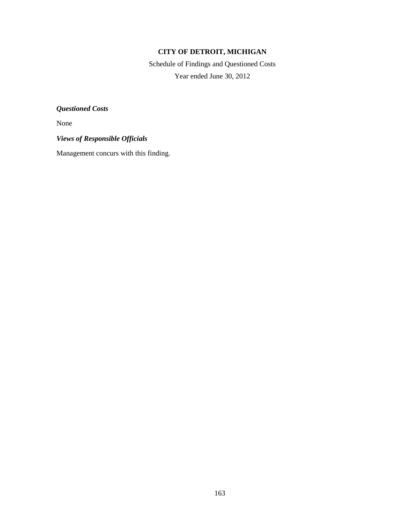Schedule of Findings and Questioned Costs Year ended June 30, 2012

*Questioned Costs* 

None

*Views of Responsible Officials*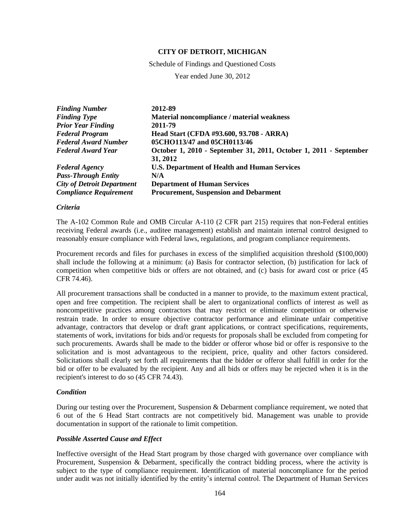Schedule of Findings and Questioned Costs

Year ended June 30, 2012

| <b>Finding Number</b>             | 2012-89                                                                       |
|-----------------------------------|-------------------------------------------------------------------------------|
| <b>Finding Type</b>               | Material noncompliance / material weakness                                    |
| <b>Prior Year Finding</b>         | 2011-79                                                                       |
| <b>Federal Program</b>            | Head Start (CFDA #93.600, 93.708 - ARRA)                                      |
| <b>Federal Award Number</b>       | 05CHO113/47 and 05CH0113/46                                                   |
| <b>Federal Award Year</b>         | October 1, 2010 - September 31, 2011, October 1, 2011 - September<br>31, 2012 |
| <b>Federal Agency</b>             | <b>U.S. Department of Health and Human Services</b>                           |
| <b>Pass-Through Entity</b>        | N/A                                                                           |
| <b>City of Detroit Department</b> | <b>Department of Human Services</b>                                           |
| <b>Compliance Requirement</b>     | <b>Procurement, Suspension and Debarment</b>                                  |

#### *Criteria*

The A-102 Common Rule and OMB Circular A-110 (2 CFR part 215) requires that non-Federal entities receiving Federal awards (i.e., auditee management) establish and maintain internal control designed to reasonably ensure compliance with Federal laws, regulations, and program compliance requirements.

Procurement records and files for purchases in excess of the simplified acquisition threshold (\$100,000) shall include the following at a minimum: (a) Basis for contractor selection, (b) justification for lack of competition when competitive bids or offers are not obtained, and (c) basis for award cost or price (45 CFR 74.46).

All procurement transactions shall be conducted in a manner to provide, to the maximum extent practical, open and free competition. The recipient shall be alert to organizational conflicts of interest as well as noncompetitive practices among contractors that may restrict or eliminate competition or otherwise restrain trade. In order to ensure objective contractor performance and eliminate unfair competitive advantage, contractors that develop or draft grant applications, or contract specifications, requirements, statements of work, invitations for bids and/or requests for proposals shall be excluded from competing for such procurements. Awards shall be made to the bidder or offeror whose bid or offer is responsive to the solicitation and is most advantageous to the recipient, price, quality and other factors considered. Solicitations shall clearly set forth all requirements that the bidder or offeror shall fulfill in order for the bid or offer to be evaluated by the recipient. Any and all bids or offers may be rejected when it is in the recipient's interest to do so (45 CFR 74.43).

#### *Condition*

During our testing over the Procurement, Suspension & Debarment compliance requirement, we noted that 6 out of the 6 Head Start contracts are not competitively bid. Management was unable to provide documentation in support of the rationale to limit competition.

#### *Possible Asserted Cause and Effect*

Ineffective oversight of the Head Start program by those charged with governance over compliance with Procurement, Suspension & Debarment, specifically the contract bidding process, where the activity is subject to the type of compliance requirement. Identification of material noncompliance for the period under audit was not initially identified by the entity's internal control. The Department of Human Services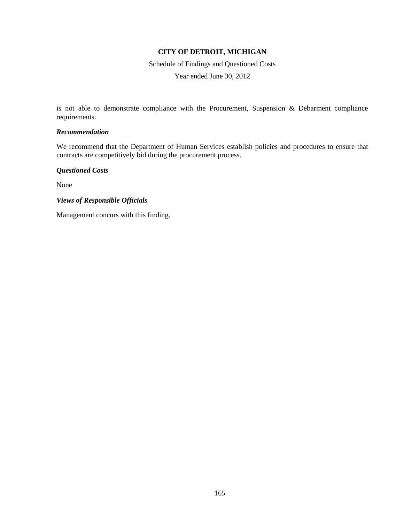Schedule of Findings and Questioned Costs Year ended June 30, 2012

is not able to demonstrate compliance with the Procurement, Suspension & Debarment compliance requirements.

# *Recommendation*

We recommend that the Department of Human Services establish policies and procedures to ensure that contracts are competitively bid during the procurement process.

*Questioned Costs* 

None

*Views of Responsible Officials*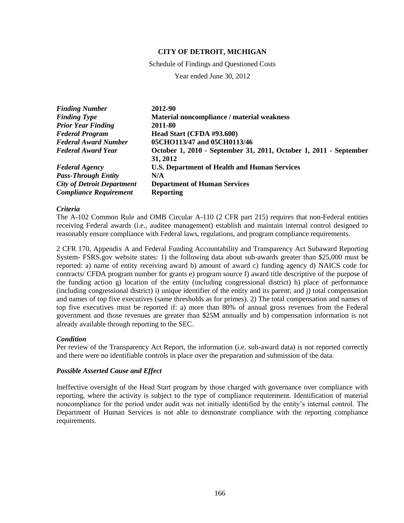Schedule of Findings and Questioned Costs

Year ended June 30, 2012

| <b>Finding Number</b>             | 2012-90                                                                       |
|-----------------------------------|-------------------------------------------------------------------------------|
| <b>Finding Type</b>               | Material noncompliance / material weakness                                    |
| <b>Prior Year Finding</b>         | 2011-80                                                                       |
| <b>Federal Program</b>            | Head Start (CFDA #93.600)                                                     |
| <b>Federal Award Number</b>       | 05CHO113/47 and 05CH0113/46                                                   |
| <b>Federal Award Year</b>         | October 1, 2010 - September 31, 2011, October 1, 2011 - September<br>31, 2012 |
| <b>Federal Agency</b>             | <b>U.S. Department of Health and Human Services</b>                           |
| <b>Pass-Through Entity</b>        | N/A                                                                           |
| <b>City of Detroit Department</b> | <b>Department of Human Services</b>                                           |
| <b>Compliance Requirement</b>     | <b>Reporting</b>                                                              |

#### *Criteria*

The A-102 Common Rule and OMB Circular A-110 (2 CFR part 215) requires that non-Federal entities receiving Federal awards (i.e., auditee management) establish and maintain internal control designed to reasonably ensure compliance with Federal laws, regulations, and program compliance requirements.

2 CFR 170, Appendix A and Federal Funding Accountability and Transparency Act Subaward Reporting System- FSRS.gov website states: 1) the following data about sub-awards greater than \$25,000 must be reported: a) name of entity receiving award b) amount of award c) funding agency d) NAICS code for contracts/ CFDA program number for grants e) program source f) award title descriptive of the purpose of the funding action g) location of the entity (including congressional district) h) place of performance (including congressional district) i) unique identifier of the entity and its parent; and j) total compensation and names of top five executives (same thresholds as for primes). 2) The total compensation and names of top five executives must be reported if: a) more than 80% of annual gross revenues from the Federal government and those revenues are greater than \$25M annually and b) compensation information is not already available through reporting to the SEC.

# *Condition*

Per review of the Transparency Act Report, the information (i.e. sub-award data) is not reported correctly and there were no identifiable controls in place over the preparation and submission of the data.

# *Possible Asserted Cause and Effect*

Ineffective oversight of the Head Start program by those charged with governance over compliance with reporting, where the activity is subject to the type of compliance requirement. Identification of material noncompliance for the period under audit was not initially identified by the entity's internal control. The Department of Human Services is not able to demonstrate compliance with the reporting compliance requirements.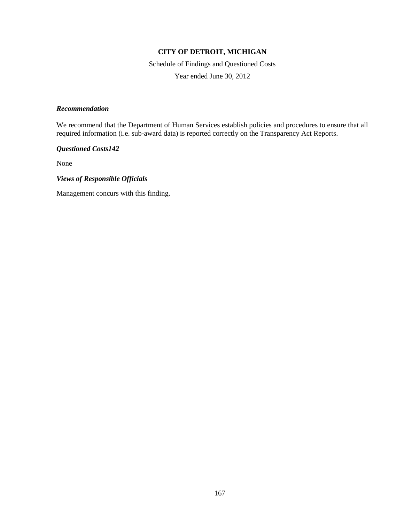Schedule of Findings and Questioned Costs Year ended June 30, 2012

# *Recommendation*

We recommend that the Department of Human Services establish policies and procedures to ensure that all required information (i.e. sub-award data) is reported correctly on the Transparency Act Reports.

*Questioned Costs142* 

None

*Views of Responsible Officials*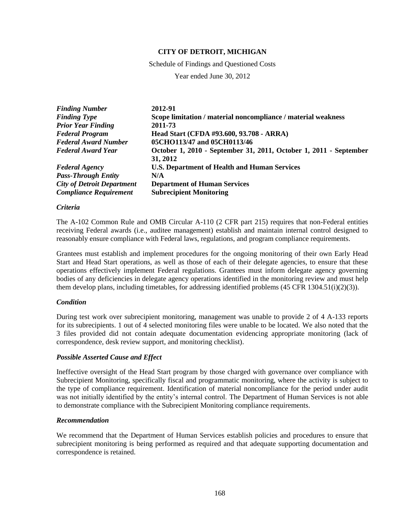Schedule of Findings and Questioned Costs

Year ended June 30, 2012

| <b>Finding Number</b>             | 2012-91                                                                       |
|-----------------------------------|-------------------------------------------------------------------------------|
| <b>Finding Type</b>               | Scope limitation / material noncompliance / material weakness                 |
| <b>Prior Year Finding</b>         | 2011-73                                                                       |
| <b>Federal Program</b>            | Head Start (CFDA #93.600, 93.708 - ARRA)                                      |
| <b>Federal Award Number</b>       | 05CHO113/47 and 05CH0113/46                                                   |
| <b>Federal Award Year</b>         | October 1, 2010 - September 31, 2011, October 1, 2011 - September<br>31, 2012 |
| <b>Federal Agency</b>             | <b>U.S. Department of Health and Human Services</b>                           |
| <b>Pass-Through Entity</b>        | N/A                                                                           |
| <b>City of Detroit Department</b> | <b>Department of Human Services</b>                                           |
| <b>Compliance Requirement</b>     | <b>Subrecipient Monitoring</b>                                                |

#### *Criteria*

The A-102 Common Rule and OMB Circular A-110 (2 CFR part 215) requires that non-Federal entities receiving Federal awards (i.e., auditee management) establish and maintain internal control designed to reasonably ensure compliance with Federal laws, regulations, and program compliance requirements.

Grantees must establish and implement procedures for the ongoing monitoring of their own Early Head Start and Head Start operations, as well as those of each of their delegate agencies, to ensure that these operations effectively implement Federal regulations. Grantees must inform delegate agency governing bodies of any deficiencies in delegate agency operations identified in the monitoring review and must help them develop plans, including timetables, for addressing identified problems (45 CFR 1304.51(i)(2)(3)).

#### *Condition*

During test work over subrecipient monitoring, management was unable to provide 2 of 4 A-133 reports for its subrecipients. 1 out of 4 selected monitoring files were unable to be located. We also noted that the 3 files provided did not contain adequate documentation evidencing appropriate monitoring (lack of correspondence, desk review support, and monitoring checklist).

#### *Possible Asserted Cause and Effect*

Ineffective oversight of the Head Start program by those charged with governance over compliance with Subrecipient Monitoring, specifically fiscal and programmatic monitoring, where the activity is subject to the type of compliance requirement. Identification of material noncompliance for the period under audit was not initially identified by the entity's internal control. The Department of Human Services is not able to demonstrate compliance with the Subrecipient Monitoring compliance requirements.

#### *Recommendation*

We recommend that the Department of Human Services establish policies and procedures to ensure that subrecipient monitoring is being performed as required and that adequate supporting documentation and correspondence is retained.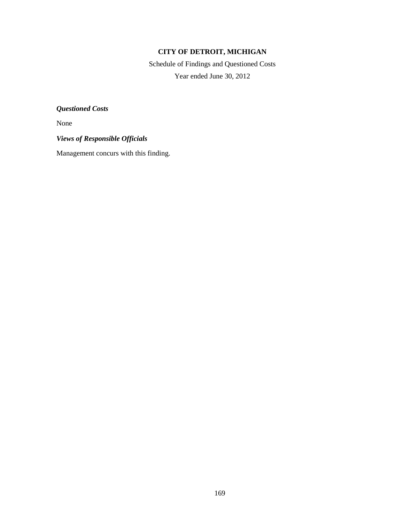Schedule of Findings and Questioned Costs Year ended June 30, 2012

*Questioned Costs* 

None

*Views of Responsible Officials*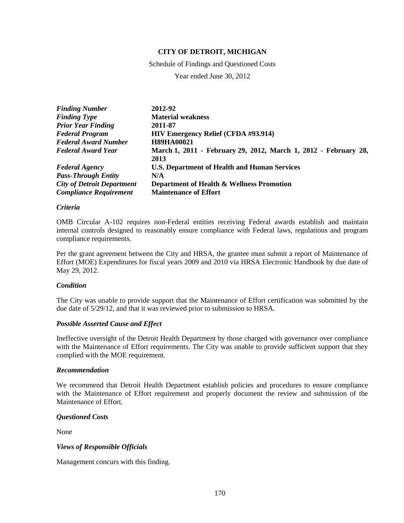Schedule of Findings and Questioned Costs

Year ended June 30, 2012

| <b>Finding Number</b>             | 2012-92                                                                 |
|-----------------------------------|-------------------------------------------------------------------------|
| <b>Finding Type</b>               | <b>Material weakness</b>                                                |
| <b>Prior Year Finding</b>         | 2011-87                                                                 |
| <b>Federal Program</b>            | <b>HIV Emergency Relief (CFDA #93.914)</b>                              |
| <b>Federal Award Number</b>       | <b>H89HA00021</b>                                                       |
| Federal Award Year                | March 1, 2011 - February 29, 2012, March 1, 2012 - February 28,<br>2013 |
| <b>Federal Agency</b>             | <b>U.S. Department of Health and Human Services</b>                     |
| <b>Pass-Through Entity</b>        | N/A                                                                     |
| <b>City of Detroit Department</b> | Department of Health & Wellness Promotion                               |
| <b>Compliance Requirement</b>     | <b>Maintenance of Effort</b>                                            |

### *Criteria*

OMB Circular A-102 requires non-Federal entities receiving Federal awards establish and maintain internal controls designed to reasonably ensure compliance with Federal laws, regulations and program compliance requirements.

Per the grant agreement between the City and HRSA, the grantee must submit a report of Maintenance of Effort (MOE) Expenditures for fiscal years 2009 and 2010 via HRSA Electronic Handbook by due date of May 29, 2012.

#### *Condition*

The City was unable to provide support that the Maintenance of Effort certification was submitted by the due date of 5/29/12, and that it was reviewed prior to submission to HRSA.

#### *Possible Asserted Cause and Effect*

Ineffective oversight of the Detroit Health Department by those charged with governance over compliance with the Maintenance of Effort requirements. The City was unable to provide sufficient support that they complied with the MOE requirement.

# *Recommendation*

We recommend that Detroit Health Department establish policies and procedures to ensure compliance with the Maintenance of Effort requirement and properly document the review and submission of the Maintenance of Effort.

#### *Questioned Costs*

None

#### *Views of Responsible Officials*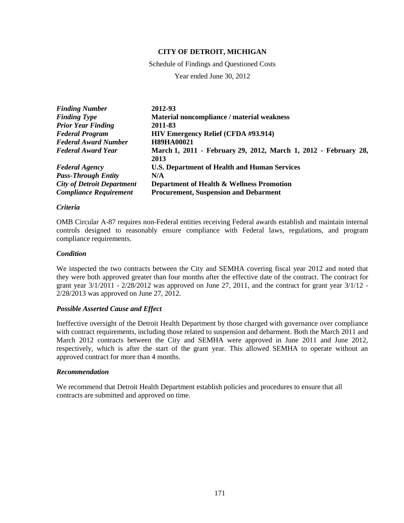Schedule of Findings and Questioned Costs

Year ended June 30, 2012

| <b>Finding Number</b>             | 2012-93                                                                 |
|-----------------------------------|-------------------------------------------------------------------------|
| <b>Finding Type</b>               | Material noncompliance / material weakness                              |
| <b>Prior Year Finding</b>         | 2011-83                                                                 |
| <b>Federal Program</b>            | <b>HIV Emergency Relief (CFDA #93.914)</b>                              |
| <b>Federal Award Number</b>       | <b>H89HA00021</b>                                                       |
| <b>Federal Award Year</b>         | March 1, 2011 - February 29, 2012, March 1, 2012 - February 28,<br>2013 |
| <b>Federal Agency</b>             | U.S. Department of Health and Human Services                            |
| <b>Pass-Through Entity</b>        | N/A                                                                     |
| <b>City of Detroit Department</b> | <b>Department of Health &amp; Wellness Promotion</b>                    |
| <b>Compliance Requirement</b>     | <b>Procurement, Suspension and Debarment</b>                            |

#### *Criteria*

OMB Circular A-87 requires non-Federal entities receiving Federal awards establish and maintain internal controls designed to reasonably ensure compliance with Federal laws, regulations, and program compliance requirements.

#### *Condition*

We inspected the two contracts between the City and SEMHA covering fiscal year 2012 and noted that they were both approved greater than four months after the effective date of the contract. The contract for grant year  $3/1/2011$  -  $2/28/2012$  was approved on June 27, 2011, and the contract for grant year  $3/1/12$  -2/28/2013 was approved on June 27, 2012.

#### *Possible Asserted Cause and Effect*

Ineffective oversight of the Detroit Health Department by those charged with governance over compliance with contract requirements, including those related to suspension and debarment. Both the March 2011 and March 2012 contracts between the City and SEMHA were approved in June 2011 and June 2012, respectively, which is after the start of the grant year. This allowed SEMHA to operate without an approved contract for more than 4 months.

#### *Recommendation*

We recommend that Detroit Health Department establish policies and procedures to ensure that all contracts are submitted and approved on time.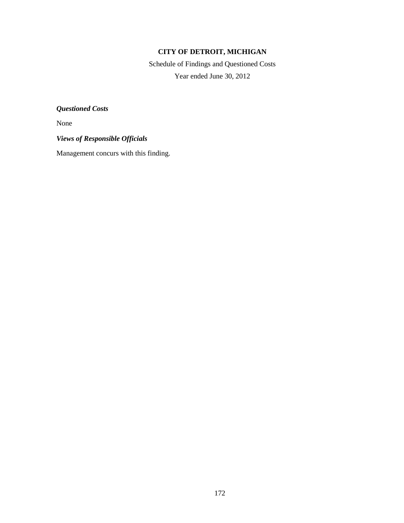Schedule of Findings and Questioned Costs Year ended June 30, 2012

*Questioned Costs* 

None

*Views of Responsible Officials*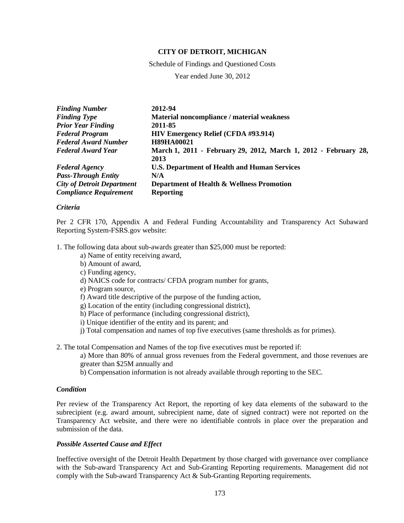Schedule of Findings and Questioned Costs

Year ended June 30, 2012

| <b>Finding Number</b>             | 2012-94                                                                 |
|-----------------------------------|-------------------------------------------------------------------------|
| <b>Finding Type</b>               | Material noncompliance / material weakness                              |
| <b>Prior Year Finding</b>         | 2011-85                                                                 |
| <b>Federal Program</b>            | <b>HIV Emergency Relief (CFDA #93.914)</b>                              |
| <b>Federal Award Number</b>       | <b>H89HA00021</b>                                                       |
| <b>Federal Award Year</b>         | March 1, 2011 - February 29, 2012, March 1, 2012 - February 28,<br>2013 |
| <b>Federal Agency</b>             | <b>U.S. Department of Health and Human Services</b>                     |
| <b>Pass-Through Entity</b>        | N/A                                                                     |
| <b>City of Detroit Department</b> | <b>Department of Health &amp; Wellness Promotion</b>                    |
| <b>Compliance Requirement</b>     | <b>Reporting</b>                                                        |

#### *Criteria*

Per 2 CFR 170, Appendix A and Federal Funding Accountability and Transparency Act Subaward Reporting System-FSRS.gov website:

1. The following data about sub-awards greater than \$25,000 must be reported:

- a) Name of entity receiving award,
- b) Amount of award,
- c) Funding agency,

d) NAICS code for contracts/ CFDA program number for grants,

e) Program source,

f) Award title descriptive of the purpose of the funding action,

g) Location of the entity (including congressional district),

h) Place of performance (including congressional district),

i) Unique identifier of the entity and its parent; and

j) Total compensation and names of top five executives (same thresholds as for primes).

2. The total Compensation and Names of the top five executives must be reported if:

a) More than 80% of annual gross revenues from the Federal government, and those revenues are greater than \$25M annually and

b) Compensation information is not already available through reporting to the SEC.

#### *Condition*

Per review of the Transparency Act Report, the reporting of key data elements of the subaward to the subrecipient (e.g. award amount, subrecipient name, date of signed contract) were not reported on the Transparency Act website, and there were no identifiable controls in place over the preparation and submission of the data.

#### *Possible Asserted Cause and Effect*

Ineffective oversight of the Detroit Health Department by those charged with governance over compliance with the Sub-award Transparency Act and Sub-Granting Reporting requirements. Management did not comply with the Sub-award Transparency Act & Sub-Granting Reporting requirements.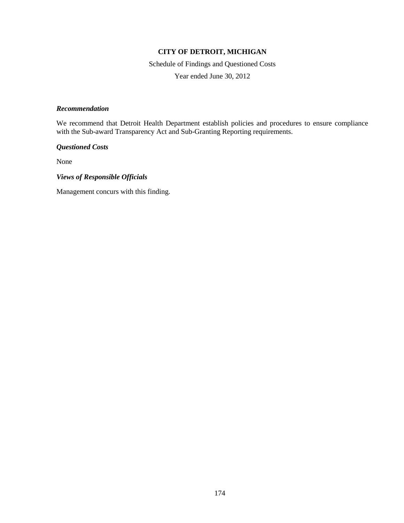Schedule of Findings and Questioned Costs Year ended June 30, 2012

# *Recommendation*

We recommend that Detroit Health Department establish policies and procedures to ensure compliance with the Sub-award Transparency Act and Sub-Granting Reporting requirements.

# *Questioned Costs*

None

*Views of Responsible Officials*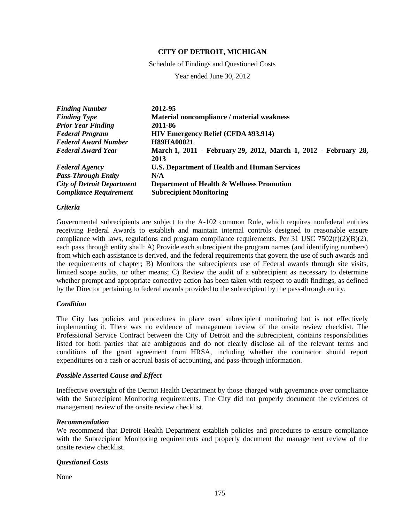Schedule of Findings and Questioned Costs

Year ended June 30, 2012

| <b>Finding Number</b>             | 2012-95                                                                 |
|-----------------------------------|-------------------------------------------------------------------------|
| <b>Finding Type</b>               | Material noncompliance / material weakness                              |
| <b>Prior Year Finding</b>         | 2011-86                                                                 |
| <b>Federal Program</b>            | <b>HIV Emergency Relief (CFDA #93.914)</b>                              |
| <b>Federal Award Number</b>       | <b>H89HA00021</b>                                                       |
| <b>Federal Award Year</b>         | March 1, 2011 - February 29, 2012, March 1, 2012 - February 28,<br>2013 |
| <b>Federal Agency</b>             | <b>U.S. Department of Health and Human Services</b>                     |
| <b>Pass-Through Entity</b>        | N/A                                                                     |
| <b>City of Detroit Department</b> | <b>Department of Health &amp; Wellness Promotion</b>                    |
| <b>Compliance Requirement</b>     | <b>Subrecipient Monitoring</b>                                          |

#### *Criteria*

Governmental subrecipients are subject to the A-102 common Rule, which requires nonfederal entities receiving Federal Awards to establish and maintain internal controls designed to reasonable ensure compliance with laws, regulations and program compliance requirements. Per 31 USC 7502(f)(2)(B)(2), each pass through entity shall: A) Provide each subrecipient the program names (and identifying numbers) from which each assistance is derived, and the federal requirements that govern the use of such awards and the requirements of chapter; B) Monitors the subrecipients use of Federal awards through site visits, limited scope audits, or other means; C) Review the audit of a subrecipient as necessary to determine whether prompt and appropriate corrective action has been taken with respect to audit findings, as defined by the Director pertaining to federal awards provided to the subrecipient by the pass-through entity.

#### *Condition*

The City has policies and procedures in place over subrecipient monitoring but is not effectively implementing it. There was no evidence of management review of the onsite review checklist. The Professional Service Contract between the City of Detroit and the subrecipient, contains responsibilities listed for both parties that are ambiguous and do not clearly disclose all of the relevant terms and conditions of the grant agreement from HRSA, including whether the contractor should report expenditures on a cash or accrual basis of accounting, and pass-through information.

#### *Possible Asserted Cause and Effect*

Ineffective oversight of the Detroit Health Department by those charged with governance over compliance with the Subrecipient Monitoring requirements. The City did not properly document the evidences of management review of the onsite review checklist.

#### *Recommendation*

We recommend that Detroit Health Department establish policies and procedures to ensure compliance with the Subrecipient Monitoring requirements and properly document the management review of the onsite review checklist.

#### *Questioned Costs*

None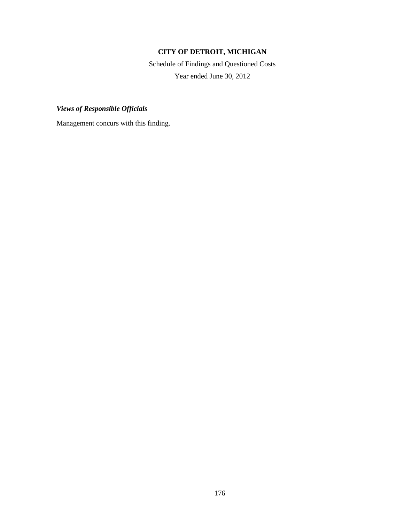Schedule of Findings and Questioned Costs Year ended June 30, 2012

*Views of Responsible Officials*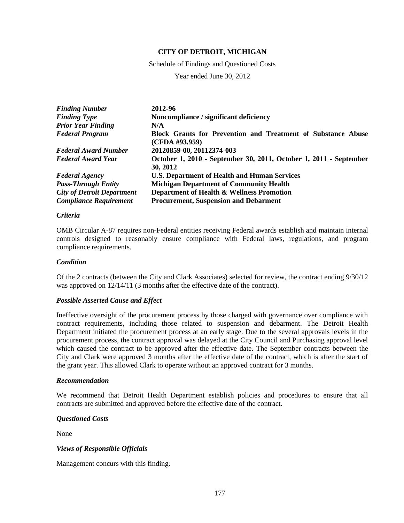Schedule of Findings and Questioned Costs

Year ended June 30, 2012

| <b>Finding Number</b>             | 2012-96                                                                               |
|-----------------------------------|---------------------------------------------------------------------------------------|
| <b>Finding Type</b>               | Noncompliance / significant deficiency                                                |
| <b>Prior Year Finding</b>         | N/A                                                                                   |
| <b>Federal Program</b>            | <b>Block Grants for Prevention and Treatment of Substance Abuse</b><br>(CFDA #93.959) |
| <b>Federal Award Number</b>       | 20120859-00, 20112374-003                                                             |
| <b>Federal Award Year</b>         | October 1, 2010 - September 30, 2011, October 1, 2011 - September<br>30, 2012         |
| <b>Federal Agency</b>             | <b>U.S. Department of Health and Human Services</b>                                   |
| <b>Pass-Through Entity</b>        | <b>Michigan Department of Community Health</b>                                        |
| <b>City of Detroit Department</b> | <b>Department of Health &amp; Wellness Promotion</b>                                  |
| <b>Compliance Requirement</b>     | <b>Procurement, Suspension and Debarment</b>                                          |

### *Criteria*

OMB Circular A-87 requires non-Federal entities receiving Federal awards establish and maintain internal controls designed to reasonably ensure compliance with Federal laws, regulations, and program compliance requirements.

## *Condition*

Of the 2 contracts (between the City and Clark Associates) selected for review, the contract ending 9/30/12 was approved on 12/14/11 (3 months after the effective date of the contract).

# *Possible Asserted Cause and Effect*

Ineffective oversight of the procurement process by those charged with governance over compliance with contract requirements, including those related to suspension and debarment. The Detroit Health Department initiated the procurement process at an early stage. Due to the several approvals levels in the procurement process, the contract approval was delayed at the City Council and Purchasing approval level which caused the contract to be approved after the effective date. The September contracts between the City and Clark were approved 3 months after the effective date of the contract, which is after the start of the grant year. This allowed Clark to operate without an approved contract for 3 months.

#### *Recommendation*

We recommend that Detroit Health Department establish policies and procedures to ensure that all contracts are submitted and approved before the effective date of the contract.

#### *Questioned Costs*

None

# *Views of Responsible Officials*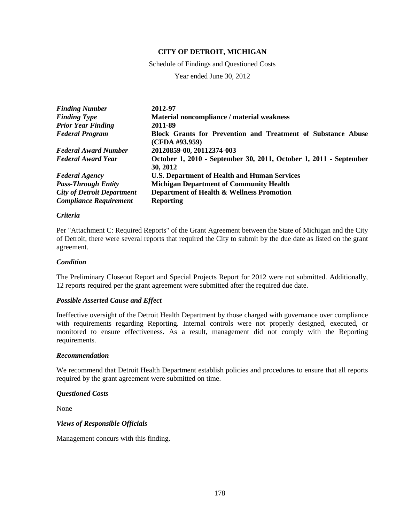Schedule of Findings and Questioned Costs

Year ended June 30, 2012

| <b>Finding Number</b>             | 2012-97                                                                               |
|-----------------------------------|---------------------------------------------------------------------------------------|
| <b>Finding Type</b>               | Material noncompliance / material weakness                                            |
| <b>Prior Year Finding</b>         | 2011-89                                                                               |
| <b>Federal Program</b>            | <b>Block Grants for Prevention and Treatment of Substance Abuse</b><br>(CFDA #93.959) |
| <b>Federal Award Number</b>       | 20120859-00, 20112374-003                                                             |
| <b>Federal Award Year</b>         | October 1, 2010 - September 30, 2011, October 1, 2011 - September<br>30, 2012         |
| <b>Federal Agency</b>             | <b>U.S. Department of Health and Human Services</b>                                   |
| <b>Pass-Through Entity</b>        | <b>Michigan Department of Community Health</b>                                        |
| <b>City of Detroit Department</b> | <b>Department of Health &amp; Wellness Promotion</b>                                  |
| <b>Compliance Requirement</b>     | <b>Reporting</b>                                                                      |

### *Criteria*

Per "Attachment C: Required Reports" of the Grant Agreement between the State of Michigan and the City of Detroit, there were several reports that required the City to submit by the due date as listed on the grant agreement.

#### *Condition*

The Preliminary Closeout Report and Special Projects Report for 2012 were not submitted. Additionally, 12 reports required per the grant agreement were submitted after the required due date.

#### *Possible Asserted Cause and Effect*

Ineffective oversight of the Detroit Health Department by those charged with governance over compliance with requirements regarding Reporting. Internal controls were not properly designed, executed, or monitored to ensure effectiveness. As a result, management did not comply with the Reporting requirements.

#### *Recommendation*

We recommend that Detroit Health Department establish policies and procedures to ensure that all reports required by the grant agreement were submitted on time.

#### *Questioned Costs*

None

### *Views of Responsible Officials*